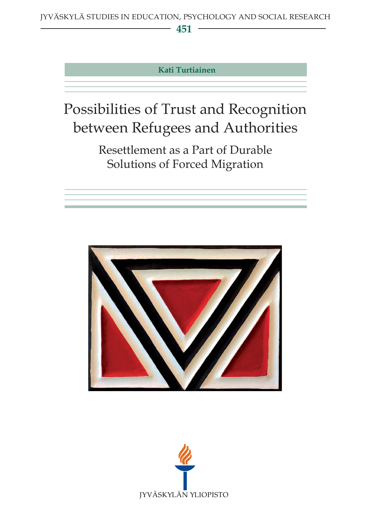**Kati Turtiainen**

# Possibilities of Trust and Recognition between Refugees and Authorities

Resettlement as a Part of Durable Solutions of Forced Migration



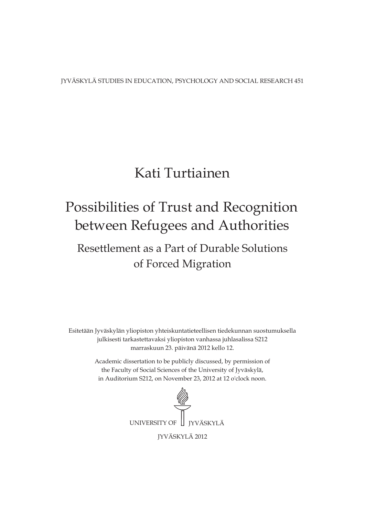JYVÄSKYLÄ STUDIES IN EDUCATION, PSYCHOLOGY AND SOCIAL RESEARCH 451

## Kati Turtiainen

# between Refugees and Authorities Possibilities of Trust and Recognition

## of Forced Migration Resettlement as a Part of Durable Solutions

Esitetään Jyväskylän yliopiston yhteiskuntatieteellisen tiedekunnan suostumuksella julkisesti tarkastettavaksi yliopiston vanhassa juhlasalissa S212 marraskuun 23. päivänä 2012 kello 12.

> Academic dissertation to be publicly discussed, by permission of the Faculty of Social Sciences of the University of Jyväskylä, in Auditorium S212, on November 23, 2012 at 12 o'clock noon.

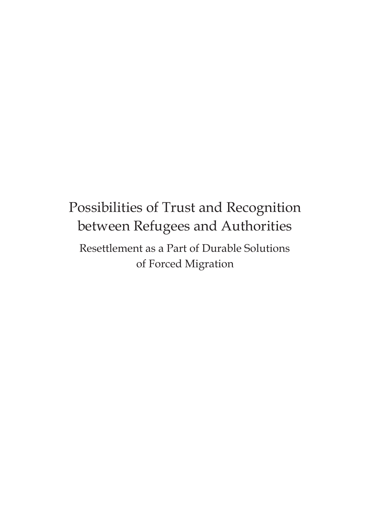# Possibilities of Trust and Recognition Resettlement as a Part of Durable Solutions between Refugees and Authorities of Forced Migration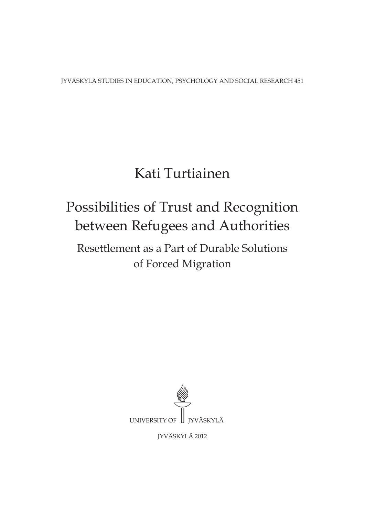JYVÄSKYLÄ STUDIES IN EDUCATION, PSYCHOLOGY AND SOCIAL RESEARCH 451

# Kati Turtiainen

# Possibilities of Trust and Recognition between Refugees and Authorities

## Resettlement as a Part of Durable Solutions of Forced Migration



JYVÄSKYLÄ 2012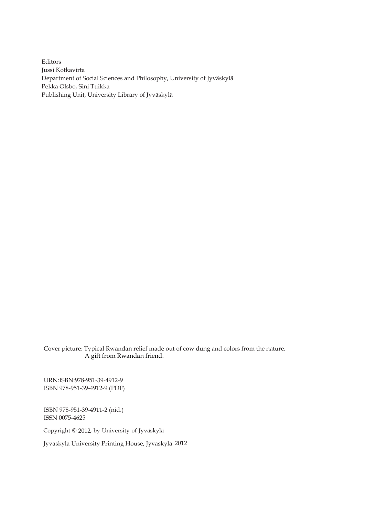Editors Jussi Kotkavirta Department of Social Sciences and Philosophy, University of Jyväskylä Pekka Olsbo, Sini Tuikka Publishing Unit, University Library of Jyväskylä

Cover picture: Typical Rwandan relief made out of cow dung and colors from the nature. A gift from Rwandan friend.

URN:ISBN:978-951-39-4912-9 ISBN 978-951-39-4912-9 (PDF)

ISBN 978-951-39-4911-2 (nid.) ISSN 0075-4625

Copyright © 2012, by University of Jyväskylä

Jyväskylä University Printing House, Jyväskylä 2012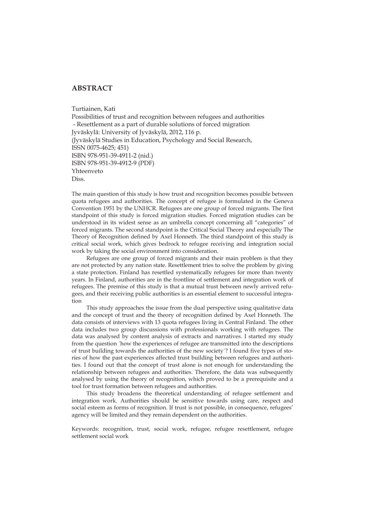#### **ABSTRACT**

Turtiainen, Kati

Possibilities of trust and recognition between refugees and authorities - Resettlement as a part of durable solutions of forced migration Jyväskylä: University of Jyväskylä, 2012, 116 p. (Jyväskylä Studies in Education, Psychology and Social Research, ISSN 0075-4625; 451) ISBN 978-951-39-4911-2 (nid.) ISBN 978-951-39-4912-9 (PDF) Yhteenveto Diss.

The main question of this study is how trust and recognition becomes possible between quota refugees and authorities. The concept of refugee is formulated in the Geneva Convention 1951 by the UNHCR. Refugees are one group of forced migrants. The first standpoint of this study is forced migration studies. Forced migration studies can be understood in its widest sense as an umbrella concept concerning all "categories" of forced migrants. The second standpoint is the Critical Social Theory and especially The Theory of Recognition defined by Axel Honneth. The third standpoint of this study is critical social work, which gives bedrock to refugee receiving and integration social work by taking the social environment into consideration.

Refugees are one group of forced migrants and their main problem is that they are not protected by any nation state. Resettlement tries to solve the problem by giving a state protection. Finland has resettled systematically refugees for more than twenty years. In Finland, authorities are in the frontline of settlement and integration work of refugees. The premise of this study is that a mutual trust between newly arrived refugees, and their receiving public authorities is an essential element to successful integration

This study approaches the issue from the dual perspective using qualitative data and the concept of trust and the theory of recognition defined by Axel Honneth. The data consists of interviews with 13 quota refugees living in Central Finland. The other data includes two group discussions with professionals working with refugees. The data was analysed by content analysis of extracts and narratives. I started my study from the question ´how the experiences of refugee are transmitted into the descriptions of trust building towards the authorities of the new society´? I found five types of stories of how the past experiences affected trust building between refugees and authorities. I found out that the concept of trust alone is not enough for understanding the relationship between refugees and authorities. Therefore, the data was subsequently analysed by using the theory of recognition, which proved to be a prerequisite and a tool for trust formation between refugees and authorities.

This study broadens the theoretical understanding of refugee settlement and integration work. Authorities should be sensitive towards using care, respect and social esteem as forms of recognition. If trust is not possible, in consequence, refugees' agency will be limited and they remain dependent on the authorities.

Keywords: recognition, trust, social work, refugee, refugee resettlement, refugee settlement social work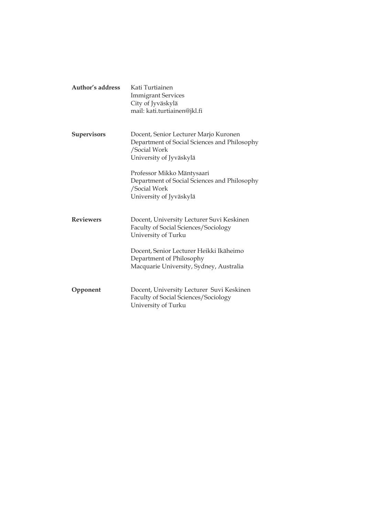| Author's address   | Kati Turtiainen<br><b>Immigrant Services</b><br>City of Jyväskylä<br>mail: kati.turtiainen@jkl.fi                                |
|--------------------|----------------------------------------------------------------------------------------------------------------------------------|
| <b>Supervisors</b> | Docent, Senior Lecturer Marjo Kuronen<br>Department of Social Sciences and Philosophy<br>/Social Work<br>University of Jyväskylä |
|                    | Professor Mikko Mäntysaari<br>Department of Social Sciences and Philosophy<br>/Social Work<br>University of Jyväskylä            |
| <b>Reviewers</b>   | Docent, University Lecturer Suvi Keskinen<br>Faculty of Social Sciences/Sociology<br>University of Turku                         |
|                    | Docent, Senior Lecturer Heikki Ikäheimo<br>Department of Philosophy<br>Macquarie University, Sydney, Australia                   |
| Opponent           | Docent, University Lecturer Suvi Keskinen<br>Faculty of Social Sciences/Sociology<br>University of Turku                         |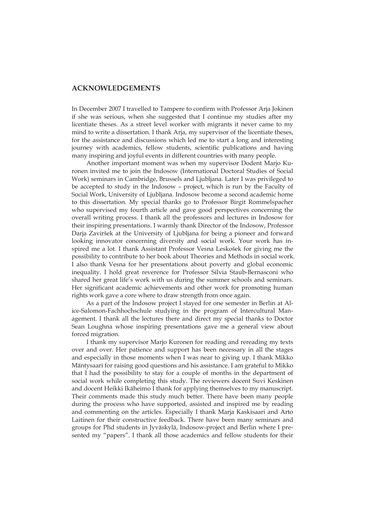#### **ACKNOWLEDGEMENTS**

In December 2007 I travelled to Tampere to confirm with Professor Arja Jokinen if she was serious, when she suggested that I continue my studies after my licentiate theses. As a street level worker with migrants it never came to my mind to write a dissertation. I thank Arja, my supervisor of the licentiate theses, for the assistance and discussions which led me to start a long and interesting journey with academics, fellow students, scientific publications and having many inspiring and joyful events in different countries with many people.

Another important moment was when my supervisor Dodent Marjo Kuronen invited me to join the Indosow (International Doctoral Studies of Social Work) seminars in Cambridge, Brussels and Ljubljana. Later I was privileged to be accepted to study in the Indosow – project, which is run by the Faculty of Social Work, University of Ljubljana. Indosow become a second academic home to this dissertation. My special thanks go to Professor Birgit Rommelspacher who supervised my fourth article and gave good perspectives concerning the overall writing process. I thank all the professors and lectures in Indosow for their inspiring presentations. I warmly thank Director of the Indosow, Professor Darja Zaviršek at the University of Ljubljana for being a pioneer and forward looking innovator concerning diversity and social work. Your work has inspired me a lot. I thank Assistant Professor Vesna Leskošek for giving me the possibility to contribute to her book about Theories and Methods in social work. I also thank Vesna for her presentations about poverty and global economic inequality. I hold great reverence for Professor Silvia Staub-Bernasconi who shared her great life's work with us during the summer schools and seminars. Her significant academic achievements and other work for promoting human rights work gave a core where to draw strength from once again.

As a part of the Indosow project I stayed for one semester in Berlin at Alice-Salomon-Fachhochschule studying in the program of Intercultural Management. I thank all the lectures there and direct my special thanks to Doctor Sean Loughna whose inspiring presentations gave me a general view about forced migration.

I thank my supervisor Marjo Kuronen for reading and rereading my texts over and over. Her patience and support has been necessary in all the stages and especially in those moments when I was near to giving up. I thank Mikko Mäntysaari for raising good questions and his assistance. I am grateful to Mikko that I had the possibility to stay for a couple of months in the department of social work while completing this study. The reviewers docent Suvi Keskinen and docent Heikki Ikäheimo I thank for applying themselves to my manuscript. Their comments made this study much better. There have been many people during the process who have supported, assisted and inspired me by reading and commenting on the articles. Especially I thank Marja Kaskisaari and Arto Laitinen for their constructive feedback. There have been many seminars and groups for Phd students in Jyväskylä, Indosow-project and Berlin where I presented my "papers". I thank all those academics and fellow students for their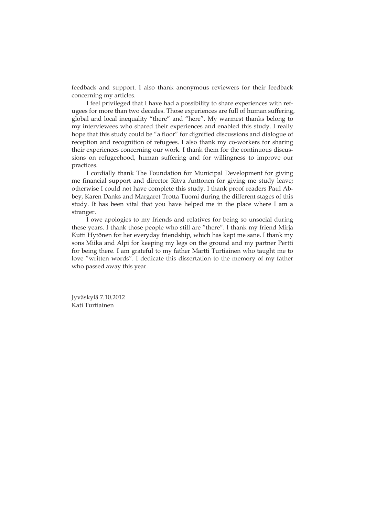feedback and support. I also thank anonymous reviewers for their feedback concerning my articles.

I feel privileged that I have had a possibility to share experiences with refugees for more than two decades. Those experiences are full of human suffering, global and local inequality "there" and "here". My warmest thanks belong to my interviewees who shared their experiences and enabled this study. I really hope that this study could be "a floor" for dignified discussions and dialogue of reception and recognition of refugees. I also thank my co-workers for sharing their experiences concerning our work. I thank them for the continuous discussions on refugeehood, human suffering and for willingness to improve our practices.

I cordially thank The Foundation for Municipal Development for giving me financial support and director Ritva Anttonen for giving me study leave; otherwise I could not have complete this study. I thank proof readers Paul Abbey, Karen Danks and Margaret Trotta Tuomi during the different stages of this study. It has been vital that you have helped me in the place where I am a stranger.

I owe apologies to my friends and relatives for being so unsocial during these years. I thank those people who still are "there". I thank my friend Mirja Kutti Hytönen for her everyday friendship, which has kept me sane. I thank my sons Miika and Alpi for keeping my legs on the ground and my partner Pertti for being there. I am grateful to my father Martti Turtiainen who taught me to love "written words". I dedicate this dissertation to the memory of my father who passed away this year.

Jyväskylä 7.10.2012 Kati Turtiainen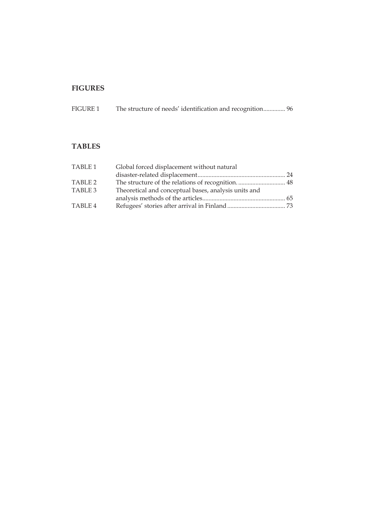## **FIGURES**

## **TABLES**

| TABLE 1 | Global forced displacement without natural           |  |
|---------|------------------------------------------------------|--|
|         |                                                      |  |
| TABLE 2 |                                                      |  |
| TABLE 3 | Theoretical and conceptual bases, analysis units and |  |
|         |                                                      |  |
| TABLE 4 |                                                      |  |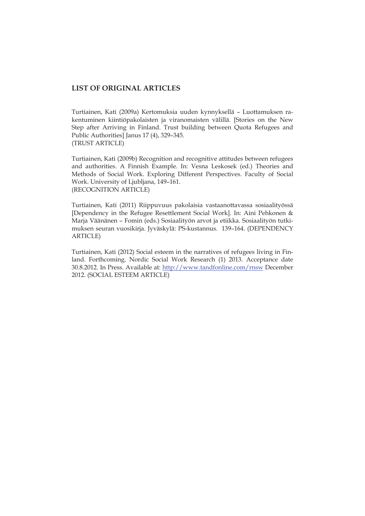### **LIST OF ORIGINAL ARTICLES**

Turtiainen, Kati (2009a) Kertomuksia uuden kynnyksellä – Luottamuksen rakentuminen kiintiöpakolaisten ja viranomaisten välillä. [Stories on the New Step after Arriving in Finland. Trust building between Quota Refugees and Public Authorities] Janus 17 (4), 329–345. (TRUST ARTICLE)

Turtiainen, Kati (2009b) Recognition and recognitive attitudes between refugees and authorities. A Finnish Example. In: Vesna Leskosek (ed.) Theories and Methods of Social Work. Exploring Different Perspectives. Faculty of Social Work. University of Ljubljana, 149–161. (RECOGNITION ARTICLE)

Turtiainen, Kati (2011) Riippuvuus pakolaisia vastaanottavassa sosiaalityössä [Dependency in the Refugee Resettlement Social Work]. In: Aini Pehkonen & Marja Väänänen – Fomin (eds.) Sosiaalityön arvot ja etiikka. Sosiaalityön tutkimuksen seuran vuosikirja. Jyväskylä: PS-kustannus. 139–164. (DEPENDENCY ARTICLE)

Turtiainen, Kati (2012) Social esteem in the narratives of refugees living in Finland. Forthcoming. Nordic Social Work Research (1) 2013. Acceptance date 30.8.2012. In Press. Available at: http://www.tandfonline.com/rnsw December 2012. (SOCIAL ESTEEM ARTICLE)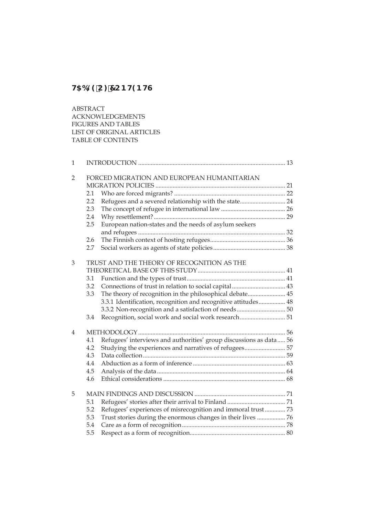## **156@9°C: 7CBHDBHG**

ABSTRACT ACKNOWLEDGEMENTS FIGURES AND TABLES LIST OF ORIGINAL ARTICLES TABLE OF CONTENTS

| $\mathbf{1}$   |     |                                                                    |  |
|----------------|-----|--------------------------------------------------------------------|--|
| $\overline{2}$ |     | FORCED MIGRATION AND EUROPEAN HUMANITARIAN                         |  |
|                |     |                                                                    |  |
|                | 2.1 |                                                                    |  |
|                | 2.2 | Refugees and a severed relationship with the state 24              |  |
|                | 2.3 |                                                                    |  |
|                | 2.4 |                                                                    |  |
|                | 2.5 | European nation-states and the needs of asylum seekers             |  |
|                |     |                                                                    |  |
|                | 2.6 |                                                                    |  |
|                | 2.7 |                                                                    |  |
|                |     |                                                                    |  |
| 3              |     | TRUST AND THE THEORY OF RECOGNITION AS THE                         |  |
|                |     |                                                                    |  |
|                | 3.1 |                                                                    |  |
|                | 3.2 |                                                                    |  |
|                | 3.3 | The theory of recognition in the philosophical debate 45           |  |
|                |     | 3.3.1 Identification, recognition and recognitive attitudes 48     |  |
|                |     |                                                                    |  |
|                | 3.4 | Recognition, social work and social work research 51               |  |
| $\overline{4}$ |     |                                                                    |  |
|                | 4.1 | Refugees' interviews and authorities' group discussions as data 56 |  |
|                | 4.2 | Studying the experiences and narratives of refugees 57             |  |
|                | 4.3 |                                                                    |  |
|                | 4.4 |                                                                    |  |
|                | 4.5 |                                                                    |  |
|                | 4.6 |                                                                    |  |
|                |     |                                                                    |  |
| 5              |     |                                                                    |  |
|                | 5.1 |                                                                    |  |
|                | 5.2 | Refugees' experiences of misrecognition and immoral trust 73       |  |
|                | 5.3 | Trust stories during the enormous changes in their lives  76       |  |
|                | 5.4 |                                                                    |  |
|                | 5.5 |                                                                    |  |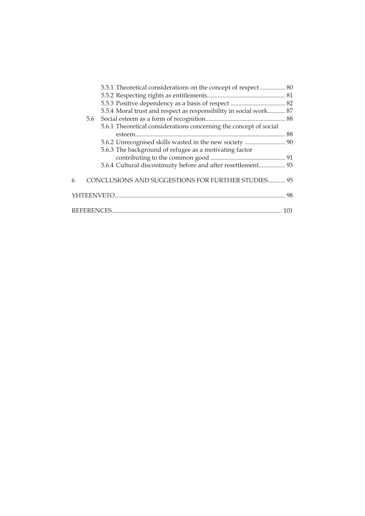|   | 5.5.1 Theoretical considerations on the concept of respect  80    |  |
|---|-------------------------------------------------------------------|--|
|   |                                                                   |  |
|   | 5.5.4 Moral trust and respect as responsibility in social work 87 |  |
|   |                                                                   |  |
|   | 5.6.1 Theoretical considerations concerning the concept of social |  |
|   |                                                                   |  |
|   |                                                                   |  |
|   | 5.6.3 The background of refugee as a motivating factor            |  |
|   |                                                                   |  |
|   | 5.6.4 Cultural discontinuity before and after resettlement 93     |  |
|   |                                                                   |  |
| 6 | CONCLUSIONS AND SUGGESTIONS FOR FURTHER STUDIES 95                |  |
|   |                                                                   |  |
|   |                                                                   |  |
|   |                                                                   |  |
|   |                                                                   |  |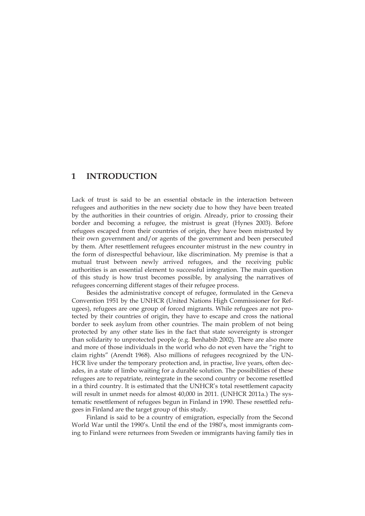## **1 INTRODUCTION**

Lack of trust is said to be an essential obstacle in the interaction between refugees and authorities in the new society due to how they have been treated by the authorities in their countries of origin. Already, prior to crossing their border and becoming a refugee, the mistrust is great (Hynes 2003). Before refugees escaped from their countries of origin, they have been mistrusted by their own government and/or agents of the government and been persecuted by them. After resettlement refugees encounter mistrust in the new country in the form of disrespectful behaviour, like discrimination. My premise is that a mutual trust between newly arrived refugees, and the receiving public authorities is an essential element to successful integration. The main question of this study is how trust becomes possible, by analysing the narratives of refugees concerning different stages of their refugee process.

Besides the administrative concept of refugee, formulated in the Geneva Convention 1951 by the UNHCR (United Nations High Commissioner for Refugees), refugees are one group of forced migrants. While refugees are not protected by their countries of origin, they have to escape and cross the national border to seek asylum from other countries. The main problem of not being protected by any other state lies in the fact that state sovereignty is stronger than solidarity to unprotected people (e.g. Benhabib 2002). There are also more and more of those individuals in the world who do not even have the "right to claim rights" (Arendt 1968). Also millions of refugees recognized by the UN-HCR live under the temporary protection and, in practise, live years, often decades, in a state of limbo waiting for a durable solution. The possibilities of these refugees are to repatriate, reintegrate in the second country or become resettled in a third country. It is estimated that the UNHCR's total resettlement capacity will result in unmet needs for almost 40,000 in 2011. (UNHCR 2011a.) The systematic resettlement of refugees begun in Finland in 1990. These resettled refugees in Finland are the target group of this study.

Finland is said to be a country of emigration, especially from the Second World War until the 1990's. Until the end of the 1980's, most immigrants coming to Finland were returnees from Sweden or immigrants having family ties in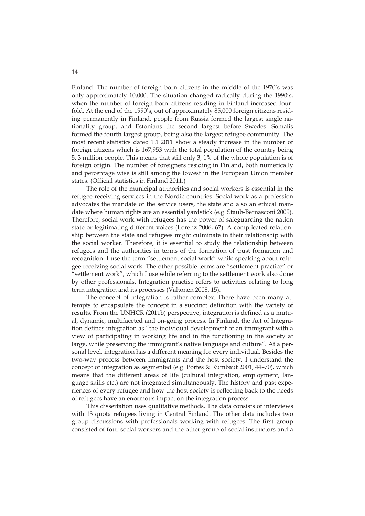Finland. The number of foreign born citizens in the middle of the 1970's was only approximately 10,000. The situation changed radically during the 1990's, when the number of foreign born citizens residing in Finland increased fourfold. At the end of the 1990's, out of approximately 85,000 foreign citizens residing permanently in Finland, people from Russia formed the largest single nationality group, and Estonians the second largest before Swedes. Somalis formed the fourth largest group, being also the largest refugee community. The most recent statistics dated 1.1.2011 show a steady increase in the number of foreign citizens which is 167,953 with the total population of the country being 5, 3 million people. This means that still only 3, 1% of the whole population is of foreign origin. The number of foreigners residing in Finland, both numerically and percentage wise is still among the lowest in the European Union member states. (Official statistics in Finland 2011.)

The role of the municipal authorities and social workers is essential in the refugee receiving services in the Nordic countries. Social work as a profession advocates the mandate of the service users, the state and also an ethical mandate where human rights are an essential yardstick (e.g. Staub-Bernasconi 2009). Therefore, social work with refugees has the power of safeguarding the nation state or legitimating different voices (Lorenz 2006, 67). A complicated relationship between the state and refugees might culminate in their relationship with the social worker. Therefore, it is essential to study the relationship between refugees and the authorities in terms of the formation of trust formation and recognition. I use the term "settlement social work" while speaking about refugee receiving social work. The other possible terms are "settlement practice" or "settlement work", which I use while referring to the settlement work also done by other professionals. Integration practise refers to activities relating to long term integration and its processes (Valtonen 2008, 15).

The concept of integration is rather complex. There have been many attempts to encapsulate the concept in a succinct definition with the variety of results. From the UNHCR (2011b) perspective, integration is defined as a mutual, dynamic, multifaceted and on-going process. In Finland, the Act of Integration defines integration as "the individual development of an immigrant with a view of participating in working life and in the functioning in the society at large, while preserving the immigrant's native language and culture". At a personal level, integration has a different meaning for every individual. Besides the two-way process between immigrants and the host society, I understand the concept of integration as segmented (e.g. Portes & Rumbaut 2001, 44–70), which means that the different areas of life (cultural integration, employment, language skills etc.) are not integrated simultaneously. The history and past experiences of every refugee and how the host society is reflecting back to the needs of refugees have an enormous impact on the integration process.

This dissertation uses qualitative methods. The data consists of interviews with 13 quota refugees living in Central Finland. The other data includes two group discussions with professionals working with refugees. The first group consisted of four social workers and the other group of social instructors and a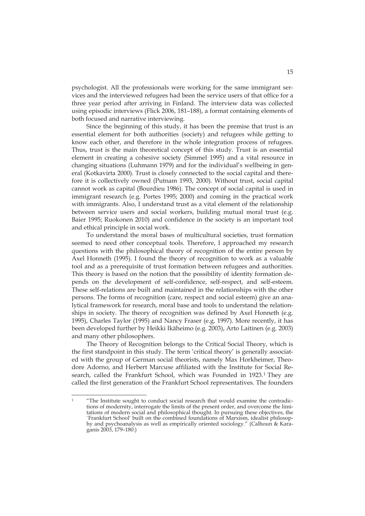psychologist. All the professionals were working for the same immigrant services and the interviewed refugees had been the service users of that office for a three year period after arriving in Finland. The interview data was collected using episodic interviews (Flick 2006, 181–188), a format containing elements of both focused and narrative interviewing.

Since the beginning of this study, it has been the premise that trust is an essential element for both authorities (society) and refugees while getting to know each other, and therefore in the whole integration process of refugees. Thus, trust is the main theoretical concept of this study. Trust is an essential element in creating a cohesive society (Simmel 1995) and a vital resource in changing situations (Luhmann 1979) and for the individual's wellbeing in general (Kotkavirta 2000). Trust is closely connected to the social capital and therefore it is collectively owned (Putnam 1993, 2000). Without trust, social capital cannot work as capital (Bourdieu 1986). The concept of social capital is used in immigrant research (e.g. Portes 1995; 2000) and coming in the practical work with immigrants. Also, I understand trust as a vital element of the relationship between service users and social workers, building mutual moral trust (e.g. Baier 1995; Ruokonen 2010) and confidence in the society is an important tool and ethical principle in social work.

To understand the moral bases of multicultural societies, trust formation seemed to need other conceptual tools. Therefore, I approached my research questions with the philosophical theory of recognition of the entire person by Axel Honneth (1995). I found the theory of recognition to work as a valuable tool and as a prerequisite of trust formation between refugees and authorities. This theory is based on the notion that the possibility of identity formation depends on the development of self-confidence, self-respect, and self-esteem. These self-relations are built and maintained in the relationships with the other persons. The forms of recognition (care, respect and social esteem) give an analytical framework for research, moral base and tools to understand the relationships in society. The theory of recognition was defined by Axel Honneth (e.g. 1995), Charles Taylor (1995) and Nancy Fraser (e.g. 1997). More recently, it has been developed further by Heikki Ikäheimo (e.g. 2003), Arto Laitinen (e.g. 2003) and many other philosophers.

The Theory of Recognition belongs to the Critical Social Theory, which is the first standpoint in this study. The term 'critical theory' is generally associated with the group of German social theorists, namely Max Horkheimer, Theodore Adorno, and Herbert Marcuse affiliated with the Institute for Social Research, called the Frankfurt School, which was Founded in 1923.<sup>1</sup> They are called the first generation of the Frankfurt School representatives. The founders

-

<sup>&</sup>lt;sup>1</sup> "The Institute sought to conduct social research that would examine the contradictions of modernity, interrogate the limits of the present order, and overcome the limitations of modern social and philosophical thought. In pursuing these objectives, the `Frankfurt School' built on the combined foundations of Marxism, idealist philosophy and psychoanalysis as well as empirically oriented sociology." (Calhoun & Karaganis 2003, 179–180.)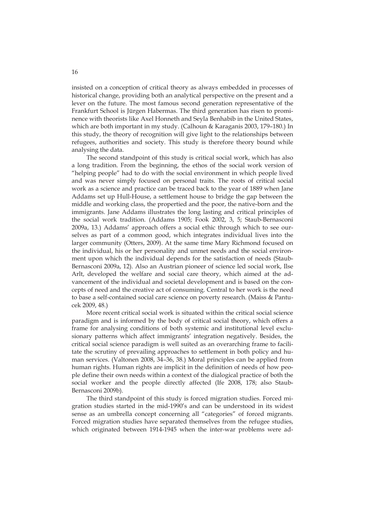insisted on a conception of critical theory as always embedded in processes of historical change, providing both an analytical perspective on the present and a lever on the future. The most famous second generation representative of the Frankfurt School is Jürgen Habermas. The third generation has risen to prominence with theorists like Axel Honneth and Seyla Benhabib in the United States, which are both important in my study. (Calhoun & Karaganis 2003, 179–180.) In this study, the theory of recognition will give light to the relationships between refugees, authorities and society. This study is therefore theory bound while analysing the data.

The second standpoint of this study is critical social work, which has also a long tradition. From the beginning, the ethos of the social work version of "helping people" had to do with the social environment in which people lived and was never simply focused on personal traits. The roots of critical social work as a science and practice can be traced back to the year of 1889 when Jane Addams set up Hull-House, a settlement house to bridge the gap between the middle and working class, the propertied and the poor, the native-born and the immigrants. Jane Addams illustrates the long lasting and critical principles of the social work tradition. (Addams 1905; Fook 2002, 3, 5; Staub-Bernasconi 2009a, 13.) Addams' approach offers a social ethic through which to see ourselves as part of a common good, which integrates individual lives into the larger community (Otters, 2009). At the same time Mary Richmond focused on the individual, his or her personality and unmet needs and the social environment upon which the individual depends for the satisfaction of needs (Staub-Bernasconi 2009a, 12). Also an Austrian pioneer of science led social work, Ilse Arlt, developed the welfare and social care theory, which aimed at the advancement of the individual and societal development and is based on the concepts of need and the creative act of consuming. Central to her work is the need to base a self-contained social care science on poverty research. (Maiss & Pantucek 2009, 48.)

More recent critical social work is situated within the critical social science paradigm and is informed by the body of critical social theory, which offers a frame for analysing conditions of both systemic and institutional level exclusionary patterns which affect immigrants' integration negatively. Besides, the critical social science paradigm is well suited as an overarching frame to facilitate the scrutiny of prevailing approaches to settlement in both policy and human services. (Valtonen 2008, 34–36, 38.) Moral principles can be applied from human rights. Human rights are implicit in the definition of needs of how people define their own needs within a context of the dialogical practice of both the social worker and the people directly affected (Ife 2008, 178; also Staub-Bernasconi 2009b).

The third standpoint of this study is forced migration studies. Forced migration studies started in the mid-1990's and can be understood in its widest sense as an umbrella concept concerning all "categories" of forced migrants. Forced migration studies have separated themselves from the refugee studies, which originated between 1914-1945 when the inter-war problems were ad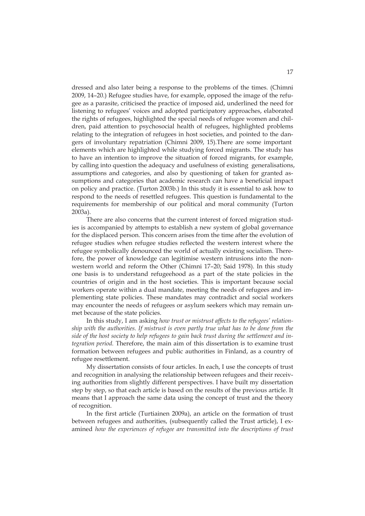dressed and also later being a response to the problems of the times. (Chimni 2009, 14–20.) Refugee studies have, for example, opposed the image of the refugee as a parasite, criticised the practice of imposed aid, underlined the need for listening to refugees' voices and adopted participatory approaches, elaborated the rights of refugees, highlighted the special needs of refugee women and children, paid attention to psychosocial health of refugees, highlighted problems relating to the integration of refugees in host societies, and pointed to the dangers of involuntary repatriation (Chimni 2009, 15).There are some important elements which are highlighted while studying forced migrants. The study has to have an intention to improve the situation of forced migrants, for example, by calling into question the adequacy and usefulness of existing generalisations, assumptions and categories, and also by questioning of taken for granted assumptions and categories that academic research can have a beneficial impact on policy and practice. (Turton 2003b.) In this study it is essential to ask how to respond to the needs of resettled refugees. This question is fundamental to the requirements for membership of our political and moral community (Turton 2003a).

There are also concerns that the current interest of forced migration studies is accompanied by attempts to establish a new system of global governance for the displaced person. This concern arises from the time after the evolution of refugee studies when refugee studies reflected the western interest where the refugee symbolically denounced the world of actually existing socialism. Therefore, the power of knowledge can legitimise western intrusions into the nonwestern world and reform the Other (Chimni 17–20; Said 1978). In this study one basis is to understand refugeehood as a part of the state policies in the countries of origin and in the host societies. This is important because social workers operate within a dual mandate, meeting the needs of refugees and implementing state policies. These mandates may contradict and social workers may encounter the needs of refugees or asylum seekers which may remain unmet because of the state policies.

In this study, I am asking *how trust or mistrust affects to the refugees' relationship with the authorities. If mistrust is even partly true what has to be done from the side of the host society to help refugees to gain back trust during the settlement and integration period.* Therefore, the main aim of this dissertation is to examine trust formation between refugees and public authorities in Finland, as a country of refugee resettlement.

My dissertation consists of four articles. In each, I use the concepts of trust and recognition in analysing the relationship between refugees and their receiving authorities from slightly different perspectives. I have built my dissertation step by step, so that each article is based on the results of the previous article. It means that I approach the same data using the concept of trust and the theory of recognition.

In the first article (Turtiainen 2009a), an article on the formation of trust between refugees and authorities, (subsequently called the Trust article), I examined *how the experiences of refugee are transmitted into the descriptions of trust*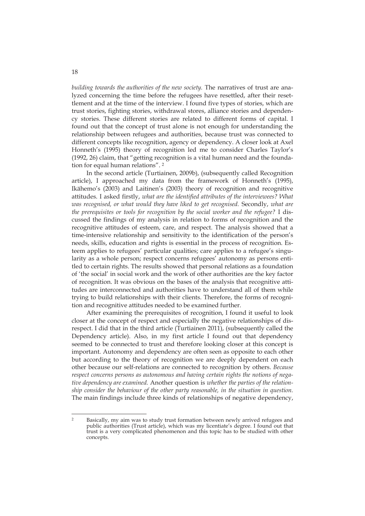*building towards the authorities of the new society.* The narratives of trust are analyzed concerning the time before the refugees have resettled, after their resettlement and at the time of the interview. I found five types of stories, which are trust stories, fighting stories, withdrawal stores, alliance stories and dependency stories. These different stories are related to different forms of capital. I found out that the concept of trust alone is not enough for understanding the relationship between refugees and authorities, because trust was connected to different concepts like recognition, agency or dependency. A closer look at Axel Honneth's (1995) theory of recognition led me to consider Charles Taylor's (1992, 26) claim, that "getting recognition is a vital human need and the foundation for equal human relations". 2

In the second article (Turtiainen, 2009b), (subsequently called Recognition article), I approached my data from the framework of Honneth's (1995), Ikähemo's (2003) and Laitinen's (2003) theory of recognition and recognitive attitudes. I asked firstly, *what are the identified attributes of the interviewees? What was recognised, or what would they have liked to get recognised.* Secondly, *what are the prerequisites or tools for recognition by the social worker and the refugee?* I discussed the findings of my analysis in relation to forms of recognition and the recognitive attitudes of esteem, care, and respect. The analysis showed that a time-intensive relationship and sensitivity to the identification of the person's needs, skills, education and rights is essential in the process of recognition. Esteem applies to refugees' particular qualities; care applies to a refugee's singularity as a whole person; respect concerns refugees' autonomy as persons entitled to certain rights. The results showed that personal relations as a foundation of 'the social' in social work and the work of other authorities are the key factor of recognition. It was obvious on the bases of the analysis that recognitive attitudes are interconnected and authorities have to understand all of them while trying to build relationships with their clients. Therefore, the forms of recognition and recognitive attitudes needed to be examined further.

After examining the prerequisites of recognition, I found it useful to look closer at the concept of respect and especially the negative relationships of disrespect. I did that in the third article (Turtiainen 2011), (subsequently called the Dependency article). Also, in my first article I found out that dependency seemed to be connected to trust and therefore looking closer at this concept is important. Autonomy and dependency are often seen as opposite to each other but according to the theory of recognition we are deeply dependent on each other because our self-relations are connected to recognition by others. *Because respect concerns persons as autonomous and having certain rights the notions of negative dependency are examined.* Another question is *whether the parties of the relationship consider the behaviour of the other party reasonable, in the situation in question.* The main findings include three kinds of relationships of negative dependency,

 $\overline{2}$ Basically, my aim was to study trust formation between newly arrived refugees and public authorities (Trust article), which was my licentiate's degree. I found out that trust is a very complicated phenomenon and this topic has to be studied with other concepts.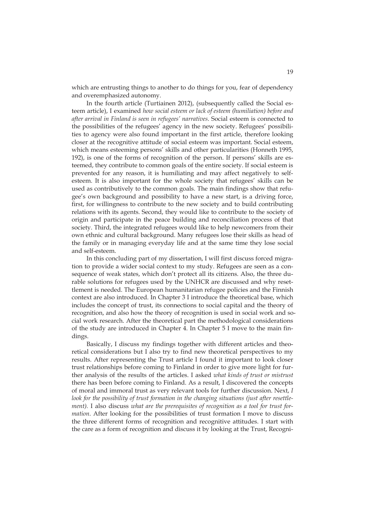which are entrusting things to another to do things for you, fear of dependency and overemphasized autonomy.

In the fourth article (Turtiainen 2012), (subsequently called the Social esteem article), I examined *how social esteem or lack of esteem (humiliation) before and after arrival in Finland is seen in refugees' narratives*. Social esteem is connected to the possibilities of the refugees' agency in the new society. Refugees' possibilities to agency were also found important in the first article, therefore looking closer at the recognitive attitude of social esteem was important. Social esteem, which means esteeming persons' skills and other particularities (Honneth 1995, 192), is one of the forms of recognition of the person. If persons' skills are esteemed, they contribute to common goals of the entire society. If social esteem is prevented for any reason, it is humiliating and may affect negatively to selfesteem. It is also important for the whole society that refugees' skills can be used as contributively to the common goals. The main findings show that refugee's own background and possibility to have a new start, is a driving force, first, for willingness to contribute to the new society and to build contributing relations with its agents. Second, they would like to contribute to the society of origin and participate in the peace building and reconciliation process of that society. Third, the integrated refugees would like to help newcomers from their own ethnic and cultural background. Many refugees lose their skills as head of the family or in managing everyday life and at the same time they lose social and self-esteem.

In this concluding part of my dissertation, I will first discuss forced migration to provide a wider social context to my study. Refugees are seen as a consequence of weak states, which don't protect all its citizens. Also, the three durable solutions for refugees used by the UNHCR are discussed and why resettlement is needed. The European humanitarian refugee policies and the Finnish context are also introduced. In Chapter 3 I introduce the theoretical base, which includes the concept of trust, its connections to social capital and the theory of recognition, and also how the theory of recognition is used in social work and social work research. After the theoretical part the methodological considerations of the study are introduced in Chapter 4. In Chapter 5 I move to the main findings.

Basically, I discuss my findings together with different articles and theoretical considerations but I also try to find new theoretical perspectives to my results. After representing the Trust article I found it important to look closer trust relationships before coming to Finland in order to give more light for further analysis of the results of the articles. I asked *what kinds of trust or mistrust* there has been before coming to Finland. As a result, I discovered the concepts of moral and immoral trust as very relevant tools for further discussion. Next, *I look for the possibility of trust formation in the changing situations (just after resettlement).* I also discuss *what are the prerequisites of recognition as a tool for trust formation*. After looking for the possibilities of trust formation I move to discuss the three different forms of recognition and recognitive attitudes. I start with the care as a form of recognition and discuss it by looking at the Trust, Recogni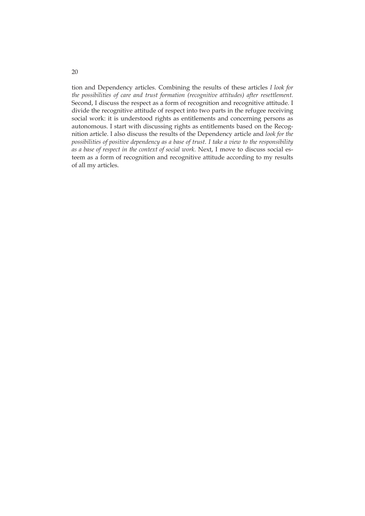tion and Dependency articles. Combining the results of these articles *I look for the possibilities of care and trust formation (recognitive attitudes) after resettlement.* Second, I discuss the respect as a form of recognition and recognitive attitude. I divide the recognitive attitude of respect into two parts in the refugee receiving social work: it is understood rights as entitlements and concerning persons as autonomous. I start with discussing rights as entitlements based on the Recognition article. I also discuss the results of the Dependency article and *look for the possibilities of positive dependency as a base of trust*. *I take a view to the responsibility as a base of respect in the context of social work.* Next, I move to discuss social esteem as a form of recognition and recognitive attitude according to my results of all my articles.

20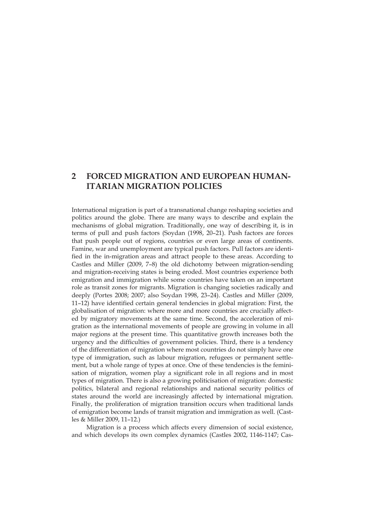## **2 FORCED MIGRATION AND EUROPEAN HUMAN-ITARIAN MIGRATION POLICIES**

International migration is part of a transnational change reshaping societies and politics around the globe. There are many ways to describe and explain the mechanisms of global migration. Traditionally, one way of describing it, is in terms of pull and push factors (Soydan (1998, 20–21). Push factors are forces that push people out of regions, countries or even large areas of continents. Famine, war and unemployment are typical push factors. Pull factors are identified in the in-migration areas and attract people to these areas. According to Castles and Miller (2009, 7–8) the old dichotomy between migration-sending and migration-receiving states is being eroded. Most countries experience both emigration and immigration while some countries have taken on an important role as transit zones for migrants. Migration is changing societies radically and deeply (Portes 2008; 2007; also Soydan 1998, 23–24). Castles and Miller (2009, 11–12) have identified certain general tendencies in global migration: First, the globalisation of migration: where more and more countries are crucially affected by migratory movements at the same time. Second, the acceleration of migration as the international movements of people are growing in volume in all major regions at the present time. This quantitative growth increases both the urgency and the difficulties of government policies. Third, there is a tendency of the differentiation of migration where most countries do not simply have one type of immigration, such as labour migration, refugees or permanent settlement, but a whole range of types at once. One of these tendencies is the feminisation of migration, women play a significant role in all regions and in most types of migration. There is also a growing politicisation of migration: domestic politics, bilateral and regional relationships and national security politics of states around the world are increasingly affected by international migration. Finally, the proliferation of migration transition occurs when traditional lands of emigration become lands of transit migration and immigration as well. (Castles & Miller 2009, 11–12.)

Migration is a process which affects every dimension of social existence, and which develops its own complex dynamics (Castles 2002, 1146-1147; Cas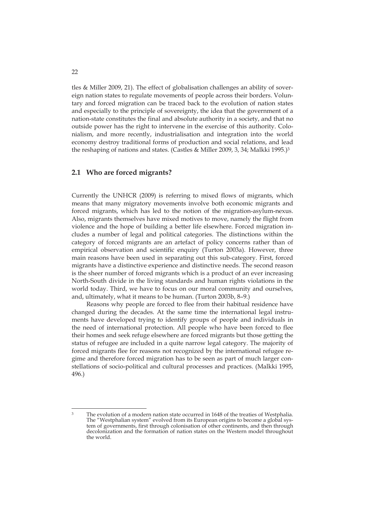tles & Miller 2009, 21). The effect of globalisation challenges an ability of sovereign nation states to regulate movements of people across their borders. Voluntary and forced migration can be traced back to the evolution of nation states and especially to the principle of sovereignty, the idea that the government of a nation-state constitutes the final and absolute authority in a society, and that no outside power has the right to intervene in the exercise of this authority. Colonialism, and more recently, industrialisation and integration into the world economy destroy traditional forms of production and social relations, and lead the reshaping of nations and states. (Castles & Miller 2009, 3, 34; Malkki 1995.)3

#### **2.1 Who are forced migrants?**

Currently the UNHCR (2009) is referring to mixed flows of migrants, which means that many migratory movements involve both economic migrants and forced migrants, which has led to the notion of the migration-asylum-nexus. Also, migrants themselves have mixed motives to move, namely the flight from violence and the hope of building a better life elsewhere. Forced migration includes a number of legal and political categories. The distinctions within the category of forced migrants are an artefact of policy concerns rather than of empirical observation and scientific enquiry (Turton 2003a). However, three main reasons have been used in separating out this sub-category. First, forced migrants have a distinctive experience and distinctive needs. The second reason is the sheer number of forced migrants which is a product of an ever increasing North-South divide in the living standards and human rights violations in the world today. Third, we have to focus on our moral community and ourselves, and, ultimately, what it means to be human. (Turton 2003b, 8–9.)

Reasons why people are forced to flee from their habitual residence have changed during the decades. At the same time the international legal instruments have developed trying to identify groups of people and individuals in the need of international protection. All people who have been forced to flee their homes and seek refuge elsewhere are forced migrants but those getting the status of refugee are included in a quite narrow legal category. The majority of forced migrants flee for reasons not recognized by the international refugee regime and therefore forced migration has to be seen as part of much larger constellations of socio-political and cultural processes and practices. (Malkki 1995, 496.)

-

The evolution of a modern nation state occurred in 1648 of the treaties of Westphalia. The "Westphalian system" evolved from its European origins to become a global system of governments, first through colonisation of other continents, and then through decolonization and the formation of nation states on the Western model throughout the world.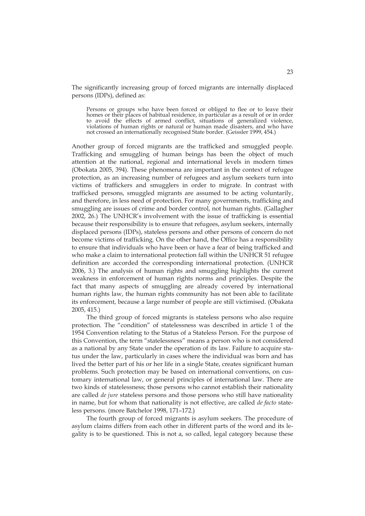The significantly increasing group of forced migrants are internally displaced persons (IDPs), defined as:

Persons or groups who have been forced or obliged to flee or to leave their homes or their places of habitual residence, in particular as a result of or in order to avoid the effects of armed conflict, situations of generalized violence, violations of human rights or natural or human made disasters, and who have not crossed an internationally recognised State border. (Geissler 1999, 454.)

Another group of forced migrants are the trafficked and smuggled people. Trafficking and smuggling of human beings has been the object of much attention at the national, regional and international levels in modern times (Obokata 2005, 394). These phenomena are important in the context of refugee protection, as an increasing number of refugees and asylum seekers turn into victims of traffickers and smugglers in order to migrate. In contrast with trafficked persons, smuggled migrants are assumed to be acting voluntarily, and therefore, in less need of protection. For many governments, trafficking and smuggling are issues of crime and border control, not human rights. (Gallagher 2002, 26.) The UNHCR's involvement with the issue of trafficking is essential because their responsibility is to ensure that refugees, asylum seekers, internally displaced persons (IDPs), stateless persons and other persons of concern do not become victims of trafficking. On the other hand, the Office has a responsibility to ensure that individuals who have been or have a fear of being trafficked and who make a claim to international protection fall within the UNHCR 51 refugee definition are accorded the corresponding international protection. (UNHCR 2006, 3.) The analysis of human rights and smuggling highlights the current weakness in enforcement of human rights norms and principles. Despite the fact that many aspects of smuggling are already covered by international human rights law, the human rights community has not been able to facilitate its enforcement, because a large number of people are still victimised. (Obakata 2005, 415.)

The third group of forced migrants is stateless persons who also require protection. The "condition" of statelessness was described in article 1 of the 1954 Convention relating to the Status of a Stateless Person. For the purpose of this Convention, the term "statelessness" means a person who is not considered as a national by any State under the operation of its law. Failure to acquire status under the law, particularly in cases where the individual was born and has lived the better part of his or her life in a single State, creates significant human problems. Such protection may be based on international conventions, on customary international law, or general principles of international law. There are two kinds of statelessness; those persons who cannot establish their nationality are called *de jure* stateless persons and those persons who still have nationality in name, but for whom that nationality is not effective, are called *de facto* stateless persons. (more Batchelor 1998, 171–172.)

The fourth group of forced migrants is asylum seekers. The procedure of asylum claims differs from each other in different parts of the word and its legality is to be questioned. This is not a, so called, legal category because these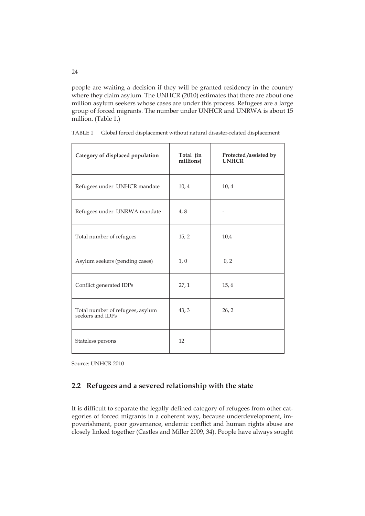people are waiting a decision if they will be granted residency in the country where they claim asylum. The UNHCR (2010) estimates that there are about one million asylum seekers whose cases are under this process. Refugees are a large group of forced migrants. The number under UNHCR and UNRWA is about 15 million. (Table 1.)

| Category of displaced population                     | Total (in<br>millions) | Protected/assisted by<br><b>UNHCR</b> |
|------------------------------------------------------|------------------------|---------------------------------------|
| Refugees under UNHCR mandate                         | 10, 4                  | 10, 4                                 |
| Refugees under UNRWA mandate                         | 4,8                    |                                       |
| Total number of refugees                             | 15, 2                  | 10,4                                  |
| Asylum seekers (pending cases)                       | 1,0                    | 0, 2                                  |
| Conflict generated IDPs                              | 27,1                   | 15, 6                                 |
| Total number of refugees, asylum<br>seekers and IDPs | 43, 3                  | 26, 2                                 |
| Stateless persons                                    | 12                     |                                       |

|  | TABLE 1 Global forced displacement without natural disaster-related displacement |  |
|--|----------------------------------------------------------------------------------|--|
|--|----------------------------------------------------------------------------------|--|

Source: UNHCR 2010

### **2.2 Refugees and a severed relationship with the state**

It is difficult to separate the legally defined category of refugees from other categories of forced migrants in a coherent way, because underdevelopment, impoverishment, poor governance, endemic conflict and human rights abuse are closely linked together (Castles and Miller 2009, 34). People have always sought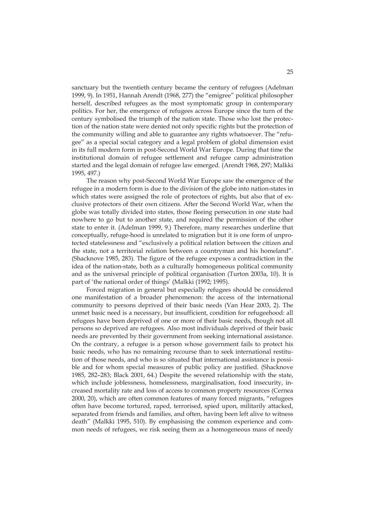sanctuary but the twentieth century became the century of refugees (Adelman 1999, 9). In 1951, Hannah Arendt (1968, 277) the "emigree" political philosopher herself, described refugees as the most symptomatic group in contemporary politics. For her, the emergence of refugees across Europe since the turn of the century symbolised the triumph of the nation state. Those who lost the protection of the nation state were denied not only specific rights but the protection of the community willing and able to guarantee any rights whatsoever. The "refugee" as a special social category and a legal problem of global dimension exist in its full modern form in post-Second World War Europe. During that time the institutional domain of refugee settlement and refugee camp administration started and the legal domain of refugee law emerged. (Arendt 1968, 297; Malkki 1995, 497.)

The reason why post-Second World War Europe saw the emergence of the refugee in a modern form is due to the division of the globe into nation-states in which states were assigned the role of protectors of rights, but also that of exclusive protectors of their own citizens. After the Second World War, when the globe was totally divided into states, those fleeing persecution in one state had nowhere to go but to another state, and required the permission of the other state to enter it. (Adelman 1999, 9.) Therefore, many researches underline that conceptually, refuge-hood is unrelated to migration but it is one form of unprotected statelessness and "exclusively a political relation between the citizen and the state, not a territorial relation between a countryman and his homeland". (Shacknove 1985, 283). The figure of the refugee exposes a contradiction in the idea of the nation-state, both as a culturally homogeneous political community and as the universal principle of political organisation (Turton 2003a, 10). It is part of 'the national order of things' (Malkki (1992; 1995).

Forced migration in general but especially refugees should be considered one manifestation of a broader phenomenon: the access of the international community to persons deprived of their basic needs (Van Hear 2003, 2). The unmet basic need is a necessary, but insufficient, condition for refugeehood: all refugees have been deprived of one or more of their basic needs, though not all persons so deprived are refugees. Also most individuals deprived of their basic needs are prevented by their government from seeking international assistance. On the contrary, a refugee is a person whose government fails to protect his basic needs, who has no remaining recourse than to seek international restitution of those needs, and who is so situated that international assistance is possible and for whom special measures of public policy are justified. (Shacknove 1985, 282–283; Black 2001, 64.) Despite the severed relationship with the state, which include joblessness, homelessness, marginalisation, food insecurity, increased mortality rate and loss of access to common property resources (Cernea 2000, 20), which are often common features of many forced migrants, "refugees often have become tortured, raped, terrorised, spied upon, militarily attacked, separated from friends and families, and often, having been left alive to witness death" (Malkki 1995, 510). By emphasising the common experience and common needs of refugees, we risk seeing them as a homogeneous mass of needy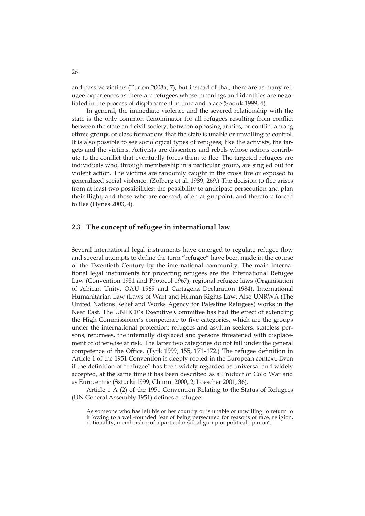and passive victims (Turton 2003a, 7), but instead of that, there are as many refugee experiences as there are refugees whose meanings and identities are negotiated in the process of displacement in time and place (Soduk 1999, 4).

In general, the immediate violence and the severed relationship with the state is the only common denominator for all refugees resulting from conflict between the state and civil society, between opposing armies, or conflict among ethnic groups or class formations that the state is unable or unwilling to control. It is also possible to see sociological types of refugees, like the activists, the targets and the victims. Activists are dissenters and rebels whose actions contribute to the conflict that eventually forces them to flee. The targeted refugees are individuals who, through membership in a particular group, are singled out for violent action. The victims are randomly caught in the cross fire or exposed to generalized social violence. (Zolberg et al. 1989, 269.) The decision to flee arises from at least two possibilities: the possibility to anticipate persecution and plan their flight, and those who are coerced, often at gunpoint, and therefore forced to flee (Hynes 2003, 4).

#### **2.3 The concept of refugee in international law**

Several international legal instruments have emerged to regulate refugee flow and several attempts to define the term "refugee" have been made in the course of the Twentieth Century by the international community. The main international legal instruments for protecting refugees are the International Refugee Law (Convention 1951 and Protocol 1967), regional refugee laws (Organisation of African Unity, OAU 1969 and Cartagena Declaration 1984), International Humanitarian Law (Laws of War) and Human Rights Law. Also UNRWA (The United Nations Relief and Works Agency for Palestine Refugees) works in the Near East. The UNHCR's Executive Committee has had the effect of extending the High Commissioner's competence to five categories, which are the groups under the international protection: refugees and asylum seekers, stateless persons, returnees, the internally displaced and persons threatened with displacement or otherwise at risk. The latter two categories do not fall under the general competence of the Office. (Tyrk 1999, 155, 171–172.) The refugee definition in Article 1 of the 1951 Convention is deeply rooted in the European context. Even if the definition of "refugee" has been widely regarded as universal and widely accepted, at the same time it has been described as a Product of Cold War and as Eurocentric (Sztucki 1999; Chimni 2000, 2; Loescher 2001, 36).

Article 1 A (2) of the 1951 Convention Relating to the Status of Refugees (UN General Assembly 1951) defines a refugee:

As someone who has left his or her country or is unable or unwilling to return to it 'owing to a well-founded fear of being persecuted for reasons of race, religion, nationality, membership of a particular social group or political opinion'.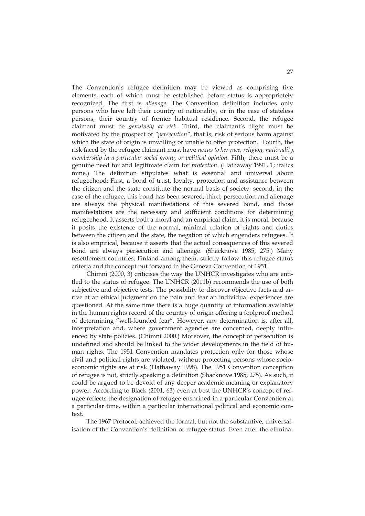The Convention's refugee definition may be viewed as comprising five elements, each of which must be established before status is appropriately recognized. The first is *alienage*. The Convention definition includes only persons who have left their country of nationality, or in the case of stateless persons, their country of former habitual residence. Second, the refugee claimant must be *genuinely at risk*. Third, the claimant's flight must be motivated by the prospect of *"persecution"*, that is, risk of serious harm against which the state of origin is unwilling or unable to offer protection. Fourth, the risk faced by the refugee claimant must have *nexus to her race, religion, nationality, membership in a particular social group, or political opinion*. Fifth, there must be a genuine need for and legitimate claim for *protection*. (Hathaway 1991, 1; italics mine.) The definition stipulates what is essential and universal about refugeehood: First, a bond of trust, loyalty, protection and assistance between the citizen and the state constitute the normal basis of society; second, in the case of the refugee, this bond has been severed; third, persecution and alienage are always the physical manifestations of this severed bond, and those manifestations are the necessary and sufficient conditions for determining refugeehood. It asserts both a moral and an empirical claim, it is moral, because it posits the existence of the normal, minimal relation of rights and duties between the citizen and the state, the negation of which engenders refugees. It is also empirical, because it asserts that the actual consequences of this severed bond are always persecution and alienage. (Shacknove 1985, 275.) Many resettlement countries, Finland among them, strictly follow this refugee status criteria and the concept put forward in the Geneva Convention of 1951.

Chimni (2000, 3) criticises the way the UNHCR investigates who are entitled to the status of refugee. The UNHCR (2011b) recommends the use of both subjective and objective tests. The possibility to discover objective facts and arrive at an ethical judgment on the pain and fear an individual experiences are questioned. At the same time there is a huge quantity of information available in the human rights record of the country of origin offering a foolproof method of determining "well-founded fear". However, any determination is, after all, interpretation and, where government agencies are concerned, deeply influenced by state policies. (Chimni 2000.) Moreover, the concept of persecution is undefined and should be linked to the wider developments in the field of human rights. The 1951 Convention mandates protection only for those whose civil and political rights are violated, without protecting persons whose socioeconomic rights are at risk (Hathaway 1998). The 1951 Convention conception of refugee is not, strictly speaking a definition (Shacknove 1985, 275). As such, it could be argued to be devoid of any deeper academic meaning or explanatory power. According to Black (2001, 63) even at best the UNHCR's concept of refugee reflects the designation of refugee enshrined in a particular Convention at a particular time, within a particular international political and economic context.

The 1967 Protocol, achieved the formal, but not the substantive, universalisation of the Convention's definition of refugee status. Even after the elimina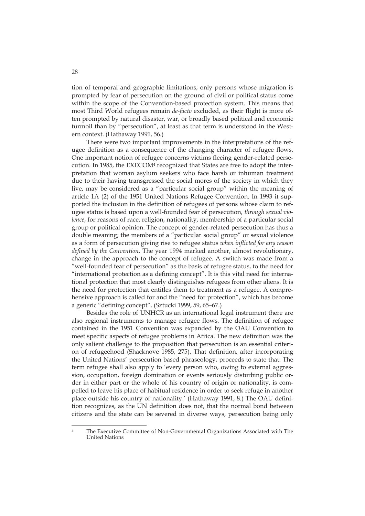tion of temporal and geographic limitations, only persons whose migration is prompted by fear of persecution on the ground of civil or political status come within the scope of the Convention-based protection system. This means that most Third World refugees remain *de-facto* excluded, as their flight is more often prompted by natural disaster, war, or broadly based political and economic turmoil than by "persecution", at least as that term is understood in the Western context. (Hathaway 1991, 56.)

There were two important improvements in the interpretations of the refugee definition as a consequence of the changing character of refugee flows. One important notion of refugee concerns victims fleeing gender-related persecution. In 1985, the EXECOM<sup>4</sup> recognized that States are free to adopt the interpretation that woman asylum seekers who face harsh or inhuman treatment due to their having transgressed the social mores of the society in which they live, may be considered as a "particular social group" within the meaning of article 1A (2) of the 1951 United Nations Refugee Convention. In 1993 it supported the inclusion in the definition of refugees of persons whose claim to refugee status is based upon a well-founded fear of persecution, *through sexual violence*, for reasons of race, religion, nationality, membership of a particular social group or political opinion. The concept of gender-related persecution has thus a double meaning; the members of a "particular social group" or sexual violence as a form of persecution giving rise to refugee status *when inflicted for any reason defined by the Convention*. The year 1994 marked another, almost revolutionary, change in the approach to the concept of refugee. A switch was made from a "well-founded fear of persecution" as the basis of refugee status, to the need for "international protection as a defining concept". It is this vital need for international protection that most clearly distinguishes refugees from other aliens. It is the need for protection that entitles them to treatment as a refugee. A comprehensive approach is called for and the "need for protection", which has become a generic "defining concept". (Sztucki 1999, 59, 65–67.)

Besides the role of UNHCR as an international legal instrument there are also regional instruments to manage refugee flows. The definition of refugee contained in the 1951 Convention was expanded by the OAU Convention to meet specific aspects of refugee problems in Africa. The new definition was the only salient challenge to the proposition that persecution is an essential criterion of refugeehood (Shacknove 1985, 275). That definition, after incorporating the United Nations' persecution based phraseology, proceeds to state that: The term refugee shall also apply to 'every person who, owing to external aggression, occupation, foreign domination or events seriously disturbing public order in either part or the whole of his country of origin or nationality, is compelled to leave his place of habitual residence in order to seek refuge in another place outside his country of nationality.' (Hathaway 1991, 8.) The OAU definition recognizes, as the UN definition does not, that the normal bond between citizens and the state can be severed in diverse ways, persecution being only

-

<sup>4</sup> The Executive Committee of Non-Governmental Organizations Associated with The United Nations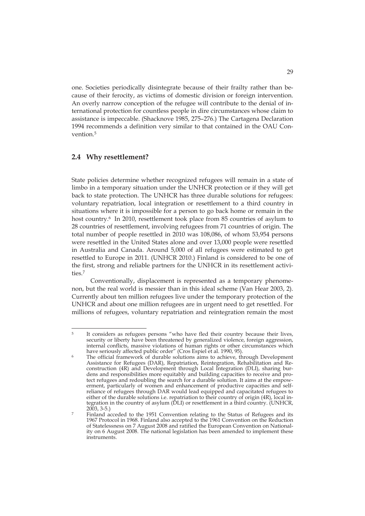one. Societies periodically disintegrate because of their frailty rather than because of their ferocity, as victims of domestic division or foreign intervention. An overly narrow conception of the refugee will contribute to the denial of international protection for countless people in dire circumstances whose claim to assistance is impeccable. (Shacknove 1985, 275–276.) The Cartagena Declaration 1994 recommends a definition very similar to that contained in the OAU Convention.5

### **2.4 Why resettlement?**

State policies determine whether recognized refugees will remain in a state of limbo in a temporary situation under the UNHCR protection or if they will get back to state protection. The UNHCR has three durable solutions for refugees: voluntary repatriation, local integration or resettlement to a third country in situations where it is impossible for a person to go back home or remain in the host country.<sup>6</sup> In 2010, resettlement took place from 85 countries of asylum to 28 countries of resettlement, involving refugees from 71 countries of origin. The total number of people resettled in 2010 was 108,086, of whom 53,954 persons were resettled in the United States alone and over 13,000 people were resettled in Australia and Canada. Around 5,000 of all refugees were estimated to get resettled to Europe in 2011. (UNHCR 2010.) Finland is considered to be one of the first, strong and reliable partners for the UNHCR in its resettlement activities.7

Conventionally, displacement is represented as a temporary phenomenon, but the real world is messier than in this ideal scheme (Van Hear 2003, 2). Currently about ten million refugees live under the temporary protection of the UNHCR and about one million refugees are in urgent need to get resettled. For millions of refugees, voluntary repatriation and reintegration remain the most

 $\bar{a}$ It considers as refugees persons "who have fled their country because their lives. security or liberty have been threatened by generalized violence, foreign aggression, internal conflicts, massive violations of human rights or other circumstances which<br>have seriously affected public order" (Cros Espiel et al. 1990, 95).

The official framework of durable solutions aims to achieve, through Development Assistance for Refugees (DAR), Repatriation, Reintegration, Rehabilitation and Reconstruction (4R) and Development through Local Integration (DLI), sharing burdens and responsibilities more equitably and building capacities to receive and protect refugees and redoubling the search for a durable solution. It aims at the empowerment, particularly of women and enhancement of productive capacities and selfreliance of refugees through DAR would lead equipped and capacitated refugees to either of the durable solutions i.e. repatriation to their country of origin (4R), local integration in the country of asylum (DLI) or resettlement in a third country. (UNHCR, 2003, 3-5.)<br>Tinland acceded to the 1951 Convention relating to the Status of Refugees and its

<sup>1967</sup> Protocol in 1968. Finland also accepted to the 1961 Convention on the Reduction of Statelessness on 7 August 2008 and ratified the European Convention on Nationality on 6 August 2008. The national legislation has been amended to implement these instruments.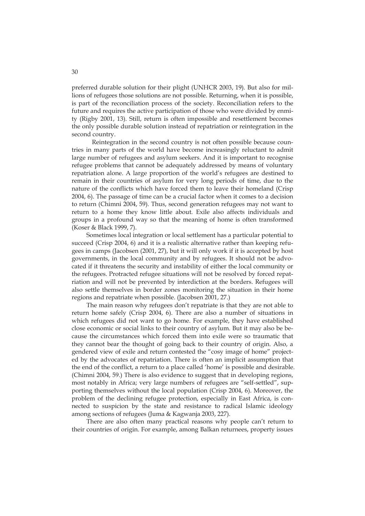preferred durable solution for their plight (UNHCR 2003, 19). But also for millions of refugees those solutions are not possible. Returning, when it is possible, is part of the reconciliation process of the society. Reconciliation refers to the future and requires the active participation of those who were divided by enmity (Rigby 2001, 13). Still, return is often impossible and resettlement becomes the only possible durable solution instead of repatriation or reintegration in the second country.

 Reintegration in the second country is not often possible because countries in many parts of the world have become increasingly reluctant to admit large number of refugees and asylum seekers. And it is important to recognise refugee problems that cannot be adequately addressed by means of voluntary repatriation alone. A large proportion of the world's refugees are destined to remain in their countries of asylum for very long periods of time, due to the nature of the conflicts which have forced them to leave their homeland (Crisp 2004, 6). The passage of time can be a crucial factor when it comes to a decision to return (Chimni 2004, 59). Thus, second generation refugees may not want to return to a home they know little about. Exile also affects individuals and groups in a profound way so that the meaning of home is often transformed (Koser & Black 1999, 7).

Sometimes local integration or local settlement has a particular potential to succeed (Crisp 2004, 6) and it is a realistic alternative rather than keeping refugees in camps (Jacobsen (2001, 27), but it will only work if it is accepted by host governments, in the local community and by refugees. It should not be advocated if it threatens the security and instability of either the local community or the refugees. Protracted refugee situations will not be resolved by forced repatriation and will not be prevented by interdiction at the borders. Refugees will also settle themselves in border zones monitoring the situation in their home regions and repatriate when possible. (Jacobsen 2001, 27.)

The main reason why refugees don't repatriate is that they are not able to return home safely (Crisp 2004, 6). There are also a number of situations in which refugees did not want to go home. For example, they have established close economic or social links to their country of asylum. But it may also be because the circumstances which forced them into exile were so traumatic that they cannot bear the thought of going back to their country of origin. Also, a gendered view of exile and return contested the "cosy image of home" projected by the advocates of repatriation. There is often an implicit assumption that the end of the conflict, a return to a place called 'home' is possible and desirable. (Chimni 2004, 59.) There is also evidence to suggest that in developing regions, most notably in Africa; very large numbers of refugees are "self-settled", supporting themselves without the local population (Crisp 2004, 6). Moreover, the problem of the declining refugee protection, especially in East Africa, is connected to suspicion by the state and resistance to radical Islamic ideology among sections of refugees (Juma & Kagwanja 2003, 227).

There are also often many practical reasons why people can't return to their countries of origin. For example, among Balkan returnees, property issues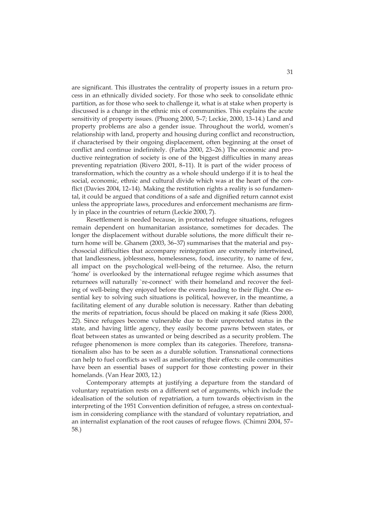are significant. This illustrates the centrality of property issues in a return process in an ethnically divided society. For those who seek to consolidate ethnic partition, as for those who seek to challenge it, what is at stake when property is discussed is a change in the ethnic mix of communities. This explains the acute sensitivity of property issues. (Phuong 2000, 5–7; Leckie, 2000, 13–14.) Land and property problems are also a gender issue. Throughout the world, women's relationship with land, property and housing during conflict and reconstruction, if characterised by their ongoing displacement, often beginning at the onset of conflict and continue indefinitely. (Farha 2000, 23–26.) The economic and productive reintegration of society is one of the biggest difficulties in many areas preventing repatriation (Rivero 2001, 8–11). It is part of the wider process of transformation, which the country as a whole should undergo if it is to heal the social, economic, ethnic and cultural divide which was at the heart of the conflict (Davies 2004, 12–14). Making the restitution rights a reality is so fundamental, it could be argued that conditions of a safe and dignified return cannot exist unless the appropriate laws, procedures and enforcement mechanisms are firmly in place in the countries of return (Leckie 2000, 7).

Resettlement is needed because, in protracted refugee situations, refugees remain dependent on humanitarian assistance, sometimes for decades. The longer the displacement without durable solutions, the more difficult their return home will be. Ghanem (2003, 36–37) summarises that the material and psychosocial difficulties that accompany reintegration are extremely intertwined, that landlessness, joblessness, homelessness, food, insecurity, to name of few, all impact on the psychological well-being of the returnee. Also, the return 'home' is overlooked by the international refugee regime which assumes that returnees will naturally `re-connect` with their homeland and recover the feeling of well-being they enjoyed before the events leading to their flight. One essential key to solving such situations is political, however, in the meantime, a facilitating element of any durable solution is necessary. Rather than debating the merits of repatriation, focus should be placed on making it safe (Riess 2000, 22). Since refugees become vulnerable due to their unprotected status in the state, and having little agency, they easily become pawns between states, or float between states as unwanted or being described as a security problem. The refugee phenomenon is more complex than its categories. Therefore, transnationalism also has to be seen as a durable solution. Transnational connections can help to fuel conflicts as well as ameliorating their effects: exile communities have been an essential bases of support for those contesting power in their homelands. (Van Hear 2003, 12.)

Contemporary attempts at justifying a departure from the standard of voluntary repatriation rests on a different set of arguments, which include the idealisation of the solution of repatriation, a turn towards objectivism in the interpreting of the 1951 Convention definition of refugee, a stress on contextualism in considering compliance with the standard of voluntary repatriation, and an internalist explanation of the root causes of refugee flows. (Chimni 2004, 57– 58.)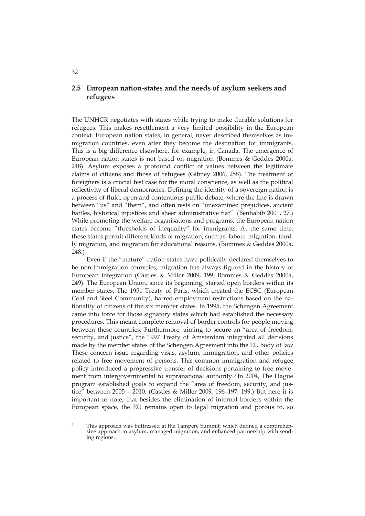## **2.5 European nation-states and the needs of asylum seekers and refugees**

The UNHCR negotiates with states while trying to make durable solutions for refugees. This makes resettlement a very limited possibility in the European context. European nation states, in general, never described themselves as immigration countries, even after they become the destination for immigrants. This is a big difference elsewhere, for example, in Canada. The emergence of European nation states is not based on migration (Bommes & Geddes 2000a, 248). Asylum exposes a profound conflict of values between the legitimate claims of citizens and those of refugees (Gibney 2006, 258). The treatment of foreigners is a crucial test case for the moral conscience, as well as the political reflectivity of liberal democracies. Defining the identity of a sovereign nation is a process of fluid, open and contentious public debate, where the line is drawn between "us" and "them", and often rests on "unexamined prejudices, ancient battles, historical injustices and sheer administrative fiat". (Benhabib 2001, 27.) While promoting the welfare organisations and programs, the European nation states become "thresholds of inequality" for immigrants. At the same time, these states permit different kinds of migration, such as, labour migration, family migration, and migration for educational reasons. (Bommes & Geddes 2000a, 248.)

Even if the "mature" nation states have politically declared themselves to be non-immigration countries, migration has always figured in the history of European integration (Castles & Miller 2009, 199; Bommes & Geddes 2000a, 249). The European Union, since its beginning, started open borders within its member states. The 1951 Treaty of Paris, which created the ECSC (European Coal and Steel Community), barred employment restrictions based on the nationality of citizens of the six member states. In 1995, the Schengen Agreement came into force for those signatory states which had established the necessary procedures. This meant complete removal of border controls for people moving between these countries. Furthermore, aiming to secure an "area of freedom, security, and justice", the 1997 Treaty of Amsterdam integrated all decisions made by the member states of the Schengen Agreement into the EU body of law. These concern issue regarding visas, asylum, immigration, and other policies related to free movement of persons. This common immigration and refugee policy introduced a progressive transfer of decisions pertaining to free movement from intergovernmental to supranational authority.8 In 2004, The Hague program established goals to expand the "area of freedom, security, and justice" between 2005 – 2010. (Castles & Miller 2009, 196–197, 199.) But here it is important to note, that besides the elimination of internal borders within the European space, the EU remains open to legal migration and porous to, so

<sup>-</sup>This approach was buttressed at the Tampere Summit, which defined a comprehensive approach to asylum, managed migration, and enhanced partnership with sending regions.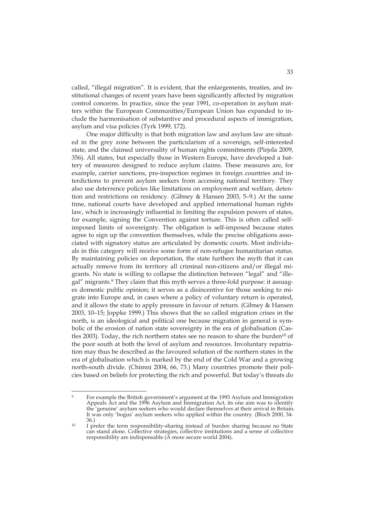called, "illegal migration". It is evident, that the enlargements, treaties, and institutional changes of recent years have been significantly affected by migration control concerns. In practice, since the year 1991, co-operation in asylum matters within the European Communities/European Union has expanded to include the harmonisation of substantive and procedural aspects of immigration, asylum and visa policies (Tyrk 1999, 172).

One major difficulty is that both migration law and asylum law are situated in the grey zone between the particularism of a sovereign, self-interested state, and the claimed universality of human rights commitments (Pirjola 2009, 356). All states, but especially those in Western Europe, have developed a battery of measures designed to reduce asylum claims. These measures are, for example, carrier sanctions, pre-inspection regimes in foreign countries and interdictions to prevent asylum seekers from accessing national territory. They also use deterrence policies like limitations on employment and welfare, detention and restrictions on residency. (Gibney & Hansen 2003, 5–9.) At the same time, national courts have developed and applied international human rights law, which is increasingly influential in limiting the expulsion powers of states, for example, signing the Convention against torture. This is often called selfimposed limits of sovereignty. The obligation is self-imposed because states agree to sign up the convention themselves, while the precise obligations associated with signatory status are articulated by domestic courts. Most individuals in this category will receive some form of non-refugee humanitarian status. By maintaining policies on deportation, the state furthers the myth that it can actually remove from its territory all criminal non-citizens and/or illegal migrants. No state is willing to collapse the distinction between "legal" and "illegal" migrants.<sup>9</sup> They claim that this myth serves a three-fold purpose: it assuages domestic public opinion; it serves as a disincentive for those seeking to migrate into Europe and, in cases where a policy of voluntary return is operated, and it allows the state to apply pressure in favour of return. (Gibney & Hansen 2003, 10–15; Joppke 1999.) This shows that the so called migration crises in the north, is an ideological and political one because migration in general is symbolic of the erosion of nation state sovereignty in the era of globalisation (Castles 2003). Today, the rich northern states see no reason to share the burden<sup>10</sup> of the poor south at both the level of asylum and resources. Involuntary repatriation may thus be described as the favoured solution of the northern states in the era of globalisation which is marked by the end of the Cold War and a growing north-south divide. (Chimni 2004, 66, 73.) Many countries promote their policies based on beliefs for protecting the rich and powerful. But today's threats do

<sup>-</sup>9 For example the British government's argument at the 1993 Asylum and Immigration Appeals Act and the 1996 Asylum and Immigration Act, its one aim was to identify the 'genuine' asylum seekers who would declare themselves at their arrival in Britain. It was only 'bogus' asylum seekers who applied within the country. (Bloch 2000, 34-

<sup>36.)&</sup>lt;br><sup>10</sup> I prefer the term responsibility-sharing instead of burden sharing because no State can stand alone. Collective strategies, collective institutions and a sense of collective responsibility are indispensable (A more secure world 2004).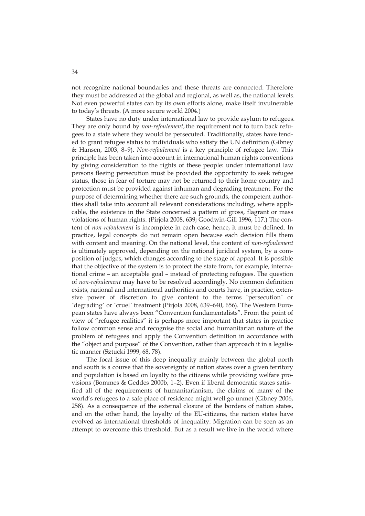not recognize national boundaries and these threats are connected. Therefore they must be addressed at the global and regional, as well as, the national levels. Not even powerful states can by its own efforts alone, make itself invulnerable to today's threats. (A more secure world 2004.)

States have no duty under international law to provide asylum to refugees. They are only bound by *non-refoulement*, the requirement not to turn back refugees to a state where they would be persecuted. Traditionally, states have tended to grant refugee status to individuals who satisfy the UN definition (Gibney & Hansen, 2003, 8–9). *Non-refoulement* is a key principle of refugee law. This principle has been taken into account in international human rights conventions by giving consideration to the rights of these people: under international law persons fleeing persecution must be provided the opportunity to seek refugee status, those in fear of torture may not be returned to their home country and protection must be provided against inhuman and degrading treatment. For the purpose of determining whether there are such grounds, the competent authorities shall take into account all relevant considerations including, where applicable, the existence in the State concerned a pattern of gross, flagrant or mass violations of human rights. (Pirjola 2008, 639; Goodwin-Gill 1996, 117.) The content of *non-refoulement* is incomplete in each case, hence, it must be defined. In practice, legal concepts do not remain open because each decision fills them with content and meaning. On the national level, the content of *non-refoulement* is ultimately approved, depending on the national juridical system, by a composition of judges, which changes according to the stage of appeal. It is possible that the objective of the system is to protect the state from, for example, international crime – an acceptable goal – instead of protecting refugees. The question of *non-refoulement* may have to be resolved accordingly. No common definition exists, national and international authorities and courts have, in practice, extensive power of discretion to give content to the terms `persecution´ or ´degrading´ or `cruel´ treatment (Pirjola 2008, 639–640, 656). The Western European states have always been "Convention fundamentalists". From the point of view of "refugee realities" it is perhaps more important that states in practice follow common sense and recognise the social and humanitarian nature of the problem of refugees and apply the Convention definition in accordance with the "object and purpose" of the Convention, rather than approach it in a legalistic manner (Sztucki 1999, 68, 78).

The focal issue of this deep inequality mainly between the global north and south is a course that the sovereignty of nation states over a given territory and population is based on loyalty to the citizens while providing welfare provisions (Bommes & Geddes 2000b, 1–2). Even if liberal democratic states satisfied all of the requirements of humanitarianism, the claims of many of the world's refugees to a safe place of residence might well go unmet (Gibney 2006, 258). As a consequence of the external closure of the borders of nation states, and on the other hand, the loyalty of the EU-citizens, the nation states have evolved as international thresholds of inequality. Migration can be seen as an attempt to overcome this threshold. But as a result we live in the world where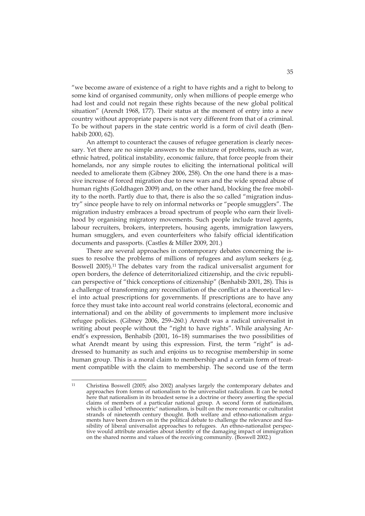"we become aware of existence of a right to have rights and a right to belong to some kind of organised community, only when millions of people emerge who had lost and could not regain these rights because of the new global political situation" (Arendt 1968, 177). Their status at the moment of entry into a new country without appropriate papers is not very different from that of a criminal. To be without papers in the state centric world is a form of civil death (Benhabib 2000, 62).

An attempt to counteract the causes of refugee generation is clearly necessary. Yet there are no simple answers to the mixture of problems, such as war, ethnic hatred, political instability, economic failure, that force people from their homelands, nor any simple routes to eliciting the international political will needed to ameliorate them (Gibney 2006, 258). On the one hand there is a massive increase of forced migration due to new wars and the wide spread abuse of human rights (Goldhagen 2009) and, on the other hand, blocking the free mobility to the north. Partly due to that, there is also the so called "migration industry" since people have to rely on informal networks or "people smugglers". The migration industry embraces a broad spectrum of people who earn their livelihood by organising migratory movements. Such people include travel agents, labour recruiters, brokers, interpreters, housing agents, immigration lawyers, human smugglers, and even counterfeiters who falsify official identification documents and passports. (Castles & Miller 2009, 201.)

There are several approaches in contemporary debates concerning the issues to resolve the problems of millions of refugees and asylum seekers (e.g. Boswell 2005).11 The debates vary from the radical universalist argument for open borders, the defence of deterritorialized citizenship, and the civic republican perspective of "thick conceptions of citizenship" (Benhabib 2001, 28). This is a challenge of transforming any reconciliation of the conflict at a theoretical level into actual prescriptions for governments. If prescriptions are to have any force they must take into account real world constrains (electoral, economic and international) and on the ability of governments to implement more inclusive refugee policies. (Gibney 2006, 259–260.) Arendt was a radical universalist in writing about people without the "right to have rights". While analysing Arendt's expression, Benhabib (2001, 16–18) summarises the two possibilities of what Arendt meant by using this expression. First, the term "right" is addressed to humanity as such and enjoins us to recognise membership in some human group. This is a moral claim to membership and a certain form of treatment compatible with the claim to membership. The second use of the term

 $\overline{11}$ Christina Boswell (2005; also 2002) analyses largely the contemporary debates and approaches from forms of nationalism to the universalist radicalism. It can be noted here that nationalism in its broadest sense is a doctrine or theory asserting the special claims of members of a particular national group. A second form of nationalism, which is called "ethnocentric" nationalism, is built on the more romantic or culturalist strands of nineteenth century thought. Both welfare and ethno-nationalism arguments have been drawn on in the political debate to challenge the relevance and feasibility of liberal universalist approaches to refugees. An ethno-nationalist perspective would attribute anxieties about identity of the damaging impact of immigration on the shared norms and values of the receiving community. (Boswell 2002.)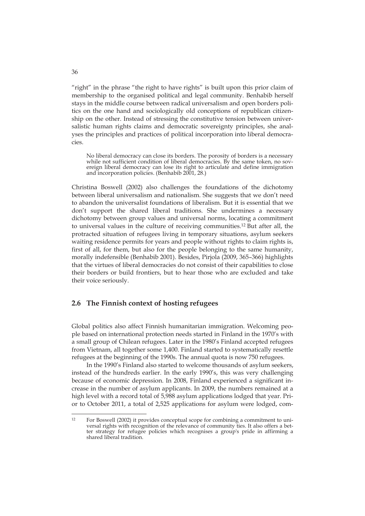"right" in the phrase "the right to have rights" is built upon this prior claim of membership to the organised political and legal community. Benhabib herself stays in the middle course between radical universalism and open borders politics on the one hand and sociologically old conceptions of republican citizenship on the other. Instead of stressing the constitutive tension between universalistic human rights claims and democratic sovereignty principles, she analyses the principles and practices of political incorporation into liberal democracies.

No liberal democracy can close its borders. The porosity of borders is a necessary while not sufficient condition of liberal democracies. By the same token, no sovereign liberal democracy can lose its right to articulate and define immigration and incorporation policies. (Benhabib 2001, 28.)

Christina Boswell (2002) also challenges the foundations of the dichotomy between liberal universalism and nationalism. She suggests that we don't need to abandon the universalist foundations of liberalism. But it is essential that we don't support the shared liberal traditions. She undermines a necessary dichotomy between group values and universal norms, locating a commitment to universal values in the culture of receiving communities.12 But after all, the protracted situation of refugees living in temporary situations, asylum seekers waiting residence permits for years and people without rights to claim rights is, first of all, for them, but also for the people belonging to the same humanity, morally indefensible (Benhabib 2001). Besides, Pirjola (2009, 365–366) highlights that the virtues of liberal democracies do not consist of their capabilities to close their borders or build frontiers, but to hear those who are excluded and take their voice seriously.

## **2.6 The Finnish context of hosting refugees**

Global politics also affect Finnish humanitarian immigration. Welcoming people based on international protection needs started in Finland in the 1970's with a small group of Chilean refugees. Later in the 1980's Finland accepted refugees from Vietnam, all together some 1,400. Finland started to systematically resettle refugees at the beginning of the 1990s. The annual quota is now 750 refugees.

In the 1990's Finland also started to welcome thousands of asylum seekers, instead of the hundreds earlier. In the early 1990's, this was very challenging because of economic depression. In 2008, Finland experienced a significant increase in the number of asylum applicants. In 2009, the numbers remained at a high level with a record total of 5,988 asylum applications lodged that year. Prior to October 2011, a total of 2,525 applications for asylum were lodged, com-

36

-

<sup>12</sup> For Boswell (2002) it provides conceptual scope for combining a commitment to universal rights with recognition of the relevance of community ties. It also offers a better strategy for refugee policies which recognises a group's pride in affirming a shared liberal tradition.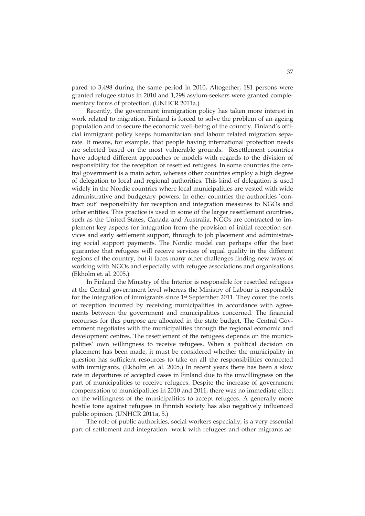pared to 3,498 during the same period in 2010**.** Altogether, 181 persons were granted refugee status in 2010 and 1,298 asylum-seekers were granted complementary forms of protection. (UNHCR 2011a.)

Recently, the government immigration policy has taken more interest in work related to migration. Finland is forced to solve the problem of an ageing population and to secure the economic well-being of the country. Finland's official immigrant policy keeps humanitarian and labour related migration separate. It means, for example, that people having international protection needs are selected based on the most vulnerable grounds. Resettlement countries have adopted different approaches or models with regards to the division of responsibility for the reception of resettled refugees. In some countries the central government is a main actor, whereas other countries employ a high degree of delegation to local and regional authorities. This kind of delegation is used widely in the Nordic countries where local municipalities are vested with wide administrative and budgetary powers. In other countries the authorities `contract out` responsibility for reception and integration measures to NGOs and other entities. This practice is used in some of the larger resettlement countries, such as the United States, Canada and Australia. NGOs are contracted to implement key aspects for integration from the provision of initial reception services and early settlement support, through to job placement and administrating social support payments. The Nordic model can perhaps offer the best guarantee that refugees will receive services of equal quality in the different regions of the country, but it faces many other challenges finding new ways of working with NGOs and especially with refugee associations and organisations. (Ekholm et. al. 2005.)

In Finland the Ministry of the Interior is responsible for resettled refugees at the Central government level whereas the Ministry of Labour is responsible for the integration of immigrants since 1<sup>st</sup> September 2011. They cover the costs of reception incurred by receiving municipalities in accordance with agreements between the government and municipalities concerned. The financial recourses for this purpose are allocated in the state budget. The Central Government negotiates with the municipalities through the regional economic and development centres. The resettlement of the refugees depends on the municipalities' own willingness to receive refugees. When a political decision on placement has been made, it must be considered whether the municipality in question has sufficient resources to take on all the responsibilities connected with immigrants. (Ekholm et. al. 2005.) In recent years there has been a slow rate in departures of accepted cases in Finland due to the unwillingness on the part of municipalities to receive refugees. Despite the increase of government compensation to municipalities in 2010 and 2011, there was no immediate effect on the willingness of the municipalities to accept refugees. A generally more hostile tone against refugees in Finnish society has also negatively influenced public opinion. (UNHCR 2011a, 5.)

The role of public authorities, social workers especially, is a very essential part of settlement and integration work with refugees and other migrants ac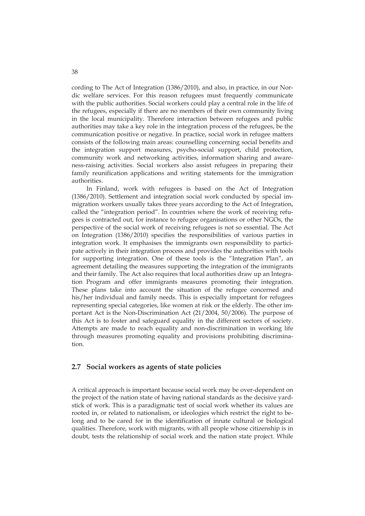cording to The Act of Integration (1386/2010), and also, in practice, in our Nordic welfare services. For this reason refugees must frequently communicate with the public authorities. Social workers could play a central role in the life of the refugees, especially if there are no members of their own community living in the local municipality. Therefore interaction between refugees and public authorities may take a key role in the integration process of the refugees, be the communication positive or negative. In practice, social work in refugee matters consists of the following main areas: counselling concerning social benefits and the integration support measures, psycho-social support, child protection, community work and networking activities, information sharing and awareness-raising activities. Social workers also assist refugees in preparing their family reunification applications and writing statements for the immigration authorities.

In Finland, work with refugees is based on the Act of Integration (1386/2010). Settlement and integration social work conducted by special immigration workers usually takes three years according to the Act of Integration, called the "integration period". In countries where the work of receiving refugees is contracted out, for instance to refugee organisations or other NGOs, the perspective of the social work of receiving refugees is not so essential. The Act on Integration (1386/2010) specifies the responsibilities of various parties in integration work. It emphasises the immigrants own responsibility to participate actively in their integration process and provides the authorities with tools for supporting integration. One of these tools is the "Integration Plan", an agreement detailing the measures supporting the integration of the immigrants and their family. The Act also requires that local authorities draw up an Integration Program and offer immigrants measures promoting their integration. These plans take into account the situation of the refugee concerned and his/her individual and family needs. This is especially important for refugees representing special categories, like women at risk or the elderly. The other important Act is the Non-Discrimination Act (21/2004, 50/2006). The purpose of this Act is to foster and safeguard equality in the different sectors of society. Attempts are made to reach equality and non-discrimination in working life through measures promoting equality and provisions prohibiting discrimination.

## **2.7 Social workers as agents of state policies**

A critical approach is important because social work may be over-dependent on the project of the nation state of having national standards as the decisive yardstick of work. This is a paradigmatic test of social work whether its values are rooted in, or related to nationalism, or ideologies which restrict the right to belong and to be cared for in the identification of innate cultural or biological qualities. Therefore, work with migrants, with all people whose citizenship is in doubt, tests the relationship of social work and the nation state project. While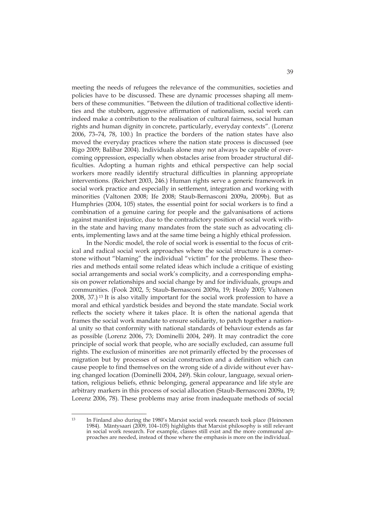meeting the needs of refugees the relevance of the communities, societies and policies have to be discussed. These are dynamic processes shaping all members of these communities. "Between the dilution of traditional collective identities and the stubborn, aggressive affirmation of nationalism, social work can indeed make a contribution to the realisation of cultural fairness, social human rights and human dignity in concrete, particularly, everyday contexts". (Lorenz 2006, 73–74, 78, 100.) In practice the borders of the nation states have also moved the everyday practices where the nation state process is discussed (see Rigo 2009; Balibar 2004). Individuals alone may not always be capable of overcoming oppression, especially when obstacles arise from broader structural difficulties. Adopting a human rights and ethical perspective can help social workers more readily identify structural difficulties in planning appropriate interventions. (Reichert 2003, 246.) Human rights serve a generic framework in social work practice and especially in settlement, integration and working with minorities (Valtonen 2008; Ife 2008; Staub-Bernasconi 2009a, 2009b). But as Humphries (2004, 105) states, the essential point for social workers is to find a combination of a genuine caring for people and the galvanisations of actions against manifest injustice, due to the contradictory position of social work within the state and having many mandates from the state such as advocating clients, implementing laws and at the same time being a highly ethical profession.

In the Nordic model, the role of social work is essential to the focus of critical and radical social work approaches where the social structure is a cornerstone without "blaming" the individual "victim" for the problems. These theories and methods entail some related ideas which include a critique of existing social arrangements and social work's complicity, and a corresponding emphasis on power relationships and social change by and for individuals, groups and communities. (Fook 2002, 5; Staub-Bernasconi 2009a, 19; Healy 2005; Valtonen 2008, 37.) 13 It is also vitally important for the social work profession to have a moral and ethical yardstick besides and beyond the state mandate. Social work reflects the society where it takes place. It is often the national agenda that frames the social work mandate to ensure solidarity, to patch together a national unity so that conformity with national standards of behaviour extends as far as possible (Lorenz 2006, 73; Dominelli 2004, 249). It may contradict the core principle of social work that people, who are socially excluded, can assume full rights. The exclusion of minorities are not primarily effected by the processes of migration but by processes of social construction and a definition which can cause people to find themselves on the wrong side of a divide without ever having changed location (Dominelli 2004, 249). Skin colour, language, sexual orientation, religious beliefs, ethnic belonging, general appearance and life style are arbitrary markers in this process of social allocation (Staub-Bernasconi 2009a, 19; Lorenz 2006, 78). These problems may arise from inadequate methods of social

 $13$ 13 In Finland also during the 1980's Marxist social work research took place (Heinonen 1984). Mäntysaari (2009, 104–105) highlights that Marxist philosophy is still relevant in social work research. For example, classes still exist and the more communal approaches are needed, instead of those where the emphasis is more on the individual.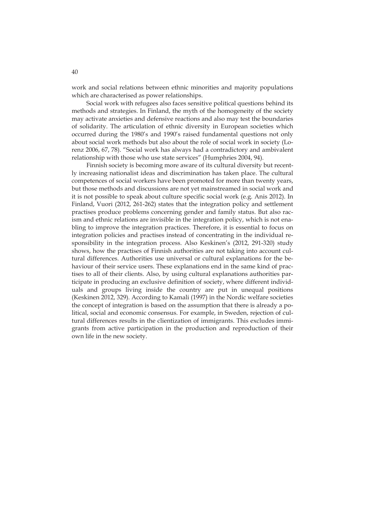work and social relations between ethnic minorities and majority populations which are characterised as power relationships.

Social work with refugees also faces sensitive political questions behind its methods and strategies. In Finland, the myth of the homogeneity of the society may activate anxieties and defensive reactions and also may test the boundaries of solidarity. The articulation of ethnic diversity in European societies which occurred during the 1980's and 1990's raised fundamental questions not only about social work methods but also about the role of social work in society (Lorenz 2006, 67, 78). "Social work has always had a contradictory and ambivalent relationship with those who use state services" (Humphries 2004, 94).

Finnish society is becoming more aware of its cultural diversity but recently increasing nationalist ideas and discrimination has taken place. The cultural competences of social workers have been promoted for more than twenty years, but those methods and discussions are not yet mainstreamed in social work and it is not possible to speak about culture specific social work (e.g. Anis 2012). In Finland, Vuori (2012, 261-262) states that the integration policy and settlement practises produce problems concerning gender and family status. But also racism and ethnic relations are invisible in the integration policy, which is not enabling to improve the integration practices. Therefore, it is essential to focus on integration policies and practises instead of concentrating in the individual responsibility in the integration process. Also Keskinen's (2012, 291-320) study shows, how the practises of Finnish authorities are not taking into account cultural differences. Authorities use universal or cultural explanations for the behaviour of their service users. These explanations end in the same kind of practises to all of their clients. Also, by using cultural explanations authorities participate in producing an exclusive definition of society, where different individuals and groups living inside the country are put in unequal positions (Keskinen 2012, 329). According to Kamali (1997) in the Nordic welfare societies the concept of integration is based on the assumption that there is already a political, social and economic consensus. For example, in Sweden, rejection of cultural differences results in the clientization of immigrants. This excludes immigrants from active participation in the production and reproduction of their own life in the new society.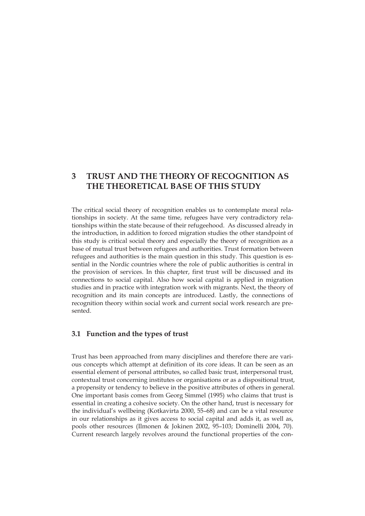# **3 TRUST AND THE THEORY OF RECOGNITION AS THE THEORETICAL BASE OF THIS STUDY**

The critical social theory of recognition enables us to contemplate moral relationships in society. At the same time, refugees have very contradictory relationships within the state because of their refugeehood. As discussed already in the introduction, in addition to forced migration studies the other standpoint of this study is critical social theory and especially the theory of recognition as a base of mutual trust between refugees and authorities. Trust formation between refugees and authorities is the main question in this study. This question is essential in the Nordic countries where the role of public authorities is central in the provision of services. In this chapter, first trust will be discussed and its connections to social capital. Also how social capital is applied in migration studies and in practice with integration work with migrants. Next, the theory of recognition and its main concepts are introduced. Lastly, the connections of recognition theory within social work and current social work research are presented.

## **3.1 Function and the types of trust**

Trust has been approached from many disciplines and therefore there are various concepts which attempt at definition of its core ideas. It can be seen as an essential element of personal attributes, so called basic trust, interpersonal trust, contextual trust concerning institutes or organisations or as a dispositional trust, a propensity or tendency to believe in the positive attributes of others in general. One important basis comes from Georg Simmel (1995) who claims that trust is essential in creating a cohesive society. On the other hand, trust is necessary for the individual's wellbeing (Kotkavirta 2000, 55–68) and can be a vital resource in our relationships as it gives access to social capital and adds it, as well as, pools other resources (Ilmonen & Jokinen 2002, 95–103; Dominelli 2004, 70). Current research largely revolves around the functional properties of the con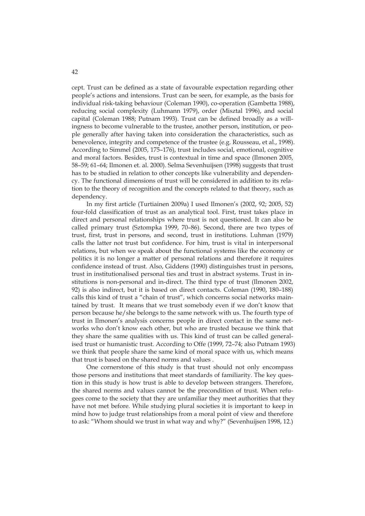cept. Trust can be defined as a state of favourable expectation regarding other people's actions and intensions. Trust can be seen, for example, as the basis for individual risk-taking behaviour (Coleman 1990), co-operation (Gambetta 1988), reducing social complexity (Luhmann 1979), order (Misztal 1996), and social capital (Coleman 1988; Putnam 1993). Trust can be defined broadly as a willingness to become vulnerable to the trustee, another person, institution, or people generally after having taken into consideration the characteristics, such as benevolence, integrity and competence of the trustee (e.g. Rousseau, et al., 1998). According to Simmel (2005, 175–176), trust includes social, emotional, cognitive and moral factors. Besides, trust is contextual in time and space (Ilmonen 2005, 58–59; 61–64; Ilmonen et. al. 2000). Selma Sevenhuijsen (1998) suggests that trust has to be studied in relation to other concepts like vulnerability and dependency. The functional dimensions of trust will be considered in addition to its relation to the theory of recognition and the concepts related to that theory, such as dependency.

In my first article (Turtiainen 2009a) I used Ilmonen's (2002, 92; 2005, 52) four-fold classification of trust as an analytical tool. First, trust takes place in direct and personal relationships where trust is not questioned. It can also be called primary trust (Sztompka 1999, 70–86). Second, there are two types of trust, first, trust in persons, and second, trust in institutions. Luhman (1979) calls the latter not trust but confidence. For him, trust is vital in interpersonal relations, but when we speak about the functional systems like the economy or politics it is no longer a matter of personal relations and therefore it requires confidence instead of trust. Also, Giddens (1990) distinguishes trust in persons, trust in institutionalised personal ties and trust in abstract systems. Trust in institutions is non-personal and in-direct. The third type of trust (Ilmonen 2002, 92) is also indirect, but it is based on direct contacts. Coleman (1990, 180–188) calls this kind of trust a "chain of trust", which concerns social networks maintained by trust. It means that we trust somebody even if we don't know that person because he/she belongs to the same network with us. The fourth type of trust in Ilmonen's analysis concerns people in direct contact in the same networks who don't know each other, but who are trusted because we think that they share the same qualities with us. This kind of trust can be called generalised trust or humanistic trust. According to Offe (1999, 72–74; also Putnam 1993) we think that people share the same kind of moral space with us, which means that trust is based on the shared norms and values .

One cornerstone of this study is that trust should not only encompass those persons and institutions that meet standards of familiarity. The key question in this study is how trust is able to develop between strangers. Therefore, the shared norms and values cannot be the precondition of trust. When refugees come to the society that they are unfamiliar they meet authorities that they have not met before. While studying plural societies it is important to keep in mind how to judge trust relationships from a moral point of view and therefore to ask: "Whom should we trust in what way and why?" (Sevenhuijsen 1998, 12.)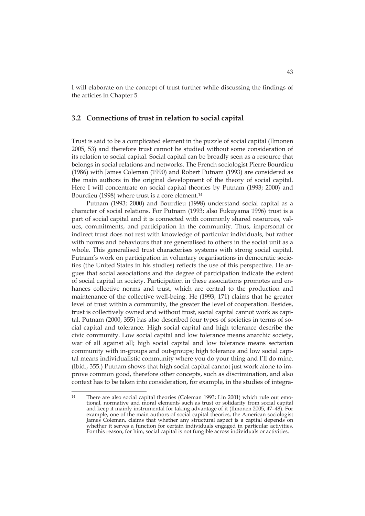I will elaborate on the concept of trust further while discussing the findings of the articles in Chapter 5.

## **3.2 Connections of trust in relation to social capital**

Trust is said to be a complicated element in the puzzle of social capital (Ilmonen 2005, 53) and therefore trust cannot be studied without some consideration of its relation to social capital. Social capital can be broadly seen as a resource that belongs in social relations and networks. The French sociologist Pierre Bourdieu (1986) with James Coleman (1990) and Robert Putnam (1993) are considered as the main authors in the original development of the theory of social capital. Here I will concentrate on social capital theories by Putnam (1993; 2000) and Bourdieu (1998) where trust is a core element.14

Putnam (1993; 2000) and Bourdieu (1998) understand social capital as a character of social relations. For Putnam (1993; also Fukuyama 1996) trust is a part of social capital and it is connected with commonly shared resources, values, commitments, and participation in the community. Thus, impersonal or indirect trust does not rest with knowledge of particular individuals, but rather with norms and behaviours that are generalised to others in the social unit as a whole. This generalised trust characterises systems with strong social capital. Putnam's work on participation in voluntary organisations in democratic societies (the United States in his studies) reflects the use of this perspective. He argues that social associations and the degree of participation indicate the extent of social capital in society. Participation in these associations promotes and enhances collective norms and trust, which are central to the production and maintenance of the collective well-being. He (1993, 171) claims that he greater level of trust within a community, the greater the level of cooperation. Besides, trust is collectively owned and without trust, social capital cannot work as capital. Putnam (2000, 355) has also described four types of societies in terms of social capital and tolerance. High social capital and high tolerance describe the civic community. Low social capital and low tolerance means anarchic society, war of all against all; high social capital and low tolerance means sectarian community with in-groups and out-groups; high tolerance and low social capital means individualistic community where you do your thing and I'll do mine. (Ibid., 355.) Putnam shows that high social capital cannot just work alone to improve common good, therefore other concepts, such as discrimination, and also context has to be taken into consideration, for example, in the studies of integra-

-

<sup>14</sup> There are also social capital theories (Coleman 1993; Lin 2001) which rule out emotional, normative and moral elements such as trust or solidarity from social capital and keep it mainly instrumental for taking advantage of it (Ilmonen 2005, 47–48). For example, one of the main authors of social capital theories, the American sociologist James Coleman, claims that whether any structural aspect is a capital depends on whether it serves a function for certain individuals engaged in particular activities. For this reason, for him, social capital is not fungible across individuals or activities.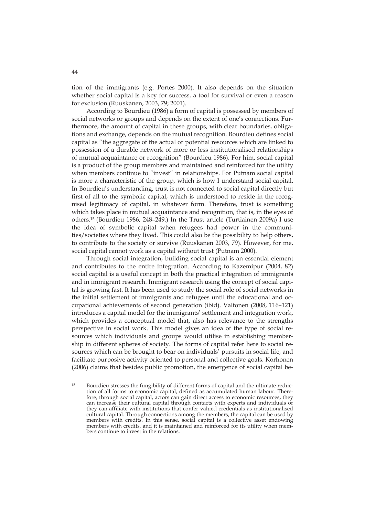tion of the immigrants (e.g. Portes 2000). It also depends on the situation whether social capital is a key for success, a tool for survival or even a reason for exclusion (Ruuskanen, 2003, 79; 2001).

According to Bourdieu (1986) a form of capital is possessed by members of social networks or groups and depends on the extent of one's connections. Furthermore, the amount of capital in these groups, with clear boundaries, obligations and exchange, depends on the mutual recognition. Bourdieu defines social capital as "the aggregate of the actual or potential resources which are linked to possession of a durable network of more or less institutionalised relationships of mutual acquaintance or recognition" (Bourdieu 1986). For him, social capital is a product of the group members and maintained and reinforced for the utility when members continue to "invest" in relationships. For Putnam social capital is more a characteristic of the group, which is how I understand social capital. In Bourdieu's understanding, trust is not connected to social capital directly but first of all to the symbolic capital, which is understood to reside in the recognised legitimacy of capital, in whatever form. Therefore, trust is something which takes place in mutual acquaintance and recognition, that is, in the eyes of others.15 (Bourdieu 1986, 248–249.) In the Trust article (Turtiainen 2009a) I use the idea of symbolic capital when refugees had power in the communities/societies where they lived. This could also be the possibility to help others, to contribute to the society or survive (Ruuskanen 2003, 79). However, for me, social capital cannot work as a capital without trust (Putnam 2000).

Through social integration, building social capital is an essential element and contributes to the entire integration. According to Kazemipur (2004, 82) social capital is a useful concept in both the practical integration of immigrants and in immigrant research. Immigrant research using the concept of social capital is growing fast. It has been used to study the social role of social networks in the initial settlement of immigrants and refugees until the educational and occupational achievements of second generation (ibid). Valtonen (2008, 116–121) introduces a capital model for the immigrants' settlement and integration work, which provides a conceptual model that, also has relevance to the strengths perspective in social work. This model gives an idea of the type of social resources which individuals and groups would utilise in establishing membership in different spheres of society. The forms of capital refer here to social resources which can be brought to bear on individuals' pursuits in social life, and facilitate purposive activity oriented to personal and collective goals. Korhonen (2006) claims that besides public promotion, the emergence of social capital be-

 $15$ 15 Bourdieu stresses the fungibility of different forms of capital and the ultimate reduction of all forms to economic capital, defined as accumulated human labour. Therefore, through social capital, actors can gain direct access to economic resources, they can increase their cultural capital through contacts with experts and individuals or they can affiliate with institutions that confer valued credentials as institutionalised cultural capital. Through connections among the members, the capital can be used by members with credits. In this sense, social capital is a collective asset endowing members with credits, and it is maintained and reinforced for its utility when members continue to invest in the relations.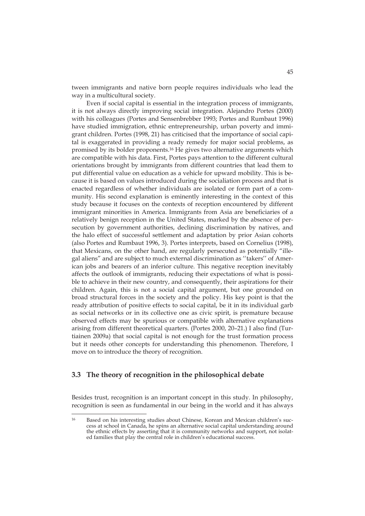tween immigrants and native born people requires individuals who lead the way in a multicultural society.

Even if social capital is essential in the integration process of immigrants, it is not always directly improving social integration. Alejandro Portes (2000) with his colleagues (Portes and Sensenbrebber 1993; Portes and Rumbaut 1996) have studied immigration, ethnic entrepreneurship, urban poverty and immigrant children. Portes (1998, 21) has criticised that the importance of social capital is exaggerated in providing a ready remedy for major social problems, as promised by its bolder proponents.16 He gives two alternative arguments which are compatible with his data. First, Portes pays attention to the different cultural orientations brought by immigrants from different countries that lead them to put differential value on education as a vehicle for upward mobility. This is because it is based on values introduced during the socialiation process and that is enacted regardless of whether individuals are isolated or form part of a community. His second explanation is eminently interesting in the context of this study because it focuses on the contexts of reception encountered by different immigrant minorities in America. Immigrants from Asia are beneficiaries of a relatively benign reception in the United States, marked by the absence of persecution by government authorities, declining discrimination by natives, and the halo effect of successful settlement and adaptation by prior Asian cohorts (also Portes and Rumbaut 1996, 3). Portes interprets, based on Cornelius (1998), that Mexicans, on the other hand, are regularly persecuted as potentially "illegal aliens" and are subject to much external discrimination as ''takers'' of American jobs and bearers of an inferior culture. This negative reception inevitably affects the outlook of immigrants, reducing their expectations of what is possible to achieve in their new country, and consequently, their aspirations for their children. Again, this is not a social capital argument, but one grounded on broad structural forces in the society and the policy. His key point is that the ready attribution of positive effects to social capital, be it in its individual garb as social networks or in its collective one as civic spirit, is premature because observed effects may be spurious or compatible with alternative explanations arising from different theoretical quarters. (Portes 2000, 20–21.) I also find (Turtiainen 2009a) that social capital is not enough for the trust formation process but it needs other concepts for understanding this phenomenon. Therefore, I move on to introduce the theory of recognition.

## **3.3 The theory of recognition in the philosophical debate**

-

Besides trust, recognition is an important concept in this study. In philosophy, recognition is seen as fundamental in our being in the world and it has always

Based on his interesting studies about Chinese, Korean and Mexican children's success at school in Canada, he spins an alternative social capital understanding around the ethnic effects by asserting that it is community networks and support, not isolated families that play the central role in children's educational success.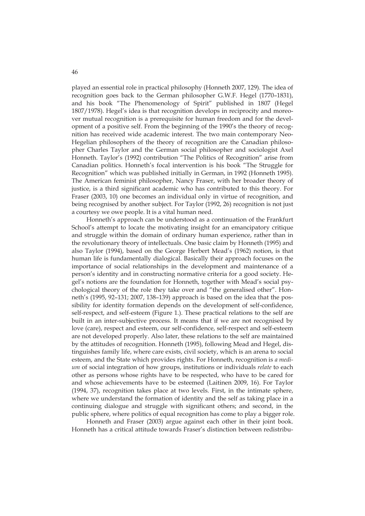played an essential role in practical philosophy (Honneth 2007, 129). The idea of recognition goes back to the German philosopher G.W.F. Hegel (1770–1831), and his book "The Phenomenology of Spirit" published in 1807 (Hegel 1807/1978). Hegel's idea is that recognition develops in reciprocity and moreover mutual recognition is a prerequisite for human freedom and for the development of a positive self. From the beginning of the 1990's the theory of recognition has received wide academic interest. The two main contemporary Neo-Hegelian philosophers of the theory of recognition are the Canadian philosopher Charles Taylor and the German social philosopher and sociologist Axel Honneth. Taylor's (1992) contribution "The Politics of Recognition" arise from Canadian politics. Honneth's focal intervention is his book "The Struggle for Recognition" which was published initially in German, in 1992 (Honneth 1995). The American feminist philosopher, Nancy Fraser, with her broader theory of justice, is a third significant academic who has contributed to this theory. For Fraser (2003, 10) one becomes an individual only in virtue of recognition, and being recognised by another subject. For Taylor (1992, 26) recognition is not just a courtesy we owe people. It is a vital human need.

Honneth's approach can be understood as a continuation of the Frankfurt School's attempt to locate the motivating insight for an emancipatory critique and struggle within the domain of ordinary human experience, rather than in the revolutionary theory of intellectuals. One basic claim by Honneth (1995) and also Taylor (1994), based on the George Herbert Mead's (1962) notion, is that human life is fundamentally dialogical. Basically their approach focuses on the importance of social relationships in the development and maintenance of a person's identity and in constructing normative criteria for a good society. Hegel's notions are the foundation for Honneth, together with Mead's social psychological theory of the role they take over and "the generalised other". Honneth's (1995, 92–131; 2007, 138–139) approach is based on the idea that the possibility for identity formation depends on the development of self-confidence, self-respect, and self-esteem (Figure 1.). These practical relations to the self are built in an inter-subjective process. It means that if we are not recognised by love (care), respect and esteem, our self-confidence, self-respect and self-esteem are not developed properly. Also later, these relations to the self are maintained by the attitudes of recognition. Honneth (1995), following Mead and Hegel, distinguishes family life, where care exists, civil society, which is an arena to social esteem, and the State which provides rights. For Honneth, recognition is *a medium* of social integration of how groups, institutions or individuals *relate* to each other as persons whose rights have to be respected, who have to be cared for and whose achievements have to be esteemed (Laitinen 2009, 16). For Taylor (1994, 37), recognition takes place at two levels. First, in the intimate sphere, where we understand the formation of identity and the self as taking place in a continuing dialogue and struggle with significant others; and second, in the public sphere, where politics of equal recognition has come to play a bigger role.

Honneth and Fraser (2003) argue against each other in their joint book. Honneth has a critical attitude towards Fraser's distinction between redistribu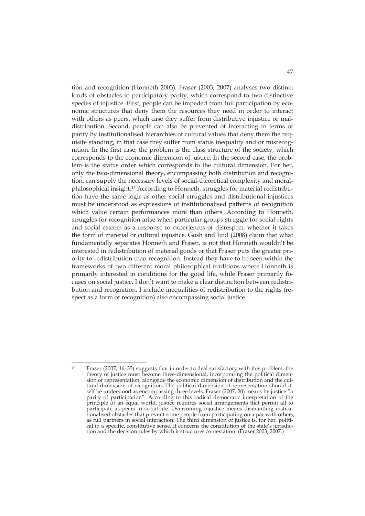tion and recognition (Honneth 2003). Fraser (2003, 2007) analyses two distinct kinds of obstacles to participatory parity, which correspond to two distinctive species of injustice. First, people can be impeded from full participation by economic structures that deny them the resources they need in order to interact with others as peers, which case they suffer from distributive injustice or maldistribution. Second, people can also be prevented of interacting in terms of parity by institutionalised hierarchies of cultural values that deny them the requisite standing, in that case they suffer from status inequality and or misrecognition. In the first case, the problem is the class structure of the society, which corresponds to the economic dimension of justice. In the second case, the problem is the status order which corresponds to the cultural dimension. For her, only the two-dimensional theory, encompassing both distribution and recognition, can supply the necessary levels of social-theoretical complexity and moralphilosophical insight.17 According to Honneth, struggles for material redistribution have the same logic as other social struggles and distributional injustices must be understood as expressions of institutionalised patterns of recognition which value certain performances more than others. According to Honneth, struggles for recognition arise when particular groups struggle for social rights and social esteem as a response to experiences of disrespect, whether it takes the form of material or cultural injustice. Gosh and Juul (2008) claim that what fundamentally separates Honneth and Fraser, is not that Honneth wouldn't be interested in redistribution of material goods or that Fraser puts the greater priority to redistribution than recognition. Instead they have to be seen within the frameworks of two different moral philosophical traditions where Honneth is primarily interested in conditions for the good life, while Fraser primarily focuses on social justice. I don't want to make a clear distinction between redistribution and recognition. I include inequalities of redistribution to the rights (respect as a form of recognition) also encompassing social justice.

 $17$ Fraser (2007, 16-35) suggests that in order to deal satisfactory with this problem, the theory of justice must become three-dimensional, incorporating the political dimension of representation, alongside the economic dimension of distribution and the cultural dimension of recognition. The political dimension of representation should itself be understood as encompassing three levels. Fraser (2007, 20) means by justice "a parity of participation". According to this radical democratic interpretation of the principle of an equal world, justice requires social arrangements that permit all to participate as peers in social life. Overcoming injustice means dismantling institutionalised obstacles that prevent some people from participating on a par with others, as full partners in social interaction. The third dimension of justice is, for her, political in a specific, constitutive sense. It concerns the constitution of the state's jurisdiction and the decision rules by which it structures contestation. (Fraser 2003, 2007.)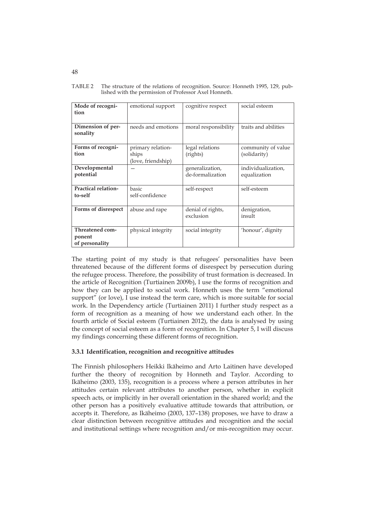| Mode of recogni-<br>tion                    | emotional support                                | cognitive respect                   | social esteem                      |
|---------------------------------------------|--------------------------------------------------|-------------------------------------|------------------------------------|
| Dimension of per-<br>sonality               | needs and emotions                               | moral responsibility                | traits and abilities               |
| Forms of recogni-<br>tion                   | primary relation-<br>ships<br>(love, friendship) | legal relations<br>(rights)         | community of value<br>(solidarity) |
| Developmental<br>potential                  |                                                  | generalization,<br>de-formalization | individualization,<br>equalization |
| <b>Practical relation-</b><br>to-self       | basic<br>self-confidence                         | self-respect                        | self-esteem                        |
| Forms of disrespect                         | abuse and rape                                   | denial of rights,<br>exclusion      | denigration,<br>insult             |
| Threatened com-<br>ponent<br>of personality | physical integrity                               | social integrity                    | 'honour', dignity                  |

TABLE 2 The structure of the relations of recognition. Source: Honneth 1995, 129, published with the permission of Professor Axel Honneth.

The starting point of my study is that refugees' personalities have been threatened because of the different forms of disrespect by persecution during the refugee process. Therefore, the possibility of trust formation is decreased. In the article of Recognition (Turtiainen 2009b), I use the forms of recognition and how they can be applied to social work. Honneth uses the term "emotional support" (or love), I use instead the term care, which is more suitable for social work. In the Dependency article (Turtiainen 2011) I further study respect as a form of recognition as a meaning of how we understand each other. In the fourth article of Social esteem (Turtiainen 2012), the data is analysed by using the concept of social esteem as a form of recognition. In Chapter 5, I will discuss my findings concerning these different forms of recognition.

#### **3.3.1 Identification, recognition and recognitive attitudes**

The Finnish philosophers Heikki Ikäheimo and Arto Laitinen have developed further the theory of recognition by Honneth and Taylor. According to Ikäheimo (2003, 135), recognition is a process where a person attributes in her attitudes certain relevant attributes to another person, whether in explicit speech acts, or implicitly in her overall orientation in the shared world; and the other person has a positively evaluative attitude towards that attribution, or accepts it. Therefore, as Ikäheimo (2003, 137–138) proposes, we have to draw a clear distinction between recognitive attitudes and recognition and the social and institutional settings where recognition and/or mis-recognition may occur.

48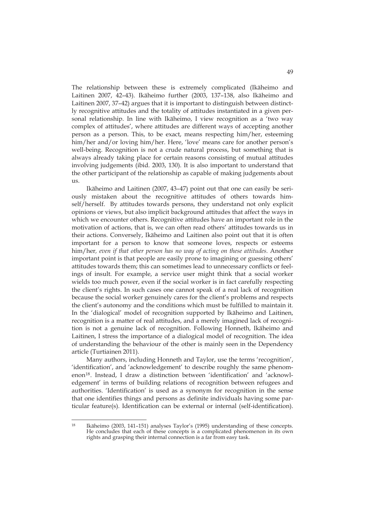The relationship between these is extremely complicated (Ikäheimo and Laitinen 2007, 42–43). Ikäheimo further (2003, 137–138, also Ikäheimo and Laitinen 2007, 37–42) argues that it is important to distinguish between distinctly recognitive attitudes and the totality of attitudes instantiated in a given personal relationship. In line with Ikäheimo, I view recognition as a 'two way complex of attitudes', where attitudes are different ways of accepting another person as a person. This, to be exact, means respecting him/her, esteeming him/her and/or loving him/her. Here, 'love' means care for another person's well-being. Recognition is not a crude natural process, but something that is always already taking place for certain reasons consisting of mutual attitudes involving judgements (ibid. 2003, 130). It is also important to understand that the other participant of the relationship as capable of making judgements about 11<sub>S</sub>

Ikäheimo and Laitinen (2007, 43–47) point out that one can easily be seriously mistaken about the recognitive attitudes of others towards himself/herself. By attitudes towards persons, they understand not only explicit opinions or views, but also implicit background attitudes that affect the ways in which we encounter others*.* Recognitive attitudes have an important role in the motivation of actions, that is, we can often read others' attitudes towards us in their actions. Conversely, Ikäheimo and Laitinen also point out that it is often important for a person to know that someone loves, respects or esteems him/her*, even if that other person has no way of acting on these attitudes.* Another important point is that people are easily prone to imagining or guessing others' attitudes towards them; this can sometimes lead to unnecessary conflicts or feelings of insult. For example, a service user might think that a social worker wields too much power, even if the social worker is in fact carefully respecting the client's rights. In such cases one cannot speak of a real lack of recognition because the social worker genuinely cares for the client's problems and respects the client's autonomy and the conditions which must be fulfilled to maintain it. In the 'dialogical' model of recognition supported by Ikäheimo and Laitinen, recognition is a matter of real attitudes, and a merely imagined lack of recognition is not a genuine lack of recognition. Following Honneth, Ikäheimo and Laitinen, I stress the importance of a dialogical model of recognition. The idea of understanding the behaviour of the other is mainly seen in the Dependency article (Turtiainen 2011).

Many authors, including Honneth and Taylor, use the terms 'recognition', 'identification', and 'acknowledgement' to describe roughly the same phenomenon18. Instead, I draw a distinction between 'identification' and 'acknowledgement' in terms of building relations of recognition between refugees and authorities. 'Identification' is used as a synonym for recognition in the sense that one identifies things and persons as definite individuals having some particular feature(s). Identification can be external or internal (self-identification).

-

Ikäheimo (2003, 141-151) analyses Taylor's (1995) understanding of these concepts. He concludes that each of these concepts is a complicated phenomenon in its own rights and grasping their internal connection is a far from easy task.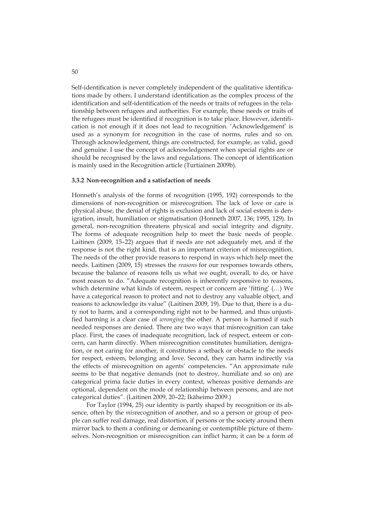Self-identification is never completely independent of the qualitative identifications made by others. I understand identification as the complex process of the identification and self-identification of the needs or traits of refugees in the relationship between refugees and authorities. For example, these needs or traits of the refugees must be identified if recognition is to take place. However, identification is not enough if it does not lead to recognition. 'Acknowledgement' is used as a synonym for recognition in the case of norms, rules and so on. Through acknowledgement, things are constructed, for example, as valid, good and genuine. I use the concept of acknowledgement when special rights are or should be recognised by the laws and regulations. The concept of identification is mainly used in the Recognition article (Turtiainen 2009b).

#### **3.3.2 Non-recognition and a satisfaction of needs**

Honneth's analysis of the forms of recognition (1995, 192) corresponds to the dimensions of non-recognition or misrecognition. The lack of love or care is physical abuse, the denial of rights is exclusion and lack of social esteem is denigration, insult, humiliation or stigmatisation (Honneth 2007, 136; 1995, 129). In general, non-recognition threatens physical and social integrity and dignity. The forms of adequate recognition help to meet the basic needs of people. Laitinen (2009, 15–22) argues that if needs are not adequately met, and if the response is not the right kind, that is an important criterion of misrecognition. The needs of the other provide reasons to respond in ways which help meet the needs. Laitinen (2009, 15) stresses the *reasons* for our responses towards others, because the balance of reasons tells us what we ought, overall, to do, or have most reason to do. "Adequate recognition is inherently responsive to reasons, which determine what kinds of esteem, respect or concern are 'fitting' (...) We have a categorical reason to protect and not to destroy any valuable object, and reasons to acknowledge its value" (Laitinen 2009, 19). Due to that, there is a duty not to harm, and a corresponding right not to be harmed, and thus unjustified harming is a clear case of *wronging* the other. A person is harmed if such needed responses are denied. There are two ways that misrecognition can take place. First, the cases of inadequate recognition, lack of respect, esteem or concern, can harm directly. When misrecognition constitutes humiliation, denigration, or not caring for another, it constitutes a setback or obstacle to the needs for respect, esteem, belonging and love. Second, they can harm indirectly via the effects of misrecognition on agents' competencies. "An approximate rule seems to be that negative demands (not to destroy, humiliate and so on) are categorical prima facie duties in every context, whereas positive demands are optional, dependent on the mode of relationship between persons, and are not categorical duties". (Laitinen 2009, 20–22; Ikäheimo 2009.)

For Taylor (1994, 25) our identity is partly shaped by recognition or its absence, often by the *mis*recognition of another, and so a person or group of people can suffer real damage, real distortion, if persons or the society around them mirror back to them a confining or demeaning or contemptible picture of themselves. Non-recognition or misrecognition can inflict harm; it can be a form of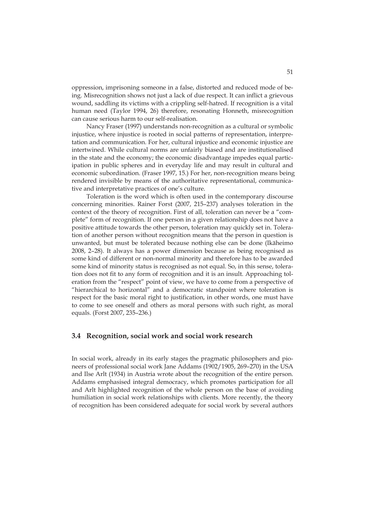oppression, imprisoning someone in a false, distorted and reduced mode of being. Misrecognition shows not just a lack of due respect. It can inflict a grievous wound, saddling its victims with a crippling self-hatred. If recognition is a vital human need (Taylor 1994, 26) therefore, resonating Honneth, misrecognition can cause serious harm to our self-realisation.

Nancy Fraser (1997) understands non-recognition as a cultural or symbolic injustice, where injustice is rooted in social patterns of representation, interpretation and communication. For her, cultural injustice and economic injustice are intertwined. While cultural norms are unfairly biased and are institutionalised in the state and the economy; the economic disadvantage impedes equal participation in public spheres and in everyday life and may result in cultural and economic subordination. (Fraser 1997, 15.) For her, non-recognition means being rendered invisible by means of the authoritative representational, communicative and interpretative practices of one's culture.

Toleration is the word which is often used in the contemporary discourse concerning minorities. Rainer Forst (2007, 215–237) analyses toleration in the context of the theory of recognition. First of all, toleration can never be a "complete" form of recognition. If one person in a given relationship does not have a positive attitude towards the other person, toleration may quickly set in. Toleration of another person without recognition means that the person in question is unwanted, but must be tolerated because nothing else can be done (Ikäheimo 2008, 2–28). It always has a power dimension because as being recognised as some kind of different or non-normal minority and therefore has to be awarded some kind of minority status is recognised as not equal. So, in this sense, toleration does not fit to any form of recognition and it is an insult. Approaching toleration from the "respect" point of view, we have to come from a perspective of "hierarchical to horizontal" and a democratic standpoint where toleration is respect for the basic moral right to justification, in other words, one must have to come to see oneself and others as moral persons with such right, as moral equals. (Forst 2007, 235–236.)

#### **3.4 Recognition, social work and social work research**

In social work, already in its early stages the pragmatic philosophers and pioneers of professional social work Jane Addams (1902/1905, 269–270) in the USA and Ilse Arlt (1934) in Austria wrote about the recognition of the entire person. Addams emphasised integral democracy, which promotes participation for all and Arlt highlighted recognition of the whole person on the base of avoiding humiliation in social work relationships with clients. More recently, the theory of recognition has been considered adequate for social work by several authors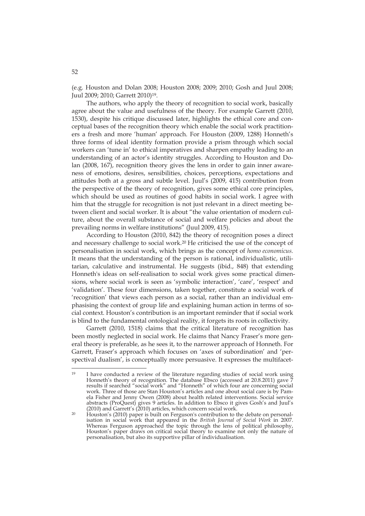(e.g. Houston and Dolan 2008; Houston 2008; 2009; 2010; Gosh and Juul 2008; Juul 2009; 2010; Garrett 2010)19.

The authors, who apply the theory of recognition to social work, basically agree about the value and usefulness of the theory. For example Garrett (2010, 1530), despite his critique discussed later, highlights the ethical core and conceptual bases of the recognition theory which enable the social work practitioners a fresh and more 'human' approach. For Houston (2009, 1288) Honneth's three forms of ideal identity formation provide a prism through which social workers can 'tune in' to ethical imperatives and sharpen empathy leading to an understanding of an actor's identity struggles. According to Houston and Dolan (2008, 167), recognition theory gives the lens in order to gain inner awareness of emotions, desires, sensibilities, choices, perceptions, expectations and attitudes both at a gross and subtle level. Juul's (2009, 415) contribution from the perspective of the theory of recognition, gives some ethical core principles, which should be used as routines of good habits in social work. I agree with him that the struggle for recognition is not just relevant in a direct meeting between client and social worker. It is about "the value orientation of modern culture, about the overall substance of social and welfare policies and about the prevailing norms in welfare institutions" (Juul 2009, 415).

According to Houston (2010, 842) the theory of recognition poses a direct and necessary challenge to social work.20 He criticised the use of the concept of personalisation in social work, which brings as the concept of *homo economicus.*  It means that the understanding of the person is rational, individualistic, utilitarian, calculative and instrumental. He suggests (ibid., 848) that extending Honneth's ideas on self-realisation to social work gives some practical dimensions, where social work is seen as 'symbolic interaction', 'care', 'respect' and 'validation'. These four dimensions, taken together, constitute a social work of 'recognition' that views each person as a social, rather than an individual emphasising the context of group life and explaining human action in terms of social context. Houston's contribution is an important reminder that if social work is blind to the fundamental ontological reality, it forgets its roots in collectivity.

Garrett (2010, 1518) claims that the critical literature of recognition has been mostly neglected in social work. He claims that Nancy Fraser's more general theory is preferable, as he sees it, to the narrower approach of Honneth. For Garrett, Fraser's approach which focuses on 'axes of subordination' and 'perspectival dualism', is conceptually more persuasive. It expresses the multifacet-

 $19$ I have conducted a review of the literature regarding studies of social work using Honneth's theory of recognition. The database Ebsco (accessed at 20.8.2011) gave results if searched "social work" and "Honneth" of which four are concerning social work. Three of those are Stan Houston's articles and one about social care is by Pamela Fisher and Jenny Owen (2008) about health related interventions. Social service abstracts (ProQuest) gives 9 articles. In addition to Ebsco it gives Gosh's and Juul's (2010) and Garrett's (2010) articles, which concern social work.

<sup>(2010)</sup> and Garrett's (2010) articles, which concern social work.<br><sup>20</sup> Houston's (2010) paper is built on Ferguson's contribution to the debate on personalisation in social work that appeared in the *British Journal of Social Work* in 2007. Whereas Ferguson approached the topic through the lens of political philosophy, Houston's paper draws on critical social theory to examine not only the nature of personalisation, but also its supportive pillar of individualisation.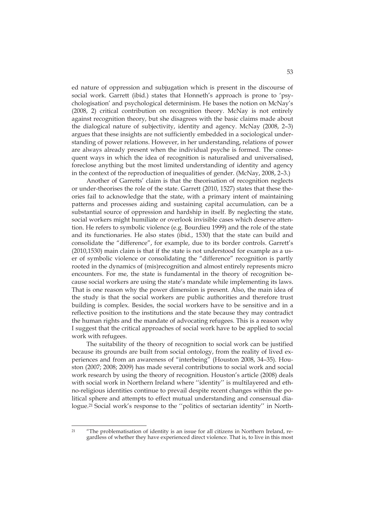ed nature of oppression and subjugation which is present in the discourse of social work. Garrett (ibid.) states that Honneth's approach is prone to 'psychologisation' and psychological determinism. He bases the notion on McNay's (2008, 2) critical contribution on recognition theory. McNay is not entirely against recognition theory, but she disagrees with the basic claims made about the dialogical nature of subjectivity, identity and agency. McNay (2008, 2–3) argues that these insights are not sufficiently embedded in a sociological understanding of power relations. However, in her understanding, relations of power are always already present when the individual psyche is formed. The consequent ways in which the idea of recognition is naturalised and universalised, foreclose anything but the most limited understanding of identity and agency in the context of the reproduction of inequalities of gender. (McNay, 2008, 2–3.)

Another of Garretts' claim is that the theorisation of recognition neglects or under-theorises the role of the state. Garrett (2010, 1527) states that these theories fail to acknowledge that the state, with a primary intent of maintaining patterns and processes aiding and sustaining capital accumulation, can be a substantial source of oppression and hardship in itself. By neglecting the state, social workers might humiliate or overlook invisible cases which deserve attention. He refers to symbolic violence (e.g. Bourdieu 1999) and the role of the state and its functionaries. He also states (ibid., 1530) that the state can build and consolidate the "difference", for example, due to its border controls. Garrett's (2010,1530) main claim is that if the state is not understood for example as a user of symbolic violence or consolidating the "difference" recognition is partly rooted in the dynamics of (mis)recognition and almost entirely represents micro encounters. For me, the state is fundamental in the theory of recognition because social workers are using the state's mandate while implementing its laws. That is one reason why the power dimension is present. Also, the main idea of the study is that the social workers are public authorities and therefore trust building is complex. Besides, the social workers have to be sensitive and in a reflective position to the institutions and the state because they may contradict the human rights and the mandate of advocating refugees. This is a reason why I suggest that the critical approaches of social work have to be applied to social work with refugees.

The suitability of the theory of recognition to social work can be justified because its grounds are built from social ontology, from the reality of lived experiences and from an awareness of "interbeing" (Houston 2008, 34–35). Houston (2007; 2008; 2009) has made several contributions to social work and social work research by using the theory of recognition. Houston's article (2008) deals with social work in Northern Ireland where ''identity'' is multilayered and ethno-religious identities continue to prevail despite recent changes within the political sphere and attempts to effect mutual understanding and consensual dialogue.21 Social work's response to the ''politics of sectarian identity'' in North-

 $21$ 21 "The problematisation of identity is an issue for all citizens in Northern Ireland, regardless of whether they have experienced direct violence. That is, to live in this most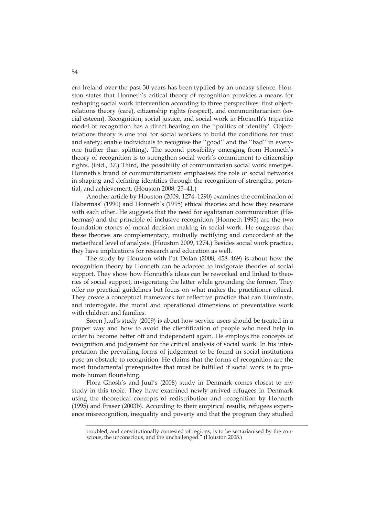ern Ireland over the past 30 years has been typified by an uneasy silence. Houston states that Honneth's critical theory of recognition provides a means for reshaping social work intervention according to three perspectives: first objectrelations theory (care), citizenship rights (respect), and communitarianism (social esteem). Recognition, social justice, and social work in Honneth's tripartite model of recognition has a direct bearing on the ''politics of identity'. Objectrelations theory is one tool for social workers to build the conditions for trust and safety; enable individuals to recognise the ''good'' and the ''bad'' in everyone (rather than splitting). The second possibility emerging from Honneth's theory of recognition is to strengthen social work's commitment to citizenship rights. (ibid., 37.) Third, the possibility of communitarian social work emerges. Honneth's brand of communitarianism emphasises the role of social networks in shaping and defining identities through the recognition of strengths, potential, and achievement. (Houston 2008, 25–41.)

Another article by Houston (2009, 1274–1290) examines the combination of Habermas' (1990) and Honneth's (1995) ethical theories and how they resonate with each other. He suggests that the need for egalitarian communication (Habermas) and the principle of inclusive recognition (Honneth 1995) are the two foundation stones of moral decision making in social work. He suggests that these theories are complementary, mutually rectifying and concordant at the metaethical level of analysis. (Houston 2009, 1274.) Besides social work practice, they have implications for research and education as well.

The study by Houston with Pat Dolan (2008, 458–469) is about how the recognition theory by Honneth can be adapted to invigorate theories of social support. They show how Honneth's ideas can be reworked and linked to theories of social support, invigorating the latter while grounding the former. They offer no practical guidelines but focus on what makes the practitioner ethical. They create a conceptual framework for reflective practice that can illuminate, and interrogate, the moral and operational dimensions of preventative work with children and families.

Søren Juul's study (2009) is about how service users should be treated in a proper way and how to avoid the clientification of people who need help in order to become better off and independent again. He employs the concepts of recognition and judgement for the critical analysis of social work. In his interpretation the prevailing forms of judgement to be found in social institutions pose an obstacle to recognition. He claims that the forms of recognition are the most fundamental prerequisites that must be fulfilled if social work is to promote human flourishing.

Flora Ghosh's and Juul's (2008) study in Denmark comes closest to my study in this topic. They have examined newly arrived refugees in Denmark using the theoretical concepts of redistribution and recognition by Honneth (1995) and Fraser (2003b). According to their empirical results, refugees experience misrecognition, inequality and poverty and that the program they studied

-

troubled, and constitutionally contested of regions, is to be sectarianised by the conscious, the unconscious, and the unchallenged." (Houston 2008.)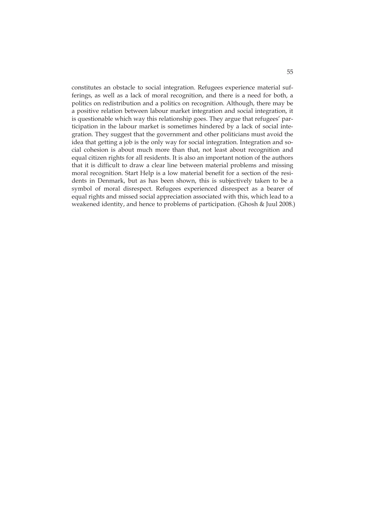constitutes an obstacle to social integration. Refugees experience material sufferings, as well as a lack of moral recognition, and there is a need for both, a politics on redistribution and a politics on recognition. Although, there may be a positive relation between labour market integration and social integration, it is questionable which way this relationship goes. They argue that refugees' participation in the labour market is sometimes hindered by a lack of social integration. They suggest that the government and other politicians must avoid the idea that getting a job is the only way for social integration. Integration and social cohesion is about much more than that, not least about recognition and equal citizen rights for all residents. It is also an important notion of the authors that it is difficult to draw a clear line between material problems and missing moral recognition. Start Help is a low material benefit for a section of the residents in Denmark, but as has been shown, this is subjectively taken to be a symbol of moral disrespect. Refugees experienced disrespect as a bearer of equal rights and missed social appreciation associated with this, which lead to a weakened identity, and hence to problems of participation. (Ghosh & Juul 2008.)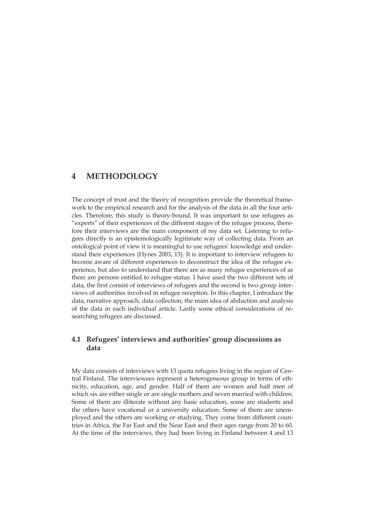## **4 METHODOLOGY**

The concept of trust and the theory of recognition provide the theoretical framework to the empirical research and for the analysis of the data in all the four articles. Therefore, this study is theory-bound. It was important to use refugees as "experts" of their experiences of the different stages of the refugee process, therefore their interviews are the main component of my data set. Listening to refugees directly is an epistemologically legitimate way of collecting data. From an ontological point of view it is meaningful to use refugees' knowledge and understand their experiences (Hynes 2003, 13). It is important to interview refugees to become aware of different experiences to deconstruct the idea of the refugee experience, but also to understand that there are as many refugee experiences of as there are persons entitled to refugee status. I have used the two different sets of data, the first consist of interviews of refugees and the second is two group interviews of authorities involved in refugee reception. In this chapter, I introduce the data, narrative approach, data collection, the main idea of abduction and analysis of the data in each individual article. Lastly some ethical considerations of researching refugees are discussed.

## **4.1 Refugees' interviews and authorities' group discussions as data**

My data consists of interviews with 13 quota refugees living in the region of Central Finland. The interviewees represent a heterogeneous group in terms of ethnicity, education, age, and gender. Half of them are women and half men of which six are either single or are single mothers and seven married with children. Some of them are illiterate without any basic education, some are students and the others have vocational or a university education. Some of them are unemployed and the others are working or studying. They come from different countries in Africa, the Far East and the Near East and their ages range from 20 to 60. At the time of the interviews, they had been living in Finland between 4 and 13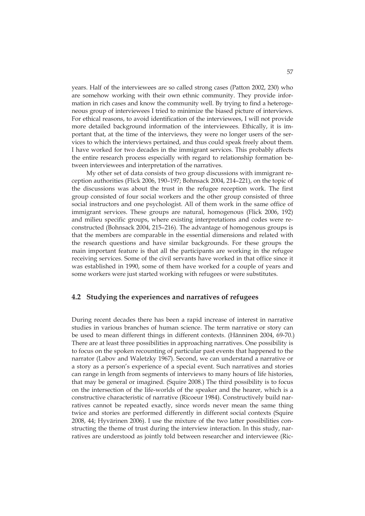years. Half of the interviewees are so called strong cases (Patton 2002, 230) who are somehow working with their own ethnic community. They provide information in rich cases and know the community well. By trying to find a heterogeneous group of interviewees I tried to minimize the biased picture of interviews. For ethical reasons, to avoid identification of the interviewees, I will not provide more detailed background information of the interviewees. Ethically, it is important that, at the time of the interviews, they were no longer users of the services to which the interviews pertained, and thus could speak freely about them. I have worked for two decades in the immigrant services. This probably affects the entire research process especially with regard to relationship formation between interviewees and interpretation of the narratives.

My other set of data consists of two group discussions with immigrant reception authorities (Flick 2006, 190–197; Bohnsack 2004, 214–221), on the topic of the discussions was about the trust in the refugee reception work. The first group consisted of four social workers and the other group consisted of three social instructors and one psychologist. All of them work in the same office of immigrant services. These groups are natural, homogenous (Flick 2006, 192) and milieu specific groups, where existing interpretations and codes were reconstructed (Bohnsack 2004, 215–216). The advantage of homogenous groups is that the members are comparable in the essential dimensions and related with the research questions and have similar backgrounds. For these groups the main important feature is that all the participants are working in the refugee receiving services. Some of the civil servants have worked in that office since it was established in 1990, some of them have worked for a couple of years and some workers were just started working with refugees or were substitutes.

### **4.2 Studying the experiences and narratives of refugees**

During recent decades there has been a rapid increase of interest in narrative studies in various branches of human science. The term narrative or story can be used to mean different things in different contexts. (Hänninen 2004, 69-70.) There are at least three possibilities in approaching narratives. One possibility is to focus on the spoken recounting of particular past events that happened to the narrator (Labov and Waletzky 1967). Second, we can understand a narrative or a story as a person's experience of a special event. Such narratives and stories can range in length from segments of interviews to many hours of life histories, that may be general or imagined. (Squire 2008.) The third possibility is to focus on the intersection of the life-worlds of the speaker and the hearer, which is a constructive characteristic of narrative (Ricoeur 1984). Constructively build narratives cannot be repeated exactly, since words never mean the same thing twice and stories are performed differently in different social contexts (Squire 2008, 44; Hyvärinen 2006). I use the mixture of the two latter possibilities constructing the theme of trust during the interview interaction. In this study, narratives are understood as jointly told between researcher and interviewee (Ric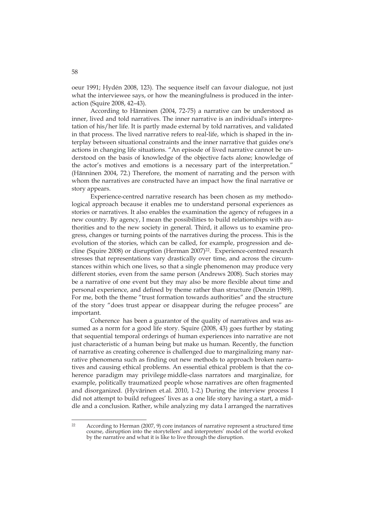oeur 1991; Hydén 2008, 123). The sequence itself can favour dialogue, not just what the interviewee says, or how the meaningfulness is produced in the interaction (Squire 2008, 42–43).

According to Hänninen (2004, 72-75) a narrative can be understood as inner, lived and told narratives. The inner narrative is an individual's interpretation of his/her life. It is partly made external by told narratives, and validated in that process. The lived narrative refers to real-life, which is shaped in the interplay between situational constraints and the inner narrative that guides one's actions in changing life situations. "An episode of lived narrative cannot be understood on the basis of knowledge of the objective facts alone; knowledge of the actor's motives and emotions is a necessary part of the interpretation." (Hänninen 2004, 72.) Therefore, the moment of narrating and the person with whom the narratives are constructed have an impact how the final narrative or story appears.

Experience-centred narrative research has been chosen as my methodological approach because it enables me to understand personal experiences as stories or narratives. It also enables the examination the agency of refugees in a new country. By agency, I mean the possibilities to build relationships with authorities and to the new society in general. Third, it allows us to examine progress, changes or turning points of the narratives during the process. This is the evolution of the stories, which can be called, for example, progression and decline (Squire 2008) or disruption (Herman 2007)<sup>22</sup>. Experience-centred research stresses that representations vary drastically over time, and across the circumstances within which one lives, so that a single phenomenon may produce very different stories, even from the same person (Andrews 2008). Such stories may be a narrative of one event but they may also be more flexible about time and personal experience, and defined by theme rather than structure (Denzin 1989). For me, both the theme "trust formation towards authorities" and the structure of the story "does trust appear or disappear during the refugee process" are important.

Coherence has been a guarantor of the quality of narratives and was assumed as a norm for a good life story. Squire (2008, 43) goes further by stating that sequential temporal orderings of human experiences into narrative are not just characteristic of a human being but make us human. Recently, the function of narrative as creating coherence is challenged due to marginalizing many narrative phenomena such as finding out new methods to approach broken narratives and causing ethical problems. An essential ethical problem is that the coherence paradigm may privilege middle-class narrators and marginalize, for example, politically traumatized people whose narratives are often fragmented and disorganized. (Hyvärinen et.al. 2010, 1-2.) During the interview process I did not attempt to build refugees' lives as a one life story having a start, a middle and a conclusion. Rather, while analyzing my data I arranged the narratives

 $\overline{22}$ According to Herman (2007, 9) core instances of narrative represent a structured time course, disruption into the storytellers' and interpreters' model of the world evoked by the narrative and what it is like to live through the disruption.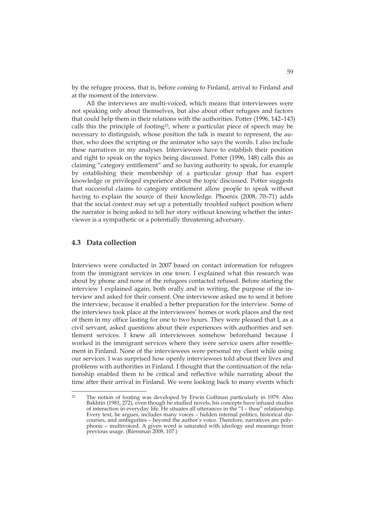by the refugee process, that is, before coming to Finland, arrival to Finland and at the moment of the interview.

All the interviews are multi-voiced, which means that interviewees were not speaking only about themselves, but also about other refugees and factors that could help them in their relations with the authorities. Potter (1996, 142–143) calls this the principle of footing<sup>23</sup>, where a particular piece of speech may be necessary to distinguish, whose position the talk is meant to represent, the author, who does the scripting or the animator who says the words. I also include these narratives in my analyses. Interviewees have to establish their position and right to speak on the topics being discussed. Potter (1996, 148) calls this as claiming "category entitlement" and so having authority to speak, for example by establishing their membership of a particular group that has expert knowledge or privileged experience about the topic discussed. Potter suggests that successful claims to category entitlement allow people to speak without having to explain the source of their knowledge. Phoenix (2008, 70–71) adds that the social context may set up a potentially troubled subject position where the narrator is being asked to tell her story without knowing whether the interviewer is a sympathetic or a potentially threatening adversary.

## **4.3 Data collection**

-

Interviews were conducted in 2007 based on contact information for refugees from the immigrant services in one town. I explained what this research was about by phone and none of the refugees contacted refused. Before starting the interview I explained again, both orally and in writing, the purpose of the interview and asked for their consent. One interviewee asked me to send it before the interview, because it enabled a better preparation for the interview. Some of the interviews took place at the interviewees' homes or work places and the rest of them in my office lasting for one to two hours. They were pleased that I, as a civil servant, asked questions about their experiences with authorities and settlement services. I knew all interviewees somehow beforehand because I worked in the immigrant services where they were service users after resettlement in Finland. None of the interviewees were personal my client while using our services. I was surprised how openly interviewees told about their lives and problems with authorities in Finland. I thought that the continuation of the relationship enabled them to be critical and reflective while narrating about the time after their arrival in Finland. We were looking back to many events which

<sup>23</sup> The notion of footing was developed by Erwin Goffman particularly in 1979. Also Bakhtin (1981, 272), even though he studied novels, his concepts have infused studies of interaction in everyday life. He situates all utterances in the "I – thou" relationship. Every text, he argues, includes many voices – hidden internal politics, historical discourses, and ambiguities – beyond the author's voice. Therefore, narratives are polyphonic – multivoiced. A given word is saturated with ideology and meanings from previous usage. (Riessman 2008, 107.)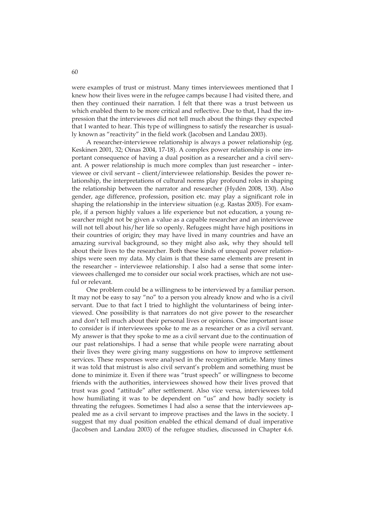were examples of trust or mistrust. Many times interviewees mentioned that I knew how their lives were in the refugee camps because I had visited there, and then they continued their narration. I felt that there was a trust between us which enabled them to be more critical and reflective. Due to that, I had the impression that the interviewees did not tell much about the things they expected that I wanted to hear. This type of willingness to satisfy the researcher is usually known as "reactivity" in the field work (Jacobsen and Landau 2003).

A researcher-interviewee relationship is always a power relationship (eg. Keskinen 2001, 32; Oinas 2004, 17-18). A complex power relationship is one important consequence of having a dual position as a researcher and a civil servant. A power relationship is much more complex than just researcher – interviewee or civil servant – client/interviewee relationship. Besides the power relationship, the interpretations of cultural norms play profound roles in shaping the relationship between the narrator and researcher (Hydén 2008, 130). Also gender, age difference, profession, position etc. may play a significant role in shaping the relationship in the interview situation (e.g. Rastas 2005). For example, if a person highly values a life experience but not education, a young researcher might not be given a value as a capable researcher and an interviewee will not tell about his/her life so openly. Refugees might have high positions in their countries of origin; they may have lived in many countries and have an amazing survival background, so they might also ask, why they should tell about their lives to the researcher. Both these kinds of unequal power relationships were seen my data. My claim is that these same elements are present in the researcher – interviewee relationship. I also had a sense that some interviewees challenged me to consider our social work practises, which are not useful or relevant.

One problem could be a willingness to be interviewed by a familiar person. It may not be easy to say "no" to a person you already know and who is a civil servant. Due to that fact I tried to highlight the voluntariness of being interviewed. One possibility is that narrators do not give power to the researcher and don't tell much about their personal lives or opinions. One important issue to consider is if interviewees spoke to me as a researcher or as a civil servant. My answer is that they spoke to me as a civil servant due to the continuation of our past relationships. I had a sense that while people were narrating about their lives they were giving many suggestions on how to improve settlement services. These responses were analysed in the recognition article. Many times it was told that mistrust is also civil servant's problem and something must be done to minimize it. Even if there was "trust speech" or willingness to become friends with the authorities, interviewees showed how their lives proved that trust was good "attitude" after settlement. Also vice versa, interviewees told how humiliating it was to be dependent on "us" and how badly society is threating the refugees. Sometimes I had also a sense that the interviewees appealed me as a civil servant to improve practises and the laws in the society. I suggest that my dual position enabled the ethical demand of dual imperative (Jacobsen and Landau 2003) of the refugee studies, discussed in Chapter 4.6.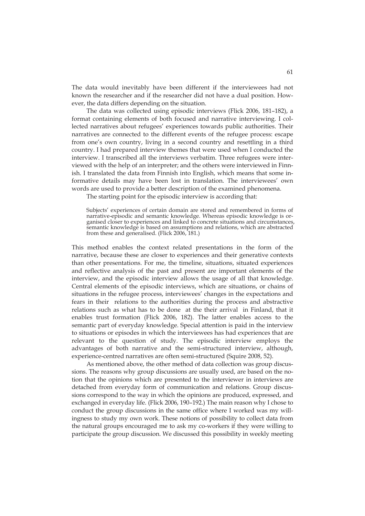The data would inevitably have been different if the interviewees had not known the researcher and if the researcher did not have a dual position. However, the data differs depending on the situation.

The data was collected using episodic interviews (Flick 2006, 181–182), a format containing elements of both focused and narrative interviewing. I collected narratives about refugees' experiences towards public authorities. Their narratives are connected to the different events of the refugee process: escape from one's own country, living in a second country and resettling in a third country. I had prepared interview themes that were used when I conducted the interview. I transcribed all the interviews verbatim. Three refugees were interviewed with the help of an interpreter; and the others were interviewed in Finnish. I translated the data from Finnish into English, which means that some informative details may have been lost in translation. The interviewees' own words are used to provide a better description of the examined phenomena.

The starting point for the episodic interview is according that:

Subjects' experiences of certain domain are stored and remembered in forms of narrative-episodic and semantic knowledge. Whereas episodic knowledge is organised closer to experiences and linked to concrete situations and circumstances, semantic knowledge is based on assumptions and relations, which are abstracted from these and generalised. (Flick 2006, 181.)

This method enables the context related presentations in the form of the narrative, because these are closer to experiences and their generative contexts than other presentations. For me, the timeline, situations, situated experiences and reflective analysis of the past and present are important elements of the interview, and the episodic interview allows the usage of all that knowledge. Central elements of the episodic interviews, which are situations, or chains of situations in the refugee process, interviewees' changes in the expectations and fears in their relations to the authorities during the process and abstractive relations such as what has to be done at the their arrival in Finland, that it enables trust formation (Flick 2006, 182). The latter enables access to the semantic part of everyday knowledge. Special attention is paid in the interview to situations or episodes in which the interviewees has had experiences that are relevant to the question of study. The episodic interview employs the advantages of both narrative and the semi-structured interview, although, experience-centred narratives are often semi-structured (Squire 2008, 52).

As mentioned above, the other method of data collection was group discussions. The reasons why group discussions are usually used, are based on the notion that the opinions which are presented to the interviewer in interviews are detached from everyday form of communication and relations. Group discussions correspond to the way in which the opinions are produced, expressed, and exchanged in everyday life. (Flick 2006, 190–192.) The main reason why I chose to conduct the group discussions in the same office where I worked was my willingness to study my own work. These notions of possibility to collect data from the natural groups encouraged me to ask my co-workers if they were willing to participate the group discussion. We discussed this possibility in weekly meeting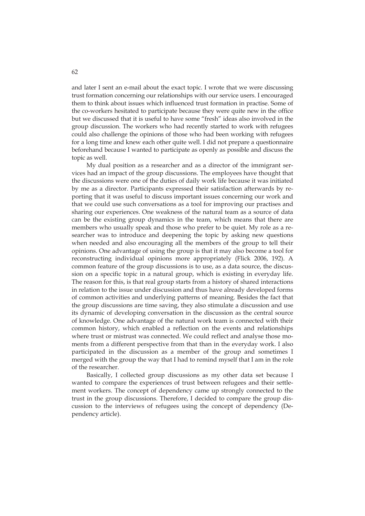and later I sent an e-mail about the exact topic. I wrote that we were discussing trust formation concerning our relationships with our service users. I encouraged them to think about issues which influenced trust formation in practise. Some of the co-workers hesitated to participate because they were quite new in the office but we discussed that it is useful to have some "fresh" ideas also involved in the group discussion. The workers who had recently started to work with refugees could also challenge the opinions of those who had been working with refugees for a long time and knew each other quite well. I did not prepare a questionnaire beforehand because I wanted to participate as openly as possible and discuss the topic as well.

My dual position as a researcher and as a director of the immigrant services had an impact of the group discussions. The employees have thought that the discussions were one of the duties of daily work life because it was initiated by me as a director. Participants expressed their satisfaction afterwards by reporting that it was useful to discuss important issues concerning our work and that we could use such conversations as a tool for improving our practises and sharing our experiences. One weakness of the natural team as a source of data can be the existing group dynamics in the team, which means that there are members who usually speak and those who prefer to be quiet. My role as a researcher was to introduce and deepening the topic by asking new questions when needed and also encouraging all the members of the group to tell their opinions. One advantage of using the group is that it may also become a tool for reconstructing individual opinions more appropriately (Flick 2006, 192). A common feature of the group discussions is to use, as a data source, the discussion on a specific topic in a natural group, which is existing in everyday life. The reason for this, is that real group starts from a history of shared interactions in relation to the issue under discussion and thus have already developed forms of common activities and underlying patterns of meaning. Besides the fact that the group discussions are time saving, they also stimulate a discussion and use its dynamic of developing conversation in the discussion as the central source of knowledge. One advantage of the natural work team is connected with their common history, which enabled a reflection on the events and relationships where trust or mistrust was connected. We could reflect and analyse those moments from a different perspective from that than in the everyday work. I also participated in the discussion as a member of the group and sometimes I merged with the group the way that I had to remind myself that I am in the role of the researcher.

Basically, I collected group discussions as my other data set because I wanted to compare the experiences of trust between refugees and their settlement workers. The concept of dependency came up strongly connected to the trust in the group discussions. Therefore, I decided to compare the group discussion to the interviews of refugees using the concept of dependency (Dependency article).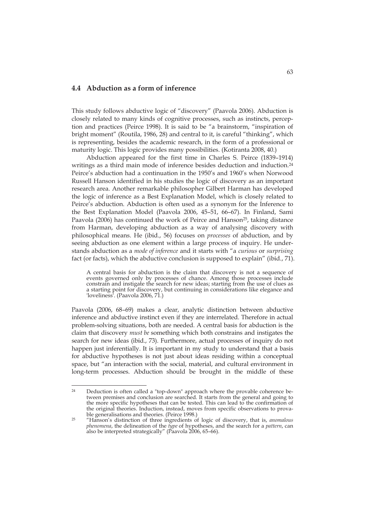## **4.4 Abduction as a form of inference**

This study follows abductive logic of "discovery" (Paavola 2006). Abduction is closely related to many kinds of cognitive processes, such as instincts, perception and practices (Peirce 1998). It is said to be "a brainstorm, "inspiration of bright moment" (Routila, 1986, 28) and central to it, is careful "thinking", which is representing, besides the academic research, in the form of a professional or maturity logic. This logic provides many possibilities. (Kotiranta 2008, 40.)

Abduction appeared for the first time in Charles S. Peirce (1839–1914) writings as a third main mode of inference besides deduction and induction.24 Peirce's abduction had a continuation in the 1950's and 1960's when Norwood Russell Hanson identified in his studies the logic of discovery as an important research area. Another remarkable philosopher Gilbert Harman has developed the logic of inference as a Best Explanation Model, which is closely related to Peirce's abduction. Abduction is often used as a synonym for the Inference to the Best Explanation Model (Paavola 2006, 45–51, 66–67). In Finland, Sami Paavola (2006) has continued the work of Peirce and Hanson<sup>25</sup>, taking distance from Harman, developing abduction as a way of analysing discovery with philosophical means. He (ibid., 56) focuses on *processes* of abduction, and by seeing abduction as one element within a large process of inquiry. He understands abduction as a *mode of inference* and it starts with "a *curious* or *surprising*  fact (or facts), which the abductive conclusion is supposed to explain" (ibid., 71).

A central basis for abduction is the claim that discovery is not a sequence of events governed only by processes of chance. Among those processes include constrain and instigate the search for new ideas; starting from the use of clues as a starting point for discovery, but continuing in considerations like elegance and 'loveliness'. (Paavola 2006, 71.)

Paavola (2006, 68–69) makes a clear, analytic distinction between abductive inference and abductive instinct even if they are interrelated. Therefore in actual problem-solving situations, both are needed. A central basis for abduction is the claim that discovery *must be* something which both constrains and instigates the search for new ideas (ibid., 73). Furthermore, actual processes of inquiry do not happen just inferentially. It is important in my study to understand that a basis for abductive hypotheses is not just about ideas residing within a conceptual space, but "an interaction with the social, material, and cultural environment in long-term processes. Abduction should be brought in the middle of these

-

<sup>24</sup> Deduction is often called a "top-down" approach where the provable coherence between premises and conclusion are searched. It starts from the general and going to the more specific hypotheses that can be tested. This can lead to the confirmation of the original theories. Induction, instead, moves from specific observations to prova-<br>ble generalisations and theories. (Peirce 1998.)

ble generalisations and theories. (Peirce 1998.) 25 "Hanson's distinction of three ingredients of logic of discovery, that is, *anomalous phenomena*, the delineation of the *type* of hypotheses, and the search for a *pattern*, can also be interpreted strategically" (Paavola  $2006, 65-66$ ).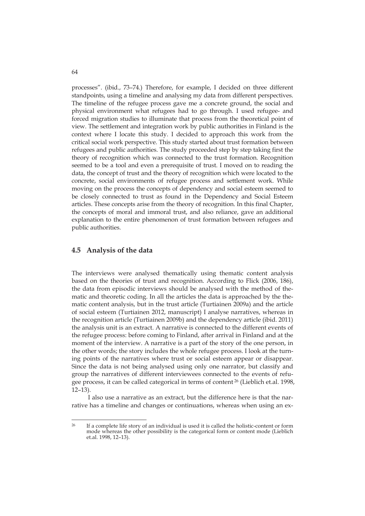processes". (ibid., 73–74.) Therefore, for example, I decided on three different standpoints, using a timeline and analysing my data from different perspectives. The timeline of the refugee process gave me a concrete ground, the social and physical environment what refugees had to go through. I used refugee- and forced migration studies to illuminate that process from the theoretical point of view. The settlement and integration work by public authorities in Finland is the context where I locate this study. I decided to approach this work from the critical social work perspective. This study started about trust formation between refugees and public authorities. The study proceeded step by step taking first the theory of recognition which was connected to the trust formation. Recognition seemed to be a tool and even a prerequisite of trust. I moved on to reading the data, the concept of trust and the theory of recognition which were located to the concrete, social environments of refugee process and settlement work. While moving on the process the concepts of dependency and social esteem seemed to be closely connected to trust as found in the Dependency and Social Esteem articles. These concepts arise from the theory of recognition. In this final Chapter, the concepts of moral and immoral trust, and also reliance, gave an additional explanation to the entire phenomenon of trust formation between refugees and public authorities.

#### **4.5 Analysis of the data**

The interviews were analysed thematically using thematic content analysis based on the theories of trust and recognition. According to Flick (2006, 186), the data from episodic interviews should be analysed with the method of thematic and theoretic coding. In all the articles the data is approached by the thematic content analysis, but in the trust article (Turtiainen 2009a) and the article of social esteem (Turtiainen 2012, manuscript) I analyse narratives, whereas in the recognition article (Turtiainen 2009b) and the dependency article (ibid. 2011) the analysis unit is an extract. A narrative is connected to the different events of the refugee process: before coming to Finland, after arrival in Finland and at the moment of the interview. A narrative is a part of the story of the one person, in the other words; the story includes the whole refugee process. I look at the turning points of the narratives where trust or social esteem appear or disappear. Since the data is not being analysed using only one narrator, but classify and group the narratives of different interviewees connected to the events of refugee process, it can be called categorical in terms of content 26 (Lieblich et.al. 1998, 12–13).

 I also use a narrative as an extract, but the difference here is that the narrative has a timeline and changes or continuations, whereas when using an ex-

-

<sup>&</sup>lt;sup>26</sup> If a complete life story of an individual is used it is called the holistic-content or form mode whereas the other possibility is the categorical form or content mode (Lieblich et.al. 1998, 12–13).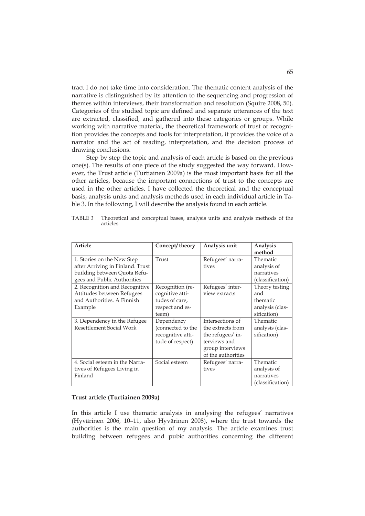tract I do not take time into consideration. The thematic content analysis of the narrative is distinguished by its attention to the sequencing and progression of themes within interviews, their transformation and resolution (Squire 2008, 50). Categories of the studied topic are defined and separate utterances of the text are extracted, classified, and gathered into these categories or groups. While working with narrative material, the theoretical framework of trust or recognition provides the concepts and tools for interpretation, it provides the voice of a narrator and the act of reading, interpretation, and the decision process of drawing conclusions.

Step by step the topic and analysis of each article is based on the previous one(s). The results of one piece of the study suggested the way forward. However, the Trust article (Turtiainen 2009a) is the most important basis for all the other articles, because the important connections of trust to the concepts are used in the other articles. I have collected the theoretical and the conceptual basis, analysis units and analysis methods used in each individual article in Table 3. In the following, I will describe the analysis found in each article.

| Article                          | Concept/theory    | Analysis unit      | Analysis         |
|----------------------------------|-------------------|--------------------|------------------|
|                                  |                   |                    | method           |
| 1. Stories on the New Step       | Trust             | Refugees' narra-   | Thematic         |
| after Arriving in Finland. Trust |                   | tives              | analysis of      |
| building between Quota Refu-     |                   |                    | narratives       |
| gees and Public Authorities      |                   |                    | (classification) |
| 2. Recognition and Recognitive   | Recognition (re-  | Refugees' inter-   | Theory testing   |
| Attitudes between Refugees       | cognitive atti-   | view extracts      | and              |
| and Authorities. A Finnish       | tudes of care,    |                    | thematic         |
| Example                          | respect and es-   |                    | analysis (clas-  |
|                                  | teem)             |                    | sification)      |
| 3. Dependency in the Refugee     | Dependency        | Intersections of   | Thematic         |
| Resettlement Social Work         | (connected to the | the extracts from  | analysis (clas-  |
|                                  | recognitive atti- | the refugees' in-  | sification)      |
|                                  | tude of respect)  | terviews and       |                  |
|                                  |                   | group interviews   |                  |
|                                  |                   | of the authorities |                  |
| 4. Social esteem in the Narra-   | Social esteem     | Refugees' narra-   | Thematic         |
| tives of Refugees Living in      |                   | tives              | analysis of      |
| Finland                          |                   |                    | narratives       |
|                                  |                   |                    | (classification) |

TABLE 3 Theoretical and conceptual bases, analysis units and analysis methods of the articles

#### **Trust article (Turtiainen 2009a)**

In this article I use thematic analysis in analysing the refugees' narratives (Hyvärinen 2006, 10–11, also Hyvärinen 2008), where the trust towards the authorities is the main question of my analysis. The article examines trust building between refugees and pubic authorities concerning the different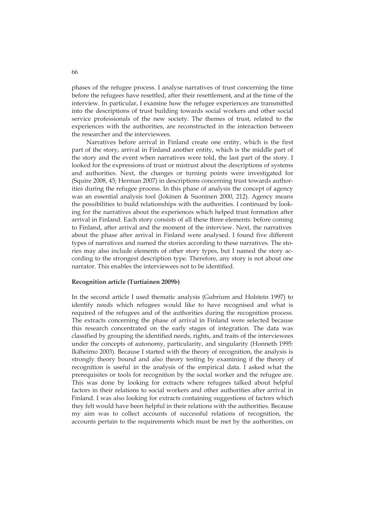phases of the refugee process. I analyse narratives of trust concerning the time before the refugees have resettled, after their resettlement, and at the time of the interview. In particular, I examine how the refugee experiences are transmitted into the descriptions of trust building towards social workers and other social service professionals of the new society. The themes of trust, related to the experiences with the authorities, are reconstructed in the interaction between the researcher and the interviewees.

Narratives before arrival in Finland create one entity, which is the first part of the story, arrival in Finland another entity, which is the middle part of the story and the event when narratives were told, the last part of the story. I looked for the expressions of trust or mistrust about the descriptions of systems and authorities. Next, the changes or turning points were investigated for (Squire 2008, 45; Herman 2007) in descriptions concerning trust towards authorities during the refugee process. In this phase of analysis the concept of agency was an essential analysis tool (Jokinen & Suoninen 2000, 212). Agency means the possibilities to build relationships with the authorities. I continued by looking for the narratives about the experiences which helped trust formation after arrival in Finland. Each story consists of all these three elements: before coming to Finland, after arrival and the moment of the interview. Next, the narratives about the phase after arrival in Finland were analysed. I found five different types of narratives and named the stories according to these narratives. The stories may also include elements of other story types, but I named the story according to the strongest description type. Therefore, any story is not about one narrator. This enables the interviewees not to be identified.

#### **Recognition article (Turtiainen 2009b)**

In the second article I used thematic analysis (Gubrium and Holstein 1997) to identify needs which refugees would like to have recognised and what is required of the refugees and of the authorities during the recognition process. The extracts concerning the phase of arrival in Finland were selected because this research concentrated on the early stages of integration. The data was classified by grouping the identified needs, rights, and traits of the interviewees under the concepts of autonomy, particularity, and singularity (Honneth 1995: Ikäheimo 2003). Because I started with the theory of recognition, the analysis is strongly theory bound and also theory testing by examining if the theory of recognition is useful in the analysis of the empirical data. I asked what the prerequisites or tools for recognition by the social worker and the refugee are. This was done by looking for extracts where refugees talked about helpful factors in their relations to social workers and other authorities after arrival in Finland. I was also looking for extracts containing suggestions of factors which they felt would have been helpful in their relations with the authorities. Because my aim was to collect accounts of successful relations of recognition, the accounts pertain to the requirements which must be met by the authorities, on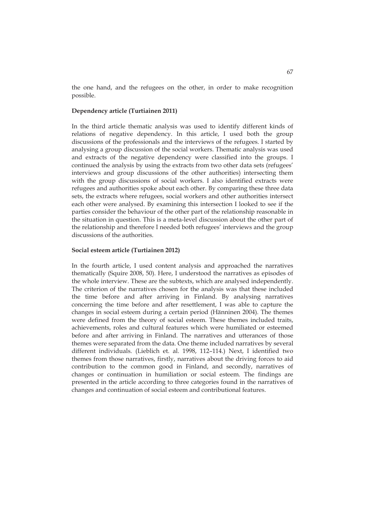the one hand, and the refugees on the other, in order to make recognition possible.

#### **Dependency article (Turtiainen 2011)**

In the third article thematic analysis was used to identify different kinds of relations of negative dependency. In this article, I used both the group discussions of the professionals and the interviews of the refugees. I started by analysing a group discussion of the social workers. Thematic analysis was used and extracts of the negative dependency were classified into the groups. I continued the analysis by using the extracts from two other data sets (refugees' interviews and group discussions of the other authorities) intersecting them with the group discussions of social workers. I also identified extracts were refugees and authorities spoke about each other. By comparing these three data sets, the extracts where refugees, social workers and other authorities intersect each other were analysed. By examining this intersection I looked to see if the parties consider the behaviour of the other part of the relationship reasonable in the situation in question. This is a meta-level discussion about the other part of the relationship and therefore I needed both refugees' interviews and the group discussions of the authorities.

#### **Social esteem article (Turtiainen 2012)**

In the fourth article, I used content analysis and approached the narratives thematically (Squire 2008, 50). Here, I understood the narratives as episodes of the whole interview. These are the subtexts, which are analysed independently. The criterion of the narratives chosen for the analysis was that these included the time before and after arriving in Finland. By analysing narratives concerning the time before and after resettlement, I was able to capture the changes in social esteem during a certain period (Hänninen 2004). The themes were defined from the theory of social esteem. These themes included traits, achievements, roles and cultural features which were humiliated or esteemed before and after arriving in Finland. The narratives and utterances of those themes were separated from the data. One theme included narratives by several different individuals. (Lieblich et. al. 1998, 112–114.) Next, I identified two themes from those narratives, firstly, narratives about the driving forces to aid contribution to the common good in Finland, and secondly, narratives of changes or continuation in humiliation or social esteem. The findings are presented in the article according to three categories found in the narratives of changes and continuation of social esteem and contributional features.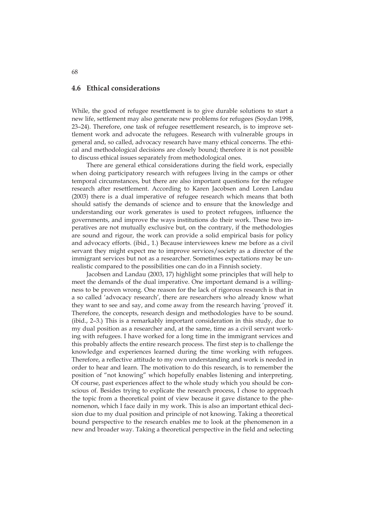#### **4.6 Ethical considerations**

While, the good of refugee resettlement is to give durable solutions to start a new life, settlement may also generate new problems for refugees (Soydan 1998, 23–24). Therefore, one task of refugee resettlement research, is to improve settlement work and advocate the refugees. Research with vulnerable groups in general and, so called, advocacy research have many ethical concerns. The ethical and methodological decisions are closely bound; therefore it is not possible to discuss ethical issues separately from methodological ones.

There are general ethical considerations during the field work, especially when doing participatory research with refugees living in the camps or other temporal circumstances, but there are also important questions for the refugee research after resettlement. According to Karen Jacobsen and Loren Landau (2003) there is a dual imperative of refugee research which means that both should satisfy the demands of science and to ensure that the knowledge and understanding our work generates is used to protect refugees, influence the governments, and improve the ways institutions do their work. These two imperatives are not mutually exclusive but, on the contrary, if the methodologies are sound and rigour, the work can provide a solid empirical basis for policy and advocacy efforts. (ibid., 1.) Because interviewees knew me before as a civil servant they might expect me to improve services/society as a director of the immigrant services but not as a researcher. Sometimes expectations may be unrealistic compared to the possibilities one can do in a Finnish society.

Jacobsen and Landau (2003, 17) highlight some principles that will help to meet the demands of the dual imperative. One important demand is a willingness to be proven wrong. One reason for the lack of rigorous research is that in a so called 'advocacy research', there are researchers who already know what they want to see and say, and come away from the research having 'proved' it. Therefore, the concepts, research design and methodologies have to be sound. (ibid., 2–3.) This is a remarkably important consideration in this study, due to my dual position as a researcher and, at the same, time as a civil servant working with refugees. I have worked for a long time in the immigrant services and this probably affects the entire research process. The first step is to challenge the knowledge and experiences learned during the time working with refugees. Therefore, a reflective attitude to my own understanding and work is needed in order to hear and learn. The motivation to do this research, is to remember the position of "not knowing" which hopefully enables listening and interpreting. Of course, past experiences affect to the whole study which you should be conscious of. Besides trying to explicate the research process, I chose to approach the topic from a theoretical point of view because it gave distance to the phenomenon, which I face daily in my work. This is also an important ethical decision due to my dual position and principle of not knowing. Taking a theoretical bound perspective to the research enables me to look at the phenomenon in a new and broader way. Taking a theoretical perspective in the field and selecting

68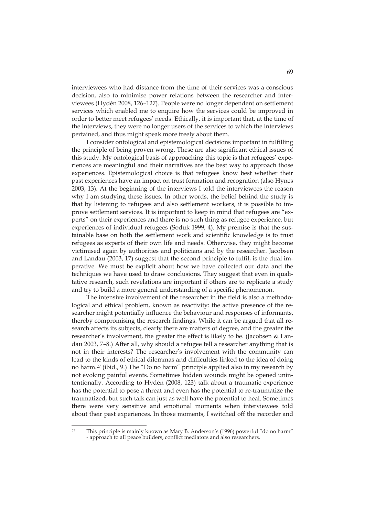interviewees who had distance from the time of their services was a conscious decision, also to minimise power relations between the researcher and interviewees (Hydén 2008, 126–127). People were no longer dependent on settlement services which enabled me to enquire how the services could be improved in order to better meet refugees' needs. Ethically, it is important that, at the time of the interviews, they were no longer users of the services to which the interviews pertained, and thus might speak more freely about them.

I consider ontological and epistemological decisions important in fulfilling the principle of being proven wrong. These are also significant ethical issues of this study. My ontological basis of approaching this topic is that refugees' experiences are meaningful and their narratives are the best way to approach those experiences. Epistemological choice is that refugees know best whether their past experiences have an impact on trust formation and recognition (also Hynes 2003, 13). At the beginning of the interviews I told the interviewees the reason why I am studying these issues. In other words, the belief behind the study is that by listening to refugees and also settlement workers, it is possible to improve settlement services. It is important to keep in mind that refugees are "experts" on their experiences and there is no such thing as refugee experience, but experiences of individual refugees (Soduk 1999, 4). My premise is that the sustainable base on both the settlement work and scientific knowledge is to trust refugees as experts of their own life and needs. Otherwise, they might become victimised again by authorities and politicians and by the researcher. Jacobsen and Landau (2003, 17) suggest that the second principle to fulfil, is the dual imperative. We must be explicit about how we have collected our data and the techniques we have used to draw conclusions. They suggest that even in qualitative research, such revelations are important if others are to replicate a study and try to build a more general understanding of a specific phenomenon.

The intensive involvement of the researcher in the field is also a methodological and ethical problem, known as reactivity: the active presence of the researcher might potentially influence the behaviour and responses of informants, thereby compromising the research findings. While it can be argued that all research affects its subjects, clearly there are matters of degree, and the greater the researcher's involvement, the greater the effect is likely to be. (Jacobsen & Landau 2003, 7–8.) After all, why should a refugee tell a researcher anything that is not in their interests? The researcher's involvement with the community can lead to the kinds of ethical dilemmas and difficulties linked to the idea of doing no harm.27 (ibid., 9.) The "Do no harm" principle applied also in my research by not evoking painful events. Sometimes hidden wounds might be opened unintentionally. According to Hydén (2008, 123) talk about a traumatic experience has the potential to pose a threat and even has the potential to re-traumatize the traumatized, but such talk can just as well have the potential to heal. Sometimes there were very sensitive and emotional moments when interviewees told about their past experiences. In those moments, I switched off the recorder and

 $27$ 27 This principle is mainly known as Mary B. Anderson's (1996) powerful "do no harm" - approach to all peace builders, conflict mediators and also researchers.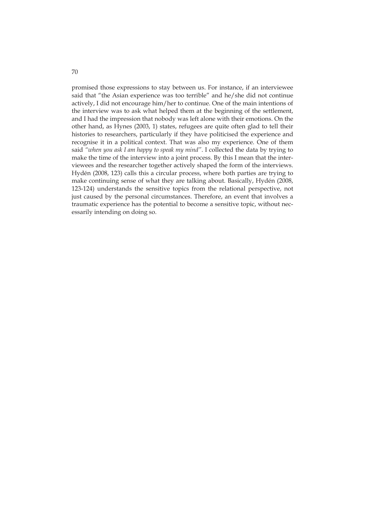promised those expressions to stay between us. For instance, if an interviewee said that "the Asian experience was too terrible" and he/she did not continue actively, I did not encourage him/her to continue. One of the main intentions of the interview was to ask what helped them at the beginning of the settlement, and I had the impression that nobody was left alone with their emotions. On the other hand, as Hynes (2003, 1) states, refugees are quite often glad to tell their histories to researchers, particularly if they have politicised the experience and recognise it in a political context. That was also my experience. One of them said *"when you ask I am happy to speak my mind"*. I collected the data by trying to make the time of the interview into a joint process. By this I mean that the interviewees and the researcher together actively shaped the form of the interviews. Hydén (2008, 123) calls this a circular process, where both parties are trying to make continuing sense of what they are talking about. Basically, Hydén (2008, 123-124) understands the sensitive topics from the relational perspective, not just caused by the personal circumstances. Therefore, an event that involves a traumatic experience has the potential to become a sensitive topic, without necessarily intending on doing so.

70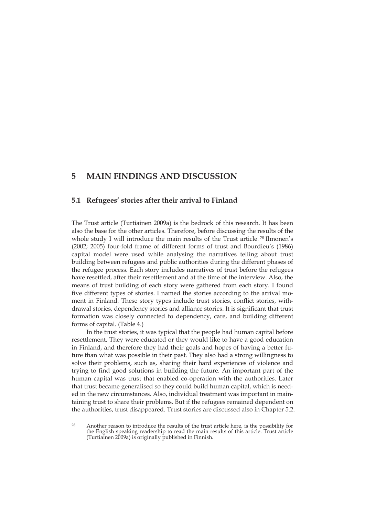## **5 MAIN FINDINGS AND DISCUSSION**

## **5.1 Refugees' stories after their arrival to Finland**

The Trust article (Turtiainen 2009a) is the bedrock of this research. It has been also the base for the other articles. Therefore, before discussing the results of the whole study I will introduce the main results of the Trust article.<sup>28</sup> Ilmonen's (2002; 2005) four-fold frame of different forms of trust and Bourdieu's (1986) capital model were used while analysing the narratives telling about trust building between refugees and public authorities during the different phases of the refugee process. Each story includes narratives of trust before the refugees have resettled, after their resettlement and at the time of the interview. Also, the means of trust building of each story were gathered from each story. I found five different types of stories. I named the stories according to the arrival moment in Finland. These story types include trust stories, conflict stories, withdrawal stories, dependency stories and alliance stories. It is significant that trust formation was closely connected to dependency, care, and building different forms of capital. (Table 4.)

In the trust stories, it was typical that the people had human capital before resettlement. They were educated or they would like to have a good education in Finland, and therefore they had their goals and hopes of having a better future than what was possible in their past. They also had a strong willingness to solve their problems, such as, sharing their hard experiences of violence and trying to find good solutions in building the future. An important part of the human capital was trust that enabled co-operation with the authorities. Later that trust became generalised so they could build human capital, which is needed in the new circumstances. Also, individual treatment was important in maintaining trust to share their problems. But if the refugees remained dependent on the authorities, trust disappeared. Trust stories are discussed also in Chapter 5.2.

 $28$ Another reason to introduce the results of the trust article here, is the possibility for the English speaking readership to read the main results of this article. Trust article (Turtiainen 2009a) is originally published in Finnish.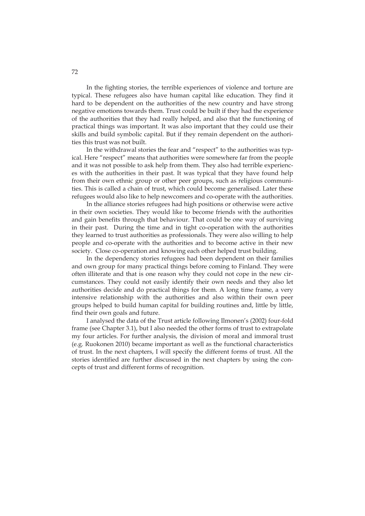In the fighting stories, the terrible experiences of violence and torture are typical. These refugees also have human capital like education. They find it hard to be dependent on the authorities of the new country and have strong negative emotions towards them. Trust could be built if they had the experience of the authorities that they had really helped, and also that the functioning of practical things was important. It was also important that they could use their skills and build symbolic capital. But if they remain dependent on the authorities this trust was not built.

In the withdrawal stories the fear and "respect" to the authorities was typical. Here "respect" means that authorities were somewhere far from the people and it was not possible to ask help from them. They also had terrible experiences with the authorities in their past. It was typical that they have found help from their own ethnic group or other peer groups, such as religious communities. This is called a chain of trust, which could become generalised. Later these refugees would also like to help newcomers and co-operate with the authorities.

In the alliance stories refugees had high positions or otherwise were active in their own societies. They would like to become friends with the authorities and gain benefits through that behaviour. That could be one way of surviving in their past. During the time and in tight co-operation with the authorities they learned to trust authorities as professionals. They were also willing to help people and co-operate with the authorities and to become active in their new society. Close co-operation and knowing each other helped trust building.

In the dependency stories refugees had been dependent on their families and own group for many practical things before coming to Finland. They were often illiterate and that is one reason why they could not cope in the new circumstances. They could not easily identify their own needs and they also let authorities decide and do practical things for them. A long time frame, a very intensive relationship with the authorities and also within their own peer groups helped to build human capital for building routines and, little by little, find their own goals and future.

I analysed the data of the Trust article following Ilmonen's (2002) four-fold frame (see Chapter 3.1), but I also needed the other forms of trust to extrapolate my four articles. For further analysis, the division of moral and immoral trust (e.g. Ruokonen 2010) became important as well as the functional characteristics of trust. In the next chapters, I will specify the different forms of trust. All the stories identified are further discussed in the next chapters by using the concepts of trust and different forms of recognition.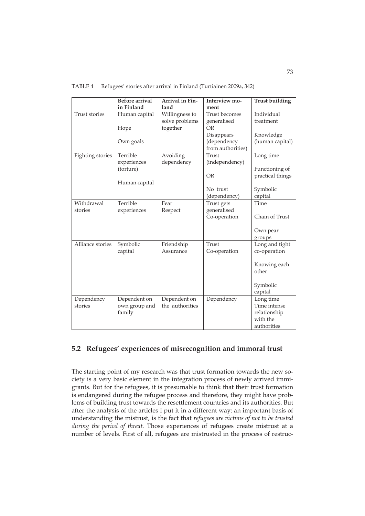|                       | <b>Before arrival</b><br>in Finland | Arrival in Fin-<br>land          | Interview mo-<br>ment               | <b>Trust building</b>              |
|-----------------------|-------------------------------------|----------------------------------|-------------------------------------|------------------------------------|
| <b>Trust stories</b>  | Human capital                       | Willingness to<br>solve problems | <b>Trust becomes</b><br>generalised | Individual<br>treatment            |
|                       | Hope                                | together                         | OR<br>Disappears                    | Knowledge                          |
|                       | Own goals                           |                                  | (dependency<br>from authorities)    | (human capital)                    |
| Fighting stories      | Terrible<br>experiences             | Avoiding<br>dependency           | Trust<br>(independency)             | Long time                          |
|                       | (torture)                           |                                  | <b>OR</b>                           | Functioning of<br>practical things |
|                       | Human capital                       |                                  | No trust<br>(dependency)            | Symbolic<br>capital                |
| Withdrawal<br>stories | Terrible<br>experiences             | Fear<br>Respect                  | Trust gets<br>generalised           | Time                               |
|                       |                                     |                                  | Co-operation                        | Chain of Trust                     |
|                       |                                     |                                  |                                     | Own pear<br>groups                 |
| Alliance stories      | Symbolic                            | Friendship                       | Trust                               | Long and tight                     |
|                       | capital                             | Assurance                        | Co-operation                        | co-operation                       |
|                       |                                     |                                  |                                     | Knowing each<br>other              |
|                       |                                     |                                  |                                     | Symbolic<br>capital                |
| Dependency            | Dependent on                        | Dependent on                     | Dependency                          | Long time                          |
| stories               | own group and                       | the authorities                  |                                     | Time intense                       |
|                       | family                              |                                  |                                     | relationship                       |
|                       |                                     |                                  |                                     | with the                           |
|                       |                                     |                                  |                                     | authorities                        |

TABLE 4 Refugees' stories after arrival in Finland (Turtiainen 2009a, 342)

## **5.2 Refugees' experiences of misrecognition and immoral trust**

The starting point of my research was that trust formation towards the new society is a very basic element in the integration process of newly arrived immigrants. But for the refugees, it is presumable to think that their trust formation is endangered during the refugee process and therefore, they might have problems of building trust towards the resettlement countries and its authorities. But after the analysis of the articles I put it in a different way: an important basis of understanding the mistrust, is the fact that *refugees are victims of not to be trusted during the period of threat.* Those experiences of refugees create mistrust at a number of levels. First of all, refugees are mistrusted in the process of restruc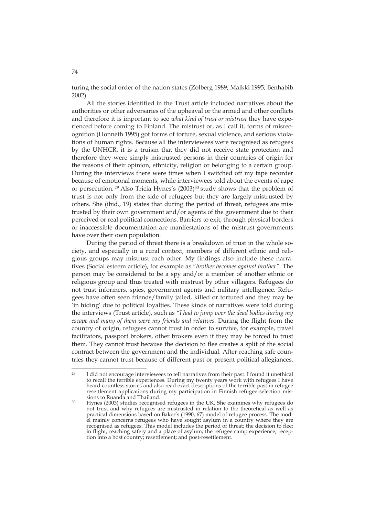turing the social order of the nation states (Zolberg 1989; Malkki 1995; Benhabib 2002).

All the stories identified in the Trust article included narratives about the authorities or other adversaries of the upheaval or the armed and other conflicts and therefore it is important to see *what kind of trust or mistrust* they have experienced before coming to Finland. The mistrust or, as I call it, forms of misrecognition (Honneth 1995) got forms of torture, sexual violence, and serious violations of human rights. Because all the interviewees were recognised as refugees by the UNHCR, it is a truism that they did not receive state protection and therefore they were simply mistrusted persons in their countries of origin for the reasons of their opinion, ethnicity, religion or belonging to a certain group. During the interviews there were times when I switched off my tape recorder because of emotional moments, while interviewees told about the events of rape or persecution.<sup>29</sup> Also Tricia Hynes's (2003)<sup>30</sup> study shows that the problem of trust is not only from the side of refugees but they are largely mistrusted by others. She (ibid., 19) states that during the period of threat, refugees are mistrusted by their own government and/or agents of the government due to their perceived or real political connections. Barriers to exit, through physical borders or inaccessible documentation are manifestations of the mistrust governments have over their own population.

During the period of threat there is a breakdown of trust in the whole society, and especially in a rural context, members of different ethnic and religious groups may mistrust each other. My findings also include these narratives (Social esteem article), for example as "*brother becomes against brother".* The person may be considered to be a spy and/or a member of another ethnic or religious group and thus treated with mistrust by other villagers. Refugees do not trust informers, spies, government agents and military intelligence. Refugees have often seen friends/family jailed, killed or tortured and they may be 'in hiding' due to political loyalties. These kinds of narratives were told during the interviews (Trust article), such as *"I had to jump over the dead bodies during my escape and many of them were my friends and relatives.* During the flight from the country of origin, refugees cannot trust in order to survive, for example, travel facilitators, passport brokers, other brokers even if they may be forced to trust them. They cannot trust because the decision to flee creates a split of the social contract between the government and the individual. After reaching safe countries they cannot trust because of different past or present political allegiances.

74

 $^{29}$ I did not encourage interviewees to tell narratives from their past. I found it unethical to recall the terrible experiences. During my twenty years work with refugees I have heard countless stories and also read exact descriptions of the terrible past in refugee resettlement applications during my participation in Finnish refugee selection missions to Ruanda and Thailand.

<sup>&</sup>lt;sup>30</sup> Hynes (2003) studies recognised refugees in the UK. She examines why refugees do not trust and why refugees are mistrusted in relation to the theoretical as well as practical dimensions based on Baker's (1990, 67) model of refugee process. The model mainly concerns refugees who have sought asylum in a country where they are recognised as refugees. This model includes the period of threat; the decision to flee; in flight; reaching safety and a place of asylum; the refugee camp experience; reception into a host country; resettlement; and post-resettlement.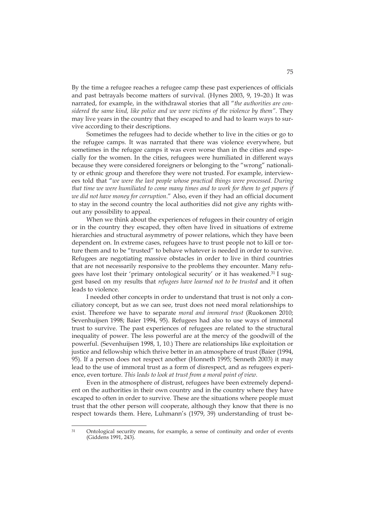By the time a refugee reaches a refugee camp these past experiences of officials and past betrayals become matters of survival. (Hynes 2003, 9, 19–20.) It was narrated, for example, in the withdrawal stories that all "*the authorities are considered the same kind, like police and we were victims of the violence by them".* They may live years in the country that they escaped to and had to learn ways to survive according to their descriptions.

Sometimes the refugees had to decide whether to live in the cities or go to the refugee camps. It was narrated that there was violence everywhere, but sometimes in the refugee camps it was even worse than in the cities and especially for the women. In the cities, refugees were humiliated in different ways because they were considered foreigners or belonging to the "wrong" nationality or ethnic group and therefore they were not trusted. For example, interviewees told that "*we were the last people whose practical things were processed. During that time we were humiliated to come many times and to work for them to get papers if we did not have money for corruption*." Also, even if they had an official document to stay in the second country the local authorities did not give any rights without any possibility to appeal.

When we think about the experiences of refugees in their country of origin or in the country they escaped, they often have lived in situations of extreme hierarchies and structural asymmetry of power relations, which they have been dependent on. In extreme cases, refugees have to trust people not to kill or torture them and to be "trusted" to behave whatever is needed in order to survive. Refugees are negotiating massive obstacles in order to live in third countries that are not necessarily responsive to the problems they encounter. Many refugees have lost their 'primary ontological security' or it has weakened.31 I suggest based on my results that *refugees have learned not to be trusted* and it often leads to violence.

I needed other concepts in order to understand that trust is not only a conciliatory concept, but as we can see, trust does not need moral relationships to exist. Therefore we have to separate *moral and immoral trust* (Ruokonen 2010; Sevenhuijsen 1998; Baier 1994, 95). Refugees had also to use ways of immoral trust to survive. The past experiences of refugees are related to the structural inequality of power. The less powerful are at the mercy of the goodwill of the powerful. (Sevenhuijsen 1998, 1, 10.) There are relationships like exploitation or justice and fellowship which thrive better in an atmosphere of trust (Baier (1994, 95). If a person does not respect another (Honneth 1995; Senneth 2003) it may lead to the use of immoral trust as a form of disrespect, and as refugees experience, even torture. *This leads to look at trust from a moral point of view.* 

Even in the atmosphere of distrust, refugees have been extremely dependent on the authorities in their own country and in the country where they have escaped to often in order to survive. These are the situations where people must trust that the other person will cooperate, although they know that there is no respect towards them. Here, Luhmann's (1979, 39) understanding of trust be-

 $_{21}$ 31 Ontological security means, for example, a sense of continuity and order of events (Giddens 1991, 243).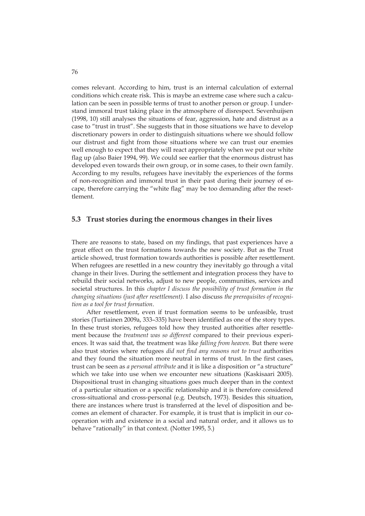comes relevant. According to him, trust is an internal calculation of external conditions which create risk. This is maybe an extreme case where such a calculation can be seen in possible terms of trust to another person or group. I understand immoral trust taking place in the atmosphere of disrespect. Sevenhuijsen (1998, 10) still analyses the situations of fear, aggression, hate and distrust as a case to "trust in trust". She suggests that in those situations we have to develop discretionary powers in order to distinguish situations where we should follow our distrust and fight from those situations where we can trust our enemies well enough to expect that they will react appropriately when we put our white flag up (also Baier 1994, 99). We could see earlier that the enormous distrust has developed even towards their own group, or in some cases, to their own family. According to my results, refugees have inevitably the experiences of the forms of non-recognition and immoral trust in their past during their journey of escape, therefore carrying the "white flag" may be too demanding after the resettlement.

## **5.3 Trust stories during the enormous changes in their lives**

There are reasons to state, based on my findings, that past experiences have a great effect on the trust formations towards the new society. But as the Trust article showed, trust formation towards authorities is possible after resettlement. When refugees are resettled in a new country they inevitably go through a vital change in their lives. During the settlement and integration process they have to rebuild their social networks, adjust to new people, communities, services and societal structures. In this *chapter I discuss the possibility of trust formation in the changing situations (just after resettlement).* I also discuss *the prerequisites of recognition as a tool for trust formation*.

After resettlement, even if trust formation seems to be unfeasible, trust stories (Turtiainen 2009a, 333–335) have been identified as one of the story types. In these trust stories, refugees told how they trusted authorities after resettlement because the *treatment was so different* compared to their previous experiences. It was said that, the treatment was like *falling from heaven.* But there were also trust stories where refugees *did not find any reasons not to trust* authorities and they found the situation more neutral in terms of trust. In the first cases, trust can be seen as *a personal attribute* and it is like a disposition or "a structure" which we take into use when we encounter new situations (Kaskisaari 2005). Dispositional trust in changing situations goes much deeper than in the context of a particular situation or a specific relationship and it is therefore considered cross-situational and cross-personal (e.g. Deutsch, 1973). Besides this situation, there are instances where trust is transferred at the level of disposition and becomes an element of character. For example, it is trust that is implicit in our cooperation with and existence in a social and natural order, and it allows us to behave "rationally" in that context. (Notter 1995, 5.)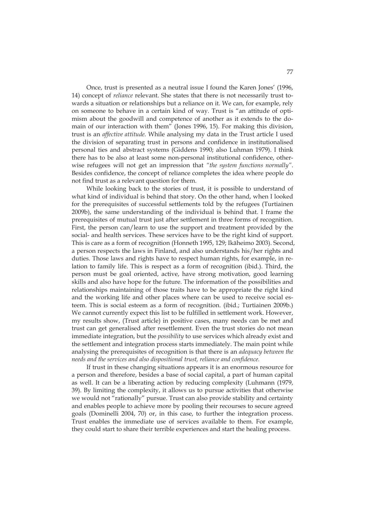Once, trust is presented as a neutral issue I found the Karen Jones' (1996, 14) concept of *reliance* relevant. She states that there is not necessarily trust towards a situation or relationships but a reliance on it. We can, for example, rely on someone to behave in a certain kind of way. Trust is "an attitude of optimism about the goodwill and competence of another as it extends to the domain of our interaction with them" (Jones 1996, 15). For making this division, trust is an *affective attitude*. While analysing my data in the Trust article I used the division of separating trust in persons and confidence in institutionalised personal ties and abstract systems (Giddens 1990; also Luhman 1979). I think there has to be also at least some non-personal institutional confidence, otherwise refugees will not get an impression that *"the system functions normally"*. Besides confidence, the concept of reliance completes the idea where people do not find trust as a relevant question for them.

While looking back to the stories of trust, it is possible to understand of what kind of individual is behind that story. On the other hand, when I looked for the prerequisites of successful settlements told by the refugees (Turtiainen 2009b), the same understanding of the individual is behind that. I frame the prerequisites of mutual trust just after settlement in three forms of recognition. First, the person can/learn to use the support and treatment provided by the social- and health services. These services have to be the right kind of support. This is care as a form of recognition (Honneth 1995, 129; Ikäheimo 2003). Second, a person respects the laws in Finland, and also understands his/her rights and duties. Those laws and rights have to respect human rights, for example, in relation to family life. This is respect as a form of recognition (ibid.). Third, the person must be goal oriented, active, have strong motivation, good learning skills and also have hope for the future. The information of the possibilities and relationships maintaining of those traits have to be appropriate the right kind and the working life and other places where can be used to receive social esteem. This is social esteem as a form of recognition. (ibid.; Turtiainen 2009b.) We cannot currently expect this list to be fulfilled in settlement work. However, my results show, (Trust article) in positive cases, many needs can be met and trust can get generalised after resettlement. Even the trust stories do not mean immediate integration, but the *possibility* to use services which already exist and the settlement and integration process starts immediately. The main point while analysing the prerequisites of recognition is that there is an *adequacy between the needs and the services and also dispositional trust, reliance and confidence.* 

If trust in these changing situations appears it is an enormous resource for a person and therefore, besides a base of social capital, a part of human capital as well. It can be a liberating action by reducing complexity (Luhmann (1979, 39). By limiting the complexity, it allows us to pursue activities that otherwise we would not "rationally" pursue. Trust can also provide stability and certainty and enables people to achieve more by pooling their recourses to secure agreed goals (Dominelli 2004, 70) or, in this case, to further the integration process. Trust enables the immediate use of services available to them. For example, they could start to share their terrible experiences and start the healing process.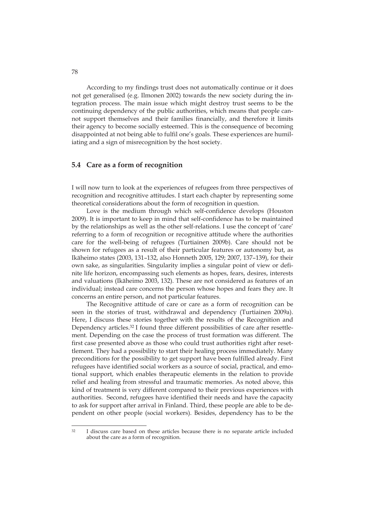According to my findings trust does not automatically continue or it does not get generalised (e.g. Ilmonen 2002) towards the new society during the integration process. The main issue which might destroy trust seems to be the continuing dependency of the public authorities, which means that people cannot support themselves and their families financially, and therefore it limits their agency to become socially esteemed. This is the consequence of becoming disappointed at not being able to fulfil one's goals. These experiences are humiliating and a sign of misrecognition by the host society.

## **5.4 Care as a form of recognition**

I will now turn to look at the experiences of refugees from three perspectives of recognition and recognitive attitudes. I start each chapter by representing some theoretical considerations about the form of recognition in question.

Love is the medium through which self-confidence develops (Houston 2009). It is important to keep in mind that self-confidence has to be maintained by the relationships as well as the other self-relations. I use the concept of 'care' referring to a form of recognition or recognitive attitude where the authorities care for the well-being of refugees (Turtiainen 2009b). Care should not be shown for refugees as a result of their particular features or autonomy but, as Ikäheimo states (2003, 131–132, also Honneth 2005, 129; 2007, 137–139), for their own sake, as singularities. Singularity implies a singular point of view or definite life horizon, encompassing such elements as hopes, fears, desires, interests and valuations (Ikäheimo 2003, 132). These are not considered as features of an individual; instead care concerns the person whose hopes and fears they are. It concerns an entire person, and not particular features.

The Recognitive attitude of care or care as a form of recognition can be seen in the stories of trust, withdrawal and dependency (Turtiainen 2009a). Here, I discuss these stories together with the results of the Recognition and Dependency articles.32 I found three different possibilities of care after resettlement. Depending on the case the process of trust formation was different. The first case presented above as those who could trust authorities right after resettlement. They had a possibility to start their healing process immediately. Many preconditions for the possibility to get support have been fulfilled already. First refugees have identified social workers as a source of social, practical, and emotional support, which enables therapeutic elements in the relation to provide relief and healing from stressful and traumatic memories. As noted above, this kind of treatment is very different compared to their previous experiences with authorities. Second, refugees have identified their needs and have the capacity to ask for support after arrival in Finland. Third, these people are able to be dependent on other people (social workers). Besides, dependency has to be the

 $32$ I discuss care based on these articles because there is no separate article included about the care as a form of recognition.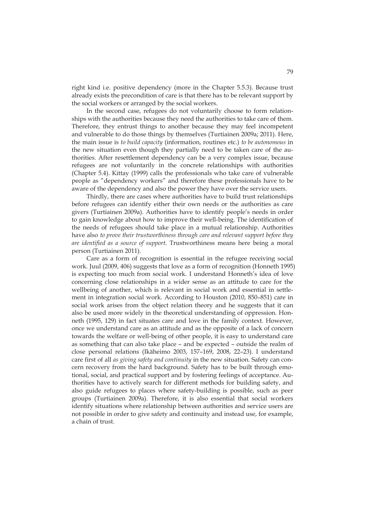right kind i.e. positive dependency (more in the Chapter 5.5.3). Because trust already exists the precondition of care is that there has to be relevant support by the social workers or arranged by the social workers.

In the second case, refugees do not voluntarily choose to form relationships with the authorities because they need the authorities to take care of them. Therefore, they entrust things to another because they may feel incompetent and vulnerable to do those things by themselves (Turtiainen 2009a; 2011). Here, the main issue is *to build capacity* (information, routines etc.) *to be autonomous* in the new situation even though they partially need to be taken care of the authorities. After resettlement dependency can be a very complex issue, because refugees are not voluntarily in the concrete relationships with authorities (Chapter 5.4). Kittay (1999) calls the professionals who take care of vulnerable people as "dependency workers" and therefore these professionals have to be aware of the dependency and also the power they have over the service users.

Thirdly, there are cases where authorities have to build trust relationships before refugees can identify either their own needs or the authorities as care givers (Turtiainen 2009a). Authorities have to identify people's needs in order to gain knowledge about how to improve their well-being. The identification of the needs of refugees should take place in a mutual relationship. Authorities have also *to prove their trustworthiness through care and relevant support before they are identified as a source of support*. Trustworthiness means here being a moral person (Turtiainen 2011).

Care as a form of recognition is essential in the refugee receiving social work. Juul (2009, 406) suggests that love as a form of recognition (Honneth 1995) is expecting too much from social work. I understand Honneth's idea of love concerning close relationships in a wider sense as an attitude to care for the wellbeing of another, which is relevant in social work and essential in settlement in integration social work. According to Houston (2010, 850–851) care in social work arises from the object relation theory and he suggests that it can also be used more widely in the theoretical understanding of oppression. Honneth (1995, 129) in fact situates care and love in the family context. However, once we understand care as an attitude and as the opposite of a lack of concern towards the welfare or well-being of other people, it is easy to understand care as something that can also take place – and be expected – outside the realm of close personal relations (Ikäheimo 2003, 157–169, 2008, 22–23). I understand care first of all *as giving safety and continuity* in the new situation. Safety can concern recovery from the hard background. Safety has to be built through emotional, social, and practical support and by fostering feelings of acceptance. Authorities have to actively search for different methods for building safety, and also guide refugees to places where safety-building is possible, such as peer groups (Turtiainen 2009a). Therefore, it is also essential that social workers identify situations where relationship between authorities and service users are not possible in order to give safety and continuity and instead use, for example, a chain of trust.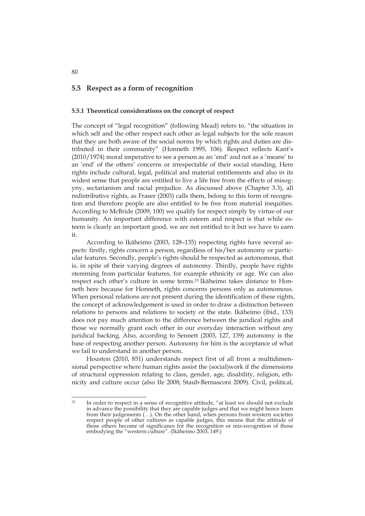## **5.5 Respect as a form of recognition**

#### **5.5.1 Theoretical considerations on the concept of respect**

The concept of "legal recognition" (following Mead) refers to, "the situation in which self and the other respect each other as legal subjects for the sole reason that they are both aware of the social norms by which rights and duties are distributed in their community" (Honneth 1995, 106). Respect reflects Kant's (2010/1974) moral imperative to see a person as an 'end' and not as a 'means' to an 'end' of the others' concerns or irrespectable of their social standing. Here rights include cultural, legal, political and material entitlements and also in its widest sense that people are entitled to live a life free from the effects of misogyny, sectarianism and racial prejudice. As discussed above (Chapter 3.3), all redistributive rights, as Fraser (2003) calls them, belong to this form of recognition and therefore people are also entitled to be free from material inequities. According to McBride (2009, 100) we qualify for respect simply by virtue of our humanity. An important difference with esteem and respect is that while esteem is clearly an important good, we are not entitled to it but we have to earn it.

According to Ikäheimo (2003, 128–135) respecting rights have several aspects: firstly, rights concern a person, regardless of his/her autonomy or particular features. Secondly, people's rights should be respected as autonomous, that is, in spite of their varying degrees of autonomy. Thirdly, people have rights stemming from particular features, for example ethnicity or age. We can also respect each other's culture in some terms.33 Ikäheimo takes distance to Honneth here because for Honneth, rights concerns persons only as autonomous. When personal relations are not present during the identification of these rights, the concept of acknowledgement is used in order to draw a distinction between relations to persons and relations to society or the state. Ikäheimo (ibid., 133) does not pay much attention to the difference between the juridical rights and those we normally grant each other in our everyday interaction without any juridical backing. Also, according to Sennett (2003, 127, 139) autonomy is the base of respecting another person. Autonomy for him is the acceptance of what we fail to understand in another person.

Houston (2010, 851) understands respect first of all from a multidimensional perspective where human rights assist the (social)work if the dimensions of structural oppression relating to class, gender, age, disability, religion, ethnicity and culture occur (also Ife 2008; Staub-Bernasconi 2009). Civil, political,

80

-

<sup>33</sup> In order to respect in a sense of recognitive attitude, "at least we should not exclude in advance the possibility that they are capable judges and that we might hence learn from their judgements (…). On the other hand, when persons from western societies respect people of other cultures as capable judges, this means that the attitude of those others become of significance for the recognition or mis-recognition of those embodying the "western culture". (Ikäheimo 2003, 149.)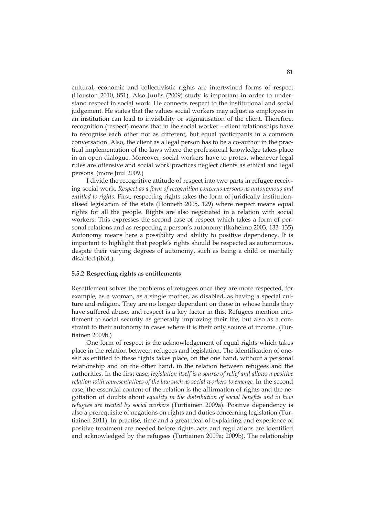cultural, economic and collectivistic rights are intertwined forms of respect (Houston 2010, 851). Also Juul's (2009) study is important in order to understand respect in social work. He connects respect to the institutional and social judgement. He states that the values social workers may adjust as employees in an institution can lead to invisibility or stigmatisation of the client. Therefore, recognition (respect) means that in the social worker – client relationships have to recognise each other not as different, but equal participants in a common conversation. Also, the client as a legal person has to be a co-author in the practical implementation of the laws where the professional knowledge takes place in an open dialogue. Moreover, social workers have to protest whenever legal rules are offensive and social work practices neglect clients as ethical and legal persons. (more Juul 2009.)

I divide the recognitive attitude of respect into two parts in refugee receiving social work. *Respect as a form of recognition concerns persons as autonomous and entitled to rights*. First, respecting rights takes the form of juridically institutionalised legislation of the state (Honneth 2005, 129) where respect means equal rights for all the people. Rights are also negotiated in a relation with social workers. This expresses the second case of respect which takes a form of personal relations and as respecting a person's autonomy (Ikäheimo 2003, 133–135). Autonomy means here a possibility and ability to positive dependency. It is important to highlight that people's rights should be respected as autonomous, despite their varying degrees of autonomy, such as being a child or mentally disabled (ibid.).

#### **5.5.2 Respecting rights as entitlements**

Resettlement solves the problems of refugees once they are more respected, for example, as a woman, as a single mother, as disabled, as having a special culture and religion. They are no longer dependent on those in whose hands they have suffered abuse, and respect is a key factor in this. Refugees mention entitlement to social security as generally improving their life, but also as a constraint to their autonomy in cases where it is their only source of income. (Turtiainen 2009b.)

One form of respect is the acknowledgement of equal rights which takes place in the relation between refugees and legislation. The identification of oneself as entitled to these rights takes place, on the one hand, without a personal relationship and on the other hand, in the relation between refugees and the authorities. In the first case*, legislation itself is a source of relief and allows a positive relation with representatives of the law such as social workers to emerge*. In the second case, the essential content of the relation is the affirmation of rights and the negotiation of doubts about *equality in the distribution of social benefits and in how refugees are treated by social workers* (Turtiainen 2009a). Positive dependency is also a prerequisite of negations on rights and duties concerning legislation (Turtiainen 2011). In practise, time and a great deal of explaining and experience of positive treatment are needed before rights, acts and regulations are identified and acknowledged by the refugees (Turtiainen 2009a; 2009b). The relationship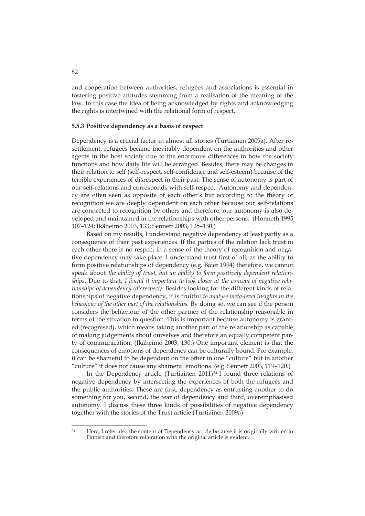and cooperation between authorities, refugees and associations is essential in fostering positive attitudes stemming from a realisation of the meaning of the law. In this case the idea of being acknowledged by rights and acknowledging the rights is intertwined with the relational form of respect.

## **5.5.3 Positive dependency as a basis of respect**

Dependency is a crucial factor in almost all stories (Turtiainen 2009a). After resettlement, refugees became inevitably dependent on the authorities and other agents in the host society due to the enormous differences in how the society functions and how daily life will be arranged. Besides, there may be changes in their relation to self (self-respect, self-confidence and self-esteem) because of the terrible experiences of disrespect in their past. The sense of autonomy is part of our self-relations and corresponds with self-respect. Autonomy and dependency are often seen as opposite of each other's but according to the theory of recognition we are deeply dependent on each other because our self-relations are connected to recognition by others and therefore, our autonomy is also developed and maintained in the relationships with other persons. (Honneth 1995, 107–124; Ikäheimo 2003, 133; Sennett 2003, 125–130.)

Based on my results, I understand negative dependency at least partly as a consequence of their past experiences. If the parties of the relation lack trust in each other there is no respect in a sense of the theory of recognition and negative dependency may take place. I understand trust first of all, as the ability to form positive relationships of dependency (e.g. Baier 1994) therefore, we cannot speak about *the ability of trust, but an ability to form positively dependent relationships*. Due to that, *I found it important to look closer at the concept of negative relationships of dependency (disrespect)*. Besides looking for the different kinds of relationships of negative dependency, it is fruitful *to analyse meta-level insights in the behaviour of the other part of the relationships.* By doing so, we can see if the person considers the behaviour of the other partner of the relationship reasonable in terms of the situation in question. This is important because autonomy is granted (recognised), which means taking another part of the relationship as capable of making judgements about ourselves and therefore an equally competent party of communication. (Ikäheimo 2003, 130.) One important element is that the consequences of emotions of dependency can be culturally bound. For example, it can be shameful to be dependent on the other in one "culture" but in another "culture" it does not cause any shameful emotions. (e.g. Sennett 2003, 119–120.)

In the Dependency article (Turtiainen 2011)34 I found three relations of negative dependency by intersecting the experiences of both the refugees and the public authorities. These are first, dependency as entrusting another to do something for you, second, the fear of dependency and third, overemphasised autonomy. I discuss these three kinds of possibilities of negative dependency together with the stories of the Trust article (Turtiainen 2009a).

 $34$ Here, I refer also the content of Dependency article because it is originally written in Finnish and therefore reiteration with the original article is evident.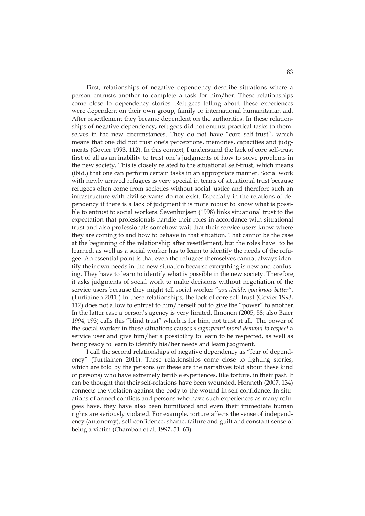First, relationships of negative dependency describe situations where a person entrusts another to complete a task for him/her. These relationships come close to dependency stories. Refugees telling about these experiences were dependent on their own group, family or international humanitarian aid. After resettlement they became dependent on the authorities. In these relationships of negative dependency, refugees did not entrust practical tasks to themselves in the new circumstances. They do not have "core self-trust", which means that one did not trust one's perceptions, memories, capacities and judgments (Govier 1993, 112). In this context, I understand the lack of core self-trust first of all as an inability to trust one's judgments of how to solve problems in the new society. This is closely related to the situational self-trust, which means (ibid.) that one can perform certain tasks in an appropriate manner. Social work with newly arrived refugees is very special in terms of situational trust because refugees often come from societies without social justice and therefore such an infrastructure with civil servants do not exist. Especially in the relations of dependency if there is a lack of judgment it is more robust to know what is possible to entrust to social workers. Sevenhuijsen (1998) links situational trust to the expectation that professionals handle their roles in accordance with situational trust and also professionals somehow wait that their service users know where they are coming to and how to behave in that situation. That cannot be the case at the beginning of the relationship after resettlement, but the roles have to be learned, as well as a social worker has to learn to identify the needs of the refugee. An essential point is that even the refugees themselves cannot always identify their own needs in the new situation because everything is new and confusing. They have to learn to identify what is possible in the new society. Therefore, it asks judgments of social work to make decisions without negotiation of the service users because they might tell social worker "*you decide, you know better"*. (Turtiainen 2011.) In these relationships, the lack of core self-trust (Govier 1993, 112) does not allow to entrust to him/herself but to give the "power" to another. In the latter case a person's agency is very limited. Ilmonen (2005, 58; also Baier 1994, 193) calls this "blind trust" which is for him, not trust at all. The power of the social worker in these situations causes *a significant moral demand to respect* a service user and give him/her a possibility to learn to be respected, as well as being ready to learn to identify his/her needs and learn judgment.

I call the second relationships of negative dependency as "fear of dependency" (Turtiainen 2011). These relationships come close to fighting stories, which are told by the persons (or these are the narratives told about these kind of persons) who have extremely terrible experiences, like torture, in their past. It can be thought that their self-relations have been wounded. Honneth (2007, 134) connects the violation against the body to the wound in self-confidence. In situations of armed conflicts and persons who have such experiences as many refugees have, they have also been humiliated and even their immediate human rights are seriously violated. For example, torture affects the sense of independency (autonomy), self-confidence, shame, failure and guilt and constant sense of being a victim (Chambon et al. 1997, 51–63).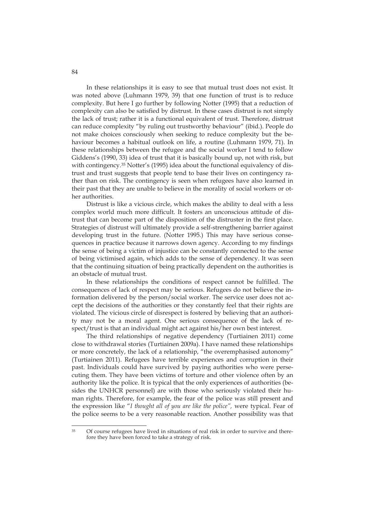In these relationships it is easy to see that mutual trust does not exist. It was noted above (Luhmann 1979, 39) that one function of trust is to reduce complexity. But here I go further by following Notter (1995) that a reduction of complexity can also be satisfied by distrust. In these cases distrust is not simply the lack of trust; rather it is a functional equivalent of trust. Therefore, distrust can reduce complexity "by ruling out trustworthy behaviour" (ibid.). People do not make choices consciously when seeking to reduce complexity but the behaviour becomes a habitual outlook on life, a routine (Luhmann 1979, 71). In these relationships between the refugee and the social worker I tend to follow Giddens's (1990, 33) idea of trust that it is basically bound up, not with risk, but with contingency.<sup>35</sup> Notter's (1995) idea about the functional equivalency of distrust and trust suggests that people tend to base their lives on contingency rather than on risk. The contingency is seen when refugees have also learned in their past that they are unable to believe in the morality of social workers or other authorities.

Distrust is like a vicious circle, which makes the ability to deal with a less complex world much more difficult. It fosters an unconscious attitude of distrust that can become part of the disposition of the distruster in the first place. Strategies of distrust will ultimately provide a self-strengthening barrier against developing trust in the future. (Notter 1995.) This may have serious consequences in practice because it narrows down agency. According to my findings the sense of being a victim of injustice can be constantly connected to the sense of being victimised again, which adds to the sense of dependency. It was seen that the continuing situation of being practically dependent on the authorities is an obstacle of mutual trust.

In these relationships the conditions of respect cannot be fulfilled. The consequences of lack of respect may be serious. Refugees do not believe the information delivered by the person/social worker. The service user does not accept the decisions of the authorities or they constantly feel that their rights are violated. The vicious circle of disrespect is fostered by believing that an authority may not be a moral agent. One serious consequence of the lack of respect/trust is that an individual might act against his/her own best interest.

The third relationships of negative dependency (Turtiainen 2011) come close to withdrawal stories (Turtiainen 2009a). I have named these relationships or more concretely, the lack of a relationship, "the overemphasised autonomy" (Turtiainen 2011). Refugees have terrible experiences and corruption in their past. Individuals could have survived by paying authorities who were persecuting them. They have been victims of torture and other violence often by an authority like the police. It is typical that the only experiences of authorities (besides the UNHCR personnel) are with those who seriously violated their human rights. Therefore, for example, the fear of the police was still present and the expression like "*I thought all of you are like the police",* were typical. Fear of the police seems to be a very reasonable reaction. Another possibility was that

 $35$ Of course refugees have lived in situations of real risk in order to survive and therefore they have been forced to take a strategy of risk.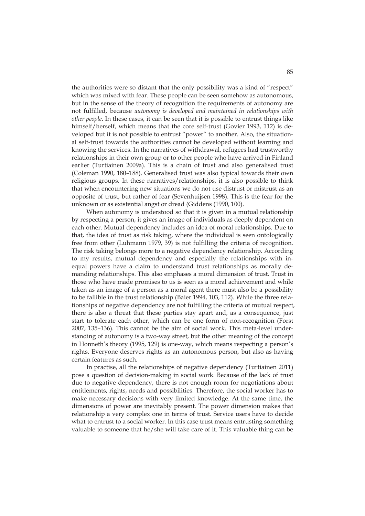the authorities were so distant that the only possibility was a kind of "respect" which was mixed with fear. These people can be seen somehow as autonomous, but in the sense of the theory of recognition the requirements of autonomy are not fulfilled, because *autonomy is developed and maintained in relationships with other people*. In these cases, it can be seen that it is possible to entrust things like himself/herself, which means that the core self-trust (Govier 1993, 112) is developed but it is not possible to entrust "power" to another. Also, the situational self-trust towards the authorities cannot be developed without learning and knowing the services. In the narratives of withdrawal, refugees had trustworthy relationships in their own group or to other people who have arrived in Finland earlier (Turtiainen 2009a). This is a chain of trust and also generalised trust (Coleman 1990, 180–188). Generalised trust was also typical towards their own religious groups. In these narratives/relationships, it is also possible to think that when encountering new situations we do not use distrust or mistrust as an opposite of trust, but rather of fear (Sevenhuijsen 1998). This is the fear for the unknown or as existential angst or dread (Giddens (1990, 100).

When autonomy is understood so that it is given in a mutual relationship by respecting a person, it gives an image of individuals as deeply dependent on each other. Mutual dependency includes an idea of moral relationships. Due to that, the idea of trust as risk taking, where the individual is seen ontologically free from other (Luhmann 1979, 39) is not fulfilling the criteria of recognition. The risk taking belongs more to a negative dependency relationship. According to my results, mutual dependency and especially the relationships with inequal powers have a claim to understand trust relationships as morally demanding relationships. This also emphases a moral dimension of trust. Trust in those who have made promises to us is seen as a moral achievement and while taken as an image of a person as a moral agent there must also be a possibility to be fallible in the trust relationship (Baier 1994, 103, 112). While the three relationships of negative dependency are not fulfilling the criteria of mutual respect, there is also a threat that these parties stay apart and, as a consequence, just start to tolerate each other, which can be one form of non-recognition (Forst 2007, 135–136). This cannot be the aim of social work. This meta-level understanding of autonomy is a two-way street, but the other meaning of the concept in Honneth's theory (1995, 129) is one-way, which means respecting a person's rights. Everyone deserves rights as an autonomous person, but also as having certain features as such.

In practise, all the relationships of negative dependency (Turtiainen 2011) pose a question of decision-making in social work. Because of the lack of trust due to negative dependency, there is not enough room for negotiations about entitlements, rights, needs and possibilities. Therefore, the social worker has to make necessary decisions with very limited knowledge. At the same time, the dimensions of power are inevitably present. The power dimension makes that relationship a very complex one in terms of trust. Service users have to decide what to entrust to a social worker. In this case trust means entrusting something valuable to someone that he/she will take care of it. This valuable thing can be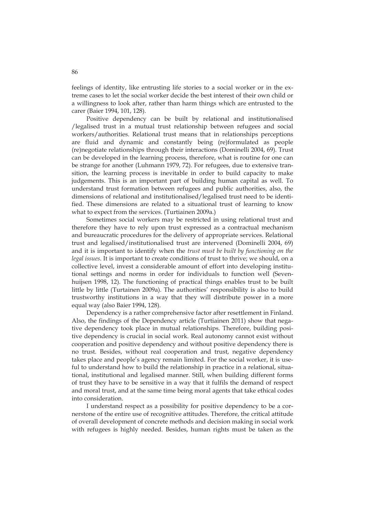feelings of identity, like entrusting life stories to a social worker or in the extreme cases to let the social worker decide the best interest of their own child or a willingness to look after, rather than harm things which are entrusted to the carer (Baier 1994, 101, 128).

Positive dependency can be built by relational and institutionalised /legalised trust in a mutual trust relationship between refugees and social workers/authorities. Relational trust means that in relationships perceptions are fluid and dynamic and constantly being (re)formulated as people (re)negotiate relationships through their interactions (Dominelli 2004, 69). Trust can be developed in the learning process, therefore, what is routine for one can be strange for another (Luhmann 1979, 72). For refugees, due to extensive transition, the learning process is inevitable in order to build capacity to make judgements. This is an important part of building human capital as well. To understand trust formation between refugees and public authorities, also, the dimensions of relational and institutionalised/legalised trust need to be identified. These dimensions are related to a situational trust of learning to know what to expect from the services. (Turtiainen 2009a.)

Sometimes social workers may be restricted in using relational trust and therefore they have to rely upon trust expressed as a contractual mechanism and bureaucratic procedures for the delivery of appropriate services. Relational trust and legalised/institutionalised trust are intervened (Dominelli 2004, 69) and it is important to identify when the *trust must be built by functioning on the legal issues*. It is important to create conditions of trust to thrive; we should, on a collective level, invest a considerable amount of effort into developing institutional settings and norms in order for individuals to function well (Sevenhuijsen 1998, 12). The functioning of practical things enables trust to be built little by little (Turtainen 2009a). The authorities' responsibility is also to build trustworthy institutions in a way that they will distribute power in a more equal way (also Baier 1994, 128).

Dependency is a rather comprehensive factor after resettlement in Finland. Also, the findings of the Dependency article (Turtiainen 2011) show that negative dependency took place in mutual relationships. Therefore, building positive dependency is crucial in social work. Real autonomy cannot exist without cooperation and positive dependency and without positive dependency there is no trust. Besides, without real cooperation and trust, negative dependency takes place and people's agency remain limited. For the social worker, it is useful to understand how to build the relationship in practice in a relational, situational, institutional and legalised manner. Still, when building different forms of trust they have to be sensitive in a way that it fulfils the demand of respect and moral trust, and at the same time being moral agents that take ethical codes into consideration.

I understand respect as a possibility for positive dependency to be a cornerstone of the entire use of recognitive attitudes. Therefore, the critical attitude of overall development of concrete methods and decision making in social work with refugees is highly needed. Besides, human rights must be taken as the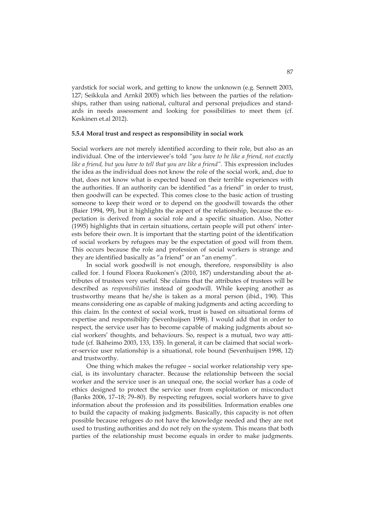yardstick for social work, and getting to know the unknown (e.g. Sennett 2003, 127; Seikkula and Arnkil 2005) which lies between the parties of the relationships, rather than using national, cultural and personal prejudices and standards in needs assessment and looking for possibilities to meet them (cf. Keskinen et.al 2012).

#### **5.5.4 Moral trust and respect as responsibility in social work**

Social workers are not merely identified according to their role, but also as an individual. One of the interviewee's told *"you have to be like a friend, not exactly like a friend, but you have to tell that you are like a friend".* This expression includes the idea as the individual does not know the role of the social work, and, due to that, does not know what is expected based on their terrible experiences with the authorities. If an authority can be identified "as a friend" in order to trust, then goodwill can be expected. This comes close to the basic action of trusting someone to keep their word or to depend on the goodwill towards the other (Baier 1994, 99), but it highlights the aspect of the relationship, because the expectation is derived from a social role and a specific situation. Also, Notter (1995) highlights that in certain situations, certain people will put others' interests before their own. It is important that the starting point of the identification of social workers by refugees may be the expectation of good will from them. This occurs because the role and profession of social workers is strange and they are identified basically as "a friend" or an "an enemy".

In social work goodwill is not enough, therefore, responsibility is also called for. I found Floora Ruokonen's (2010, 187) understanding about the attributes of trustees very useful. She claims that the attributes of trustees will be described as *responsibilities* instead of goodwill. While keeping another as trustworthy means that he/she is taken as a moral person (ibid., 190). This means considering one as capable of making judgments and acting according to this claim. In the context of social work, trust is based on situational forms of expertise and responsibility (Sevenhuijsen 1998). I would add that in order to respect, the service user has to become capable of making judgments about social workers' thoughts, and behaviours. So, respect is a mutual, two way attitude (cf. Ikäheimo 2003, 133, 135). In general, it can be claimed that social worker-service user relationship is a situational, role bound (Sevenhuijsen 1998, 12) and trustworthy.

One thing which makes the refugee – social worker relationship very special, is its involuntary character. Because the relationship between the social worker and the service user is an unequal one, the social worker has a code of ethics designed to protect the service user from exploitation or misconduct (Banks 2006, 17–18; 79–80). By respecting refugees, social workers have to give information about the profession and its possibilities. Information enables one to build the capacity of making judgments. Basically, this capacity is not often possible because refugees do not have the knowledge needed and they are not used to trusting authorities and do not rely on the system. This means that both parties of the relationship must become equals in order to make judgments.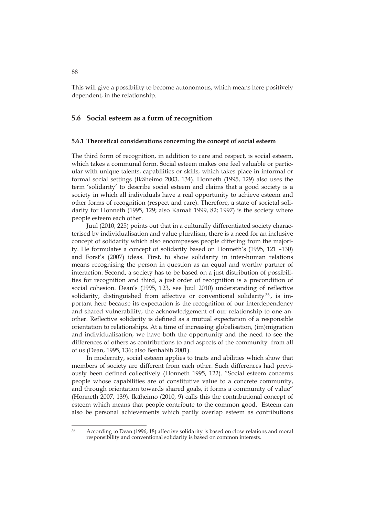This will give a possibility to become autonomous, which means here positively dependent, in the relationship.

## **5.6 Social esteem as a form of recognition**

#### **5.6.1 Theoretical considerations concerning the concept of social esteem**

The third form of recognition, in addition to care and respect, is social esteem, which takes a communal form. Social esteem makes one feel valuable or particular with unique talents, capabilities or skills, which takes place in informal or formal social settings (Ikäheimo 2003, 134). Honneth (1995, 129) also uses the term 'solidarity' to describe social esteem and claims that a good society is a society in which all individuals have a real opportunity to achieve esteem and other forms of recognition (respect and care). Therefore, a state of societal solidarity for Honneth (1995, 129; also Kamali 1999, 82; 1997) is the society where people esteem each other.

Juul (2010, 225) points out that in a culturally differentiated society characterised by individualisation and value pluralism, there is a need for an inclusive concept of solidarity which also encompasses people differing from the majority. He formulates a concept of solidarity based on Honneth's (1995, 121 –130) and Forst's (2007) ideas. First, to show solidarity in inter-human relations means recognising the person in question as an equal and worthy partner of interaction. Second, a society has to be based on a just distribution of possibilities for recognition and third, a just order of recognition is a precondition of social cohesion. Dean's (1995, 123, see Juul 2010) understanding of reflective solidarity, distinguished from affective or conventional solidarity $36$ , is important here because its expectation is the recognition of our interdependency and shared vulnerability, the acknowledgement of our relationship to one another. Reflective solidarity is defined as a mutual expectation of a responsible orientation to relationships. At a time of increasing globalisation, (im)migration and individualisation, we have both the opportunity and the need to see the differences of others as contributions to and aspects of the community from all of us (Dean, 1995, 136; also Benhabib 2001).

In modernity, social esteem applies to traits and abilities which show that members of society are different from each other. Such differences had previously been defined collectively (Honneth 1995, 122). "Social esteem concerns people whose capabilities are of constitutive value to a concrete community, and through orientation towards shared goals, it forms a community of value" (Honneth 2007, 139). Ikäheimo (2010, 9) calls this the contributional concept of esteem which means that people contribute to the common good. Esteem can also be personal achievements which partly overlap esteem as contributions

-

<sup>&</sup>lt;sup>36</sup> According to Dean (1996, 18) affective solidarity is based on close relations and moral responsibility and conventional solidarity is based on common interests.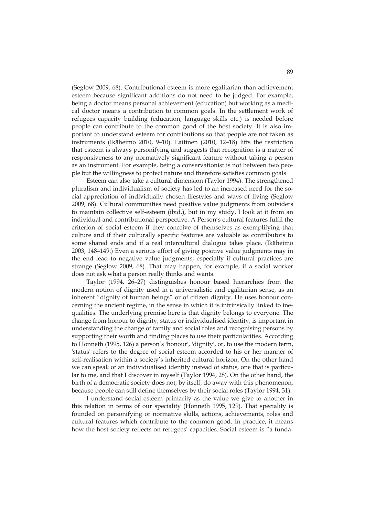(Seglow 2009, 68). Contributional esteem is more egalitarian than achievement esteem because significant additions do not need to be judged. For example, being a doctor means personal achievement (education) but working as a medical doctor means a contribution to common goals. In the settlement work of refugees capacity building (education, language skills etc.) is needed before people can contribute to the common good of the host society. It is also important to understand esteem for contributions so that people are not taken as instruments (Ikäheimo 2010, 9–10). Laitinen (2010, 12–18) lifts the restriction that esteem is always personifying and suggests that recognition is a matter of responsiveness to any normatively significant feature without taking a person as an instrument. For example, being a conservationist is not between two people but the willingness to protect nature and therefore satisfies common goals.

Esteem can also take a cultural dimension (Taylor 1994). The strengthened pluralism and individualism of society has led to an increased need for the social appreciation of individually chosen lifestyles and ways of living (Seglow 2009, 68). Cultural communities need positive value judgments from outsiders to maintain collective self-esteem (ibid.), but in my study, I look at it from an individual and contributional perspective. A Person's cultural features fulfil the criterion of social esteem if they conceive of themselves as exemplifying that culture and if their culturally specific features are valuable as contributors to some shared ends and if a real intercultural dialogue takes place. (Ikäheimo 2003, 148–149.) Even a serious effort of giving positive value judgments may in the end lead to negative value judgments, especially if cultural practices are strange (Seglow 2009, 68). That may happen, for example, if a social worker does not ask what a person really thinks and wants.

Taylor (1994, 26–27) distinguishes honour based hierarchies from the modern notion of dignity used in a universalistic and egalitarian sense, as an inherent "dignity of human beings" or of citizen dignity. He uses honour concerning the ancient regime, in the sense in which it is intrinsically linked to inequalities. The underlying premise here is that dignity belongs to everyone. The change from honour to dignity, status or individualised identity, is important in understanding the change of family and social roles and recognising persons by supporting their worth and finding places to use their particularities. According to Honneth (1995, 126) a person's 'honour', 'dignity', or, to use the modern term, 'status' refers to the degree of social esteem accorded to his or her manner of self-realisation within a society's inherited cultural horizon. On the other hand we can speak of an individualised identity instead of status, one that is particular to me, and that I discover in myself (Taylor 1994, 28). On the other hand, the birth of a democratic society does not, by itself, do away with this phenomenon, because people can still define themselves by their social roles (Taylor 1994, 31).

I understand social esteem primarily as the value we give to another in this relation in terms of our speciality (Honneth 1995, 129). That speciality is founded on personifying or normative skills, actions, achievements, roles and cultural features which contribute to the common good. In practice, it means how the host society reflects on refugees' capacities. Social esteem is "a funda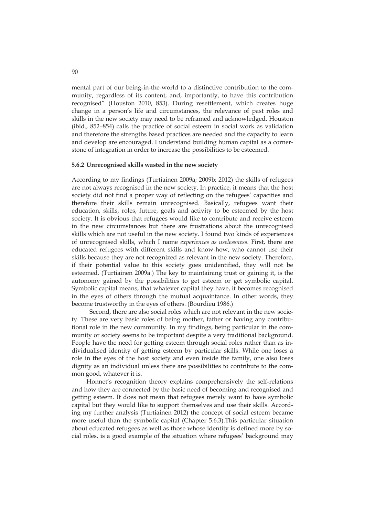mental part of our being-in-the-world to a distinctive contribution to the community, regardless of its content, and, importantly, to have this contribution recognised" (Houston 2010, 853). During resettlement, which creates huge change in a person's life and circumstances, the relevance of past roles and skills in the new society may need to be reframed and acknowledged. Houston (ibid., 852–854) calls the practice of social esteem in social work as validation and therefore the strengths based practices are needed and the capacity to learn and develop are encouraged. I understand building human capital as a cornerstone of integration in order to increase the possibilities to be esteemed.

#### **5.6.2 Unrecognised skills wasted in the new society**

According to my findings (Turtiainen 2009a; 2009b; 2012) the skills of refugees are not always recognised in the new society. In practice, it means that the host society did not find a proper way of reflecting on the refugees' capacities and therefore their skills remain unrecognised. Basically, refugees want their education, skills, roles, future, goals and activity to be esteemed by the host society. It is obvious that refugees would like to contribute and receive esteem in the new circumstances but there are frustrations about the unrecognised skills which are not useful in the new society. I found two kinds of experiences of unrecognised skills, which I name *experiences as uselessness*. First, there are educated refugees with different skills and know-how, who cannot use their skills because they are not recognized as relevant in the new society. Therefore, if their potential value to this society goes unidentified, they will not be esteemed. (Turtiainen 2009a.) The key to maintaining trust or gaining it, is the autonomy gained by the possibilities to get esteem or get symbolic capital. Symbolic capital means, that whatever capital they have, it becomes recognised in the eyes of others through the mutual acquaintance. In other words, they become trustworthy in the eyes of others. (Bourdieu 1986.)

 Second, there are also social roles which are not relevant in the new society. These are very basic roles of being mother, father or having any contributional role in the new community. In my findings, being particular in the community or society seems to be important despite a very traditional background. People have the need for getting esteem through social roles rather than as individualised identity of getting esteem by particular skills. While one loses a role in the eyes of the host society and even inside the family, one also loses dignity as an individual unless there are possibilities to contribute to the common good, whatever it is.

Honnet's recognition theory explains comprehensively the self-relations and how they are connected by the basic need of becoming and recognised and getting esteem. It does not mean that refugees merely want to have symbolic capital but they would like to support themselves and use their skills. According my further analysis (Turtiainen 2012) the concept of social esteem became more useful than the symbolic capital (Chapter 5.6.3).This particular situation about educated refugees as well as those whose identity is defined more by social roles, is a good example of the situation where refugees' background may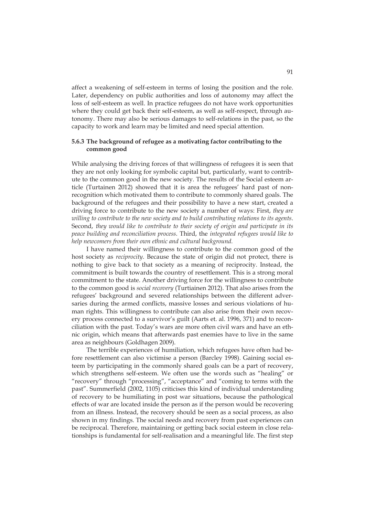affect a weakening of self-esteem in terms of losing the position and the role. Later, dependency on public authorities and loss of autonomy may affect the loss of self-esteem as well. In practice refugees do not have work opportunities where they could get back their self-esteem, as well as self-respect, through autonomy. There may also be serious damages to self-relations in the past, so the capacity to work and learn may be limited and need special attention.

## **5.6.3 The background of refugee as a motivating factor contributing to the common good**

While analysing the driving forces of that willingness of refugees it is seen that they are not only looking for symbolic capital but, particularly, want to contribute to the common good in the new society. The results of the Social esteem article (Turtainen 2012) showed that it is area the refugees' hard past of nonrecognition which motivated them to contribute to commonly shared goals. The background of the refugees and their possibility to have a new start, created a driving force to contribute to the new society a number of ways: First, *they are willing to contribute to the new society and to build contributing relations to its agents*. Second, *they would like to contribute to their society of origin and participate in its peace building and reconciliation process*. Third, the *integrated refugees would like to help newcomers from their own ethnic and cultural background.* 

I have named their willingness to contribute to the common good of the host society as *reciprocity*. Because the state of origin did not protect, there is nothing to give back to that society as a meaning of reciprocity. Instead, the commitment is built towards the country of resettlement. This is a strong moral commitment to the state. Another driving force for the willingness to contribute to the common good is *social recovery* (Turtiainen 2012). That also arises from the refugees' background and severed relationships between the different adversaries during the armed conflicts, massive losses and serious violations of human rights. This willingness to contribute can also arise from their own recovery process connected to a survivor's guilt (Aarts et. al. 1996, 371) and to reconciliation with the past. Today's wars are more often civil wars and have an ethnic origin, which means that afterwards past enemies have to live in the same area as neighbours (Goldhagen 2009).

The terrible experiences of humiliation, which refugees have often had before resettlement can also victimise a person (Barcley 1998). Gaining social esteem by participating in the commonly shared goals can be a part of recovery, which strengthens self-esteem. We often use the words such as "healing" or "recovery" through "processing", "acceptance" and "coming to terms with the past". Summerfield (2002, 1105) criticises this kind of individual understanding of recovery to be humiliating in post war situations, because the pathological effects of war are located inside the person as if the person would be recovering from an illness. Instead, the recovery should be seen as a social process, as also shown in my findings. The social needs and recovery from past experiences can be reciprocal. Therefore, maintaining or getting back social esteem in close relationships is fundamental for self-realisation and a meaningful life. The first step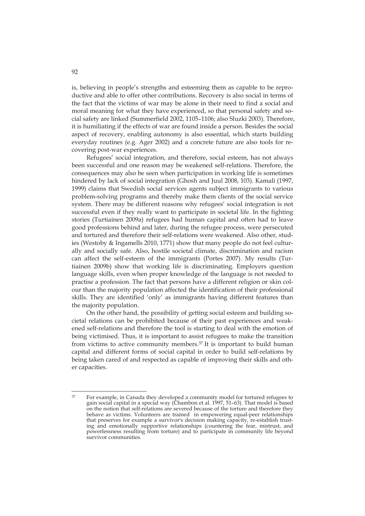is, believing in people's strengths and esteeming them as capable to be reproductive and able to offer other contributions. Recovery is also social in terms of the fact that the victims of war may be alone in their need to find a social and moral meaning for what they have experienced, so that personal safety and social safety are linked (Summerfield 2002, 1105–1106; also Sluzki 2003). Therefore, it is humiliating if the effects of war are found inside a person. Besides the social aspect of recovery, enabling autonomy is also essential, which starts building everyday routines (e.g. Ager 2002) and a concrete future are also tools for recovering post-war experiences.

Refugees' social integration, and therefore, social esteem, has not always been successful and one reason may be weakened self-relations. Therefore, the consequences may also be seen when participation in working life is sometimes hindered by lack of social integration (Ghosh and Juul 2008, 103). Kamali (1997, 1999) claims that Swedish social services agents subject immigrants to various problem-solving programs and thereby make them clients of the social service system. There may be different reasons why refugees' social integration is not successful even if they really want to participate in societal life. In the fighting stories (Turtiainen 2009a) refugees had human capital and often had to leave good professions behind and later, during the refugee process, were persecuted and tortured and therefore their self-relations were weakened. Also other, studies (Westoby & Ingamells 2010, 1771) show that many people do not feel culturally and socially safe. Also, hostile societal climate, discrimination and racism can affect the self-esteem of the immigrants (Portes 2007). My results (Turtiainen 2009b) show that working life is discriminating. Employers question language skills, even when proper knowledge of the language is not needed to practise a profession. The fact that persons have a different religion or skin colour than the majority population affected the identification of their professional skills. They are identified 'only' as immigrants having different features than the majority population.

On the other hand, the possibility of getting social esteem and building societal relations can be prohibited because of their past experiences and weakened self-relations and therefore the tool is starting to deal with the emotion of being victimised. Thus, it is important to assist refugees to make the transition from victims to active community members.<sup>37</sup> It is important to build human capital and different forms of social capital in order to build self-relations by being taken cared of and respected as capable of improving their skills and other capacities.

-

<sup>&</sup>lt;sup>37</sup> For example, in Canada they developed a community model for tortured refugees to gain social capital in a special way (Chambon et al. 1997, 51–63). That model is based on the notion that self-relations are severed because of the torture and therefore they behave as victims. Volunteers are trained in empowering equal-peer relationships that preserves for example a survivor's decision making capacity, re-establish trusting and emotionally supportive relationships (countering the fear, mistrust, and powerlessness resulting from torture) and to participate in community life beyond survivor communities.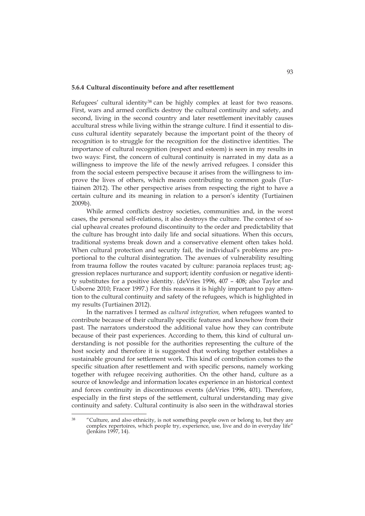#### **5.6.4 Cultural discontinuity before and after resettlement**

Refugees' cultural identity38 can be highly complex at least for two reasons. First, wars and armed conflicts destroy the cultural continuity and safety, and second, living in the second country and later resettlement inevitably causes accultural stress while living within the strange culture. I find it essential to discuss cultural identity separately because the important point of the theory of recognition is to struggle for the recognition for the distinctive identities. The importance of cultural recognition (respect and esteem) is seen in my results in two ways: First, the concern of cultural continuity is narrated in my data as a willingness to improve the life of the newly arrived refugees. I consider this from the social esteem perspective because it arises from the willingness to improve the lives of others, which means contributing to common goals (Turtiainen 2012). The other perspective arises from respecting the right to have a certain culture and its meaning in relation to a person's identity (Turtiainen 2009b).

While armed conflicts destroy societies, communities and, in the worst cases, the personal self-relations, it also destroys the culture. The context of social upheaval creates profound discontinuity to the order and predictability that the culture has brought into daily life and social situations. When this occurs, traditional systems break down and a conservative element often takes hold. When cultural protection and security fail, the individual's problems are proportional to the cultural disintegration. The avenues of vulnerability resulting from trauma follow the routes vacated by culture: paranoia replaces trust; aggression replaces nurturance and support; identity confusion or negative identity substitutes for a positive identity. (deVries 1996, 407 – 408; also Taylor and Usborne 2010; Fracer 1997.) For this reasons it is highly important to pay attention to the cultural continuity and safety of the refugees, which is highlighted in my results (Turtiainen 2012).

In the narratives I termed as *cultural integration,* when refugees wanted to contribute because of their culturally specific features and knowhow from their past. The narrators understood the additional value how they can contribute because of their past experiences. According to them, this kind of cultural understanding is not possible for the authorities representing the culture of the host society and therefore it is suggested that working together establishes a sustainable ground for settlement work. This kind of contribution comes to the specific situation after resettlement and with specific persons, namely working together with refugee receiving authorities. On the other hand, culture as a source of knowledge and information locates experience in an historical context and forces continuity in discontinuous events (deVries 1996, 401). Therefore, especially in the first steps of the settlement, cultural understanding may give continuity and safety. Cultural continuity is also seen in the withdrawal stories

-

<sup>38 &</sup>quot;Culture, and also ethnicity, is not something people own or belong to, but they are complex repertoires, which people try, experience, use, live and do in everyday life" (Jenkins 1997, 14).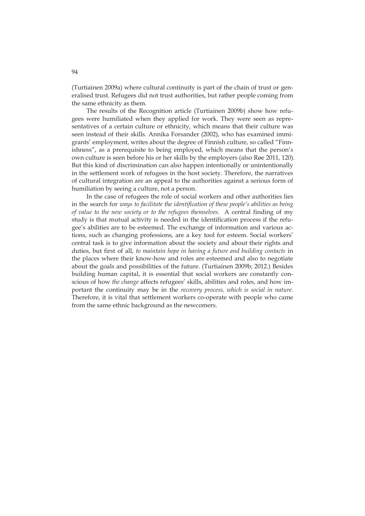(Turtiainen 2009a) where cultural continuity is part of the chain of trust or generalised trust. Refugees did not trust authorities, but rather people coming from the same ethnicity as them.

The results of the Recognition article (Turtiainen 2009b) show how refugees were humiliated when they applied for work. They were seen as representatives of a certain culture or ethnicity, which means that their culture was seen instead of their skills. Annika Forsander (2002), who has examined immigrants' employment, writes about the degree of Finnish culture, so called "Finnishness", as a prerequisite to being employed, which means that the person's own culture is seen before his or her skills by the employers (also Røe 2011, 120). But this kind of discrimination can also happen intentionally or unintentionally in the settlement work of refugees in the host society. Therefore, the narratives of cultural integration are an appeal to the authorities against a serious form of humiliation by seeing a culture, not a person.

In the case of refugees the role of social workers and other authorities lies in the search for *ways to facilitate the identification of these people's abilities as being of value to the new society or to the refugees themselves.* A central finding of my study is that mutual activity is needed in the identification process if the refugee's abilities are to be esteemed. The exchange of information and various actions, such as changing professions, are a key tool for esteem. Social workers' central task is to give information about the society and about their rights and duties, but first of all, *to maintain hope in having a future and building contacts* in the places where their know-how and roles are esteemed and also to negotiate about the goals and possibilities of the future. (Turtiainen 2009b; 2012.) Besides building human capital, it is essential that social workers are constantly conscious of how *the change* affects refugees' skills, abilities and roles, and how important the continuity may be in the *recovery process, which is social in nature.*  Therefore, it is vital that settlement workers co-operate with people who came from the same ethnic background as the newcomers.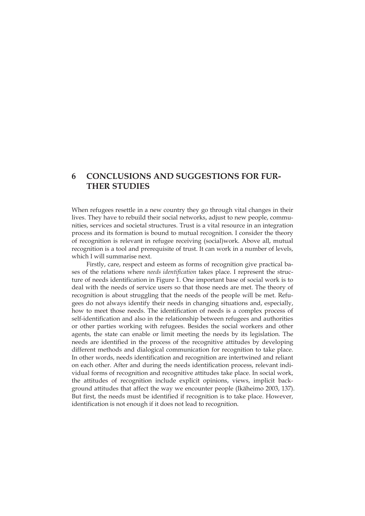# **6 CONCLUSIONS AND SUGGESTIONS FOR FUR-THER STUDIES**

When refugees resettle in a new country they go through vital changes in their lives. They have to rebuild their social networks, adjust to new people, communities, services and societal structures. Trust is a vital resource in an integration process and its formation is bound to mutual recognition. I consider the theory of recognition is relevant in refugee receiving (social)work. Above all, mutual recognition is a tool and prerequisite of trust. It can work in a number of levels, which I will summarise next.

Firstly, care, respect and esteem as forms of recognition give practical bases of the relations where *needs identification* takes place. I represent the structure of needs identification in Figure 1. One important base of social work is to deal with the needs of service users so that those needs are met. The theory of recognition is about struggling that the needs of the people will be met. Refugees do not always identify their needs in changing situations and, especially, how to meet those needs. The identification of needs is a complex process of self-identification and also in the relationship between refugees and authorities or other parties working with refugees. Besides the social workers and other agents, the state can enable or limit meeting the needs by its legislation. The needs are identified in the process of the recognitive attitudes by developing different methods and dialogical communication for recognition to take place. In other words, needs identification and recognition are intertwined and reliant on each other. After and during the needs identification process, relevant individual forms of recognition and recognitive attitudes take place. In social work, the attitudes of recognition include explicit opinions, views, implicit background attitudes that affect the way we encounter people (Ikäheimo 2003, 137). But first, the needs must be identified if recognition is to take place. However, identification is not enough if it does not lead to recognition.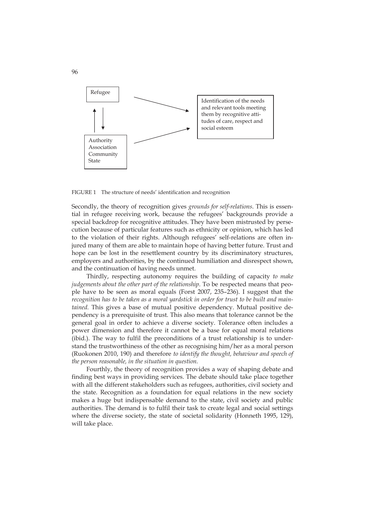

FIGURE 1 The structure of needs' identification and recognition

Secondly, the theory of recognition gives *grounds for self-relations*. This is essential in refugee receiving work, because the refugees' backgrounds provide a special backdrop for recognitive attitudes. They have been mistrusted by persecution because of particular features such as ethnicity or opinion, which has led to the violation of their rights. Although refugees' self-relations are often injured many of them are able to maintain hope of having better future. Trust and hope can be lost in the resettlement country by its discriminatory structures, employers and authorities, by the continued humiliation and disrespect shown, and the continuation of having needs unmet.

Thirdly, respecting autonomy requires the building of capacity *to make judgements about the other part of the relationship*. To be respected means that people have to be seen as moral equals (Forst 2007, 235–236). I suggest that the *recognition has to be taken as a moral yardstick in order for trust to be built and maintained.* This gives a base of mutual positive dependency. Mutual positive dependency is a prerequisite of trust. This also means that tolerance cannot be the general goal in order to achieve a diverse society. Tolerance often includes a power dimension and therefore it cannot be a base for equal moral relations (ibid.). The way to fulfil the preconditions of a trust relationship is to understand the trustworthiness of the other as recognising him/her as a moral person (Ruokonen 2010, 190) and therefore *to identify the thought, behaviour and speech of the person reasonable, in the situation in question.* 

Fourthly, the theory of recognition provides a way of shaping debate and finding best ways in providing services. The debate should take place together with all the different stakeholders such as refugees, authorities, civil society and the state. Recognition as a foundation for equal relations in the new society makes a huge but indispensable demand to the state, civil society and public authorities. The demand is to fulfil their task to create legal and social settings where the diverse society, the state of societal solidarity (Honneth 1995, 129), will take place.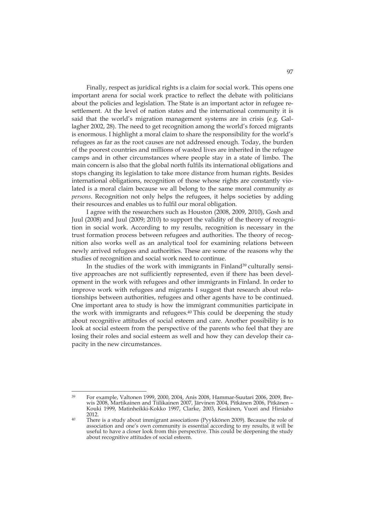Finally, respect as juridical rights is a claim for social work. This opens one important arena for social work practice to reflect the debate with politicians about the policies and legislation. The State is an important actor in refugee resettlement. At the level of nation states and the international community it is said that the world's migration management systems are in crisis (e.g. Gallagher 2002, 28). The need to get recognition among the world's forced migrants is enormous. I highlight a moral claim to share the responsibility for the world's refugees as far as the root causes are not addressed enough. Today, the burden of the poorest countries and millions of wasted lives are inherited in the refugee camps and in other circumstances where people stay in a state of limbo. The main concern is also that the global north fulfils its international obligations and stops changing its legislation to take more distance from human rights. Besides international obligations, recognition of those whose rights are constantly violated is a moral claim because we all belong to the same moral community *as persons*. Recognition not only helps the refugees, it helps societies by adding their resources and enables us to fulfil our moral obligation.

I agree with the researchers such as Houston (2008, 2009, 2010), Gosh and Juul (2008) and Juul (2009; 2010) to support the validity of the theory of recognition in social work. According to my results, recognition is necessary in the trust formation process between refugees and authorities. The theory of recognition also works well as an analytical tool for examining relations between newly arrived refugees and authorities. These are some of the reasons why the studies of recognition and social work need to continue.

In the studies of the work with immigrants in Finland39 culturally sensitive approaches are not sufficiently represented, even if there has been development in the work with refugees and other immigrants in Finland. In order to improve work with refugees and migrants I suggest that research about relationships between authorities, refugees and other agents have to be continued. One important area to study is how the immigrant communities participate in the work with immigrants and refugees.40 This could be deepening the study about recognitive attitudes of social esteem and care. Another possibility is to look at social esteem from the perspective of the parents who feel that they are losing their roles and social esteem as well and how they can develop their capacity in the new circumstances.

<sup>-</sup>39 For example, Valtonen 1999, 2000, 2004, Anis 2008, Hammar-Suutari 2006, 2009, Brewis 2008, Martikainen and Tiilikainen 2007, Järvinen 2004, Pitkänen 2006, Pitkänen – Kouki 1999, Matinheikki-Kokko 1997, Clarke, 2003, Keskinen, Vuori and Hirsiaho

<sup>&</sup>lt;sup>40</sup> There is a study about immigrant associations (Pyykkönen 2009). Because the role of association and one's own community is essential according to my results, it will be useful to have a closer look from this perspective. This could be deepening the study about recognitive attitudes of social esteem.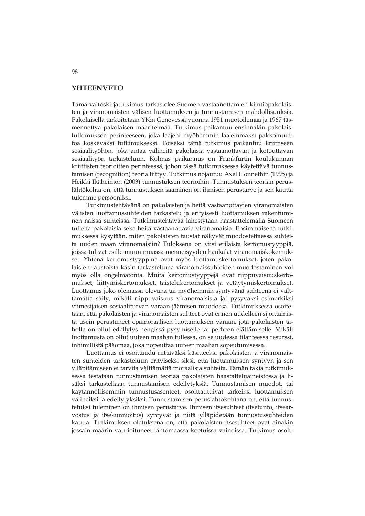## **YHTEENVETO**

Tämä väitöskirjatutkimus tarkastelee Suomen vastaanottamien kiintiöpakolaisten ja viranomaisten välisen luottamuksen ja tunnustamisen mahdollisuuksia. Pakolaisella tarkoitetaan YK:n Genevessä vuonna 1951 muotoilemaa ja 1967 täsmennettyä pakolaisen määritelmää. Tutkimus paikantuu ensinnäkin pakolaistutkimuksen perinteeseen, joka laajeni myöhemmin laajemmaksi pakkomuuttoa koskevaksi tutkimukseksi. Toiseksi tämä tutkimus paikantuu kriittiseen sosiaalityöhön, joka antaa välineitä pakolaisia vastaanottavan ja kotouttavan sosiaalityön tarkasteluun. Kolmas paikannus on Frankfurtin koulukunnan kriittisten teorioitten perinteessä, johon tässä tutkimuksessa käytettävä tunnustamisen (recognition) teoria liittyy. Tutkimus nojautuu Axel Honnethin (1995) ja Heikki Ikäheimon (2003) tunnustuksen teorioihin. Tunnustuksen teorian peruslähtökohta on, että tunnustuksen saaminen on ihmisen perustarve ja sen kautta tulemme persooniksi.

Tutkimustehtävänä on pakolaisten ja heitä vastaanottavien viranomaisten välisten luottamussuhteiden tarkastelu ja erityisesti luottamuksen rakentuminen näissä suhteissa. Tutkimustehtävää lähestytään haastattelemalla Suomeen tulleita pakolaisia sekä heitä vastaanottavia viranomaisia. Ensimmäisenä tutkimuksessa kysytään, miten pakolaisten taustat näkyvät muodostettaessa suhteita uuden maan viranomaisiin? Tuloksena on viisi erilaista kertomustyyppiä, joissa tulivat esille muun muassa menneisyyden hankalat viranomaiskokemukset. Yhtenä kertomustyyppinä ovat myös luottamuskertomukset, joten pakolaisten taustoista käsin tarkasteltuna viranomaissuhteiden muodostaminen voi myös olla ongelmatonta. Muita kertomustyyppejä ovat riippuvaisuuskertomukset, liittymiskertomukset, taistelukertomukset ja vetäytymiskertomukset. Luottamus joko olemassa olevana tai myöhemmin syntyvänä suhteena ei välttämättä säily, mikäli riippuvaisuus viranomaisista jäi pysyväksi esimerkiksi viimesijaisen sosiaaliturvan varaan jäämisen muodossa. Tutkimuksessa osoitetaan, että pakolaisten ja viranomaisten suhteet ovat ennen uudelleen sijoittamista usein perustuneet epämoraalisen luottamuksen varaan, jota pakolaisten taholta on ollut edellytys hengissä pysymiselle tai perheen elättämiselle. Mikäli luottamusta on ollut uuteen maahan tullessa, on se uudessa tilanteessa resurssi, inhimillistä pääomaa, joka nopeuttaa uuteen maahan sopeutumisessa.

Luottamus ei osoittaudu riittäväksi käsitteeksi pakolaisten ja viranomaisten suhteiden tarkasteluun erityiseksi siksi, että luottamuksen syntyyn ja sen ylläpitämiseen ei tarvita välttämättä moraalisia suhteita. Tämän takia tutkimuksessa testataan tunnustamisen teoriaa pakolaisten haastatteluaineistossa ja lisäksi tarkastellaan tunnustamisen edellytyksiä. Tunnustamisen muodot, tai käytännöllisemmin tunnustusasenteet, osoittautuivat tärkeiksi luottamuksen välineiksi ja edellytyksiksi. Tunnustamisen peruslähtökohtana on, että tunnustetuksi tuleminen on ihmisen perustarve. Ihmisen itsesuhteet (itsetunto, itsearvostus ja itsekunnioitus) syntyvät ja niitä ylläpidetään tunnustussuhteiden kautta. Tutkimuksen oletuksena on, että pakolaisten itsesuhteet ovat ainakin jossain määrin vaurioituneet lähtömaassa koetuissa vainoissa. Tutkimus osoit-

98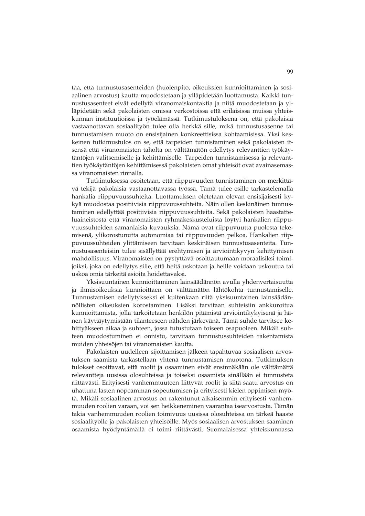taa, että tunnustusasenteiden (huolenpito, oikeuksien kunnioittaminen ja sosiaalinen arvostus) kautta muodostetaan ja ylläpidetään luottamusta. Kaikki tunnustusasenteet eivät edellytä viranomaiskontaktia ja niitä muodostetaan ja ylläpidetään sekä pakolaisten omissa verkostoissa että erilaisissa muissa yhteiskunnan instituutioissa ja työelämässä. Tutkimustuloksena on, että pakolaisia vastaanottavan sosiaalityön tulee olla herkkä sille, mikä tunnustusasenne tai tunnustamisen muoto on ensisijainen konkreettisissa kohtaamisissa. Yksi keskeinen tutkimustulos on se, että tarpeiden tunnistaminen sekä pakolaisten itsensä että viranomaisten taholta on välttämätön edellytys relevanttien työkäytäntöjen valitsemiselle ja kehittämiselle. Tarpeiden tunnistamisessa ja relevanttien työkäytäntöjen kehittämisessä pakolaisten omat yhteisöt ovat avainasemassa viranomaisten rinnalla.

Tutkimuksessa osoitetaan, että riippuvuuden tunnistaminen on merkittävä tekijä pakolaisia vastaanottavassa työssä. Tämä tulee esille tarkastelemalla hankalia riippuvuussuhteita. Luottamuksen oletetaan olevan ensisijaisesti kykyä muodostaa positiivisia riippuvuussuhteita. Näin ollen keskinäinen tunnustaminen edellyttää positiivisia riippuvuussuhteita. Sekä pakolaisten haastatteluaineistosta että viranomaisten ryhmäkeskusteluista löytyi hankalien riippuvuussuhteiden samanlaisia kuvauksia. Nämä ovat riippuvuutta puolesta tekemisenä, ylikorostunutta autonomiaa tai riippuvuuden pelkoa. Hankalien riippuvuussuhteiden ylittämiseen tarvitaan keskinäisen tunnustusasenteita. Tunnustusasenteisiin tulee sisällyttää erehtymisen ja arviointikyvyn kehittymisen mahdollisuus. Viranomaisten on pystyttävä osoittautumaan moraalisiksi toimijoiksi, joka on edellytys sille, että heitä uskotaan ja heille voidaan uskoutua tai uskoa omia tärkeitä asioita hoidettavaksi.

Yksisuuntainen kunnioittaminen lainsäädännön avulla yhdenvertaisuutta ja ihmisoikeuksia kunnioittaen on välttämätön lähtökohta tunnustamiselle. Tunnustamisen edellytykseksi ei kuitenkaan riitä yksisuuntainen lainsäädännöllisten oikeuksien korostaminen. Lisäksi tarvitaan suhteisiin ankkuroitua kunnioittamista, jolla tarkoitetaan henkilön pitämistä arviointikykyisenä ja hänen käyttäytymistään tilanteeseen nähden järkevänä. Tämä suhde tarvitsee kehittyäkseen aikaa ja suhteen, jossa tutustutaan toiseen osapuoleen. Mikäli suhteen muodostuminen ei onnistu, tarvitaan tunnustussuhteiden rakentamista muiden yhteisöjen tai viranomaisten kautta.

Pakolaisten uudelleen sijoittamisen jälkeen tapahtuvaa sosiaalisen arvostuksen saamista tarkastellaan yhtenä tunnustamisen muotona. Tutkimuksen tulokset osoittavat, että roolit ja osaaminen eivät ensinnäkään ole välttämättä relevantteja uusissa olosuhteissa ja toiseksi osaamista sinällään ei tunnusteta riittävästi. Erityisesti vanhemmuuteen liittyvät roolit ja siitä saatu arvostus on uhattuna lasten nopeamman sopeutumisen ja erityisesti kielen oppimisen myötä. Mikäli sosiaalinen arvostus on rakentunut aikaisemmin erityisesti vanhemmuuden roolien varaan, voi sen heikkeneminen vaarantaa isearvostusta. Tämän takia vanhemmuuden roolien toimivuus uusissa olosuhteissa on tärkeä haaste sosiaalityölle ja pakolaisten yhteisöille. Myös sosiaalisen arvostuksen saaminen osaamista hyödyntämällä ei toimi riittävästi. Suomalaisessa yhteiskunnassa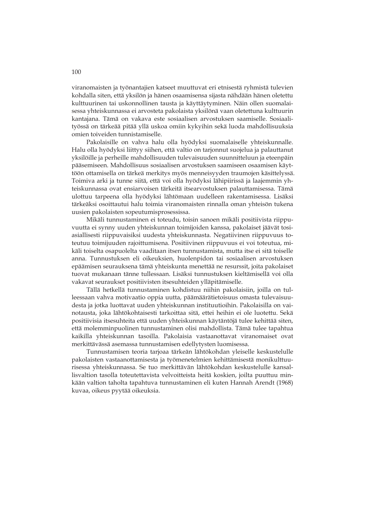viranomaisten ja työnantajien katseet muuttuvat eri etnisestä ryhmistä tulevien kohdalla siten, että yksilön ja hänen osaamisensa sijasta nähdään hänen oletettu kulttuurinen tai uskonnollinen tausta ja käyttäytyminen. Näin ollen suomalaisessa yhteiskunnassa ei arvosteta pakolaista yksilönä vaan oletettuna kulttuurin kantajana. Tämä on vakava este sosiaalisen arvostuksen saamiselle. Sosiaalityössä on tärkeää pitää yllä uskoa omiin kykyihin sekä luoda mahdollisuuksia omien toiveiden tunnistamiselle.

Pakolaisille on vahva halu olla hyödyksi suomalaiselle yhteiskunnalle. Halu olla hyödyksi liittyy siihen, että valtio on tarjonnut suojelua ja palauttanut yksilöille ja perheille mahdollisuuden tulevaisuuden suunnitteluun ja eteenpäin pääsemiseen. Mahdollisuus sosiaalisen arvostuksen saamiseen osaamisen käyttöön ottamisella on tärkeä merkitys myös menneisyyden traumojen käsittelyssä. Toimiva arki ja tunne siitä, että voi olla hyödyksi lähipiirissä ja laajemmin yhteiskunnassa ovat ensiarvoisen tärkeitä itsearvostuksen palauttamisessa. Tämä ulottuu tarpeena olla hyödyksi lähtömaan uudelleen rakentamisessa. Lisäksi tärkeäksi osoittautui halu toimia viranomaisten rinnalla oman yhteisön tukena uusien pakolaisten sopeutumisprosessissa.

Mikäli tunnustaminen ei toteudu, toisin sanoen mikäli positiivista riippuvuutta ei synny uuden yhteiskunnan toimijoiden kanssa, pakolaiset jäävät tosiasiallisesti riippuvaisiksi uudesta yhteiskunnasta. Negatiivinen riippuvuus toteutuu toimijuuden rajoittumisena. Positiivinen riippuvuus ei voi toteutua, mikäli toiselta osapuolelta vaaditaan itsen tunnustamista, mutta itse ei sitä toiselle anna. Tunnustuksen eli oikeuksien, huolenpidon tai sosiaalisen arvostuksen epäämisen seurauksena tämä yhteiskunta menettää ne resurssit, joita pakolaiset tuovat mukanaan tänne tullessaan. Lisäksi tunnustuksen kieltämisellä voi olla vakavat seuraukset positiivisten itsesuhteiden ylläpitämiselle.

Tällä hetkellä tunnustaminen kohdistuu niihin pakolaisiin, joilla on tulleessaan vahva motivaatio oppia uutta, päämäärätietoisuus omasta tulevaisuudesta ja jotka luottavat uuden yhteiskunnan instituutioihin. Pakolaisilla on vainotausta, joka lähtökohtaisesti tarkoittaa sitä, ettei heihin ei ole luotettu. Sekä positiivisia itsesuhteita että uuden yhteiskunnan käytäntöjä tulee kehittää siten, että molemminpuolinen tunnustaminen olisi mahdollista. Tämä tulee tapahtua kaikilla yhteiskunnan tasoilla. Pakolaisia vastaanottavat viranomaiset ovat merkittävässä asemassa tunnustamisen edellytysten luomisessa.

Tunnustamisen teoria tarjoaa tärkeän lähtökohdan yleiselle keskustelulle pakolaisten vastaanottamisesta ja työmenetelmien kehittämisestä monikulttuurisessa yhteiskunnassa. Se tuo merkittävän lähtökohdan keskustelulle kansallisvaltion tasolla toteutettavista velvoitteista heitä koskien, joilta puuttuu minkään valtion taholta tapahtuva tunnustaminen eli kuten Hannah Arendt (1968) kuvaa, oikeus pyytää oikeuksia.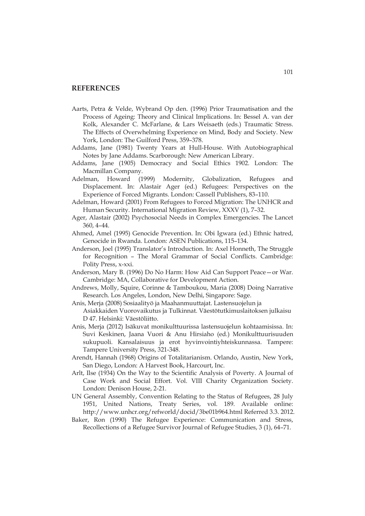## **REFERENCES**

- Aarts, Petra & Velde, Wybrand Op den. (1996) Prior Traumatisation and the Process of Ageing: Theory and Clinical Implications. In: Bessel A. van der Kolk, Alexander C. McFarlane, & Lars Weisaeth (eds.) Traumatic Stress. The Effects of Overwhelming Experience on Mind, Body and Society. New York, London: The Guilford Press, 359–378.
- Addams, Jane (1981) Twenty Years at Hull-House. With Autobiographical Notes by Jane Addams. Scarborough: New American Library.
- Addams, Jane (1905) Democracy and Social Ethics 1902. London: The Macmillan Company.
- Adelman, Howard (1999) Modernity, Globalization, Refugees and Displacement. In: Alastair Ager (ed.) Refugees: Perspectives on the Experience of Forced Migrants. London: Cassell Publishers, 83–110.
- Adelman, Howard (2001) From Refugees to Forced Migration: The UNHCR and Human Security. International Migration Review, XXXV (1), 7–32.
- Ager, Alastair (2002) Psychosocial Needs in Complex Emergencies. The Lancet 360, 4–44.
- Ahmed, Amel (1995) Genocide Prevention. In: Obi Igwara (ed.) Ethnic hatred, Genocide in Rwanda. London: ASEN Publications, 115–134.
- Anderson, Joel (1995) Translator's Introduction. In: Axel Honneth, The Struggle for Recognition – The Moral Grammar of Social Conflicts. Cambridge: Polity Press, x-xxi.
- Anderson, Mary B. (1996) Do No Harm: How Aid Can Support Peace—or War. Cambridge: MA, Collaborative for Development Action.
- Andrews, Molly, Squire, Corinne & Tamboukou, Maria (2008) Doing Narrative Research. Los Angeles, London, New Delhi, Singapore: Sage.
- Anis, Merja (2008) Sosiaalityö ja Maahanmuuttajat. Lastensuojelun ja Asiakkaiden Vuorovaikutus ja Tulkinnat. Väestötutkimuslaitoksen julkaisu D 47. Helsinki: Väestöliitto.
- Anis, Merja (2012) Isäkuvat monikulttuurissa lastensuojelun kohtaamisissa. In: Suvi Keskinen, Jaana Vuori & Anu Hirsiaho (ed.) Monikulttuurisuuden sukupuoli. Kansalaisuus ja erot hyvinvointiyhteiskunnassa. Tampere: Tampere University Press, 321-348.
- Arendt, Hannah (1968) Origins of Totalitarianism. Orlando, Austin, New York, San Diego, London: A Harvest Book, Harcourt, Inc.
- Arlt, Ilse (1934) On the Way to the Scientific Analysis of Poverty. A Journal of Case Work and Social Effort. Vol. VIII Charity Organization Society. London: Denison House, 2-21.
- UN General Assembly, Convention Relating to the Status of Refugees, 28 July 1951, United Nations, Treaty Series, vol. 189. Available online: http://www.unhcr.org/refworld/docid/3be01b964.html Referred 3.3. 2012.
- Baker, Ron (1990) The Refugee Experience: Communication and Stress, Recollections of a Refugee Survivor Journal of Refugee Studies, 3 (1), 64–71.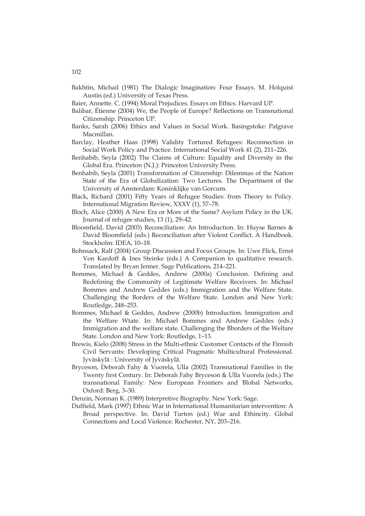- Bakhtin, Michail (1981) The Dialogic Imagination: Four Essays. M. Holquist Austin (ed.) University of Texas Press.
- Baier, Annette. C. (1994) Moral Prejudices. Essays on Ethics. Harvard UP.
- Balibar, Étienne (2004) We, the People of Europe? Reflections on Transnational Citizenship. Princeton UP.
- Banks, Sarah (2006) Ethics and Values in Social Work. Basingstoke: Palgrave Macmillan.
- Barclay, Heather Haas (1998) Validity Tortured Refugees: Reconnection in Social Work Policy and Practice. International Social Work 41 (2), 211–226.
- Benhabib, Seyla (2002) The Claims of Culture: Equality and Diversity in the Global Era. Princeton (N.J.): Princeton University Press.
- Benhabib, Seyla (2001) Transformation of Citizenship: Dilemmas of the Nation State of the Era of Globalization: Two Lectures. The Department of the University of Amsterdam: Koninklijke van Gorcum.
- Black, Richard (2001) Fifty Years of Refugee Studies: from Theory to Policy. International Migration Review, XXXV (1), 57–78.
- Bloch, Alice (2000) A New Era or More of the Same? Asylum Policy in the UK. Journal of refugee studies, 13 (1), 29–42.
- Bloomfield, David (2003) Reconciliation: An Introduction. In: Huyse Barnes & David Bloomfield (eds.) Reconciliation after Violent Conflict. A Handbook. Stockholm: IDEA, 10–18.
- Bohnsack, Ralf (2004) Group Discussion and Focus Groups. In: Uwe Flick, Ernst Von Kardoff & Ines Steinke (eds.) A Companion to qualitative research. Translated by Bryan Jenner. Sage Publications, 214–221.
- Bommes, Michael & Geddes, Andrew (2000a) Conclusion. Defining and Redefining the Community of Legitimate Welfare Receivers. In: Michael Bommes and Andrew Geddes (eds.) Immigration and the Welfare State. Challenging the Borders of the Welfare State. London and New York: Routledge, 248–253.
- Bommes, Michael & Geddes, Andrew (2000b) Introduction. Immigration and the Welfare Wtate. In: Michael Bommes and Andrew Geddes (eds.) Immigration and the welfare state. Challenging the Bborders of the Welfare State. London and New York: Routledge, 1–13.
- Brewis, Kielo (2008) Stress in the Multi-ethnic Customer Contacts of the Finnish Civil Servants: Developing Critical Pragmatic Multicultural Professional. Jyväskylä : University of Jyväskylä.
- Bryceson, Deborah Fahy & Vuorela, Ulla (2002) Transnational Families in the Twenty first Century. In: Deborah Fahy Bryceson & Ulla Vuorela (eds.) The transnational Family: New European Frontiers and Blobal Networks, Oxford: Berg, 3–30.
- Denzin, Norman K. (1989) Interpretive Biography. New York: Sage.
- Duffield, Mark (1997) Ethnic War in International Humanitarian intervention: A Broad perspective. In: David Turton (ed.) War and Ethincity. Global Connections and Local Violence. Rochester, NY, 203–216.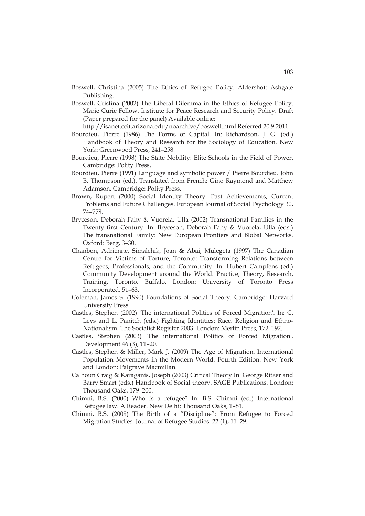- Boswell, Christina (2005) The Ethics of Refugee Policy. Aldershot: Ashgate Publishing.
- Boswell, Cristina (2002) The Liberal Dilemma in the Ethics of Refugee Policy. Marie Curie Fellow. Institute for Peace Research and Security Policy. Draft (Paper prepared for the panel) Available online:

http://isanet.ccit.arizona.edu/noarchive/boswell.html Referred 20.9.2011.

- Bourdieu, Pierre (1986) The Forms of Capital. In: Richardson, J. G. (ed.) Handbook of Theory and Research for the Sociology of Education. New York: Greenwood Press, 241–258.
- Bourdieu, Pierre (1998) The State Nobility: Elite Schools in the Field of Power. Cambridge: Polity Press.
- Bourdieu, Pierre (1991) Language and symbolic power / Pierre Bourdieu. John B. Thompson (ed.). Translated from French: Gino Raymond and Matthew Adamson. Cambridge: Polity Press.
- Brown, Rupert (2000) Social Identity Theory: Past Achievements, Current Problems and Future Challenges. European Journal of Social Psychology 30, 74–778.
- Bryceson, Deborah Fahy & Vuorela, Ulla (2002) Transnational Families in the Twenty first Century. In: Bryceson, Deborah Fahy & Vuorela, Ulla (eds.) The transnational Family: New European Frontiers and Blobal Networks. Oxford: Berg, 3–30.
- Chanbon, Adrienne, Simalchik, Joan & Abai, Mulegeta (1997) The Canadian Centre for Victims of Torture, Toronto: Transforming Relations between Refugees, Professionals, and the Community. In: Hubert Campfens (ed.) Community Development around the World. Practice, Theory, Research, Training. Toronto, Buffalo, London: University of Toronto Press Incorporated, 51–63.
- Coleman, James S. (1990) Foundations of Social Theory. Cambridge: Harvard University Press.
- Castles, Stephen (2002) 'The international Politics of Forced Migration'. In: C. Leys and L. Panitch (eds.) Fighting Identities: Race. Religion and Ethno-Nationalism. The Socialist Register 2003. London: Merlin Press, 172–192.
- Castles, Stephen (2003) 'The international Politics of Forced Migration'. Development 46 (3), 11–20.
- Castles, Stephen & Miller, Mark J. (2009) The Age of Migration. International Population Movements in the Modern World. Fourth Edition. New York and London: Palgrave Macmillan.
- Calhoun Craig & Karaganis, Joseph (2003) Critical Theory In: George Ritzer and Barry Smart (eds.) Handbook of Social theory. SAGE Publications. London: Thousand Oaks, 179–200.
- Chimni, B.S. (2000) Who is a refugee? In: B.S. Chimni (ed.) International Refugee law. A Reader. New Delhi: Thousand Oaks, 1–81.
- Chimni, B.S. (2009) The Birth of a "Discipline": From Refugee to Forced Migration Studies. Journal of Refugee Studies. 22 (1), 11–29.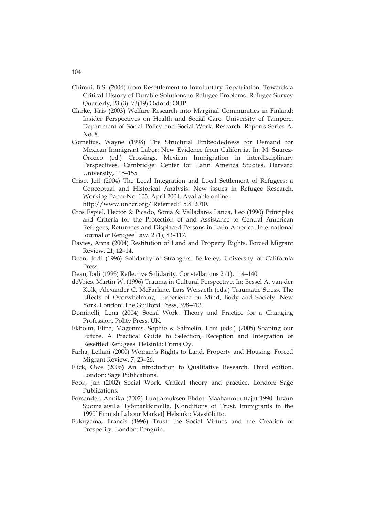- Chimni, B.S. (2004) from Resettlement to Involuntary Repatriation: Towards a Critical History of Durable Solutions to Refugee Problems. Refugee Survey Quarterly, 23 (3). 73(19) Oxford: OUP.
- Clarke, Kris (2003) Welfare Research into Marginal Communities in Finland: Insider Perspectives on Health and Social Care. University of Tampere, Department of Social Policy and Social Work. Research. Reports Series A, No. 8.
- Cornelius, Wayne (1998) The Structural Embeddedness for Demand for Mexican Immigrant Labor: New Evidence from California. In: M. Suarez-Orozco (ed.) Crossings, Mexican Immigration in Interdisciplinary Perspectives. Cambridge: Center for Latin America Studies. Harvard University, 115–155.
- Crisp, Jeff (2004) The Local Integration and Local Settlement of Refugees: a Conceptual and Historical Analysis. New issues in Refugee Research. Working Paper No. 103. April 2004. Available online: http://www.unhcr.org/ Referred: 15.8. 2010.
- Cros Espiel, Hector & Picado, Sonia & Valladares Lanza, Leo (1990) Principles and Criteria for the Protection of and Assistance to Central American Refugees, Returnees and Displaced Persons in Latin America. International Journal of Refugee Law. 2 (1), 83–117.
- Davies, Anna (2004) Restitution of Land and Property Rights. Forced Migrant Review. 21, 12–14.
- Dean, Jodi (1996) Solidarity of Strangers. Berkeley, University of California Press.
- Dean, Jodi (1995) Reflective Solidarity. Constellations 2 (1), 114–140.
- deVries, Martin W. (1996) Trauma in Cultural Perspective. In: Bessel A. van der Kolk, Alexander C. McFarlane, Lars Weisaeth (eds.) Traumatic Stress. The Effects of Overwhelming Experience on Mind, Body and Society. New York, London: The Guilford Press, 398–413.
- Dominelli, Lena (2004) Social Work. Theory and Practice for a Changing Profession. Polity Press. UK.
- Ekholm, Elina, Magennis, Sophie & Salmelin, Leni (eds.) (2005) Shaping our Future. A Practical Guide to Selection, Reception and Integration of Resettled Refugees. Helsinki: Prima Oy.
- Farha, Leilani (2000) Woman's Rights to Land, Property and Housing. Forced Migrant Review. 7, 23–26.
- Flick, Owe (2006) An Introduction to Qualitative Research. Third edition. London: Sage Publications.
- Fook, Jan (2002) Social Work. Critical theory and practice. London: Sage Publications.
- Forsander, Annika (2002) Luottamuksen Ehdot. Maahanmuuttajat 1990 -luvun Suomalaisilla Työmarkkinoilla. [Conditions of Trust. Immigrants in the 1990' Finnish Labour Market] Helsinki: Väestöliitto.
- Fukuyama, Francis (1996) Trust: the Social Virtues and the Creation of Prosperity. London: Penguin.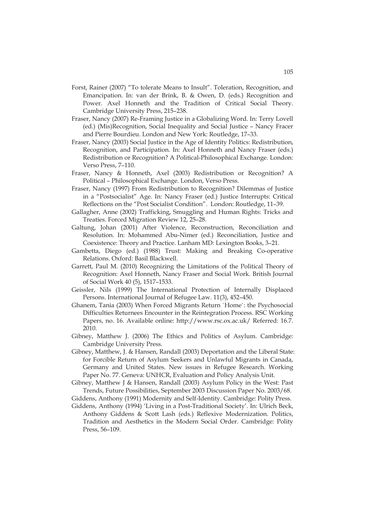- Forst, Rainer (2007) "To tolerate Means to Insult". Toleration, Recognition, and Emancipation. In: van der Brink, B. & Owen, D. (eds.) Recognition and Power. Axel Honneth and the Tradition of Critical Social Theory. Cambridge University Press, 215–238.
- Fraser, Nancy (2007) Re-Framing Justice in a Globalizing Word. In: Terry Lovell (ed.) (Mis)Recognition, Social Inequality and Social Justice – Nancy Fracer and Pierre Bourdieu. London and New York: Routledge, 17–33.
- Fraser, Nancy (2003) Social Justice in the Age of Identity Politics: Redistribution, Recognition, and Participation. In: Axel Honneth and Nancy Fraser (eds.) Redistribution or Recognition? A Political-Philosophical Exchange. London: Verso Press, 7–110.
- Fraser, Nancy & Honneth, Axel (2003) Redistribution or Recognition? A Political – Philosophical Exchange. London, Verso Press.
- Fraser, Nancy (1997) From Redistribution to Recognition? Dilemmas of Justice in a "Postsocialist" Age. In: Nancy Fraser (ed.) Justice Interrupts: Critical Reflections on the "Post Socialist Condition". London: Routledge, 11–39.
- Gallagher, Anne (2002) Trafficking, Smuggling and Human Rights: Tricks and Treaties. Forced Migration Review 12, 25–28.
- Galtung, Johan (2001) After Violence, Reconstruction, Reconciliation and Resolution. In: Mohammed Abu-Nimer (ed.) Reconciliation, Justice and Coexistence: Theory and Practice. Lanham MD: Lexington Books, 3–21.
- Gambetta, Diego (ed.) (1988) Trust: Making and Breaking Co-operative Relations. Oxford: Basil Blackwell.
- Garrett, Paul M. (2010) Recognizing the Limitations of the Political Theory of Recognition: Axel Honneth, Nancy Fraser and Social Work. British Journal of Social Work 40 (5), 1517–1533.
- Geissler, Nils (1999) The International Protection of Internally Displaced Persons. International Journal of Refugee Law. 11(3), 452–450.
- Ghanem, Tania (2003) When Forced Migrants Return `Home`: the Psychosocial Difficulties Returnees Encounter in the Reintegration Process. RSC Working Papers, no. 16. Available online: http://www.rsc.ox.ac.uk/ Referred: 16.7. 2010.
- Gibney, Matthew J. (2006) The Ethics and Politics of Asylum. Cambridge: Cambridge University Press.
- Gibney, Matthew, J. & Hansen, Randall (2003) Deportation and the Liberal State: for Forcible Return of Asylum Seekers and Unlawful Migrants in Canada, Germany and United States. New issues in Refugee Research. Working Paper No. 77. Geneva: UNHCR, Evaluation and Policy Analysis Unit.
- Gibney, Matthew J & Hansen, Randall (2003) Asylum Policy in the West: Past Trends, Future Possibilities, September 2003 Discussion Paper No. 2003/68.
- Giddens, Anthony (1991) Modernity and Self-Identity. Cambridge: Polity Press.
- Giddens, Anthony (1994) 'Living in a Post-Traditional Society'. In: Ulrich Beck, Anthony Giddens & Scott Lash (eds.) Reflexive Modernization. Politics, Tradition and Aesthetics in the Modern Social Order. Cambridge: Polity Press, 56–109.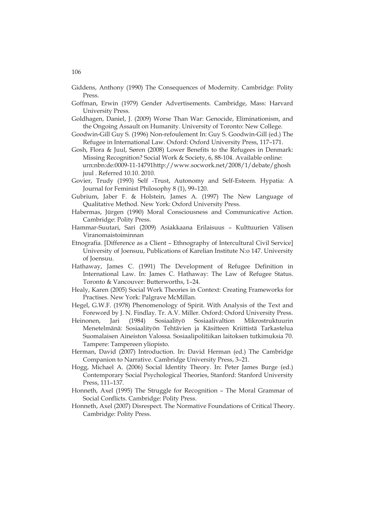- Giddens, Anthony (1990) The Consequences of Modernity. Cambridge: Polity Press.
- Goffman, Erwin (1979) Gender Advertisements. Cambridge, Mass: Harvard University Press.
- Goldhagen, Daniel, J. (2009) Worse Than War: Genocide, Eliminationism, and the Ongoing Assault on Humanity. University of Toronto: New College.
- Goodwin-Gill Guy S. (1996) Non-refoulement In: Guy S. Goodwin-Gill (ed.) The Refugee in International Law. Oxford: Oxford University Press, 117–171.
- Gosh, Flora & Juul, Søren (2008) Lower Benefits to the Refugees in Denmark: Missing Recognition? Social Work & Society, 6, 88-104. Available online: urn:nbn:de:0009-11-14791http://www.socwork.net/2008/1/debate/ghosh juul . Referred 10.10. 2010.
- Govier, Trudy (1993) Self -Trust, Autonomy and Self-Esteem. Hypatia: A Journal for Feminist Philosophy 8 (1), 99–120.
- Gubrium, Jaber F. & Holstein, James A. (1997) The New Language of Qualitative Method. New York: Oxford University Press.
- Habermas, Jürgen (1990) Moral Consciousness and Communicative Action. Cambridge: Polity Press.
- Hammar-Suutari, Sari (2009) Asiakkaana Erilaisuus Kulttuurien Välisen Viranomaistoiminnan
- Etnografia. [Difference as a Client Ethnography of Intercultural Civil Service] University of Joensuu, Publications of Karelian Institute N:o 147. University of Joensuu.
- Hathaway, James C. (1991) The Development of Refugee Definition in International Law. In: James C. Hathaway: The Law of Refugee Status. Toronto & Vancouver: Butterworths, 1–24.
- Healy, Karen (2005) Social Work Theories in Context: Creating Frameworks for Practises. New York: Palgrave McMillan.
- Hegel, G.W.F. (1978) Phenomenology of Spirit. With Analysis of the Text and Foreword by J. N. Findlay. Tr. A.V. Miller. Oxford: Oxford University Press.
- Heinonen, Jari (1984) Sosiaalityö Sosiaalivaltion Mikrostruktuurin Menetelmänä: Sosiaalityön Tehtävien ja Käsitteen Kriittistä Tarkastelua Suomalaisen Aineiston Valossa. Sosiaalipolitiikan laitoksen tutkimuksia 70. Tampere: Tampereen yliopisto.
- Herman, David (2007) Introduction. In: David Herman (ed.) The Cambridge Companion to Narrative. Cambridge University Press, 3–21.
- Hogg, Michael A. (2006) Social Identity Theory. In: Peter James Burge (ed.) Contemporary Social Psychological Theories, Stanford: Stanford University Press, 111–137.
- Honneth, Axel (1995) The Struggle for Recognition The Moral Grammar of Social Conflicts. Cambridge: Polity Press.
- Honneth, Axel (2007) Disrespect. The Normative Foundations of Critical Theory. Cambridge: Polity Press.

106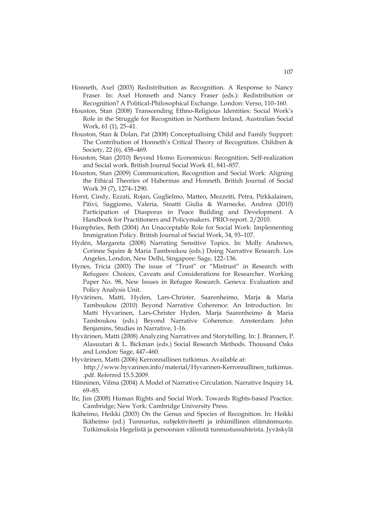- Honneth, Axel (2003) Redistribution as Recognition. A Response to Nancy Fraser. In: Axel Honneth and Nancy Fraser (eds.): Redistribution or Recognition? A Political-Philosophical Exchange. London: Verso, 110–160.
- Houston, Stan (2008) Transcending Ethno-Religious Identities: Social Work's Role in the Struggle for Recognition in Northern Ireland, Australian Social Work, 61 (1), 25–41.
- Houston, Stan & Dolan, Pat (2008) Conceptualising Child and Family Support: The Contribution of Honneth's Critical Theory of Recognition. Children & Society, 22 (6), 458–469.
- Houston, Stan (2010) Beyond Homo Economicus: Recognition, Self-realization and Social work. British Journal Social Work 41, 841–857.
- Houston, Stan (2009) Communication, Recognition and Social Work: Aligning the Ethical Theories of Habermas and Honneth. British Journal of Social Work 39 (7), 1274–1290.
- Horst, Cindy, Ezzati, Rojan, Guglielmo, Matteo, Mezzetti, Petra, Pirkkalainen, Päivi, Saggiomo, Valeria, Sinatti Giulia & Warnecke, Andrea (2010) Participation of Diasporas in Peace Building and Development. A Handbook for Practitioners and Policymakers. PRIO-report. 2/2010.
- Humphries, Beth (2004) An Unacceptable Role for Social Work: Implementing Immigration Policy. British Journal of Social Work, 34, 93–107.
- Hydén, Margareta (2008) Narrating Sensitive Topics. In: Molly Andrews, Corinne Squire & Maria Tamboukou (eds.) Doing Narrative Research. Los Angeles, London, New Delhi, Singapore: Sage, 122–136.
- Hynes, Tricia (2003) The issue of "Trust" or "Mistrust" in Research with Refugees: Choices, Caveats and Considerations for Researcher. Working Paper No. 98, New Issues in Refugee Research. Geneva: Evaluation and Policy Analysis Unit.
- Hyvärinen, Matti, Hyden, Lars-Christer, Saarenheimo, Marja & Maria Tamboukou (2010) Beyond Narrative Coherence: An Introduction. In: Matti Hyvarinen, Lars-Christer Hyden, Marja Saarenheimo & Maria Tamboukou (eds.) Beyond Narrative Coherence. Amsterdam: John Benjamins, Studies in Narrative, 1-16.
- Hyvärinen, Matti (2008) Analyzing Narratives and Storytelling. In: J. Brannen, P. Alasuutari & L. Bickman (eds.) Social Research Methods. Thousand Oaks and London: Sage, 447–460.
- Hyvärinen, Matti (2006) Kerronnallinen tutkimus. Available at:
	- http://www.hyvarinen.info/material/Hyvarinen-Kerronnallinen\_tutkimus. .pdf. Referred 15.5.2009.
- Hänninen, Vilma (2004) A Model of Narrative Circulation. Narrative Inquiry 14, 69–85.
- Ife, Jim (2008) Human Rights and Social Work. Towards Rights-based Practice. Cambridge; New York: Cambridge University Press.
- Ikäheimo, Heikki (2003) On the Genus and Species of Recognition. In: Heikki Ikäheimo (ed.) Tunnustus, subjektiviteetti ja inhimillinen elämänmuoto. Tutkimuksia Hegelistä ja persoonien välisistä tunnustussuhteista. Jyväskylä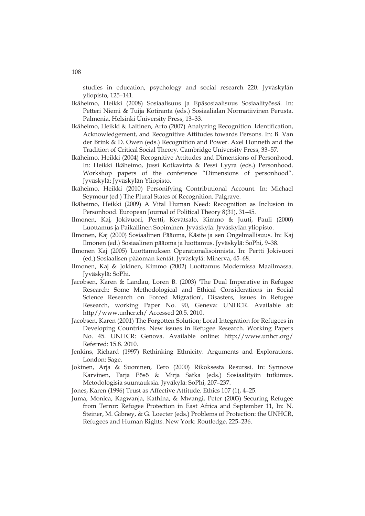studies in education, psychology and social research 220. Jyväskylän yliopisto, 125–141.

- Ikäheimo, Heikki (2008) Sosiaalisuus ja Epäsosiaalisuus Sosiaalityössä. In: Petteri Niemi & Tuija Kotiranta (eds.) Sosiaalialan Normatiivinen Perusta. Palmenia. Helsinki University Press, 13–33.
- Ikäheimo, Heikki & Laitinen, Arto (2007) Analyzing Recognition. Identification, Acknowledgement, and Recognitive Attitudes towards Persons. In: B. Van der Brink & D. Owen (eds.) Recognition and Power. Axel Honneth and the Tradition of Critical Social Theory. Cambridge University Press, 33–57.
- Ikäheimo, Heikki (2004) Recognitive Attitudes and Dimensions of Personhood. In: Heikki Ikäheimo, Jussi Kotkavirta & Pessi Lyyra (eds.) Personhood. Workshop papers of the conference "Dimensions of personhood". Jyväskylä: Jyväskylän Yliopisto.
- Ikäheimo, Heikki (2010) Personifying Contributional Account. In: Michael Seymour (ed.) The Plural States of Recognition. Palgrave.
- Ikäheimo, Heikki (2009) A Vital Human Need: Recognition as Inclusion in Personhood. European Journal of Political Theory 8(31), 31–45.
- Ilmonen, Kaj, Jokivuori, Pertti, Kevätsalo, Kimmo & Juuti, Pauli (2000) Luottamus ja Paikallinen Sopiminen. Jyväskylä: Jyväskylän yliopisto.
- Ilmonen, Kaj (2000) Sosiaalinen Pääoma, Käsite ja sen Ongelmallisuus. In: Kaj Ilmonen (ed.) Sosiaalinen pääoma ja luottamus. Jyväskylä: SoPhi, 9–38.
- Ilmonen Kaj (2005) Luottamuksen Operationalisoinnista. In: Pertti Jokivuori (ed.) Sosiaalisen pääoman kentät. Jyväskylä: Minerva, 45–68.
- Ilmonen, Kaj & Jokinen, Kimmo (2002) Luottamus Modernissa Maailmassa. Jyväskylä: SoPhi.
- Jacobsen, Karen & Landau, Loren B. (2003) 'The Dual Imperative in Refugee Research: Some Methodological and Ethical Considerations in Social Science Research on Forced Migration', Disasters, Issues in Refugee Research, working Paper No. 90, Geneva: UNHCR. Available at: http//www.unhcr.ch/ Accessed 20.5. 2010.
- Jacobsen, Karen (2001) The Forgotten Solution; Local Integration for Refugees in Developing Countries. New issues in Refugee Research. Working Papers No. 45. UNHCR: Genova. Available online: http://www.unhcr.org/ Referred: 15.8. 2010.
- Jenkins, Richard (1997) Rethinking Ethnicity. Arguments and Explorations. London: Sage.
- Jokinen, Arja & Suoninen, Eero (2000) Rikoksesta Resurssi. In: Synnove Karvinen, Tarja Pösö & Mirja Satka (eds.) Sosiaalityön tutkimus. Metodologisia suuntauksia. Jyväkylä: SoPhi, 207–237.
- Jones, Karen (1996) Trust as Affective Attitude. Ethics 107 (1), 4–25.
- Juma, Monica, Kagwanja, Kathina, & Mwangi, Peter (2003) Securing Refugee from Terror: Refugee Protection in East Africa and September 11, In: N. Steiner, M. Gibney, & G. Loecter (eds.) Problems of Protection: the UNHCR, Refugees and Human Rights. New York: Routledge, 225–236.

108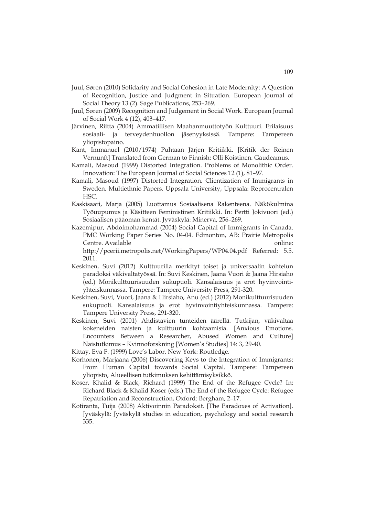- Juul, Søren (2010) Solidarity and Social Cohesion in Late Modernity: A Question of Recognition, Justice and Judgment in Situation. European Journal of Social Theory 13 (2). Sage Publications, 253–269.
- Juul, Søren (2009) Recognition and Judgement in Social Work. European Journal of Social Work 4 (12), 403–417.
- Järvinen, Riitta (2004) Ammatillisen Maahanmuuttotyön Kulttuuri. Erilaisuus sosiaali- ja terveydenhuollon jäsenyyksissä. Tampere: Tampereen yliopistopaino.
- Kant, Immanuel (2010/1974) Puhtaan Järjen Kritiikki. [Kritik der Reinen Vernunft] Translated from German to Finnish: Olli Koistinen. Gaudeamus.
- Kamali, Masoud (1999) Distorted Integration. Problems of Monolithic Order. Innovation: The European Journal of Social Sciences 12 (1), 81–97.
- Kamali, Masoud (1997) Distorted Integration. Clientization of Immigrants in Sweden. Multiethnic Papers. Uppsala University, Uppsala: Reprocentralen HSC.
- Kaskisaari, Marja (2005) Luottamus Sosiaalisena Rakenteena. Näkökulmina Työuupumus ja Käsitteen Feministinen Kritiikki. In: Pertti Jokivuori (ed.) Sosiaalisen pääoman kentät. Jyväskylä: Minerva, 256–269.
- Kazemipur, Abdolmohammad (2004) Social Capital of Immigrants in Canada. PMC Working Paper Series No. 04-04. Edmonton, AB: Prairie Metropolis Centre. Available **online:**  $\blacksquare$

http://pcerii.metropolis.net/WorkingPapers/WP04.04.pdf Referred: 5.5. 2011.

- Keskinen, Suvi (2012) Kulttuurilla merkityt toiset ja universaalin kohtelun paradoksi väkivaltatyössä. In: Suvi Keskinen, Jaana Vuori & Jaana Hirsiaho (ed.) Monikulttuurisuuden sukupuoli. Kansalaisuus ja erot hyvinvointiyhteiskunnassa. Tampere: Tampere University Press, 291-320.
- Keskinen, Suvi, Vuori, Jaana & Hirsiaho, Anu (ed.) (2012) Monikulttuurisuuden sukupuoli. Kansalaisuus ja erot hyvinvointiyhteiskunnassa. Tampere: Tampere University Press, 291-320.
- Keskinen, Suvi (2001) Ahdistavien tunteiden äärellä. Tutkijan, väkivaltaa kokeneiden naisten ja kulttuurin kohtaamisia. [Anxious Emotions. Encounters Between a Researcher, Abused Women and Culture] Naistutkimus – Kvinnoforskning [Women's Studies] 14: 3, 29-40.
- Kittay, Eva F. (1999) Love's Labor. New York: Routledge.
- Korhonen, Marjaana (2006) Discovering Keys to the Integration of Immigrants: From Human Capital towards Social Capital. Tampere: Tampereen yliopisto, Alueellisen tutkimuksen kehittämisyksikkö.
- Koser, Khalid & Black, Richard (1999) The End of the Refugee Cycle? In: Richard Black & Khalid Koser (eds.) The End of the Refugee Cycle: Refugee Repatriation and Reconstruction, Oxford: Bergham, 2–17.
- Kotiranta, Tuija (2008) Aktivoinnin Paradoksit. [The Paradoxes of Activation]. Jyväskylä: Jyväskylä studies in education, psychology and social research 335.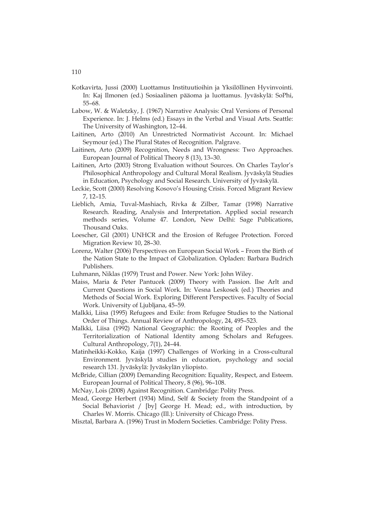- Kotkavirta, Jussi (2000) Luottamus Instituutioihin ja Yksilöllinen Hyvinvointi. In: Kaj Ilmonen (ed.) Sosiaalinen pääoma ja luottamus. Jyväskylä: SoPhi, 55–68.
- Labow, W. & Waletzky, J. (1967) Narrative Analysis: Oral Versions of Personal Experience. In: J. Helms (ed.) Essays in the Verbal and Visual Arts. Seattle: The University of Washington, 12–44.
- Laitinen, Arto (2010) An Unrestricted Normativist Account. In: Michael Seymour (ed.) The Plural States of Recognition. Palgrave.
- Laitinen, Arto (2009) Recognition, Needs and Wrongness: Two Approaches. European Journal of Political Theory 8 (13), 13–30.
- Laitinen, Arto (2003) Strong Evaluation without Sources. On Charles Taylor's Philosophical Anthropology and Cultural Moral Realism. Jyväskylä Studies in Education, Psychology and Social Research. University of Jyväskylä.
- Leckie, Scott (2000) Resolving Kosovo's Housing Crisis. Forced Migrant Review 7, 12–15.
- Lieblich, Amia, Tuval-Mashiach, Rivka & Zilber, Tamar (1998) Narrative Research. Reading, Analysis and Interpretation. Applied social research methods series, Volume 47. London, New Delhi: Sage Publications, Thousand Oaks.
- Loescher, Gil (2001) UNHCR and the Erosion of Refugee Protection. Forced Migration Review 10, 28–30.
- Lorenz, Walter (2006) Perspectives on European Social Work From the Birth of the Nation State to the Impact of Globalization. Opladen: Barbara Budrich Publishers.
- Luhmann, Niklas (1979) Trust and Power. New York: John Wiley.
- Maiss, Maria & Peter Pantucek (2009) Theory with Passion. Ilse Arlt and Current Questions in Social Work. In: Vesna Leskosek (ed.) Theories and Methods of Social Work. Exploring Different Perspectives. Faculty of Social Work. University of Ljubljana, 45–59.
- Malkki, Liisa (1995) Refugees and Exile: from Refugee Studies to the National Order of Things. Annual Review of Anthropology, 24, 495–523.
- Malkki, Liisa (1992) National Geographic: the Rooting of Peoples and the Territorialization of National Identity among Scholars and Refugees. Cultural Anthropology, 7(1), 24–44.
- Matinheikki-Kokko, Kaija (1997) Challenges of Working in a Cross-cultural Environment. Jyväskylä studies in education, psychology and social research 131. Jyväskylä: Jyväskylän yliopisto.
- McBride, Cillian (2009) Demanding Recognition: Equality, Respect, and Esteem. European Journal of Political Theory, 8 (96), 96–108.
- McNay, Lois (2008) Against Recognition. Cambridge: Polity Press.
- Mead, George Herbert (1934) Mind, Self & Society from the Standpoint of a Social Behaviorist / [by] George H. Mead; ed., with introduction, by Charles W. Morris. Chicago (Ill.): University of Chicago Press.

Misztal, Barbara A. (1996) Trust in Modern Societies. Cambridge: Polity Press.

#### 110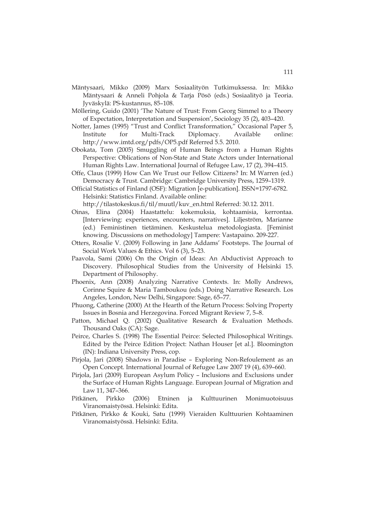- Mäntysaari, Mikko (2009) Marx Sosiaalityön Tutkimuksessa. In: Mikko Mäntysaari & Anneli Pohjola & Tarja Pösö (eds.) Sosiaalityö ja Teoria. Jyväskylä: PS-kustannus, 85–108.
- Möllering, Guido (2001) 'The Nature of Trust: From Georg Simmel to a Theory of Expectation, Interpretation and Suspension', Sociology 35 (2), 403–420.
- Notter, James (1995) "Trust and Conflict Transformation," Occasional Paper 5, Institute for Multi-Track Diplomacy. Available online: http://www.imtd.org/pdfs/OP5.pdf Referred 5.5. 2010.
- Obokata, Tom (2005) Smuggling of Human Beings from a Human Rights Perspective: Oblications of Non-State and State Actors under International Human Rights Law. International Journal of Refugee Law, 17 (2), 394–415.
- Offe, Claus (1999) How Can We Trust our Fellow Citizens? In: M Warren (ed.) Democracy & Trust. Cambridge: Cambridge University Press, 1259–1319.
- Official Statistics of Finland (OSF): Migration [e-publication]. ISSN=1797-6782. Helsinki: Statistics Finland. Available online:

http://tilastokeskus.fi/til/muutl/kuv\_en.html Referred: 30.12. 2011.

- Oinas, Elina (2004) Haastattelu: kokemuksia, kohtaamisia, kerrontaa. [Interviewing: experiences, encounters, narratives]. Liljeström, Marianne (ed.) Feministinen tietäminen. Keskustelua metodologiasta. [Feminist knowing. Discussions on methodology] Tampere: Vastapaino. 209-227.
- Otters, Rosalie V. (2009) Following in Jane Addams' Footsteps. The Journal of Social Work Values & Ethics. Vol 6 (3), 5–23.
- Paavola, Sami (2006) On the Origin of Ideas: An Abductivist Approach to Discovery. Philosophical Studies from the University of Helsinki 15. Department of Philosophy.
- Phoenix, Ann (2008) Analyzing Narrative Contexts. In: Molly Andrews, Corinne Squire & Maria Tamboukou (eds.) Doing Narrative Research. Los Angeles, London, New Delhi, Singapore: Sage, 65–77.
- Phuong, Catherine (2000) At the Hearth of the Return Process: Solving Property Issues in Bosnia and Herzegovina. Forced Migrant Review 7, 5–8.
- Patton, Michael Q. (2002) Qualitative Research & Evaluation Methods. Thousand Oaks (CA): Sage.
- Peirce, Charles S. (1998) The Essential Peirce: Selected Philosophical Writings. Edited by the Peirce Edition Project: Nathan Houser [et al.]. Bloomington (IN): Indiana University Press, cop.
- Pirjola, Jari (2008) Shadows in Paradise Exploring Non-Refoulement as an Open Concept. International Journal of Refugee Law 2007 19 (4), 639–660.
- Pirjola, Jari (2009) European Asylum Policy Inclusions and Exclusions under the Surface of Human Rights Language. European Journal of Migration and Law 11, 347–366.
- Pitkänen, Pirkko (2006) Etninen ja Kulttuurinen Monimuotoisuus Viranomaistyössä. Helsinki: Edita.
- Pitkänen, Pirkko & Kouki, Satu (1999) Vieraiden Kulttuurien Kohtaaminen Viranomaistyössä. Helsinki: Edita.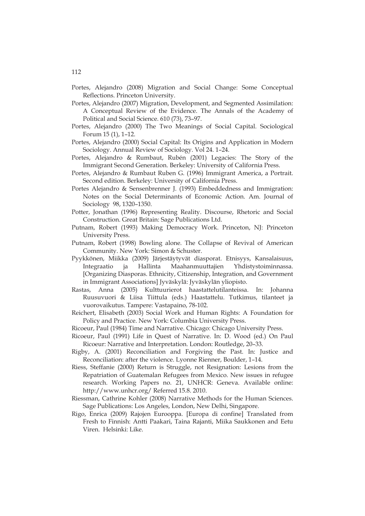- Portes, Alejandro (2008) Migration and Social Change: Some Conceptual Reflections. Princeton University.
- Portes, Alejandro (2007) Migration, Development, and Segmented Assimilation: A Conceptual Review of the Evidence. The Annals of the Academy of Political and Social Science. 610 (73), 73–97.
- Portes, Alejandro (2000) The Two Meanings of Social Capital. Sociological Forum 15 (1), 1–12.
- Portes, Alejandro (2000) Social Capital: Its Origins and Application in Modern Sociology. Annual Review of Sociology. Vol 24. 1–24.
- Portes, Alejandro & Rumbaut, Rubén (2001) Legacies: The Story of the Immigrant Second Generation. Berkeley: University of California Press.
- Portes, Alejandro & Rumbaut Ruben G. (1996) Immigrant America, a Portrait. Second edition. Berkeley: University of California Press.
- Portes Alejandro & Sensenbrenner J. (1993) Embeddedness and Immigration: Notes on the Social Determinants of Economic Action. Am. Journal of Sociology 98, 1320–1350.
- Potter, Jonathan (1996) Representing Reality. Discourse, Rhetoric and Social Construction. Great Britain: Sage Publications Ltd.
- Putnam, Robert (1993) Making Democracy Work. Princeton, NJ: Princeton University Press.
- Putnam, Robert (1998) Bowling alone. The Collapse of Revival of American Community. New York: Simon & Schuster.
- Pyykkönen, Miikka (2009) Järjestäytyvät diasporat. Etnisyys, Kansalaisuus, Integraatio ja Hallinta Maahanmuuttajien Yhdistystoiminnassa. [Organizing Diasporas. Ethnicity, Citizenship, Integration, and Government in Immigrant Associations] Jyväskylä: Jyväskylän yliopisto.
- Rastas, Anna (2005) Kulttuurierot haastattelutilanteissa. In: Johanna Ruusuvuori & Liisa Tiittula (eds.) Haastattelu. Tutkimus, tilanteet ja vuorovaikutus. Tampere: Vastapaino, 78-102.
- Reichert, Elisabeth (2003) Social Work and Human Rights: A Foundation for Policy and Practice. New York: Columbia University Press.
- Ricoeur, Paul (1984) Time and Narrative. Chicago: Chicago University Press.
- Ricoeur, Paul (1991) Life in Quest of Narrative. In: D. Wood (ed.) On Paul Ricoeur: Narrative and Interpretation. London: Routledge, 20–33.
- Rigby, A. (2001) Reconciliation and Forgiving the Past. In: Justice and Reconciliation: after the violence. Lyonne Rienner, Boulder, 1–14.
- Riess, Steffanie (2000) Return is Struggle, not Resignation: Lesions from the Repatriation of Guatemalan Refugees from Mexico. New issues in refugee research. Working Papers no. 21, UNHCR: Geneva. Available online: http://www.unhcr.org/ Referred 15.8. 2010.
- Riessman, Cathrine Kohler (2008) Narrative Methods for the Human Sciences. Sage Publications: Los Angeles, London, New Delhi, Singapore.
- Rigo, Enrica (2009) Rajojen Eurooppa. [Europa di confine] Translated from Fresh to Finnish: Antti Paakari, Taina Rajanti, Miika Saukkonen and Eetu Viren. Helsinki: Like.

112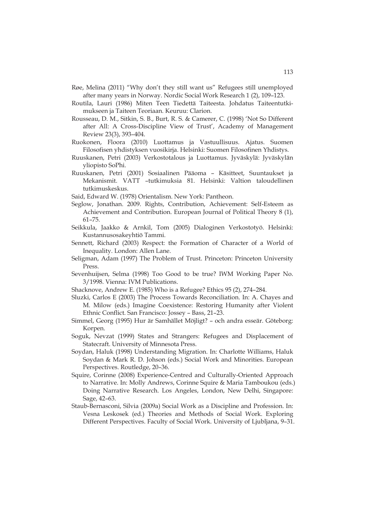- Røe, Melina (2011) "Why don't they still want us" Refugees still unemployed after many years in Norway. Nordic Social Work Research 1 (2), 109–123.
- Routila, Lauri (1986) Miten Teen Tiedettä Taiteesta. Johdatus Taiteentutkimukseen ja Taiteen Teoriaan. Keuruu: Clarion.
- Rousseau, D. M., Sitkin, S. B., Burt, R. S. & Camerer, C. (1998) 'Not So Different after All: A Cross-Discipline View of Trust', Academy of Management Review 23(3), 393–404.
- Ruokonen, Floora (2010) Luottamus ja Vastuullisuus. Ajatus. Suomen Filosofisen yhdistyksen vuosikirja. Helsinki: Suomen Filosofinen Yhdistys.
- Ruuskanen, Petri (2003) Verkostotalous ja Luottamus. Jyväskylä: Jyväskylän yliopisto SoPhi.
- Ruuskanen, Petri (2001) Sosiaalinen Pääoma Käsitteet, Suuntaukset ja Mekanismit. VATT –tutkimuksia 81. Helsinki: Valtion taloudellinen tutkimuskeskus.
- Said, Edward W. (1978) Orientalism. New York: Pantheon.
- Seglow, Jonathan. 2009. Rights, Contribution, Achievement: Self-Esteem as Achievement and Contribution. European Journal of Political Theory 8 (1), 61–75.
- Seikkula, Jaakko & Arnkil, Tom (2005) Dialoginen Verkostotyö. Helsinki: Kustannusosakeyhtiö Tammi.
- Sennett, Richard (2003) Respect: the Formation of Character of a World of Inequality. London: Allen Lane.
- Seligman, Adam (1997) The Problem of Trust. Princeton: Princeton University Press.
- Sevenhuijsen, Selma (1998) Too Good to be true? IWM Working Paper No. 3/1998. Vienna: IVM Publications.
- Shacknove, Andrew E. (1985) Who is a Refugee? Ethics 95 (2), 274–284.
- Sluzki, Carlos E (2003) The Process Towards Reconciliation. In: A. Chayes and M. Milow (eds.) Imagine Coexistence: Restoring Humanity after Violent Ethnic Conflict. San Francisco: Jossey – Bass, 21–23.
- Simmel, Georg (1995) Hur är Samhället Möjligt? och andra esseär. Göteborg: Korpen.
- Soguk, Nevzat (1999) States and Strangers: Refugees and Displacement of Statecraft. University of Minnesota Press.
- Soydan, Haluk (1998) Understanding Migration. In: Charlotte Williams, Haluk Soydan & Mark R. D. Johson (eds.) Social Work and Minorities. European Perspectives. Routledge, 20–36.
- Squire, Corinne (2008) Experience-Centred and Culturally-Oriented Approach to Narrative. In: Molly Andrews, Corinne Squire & Maria Tamboukou (eds.) Doing Narrative Research. Los Angeles, London, New Delhi, Singapore: Sage, 42–63.
- Staub-Bernasconi, Silvia (2009a) Social Work as a Discipline and Profession. In: Vesna Leskosek (ed.) Theories and Methods of Social Work. Exploring Different Perspectives. Faculty of Social Work. University of Ljubljana, 9–31.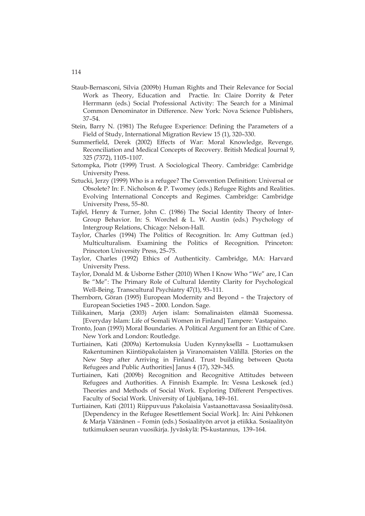- Staub-Bernasconi, Silvia (2009b) Human Rights and Their Relevance for Social Work as Theory, Education and Practie. In: Claire Dorrity & Peter Herrmann (eds.) Social Professional Activity: The Search for a Minimal Common Denominator in Difference. New York: Nova Science Publishers, 37–54.
- Stein, Barry N. (1981) The Refugee Experience: Defining the Parameters of a Field of Study, International Migration Review 15 (1), 320–330.
- Summerfield, Derek (2002) Effects of War: Moral Knowledge, Revenge, Reconciliation and Medical Concepts of Recovery. British Medical Journal 9, 325 (7372), 1105–1107.
- Sztompka, Piotr (1999) Trust. A Sociological Theory. Cambridge: Cambridge University Press.
- Sztucki, Jerzy (1999) Who is a refugee? The Convention Definition: Universal or Obsolete? In: F. Nicholson & P. Twomey (eds.) Refugee Rights and Realities. Evolving International Concepts and Regimes. Cambridge: Cambridge University Press, 55–80.
- Tajfel, Henry & Turner, John C. (1986) The Social Identity Theory of Inter-Group Behavior. In: S. Worchel & L. W. Austin (eds.) Psychology of Intergroup Relations, Chicago: Nelson-Hall.
- Taylor, Charles (1994) The Politics of Recognition. In: Amy Guttman (ed.) Multiculturalism. Examining the Politics of Recognition. Princeton: Princeton University Press, 25–75.
- Taylor, Charles (1992) Ethics of Authenticity. Cambridge, MA: Harvard University Press.
- Taylor, Donald M. & Usborne Esther (2010) When I Know Who "We" are, I Can Be "Me": The Primary Role of Cultural Identity Clarity for Psychological Well-Being. Transcultural Psychiatry 47(1), 93–111.
- Thernborn, Göran (1995) European Modernity and Beyond the Trajectory of European Societies 1945 – 2000. London. Sage.
- Tiilikainen, Marja (2003) Arjen islam: Somalinaisten elämää Suomessa. [Everyday Islam: Life of Somali Women in Finland] Tampere: Vastapaino.
- Tronto, Joan (1993) Moral Boundaries. A Political Argument for an Ethic of Care. New York and London: Routledge.
- Turtiainen, Kati (2009a) Kertomuksia Uuden Kynnyksellä Luottamuksen Rakentuminen Kiintiöpakolaisten ja Viranomaisten Välillä. [Stories on the New Step after Arriving in Finland. Trust building between Quota Refugees and Public Authorities] Janus 4 (17), 329–345.
- Turtiainen, Kati (2009b) Recognition and Recognitive Attitudes between Refugees and Authorities. A Finnish Example. In: Vesna Leskosek (ed.) Theories and Methods of Social Work. Exploring Different Perspectives. Faculty of Social Work. University of Ljubljana, 149–161.
- Turtiainen, Kati (2011) Riippuvuus Pakolaisia Vastaanottavassa Sosiaalityössä. [Dependency in the Refugee Resettlement Social Work]. In: Aini Pehkonen & Marja Väänänen – Fomin (eds.) Sosiaalityön arvot ja etiikka. Sosiaalityön tutkimuksen seuran vuosikirja. Jyväskylä: PS-kustannus, 139–164.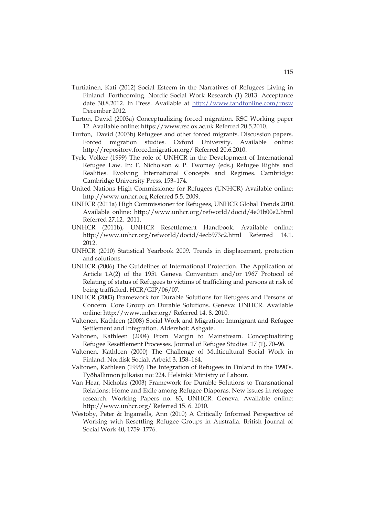- Turtiainen, Kati (2012) Social Esteem in the Narratives of Refugees Living in Finland. Forthcoming. Nordic Social Work Research (1) 2013. Acceptance date 30.8.2012. In Press. Available at http://www.tandfonline.com/rnsw December 2012.
- Turton, David (2003a) Conceptualizing forced migration. RSC Working paper 12. Available online: https://www.rsc.ox.ac.uk Referred 20.5.2010.
- Turton, David (2003b) Refugees and other forced migrants. Discussion papers. Forced migration studies. Oxford University. Available online: http://repository.forcedmigration.org/ Referred 20.6.2010.
- Tyrk, Volker (1999) The role of UNHCR in the Development of International Refugee Law. In: F. Nicholson & P. Twomey (eds.) Refugee Rights and Realities. Evolving International Concepts and Regimes. Cambridge: Cambridge University Press, 153–174.
- United Nations High Commissioner for Refugees (UNHCR) Available online: http://www.unhcr.org Referred 5.5. 2009.
- UNHCR (2011a) High Commissioner for Refugees, UNHCR Global Trends 2010. Available online: http://www.unhcr.org/refworld/docid/4e01b00e2.html Referred 27.12. 2011.
- UNHCR (2011b), UNHCR Resettlement Handbook. Available online: http://www.unhcr.org/refworld/docid/4ecb973c2.html Referred 14.1. 2012.
- UNHCR (2010) Statistical Yearbook 2009. Trends in displacement, protection and solutions.
- UNHCR (2006) The Guidelines of International Protection. The Application of Article 1A(2) of the 1951 Geneva Convention and/or 1967 Protocol of Relating of status of Refugees to victims of trafficking and persons at risk of being trafficked. HCR/GIP/06/07.
- UNHCR (2003) Framework for Durable Solutions for Refugees and Persons of Concern. Core Group on Durable Solutions. Geneva: UNHCR. Available online: http://www.unhcr.org/ Referred 14. 8. 2010.
- Valtonen, Kathleen (2008) Social Work and Migration: Immigrant and Refugee Settlement and Integration. Aldershot: Ashgate.
- Valtonen, Kathleen (2004) From Margin to Mainstream. Conceptualizing Refugee Resettlement Processes. Journal of Refugee Studies. 17 (1), 70–96.
- Valtonen, Kathleen (2000) The Challenge of Multicultural Social Work in Finland. Nordisk Socialt Arbeid 3, 158–164.
- Valtonen, Kathleen (1999) The Integration of Refugees in Finland in the 1990's. Työhallinnon julkaisu no: 224. Helsinki: Ministry of Labour.
- Van Hear, Nicholas (2003) Framework for Durable Solutions to Transnational Relations: Home and Exile among Refugee Diaporas. New issues in refugee research. Working Papers no. 83, UNHCR: Geneva. Available online: http://www.unhcr.org/ Referred 15. 6. 2010.
- Westoby, Peter & Ingamells, Ann (2010) A Critically Informed Perspective of Working with Resettling Refugee Groups in Australia. British Journal of Social Work 40, 1759–1776.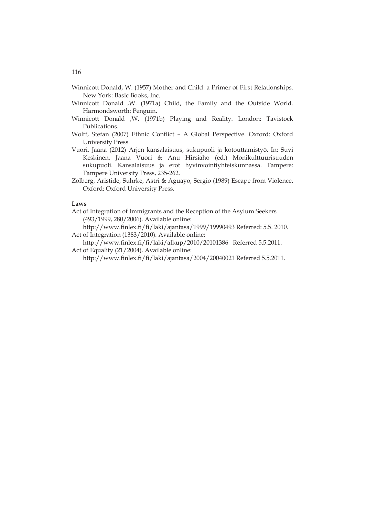- Winnicott Donald, W. (1957) Mother and Child: a Primer of First Relationships. New York: Basic Books, Inc.
- Winnicott Donald ,W. (1971a) Child, the Family and the Outside World. Harmondsworth: Penguin.
- Winnicott Donald ,W. (1971b) Playing and Reality. London: Tavistock Publications.
- Wolff, Stefan (2007) Ethnic Conflict A Global Perspective. Oxford: Oxford University Press.
- Vuori, Jaana (2012) Arjen kansalaisuus, sukupuoli ja kotouttamistyö. In: Suvi Keskinen, Jaana Vuori & Anu Hirsiaho (ed.) Monikulttuurisuuden sukupuoli. Kansalaisuus ja erot hyvinvointiyhteiskunnassa. Tampere: Tampere University Press, 235-262.
- Zolberg, Aristide, Suhrke, Astri & Aguayo, Sergio (1989) Escape from Violence. Oxford: Oxford University Press.

#### **Laws**

Act of Integration of Immigrants and the Reception of the Asylum Seekers (493/1999, 280/2006). Available online:

http://www.finlex.fi/fi/laki/ajantasa/1999/19990493 Referred: 5.5. 2010. Act of Integration (1383/2010). Available online:

http://www.finlex.fi/fi/laki/alkup/2010/20101386 Referred 5.5.2011. Act of Equality (21/2004). Available online:

http://www.finlex.fi/fi/laki/ajantasa/2004/20040021 Referred 5.5.2011.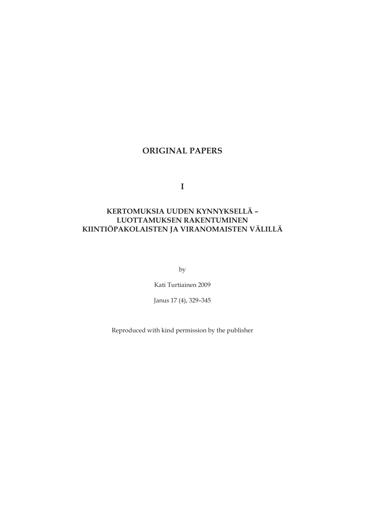# **ORIGINAL PAPERS**

**I**

# **KERTOMUKSIA UUDEN KYNNYKSELLÄ – LUOTTAMUKSEN RAKENTUMINEN KIINTIÖPAKOLAISTEN JA VIRANOMAISTEN VÄLILLÄ**

by

Kati Turtiainen 2009

Janus 17 (4), 329–345

Reproduced with kind permission by the publisher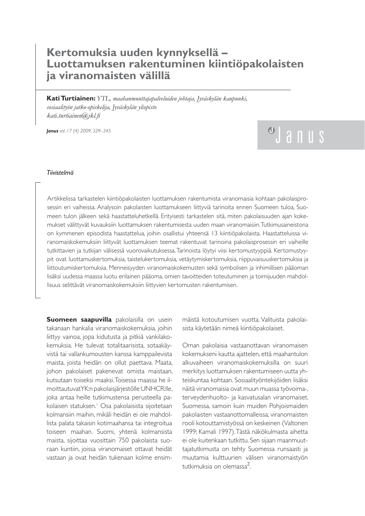# **Kertomuksia uuden kynnyksellä – Luottamuksen rakentuminen kiintiöpakolaisten ja viranomaisten välillä**

**Kati Turtiainen:** *YTL, maahanmuuttajapalveluiden johtaja, Jyväskylän kaupunki, sosiaalityön jatko-opiskelija, Jyväskylän yliopisto kati.turtiainen@jkl.-*

*Janus vol. 17 (4) 2009, 329–345*

# <sup>o</sup>Janus

#### *Tiivistelmä*

Artikkelissa tarkastelen kiintiöpakolaisten luottamuksen rakentumista viranomaisia kohtaan pakolaisprosessin eri vaiheissa. Analysoin pakolaisten luottamukseen liittyviä tarinoita ennen Suomeen tuloa, Suomeen tulon jälkeen sekä haastatteluhetkellä. Erityisesti tarkastelen sitä, miten pakolaisuuden ajan kokemukset välittyvät kuvauksiin luottamuksen rakentumisesta uuden maan viranomaisiin. Tutkimusaineistona on kymmenen episodista haastattelua, joihin osallistui yhteensä 13 kiintiöpakolaista. Haastatteluissa viranomaiskokemuksiin liittyvät luottamuksen teemat rakentuvat tarinoina pakolaisprosessin eri vaiheille tutkittavien ja tutkijan välisessä vuorovaikutuksessa. Tarinoista löytyi viisi kertomustyyppiä. Kertomustyypit ovat luottamuskertomuksia, taistelukertomuksia, vetäytymiskertomuksia, riippuvaisuuskertomuksia ja liittoutumiskertomuksia. Menneisyyden viranomaiskokemusten sekä symbolisen ja inhimillisen pääoman lisäksi uudessa maassa luotu erilainen pääoma, omien tavoitteiden toteutuminen ja toimijuuden mahdollisuus selittävät viranomaiskokemuksiin liittyvien kertomusten rakentumisen.

**Suomeen saapuvilla** pakolaisilla on usein takanaan hankalia viranomaiskokemuksia, joihin liittyy vainoa, jopa kidutusta ja pitkiä vankilakokemuksia. He tulevat totalitaarisista, sotaakäyvistä tai vallankumousten kanssa kamppailevista maista, joista heidän on ollut paettava. Maata, johon pakolaiset pakenevat omista maistaan, kutsutaan toiseksi maaksi. Toisessa maassa he ilmoittautuvat YK:n pakolaisjärjestölle UNHCR:lle, joka antaa heille tutkimustensa perusteella pakolaisen statuksen.<sup>1</sup> Osa pakolaisista sijoitetaan kolmansiin maihin, mikäli heidän ei ole mahdollista palata takaisin kotimaahansa tai integroitua toiseen maahan. Suomi, yhtenä kolmansista maista, sijoittaa vuosittain 750 pakolaista suoraan kuntiin, joissa viranomaiset ottavat heidät vastaan ja ovat heidän tukenaan kolme ensimmäistä kotoutumisen vuotta. Valituista pakolaisista käytetään nimeä kiintiöpakolaiset.

Oman pakolaisia vastaanottavan viranomaisen kokemukseni kautta ajattelen, että maahantulon alkuvaiheen viranomaiskokemuksilla on suuri merkitys luottamuksen rakentumiseen uutta yhteiskuntaa kohtaan. Sosiaalityöntekijöiden lisäksi näitä viranomaisia ovat muun muassa työvoima-, terveydenhuolto- ja kasvatusalan viranomaiset. Suomessa, samoin kuin muiden Pohjoismaiden pakolaisten vastaanottomalleissa, viranomaisten rooli kotouttamistyössä on keskeinen (Valtonen 1999; Kamali 1997). Tästä näkökulmasta aihetta ei ole kuitenkaan tutkittu. Sen sijaan maanmuuttajatutkimusta on tehty Suomessa runsaasti ja muutamia kulttuurien välisen viranomaistyön tutkimuksia on olemassa<sup>2</sup>.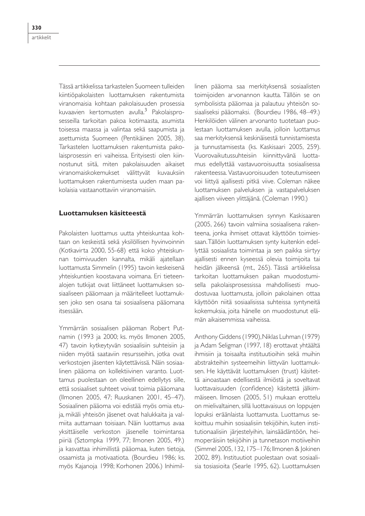Tässä artikkelissa tarkastelen Suomeen tulleiden kiintiöpakolaisten luottamuksen rakentumista viranomaisia kohtaan pakolaisuuden prosessia kuvaavien kertomusten avulla.<sup>3</sup> Pakolaisprosesseilla tarkoitan pakoa kotimaasta, asumista toisessa maassa ja valintaa sekä saapumista ja asettumista Suomeen (Pentikäinen 2005, 38). Tarkastelen luottamuksen rakentumista pakolaisprosessin eri vaiheissa. Erityisesti olen kiinnostunut siitä, miten pakolaisuuden aikaiset viranomaiskokemukset välittyvät kuvauksiin luottamuksen rakentumisesta uuden maan pakolaisia vastaanottaviin viranomaisiin.

#### **Luottamuksen käsitteestä**

Pakolaisten luottamus uutta yhteiskuntaa kohtaan on keskeistä sekä yksilöllisen hyvinvoinnin (Kotkavirta 2000, 55 -68) että koko yhteiskunnan toimivuuden kannalta, mikäli ajatellaan luottamusta Simmelin (1995) tavoin keskeisenä yhteiskuntien koostavana voimana. Eri tieteenalojen tutkijat ovat liittäneet luottamuksen sosiaaliseen pääomaan ja määritelleet luottamuksen joko sen osana tai sosiaalisena pääomana itsessään.

Ymmärrän sosiaalisen pääoman Robert Putnamin (1993 ja 2000; ks. myös Ilmonen 2005, 47) tavoin kytkeytyvän sosiaalisiin suhteisiin ja niiden myötä saataviin resursseihin, jotka ovat verkostojen jäsenten käytettävissä. Näin sosiaalinen pääoma on kollektiivinen varanto. Luottamus puolestaan on oleellinen edellytys sille, että sosiaaliset suhteet voivat toimia pääomana (Ilmonen 2005, 47; Ruuskanen 2001, 45–47). Sosiaalinen pääoma voi edistää myös omia etuja, mikäli yhteisön jäsenet ovat halukkaita ja valmiita auttamaan toisiaan. Näin luottamus avaa yksittäiselle verkoston jäsenelle toimintansa piiriä (Sztompka 1999, 77; Ilmonen 2005, 49.) ja kasvattaa inhimillistä pääomaa, kuten tietoja, osaamista ja motivaatiota. (Bourdieu 1986; ks. myös Kajanoja 1998; Korhonen 2006.) Inhimillinen pääoma saa merkityksensä sosiaalisten toimijoiden arvonannon kautta. Tällöin se on symbolisista pääomaa ja palautuu yhteisön sosiaaliseksi pääomaksi. (Bourdieu 1986, 48–49.) Henkilöiden välinen arvonanto tuotetaan puolestaan luottamuksen avulla, jolloin luottamus saa merkityksensä keskinäisestä tunnistamisesta ja tunnustamisesta (ks. Kaskisaari 2005, 259). Vuorovaikutussuhteisiin kiinnittyvänä luottamus edellyttää vastavuoroisuutta sosiaalisessa rakenteessa. Vastavuoroisuuden toteutumiseen voi liittyä ajallisesti pitkä viive. Coleman näkee luottamuksen palveluksen ja vastapalveluksen ajallisen viiveen ylittäjänä. (Coleman 1990.)

Ymmärrän luottamuksen synnyn Kaskisaaren (2005, 266) tavoin valmiina sosiaalisena rakenteena, jonka ihmiset ottavat käyttöön toimiessaan. Tällöin luottamuksen synty kuitenkin edellyttää sosiaalista toimintaa ja sen paikka siirtyy ajallisesti ennen kyseessä olevia toimijoita tai heidän jälkeensä (mt., 265). Tässä artikkelissa tarkoitan luottamuksen paikan muodostumisella pakolaisprosessissa mahdollisesti muodostuvaa luottamusta, jolloin pakolainen ottaa käyttöön niitä sosiaalisissa suhteissa syntyneitä kokemuksia, joita hänelle on muodostunut elämän aikaisemmissa vaiheissa.

Anthony Giddens (1990), Niklas Luhman (1979) ja Adam Seligman (1997, 18) erottavat yhtäältä ihmisiin ja toisaalta instituutioihin sekä muihin abstrakteihin systeemeihin liittyvän luottamuksen. He käyttävät luottamuksen (trust) käsitettä ainoastaan edellisestä ilmiöstä ja soveltavat luottavaisuuden (confidence) käsitettä jälkimmäiseen. Ilmosen (2005, 51) mukaan erottelu on mielivaltainen, sillä luottavaisuus on loppujen lopuksi eräänlaista luottamusta. Luottamus sekoittuu muihin sosiaalisiin tekijöihin, kuten institutionaalisiin järjestelyihin, lainsäädäntöön, heimoperäisiin tekijöihin ja tunnetason motiiveihin (Simmel 2005, 132, 175–176; Ilmonen & Jokinen 2002, 89). Instituutiot puolestaan ovat sosiaalisia tosiasioita (Searle 1995, 62). Luottamuksen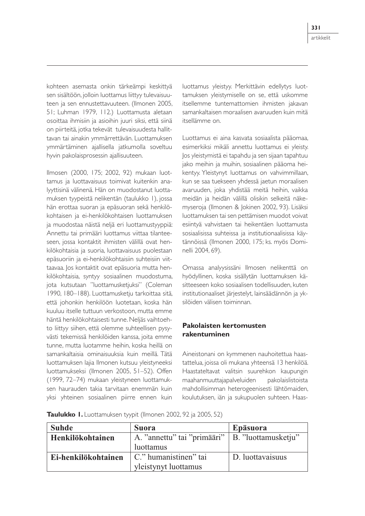kohteen asemasta onkin tärkeämpi keskittyä sen sisältöön, jolloin luottamus liittyy tulevaisuuteen ja sen ennustettavuuteen. (Ilmonen 2005, 51; Luhman 1979, 112.) Luottamusta aletaan osoittaa ihmisiin ja asioihin juuri siksi, että siinä on piirteitä, jotka tekevät tulevaisuudesta hallittavan tai ainakin ymmärrettävän. Luottamuksen ymmärtäminen ajallisella jatkumolla soveltuu hyvin pakolaisprosessin ajallisuuteen.

Ilmosen (2000, 175; 2002, 92) mukaan luottamus ja luottavaisuus toimivat kuitenkin analyyttisinä välinenä. Hän on muodostanut luottamuksen tyypeistä nelikentän (taulukko 1), jossa hän erottaa suoran ja epäsuoran sekä henkilökohtaisen ja ei-henkilökohtaisen luottamuksen ja muodostaa näistä neljä eri luottamustyyppiä: Annettu tai primääri luottamus viittaa tilanteeseen, jossa kontaktit ihmisten välillä ovat henkilökohtaisia ja suoria, luottavaisuus puolestaan epäsuoriin ja ei-henkilökohtaisiin suhteisiin viittaavaa. Jos kontaktit ovat epäsuoria mutta henkilökohtaisia, syntyy sosiaalinen muodostuma, jota kutsutaan "luottamusketjuksi" (Coleman 1990, 180–188). Luottamusketju tarkoittaa sitä, että johonkin henkilöön luotetaan, koska hän kuuluu itselle tuttuun verkostoon, mutta emme häntä henkilökohtaisesti tunne. Neljäs vaihtoehto liittyy siihen, että olemme suhteellisen pysyvästi tekemissä henkilöiden kanssa, joita emme tunne, mutta luotamme heihin, koska heillä on samankaltaisia ominaisuuksia kuin meillä. Tätä luottamuksen lajia Ilmonen kutsuu yleistyneeksi luottamukseksi (Ilmonen 2005, 51–52). Offen (1999, 72–74) mukaan yleistyneen luottamuksen haurauden takia tarvitaan enemmän kuin yksi yhteinen sosiaalinen piirre ennen kuin luottamus yleistyy. Merkittävin edellytys luottamuksen yleistymiselle on se, että uskomme itsellemme tuntemattomien ihmisten jakavan samankaltaisen moraalisen avaruuden kuin mitä itsellämme on.

Luottamus ei aina kasvata sosiaalista pääomaa, esimerkiksi mikäli annettu luottamus ei yleisty. Jos yleistymistä ei tapahdu ja sen sijaan tapahtuu jako meihin ja muihin, sosiaalinen pääoma heikentyy. Yleistynyt luottamus on vahvimmillaan, kun se saa tuekseen yhdessä jaetun moraalisen avaruuden, joka yhdistää meitä heihin, vaikka meidän ja heidän välillä olisikin selkeitä näkemyseroja (Ilmonen & Jokinen 2002, 93). Lisäksi luottamuksen tai sen pettämisen muodot voivat esiintyä vahvistaen tai heikentäen luottamusta sosiaalisissa suhteissa ja institutionaalisissa käytännöissä (Ilmonen 2000, 175; ks. myös Dominelli 2004, 69).

Omassa analyysissäni Ilmosen nelikenttä on hyödyllinen, koska sisällytän luottamuksen käsitteeseen koko sosiaalisen todellisuuden, kuten institutionaaliset järjestelyt, lainsäädännön ja yksilöiden välisen toiminnan.

#### **Pakolaisten kertomusten rakentuminen**

Aineistonani on kymmenen nauhoitettua haastattelua, joissa oli mukana yhteensä 13 henkilöä. Haastateltavat valitsin suurehkon kaupungin maahanmuuttajapalveluiden pakolaislistoista mahdollisimman heterogeenisesti lähtömaiden, koulutuksen, iän ja sukupuolen suhteen. Haas-

**Taulukko 1.** Luottamuksen tyypit (Ilmonen 2002, 92 ja 2005, 52)

| <b>Suhde</b>        | <b>Suora</b>                                      | Epäsuora         |  |
|---------------------|---------------------------------------------------|------------------|--|
| Henkilökohtainen    | A. "annettu" tai "primääri"   B. "luottamusketju" |                  |  |
|                     | luottamus                                         |                  |  |
| Ei-henkilökohtainen | C." humanistinen" tai                             | D. luottavaisuus |  |
|                     | yleistynyt luottamus                              |                  |  |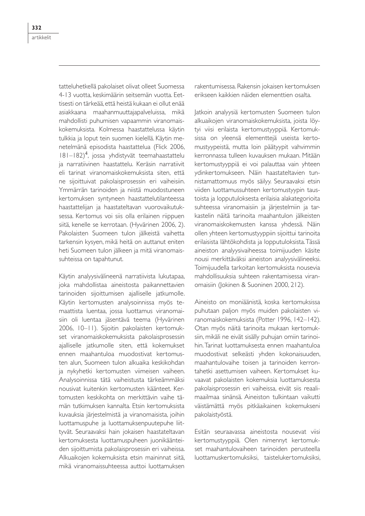tatteluhetkellä pakolaiset olivat olleet Suomessa 4-13 vuotta, keskimäärin seitsemän vuotta. Eettisesti on tärkeää, että heistä kukaan ei ollut enää asiakkaana maahanmuuttajapalveluissa, mikä mahdollisti puhumisen vapaammin viranomaiskokemuksista. Kolmessa haastattelussa käytin tulkkia ja loput tein suomen kielellä. Käytin menetelmänä episodista haastattelua (Flick 2006, 181–182)<sup>4</sup> , jossa yhdistyvät teemahaastattelu ja narratiivinen haastattelu. Keräsin narratiivit eli tarinat viranomaiskokemuksista siten, että ne sijoittuivat pakolaisprosessin eri vaiheisiin. Ymmärrän tarinoiden ja niistä muodostuneen kertomuksen syntyneen haastattelutilanteessa haastattelijan ja haastateltavan vuorovaikutuksessa. Kertomus voi siis olla erilainen riippuen siitä, kenelle se kerrotaan. (Hyvärinen 2006, 2). Pakolaisten Suomeen tulon jälkeistä vaihetta tarkensin kysyen, mikä heitä on auttanut eniten heti Suomeen tulon jälkeen ja mitä viranomaissuhteissa on tapahtunut.

Käytin analyysivälineenä narratiivista lukutapaa, joka mahdollistaa aineistosta paikannettavien tarinoiden sijoittumisen ajalliselle jatkumolle. Käytin kertomusten analysoinnissa myös temaattista luentaa, jossa luottamus viranomaisiin oli luentaa jäsentävä teema (Hyvärinen 2006, 10–11). Sijoitin pakolaisten kertomukset viranomaiskokemuksista pakolaisprosessin ajalliselle jatkumolle siten, että kokemukset ennen maahantuloa muodostivat kertomusten alun, Suomeen tulon alkuaika keskikohdan ja nykyhetki kertomusten viimeisen vaiheen. Analysoinnissa tätä vaiheistusta tärkeämmäksi nousivat kuitenkin kertomusten käänteet. Kertomusten keskikohta on merkittävin vaihe tämän tutkimuksen kannalta. Etsin kertomuksista kuvauksia järjestelmistä ja viranomaisista, joihin luottamuspuhe ja luottamuksenpuutepuhe liittyvät. Seuraavaksi hain jokaisen haastateltavan kertomuksesta luottamuspuheen juonikäänteiden sijoittumista pakolaisprosessin eri vaiheissa. Alkuaikojen kokemuksista etsin maininnat siitä, mikä viranomaissuhteessa auttoi luottamuksen

rakentumisessa. Rakensin jokaisen kertomuksen erikseen kaikkien näiden elementtien osalta.

Jatkoin analyysiä kertomusten Suomeen tulon alkuaikojen viranomaiskokemuksista, joista löytyi viisi erilaista kertomustyyppiä. Kertomuksissa on yleensä elementtejä useista kertomustyypeistä, mutta loin päätyypit vahvimmin kerronnassa tulleen kuvauksen mukaan. Mitään kertomustyyppiä ei voi palauttaa vain yhteen ydinkertomukseen. Näin haastateltavien tunnistamattomuus myös säilyy. Seuraavaksi etsin viiden luottamussuhteen kertomustyypin taustoista ja lopputuloksesta erilaisia alakategorioita suhteessa viranomaisiin ja järjestelmiin ja tarkastelin näitä tarinoita maahantulon jälkeisten viranomaiskokemusten kanssa yhdessä. Näin ollen yhteen kertomustyyppiin sijoittui tarinoita erilaisista lähtökohdista ja lopputuloksista. Tässä aineiston analyysivaiheessa toimijuuden käsite nousi merkittäväksi aineiston analyysivälineeksi. Toimijuudella tarkoitan kertomuksista nousevia mahdollisuuksia suhteen rakentamisessa viranomaisiin (Jokinen & Suoninen 2000, 212).

Aineisto on moniäänistä, koska kertomuksissa puhutaan paljon myös muiden pakolaisten viranomaiskokemuksista (Potter 1996, 142–142). Otan myös näitä tarinoita mukaan kertomuksiin, mikäli ne eivät sisälly puhujan omiin tarinoihin. Tarinat luottamuksesta ennen maahantuloa muodostivat selkeästi yhden kokonaisuuden, maahantulovaihe toisen ja tarinoiden kerrontahetki asettumisen vaiheen. Kertomukset kuvaavat pakolaisten kokemuksia luottamuksesta pakolaisprosessin eri vaiheissa, eivät siis reaalimaailmaa sinänsä. Aineiston tulkintaan vaikutti väistämättä myös pitkäaikainen kokemukseni pakolaistyöstä.

Esitän seuraavassa aineistosta nousevat viisi kertomustyyppiä. Olen nimennyt kertomukset maahantulovaiheen tarinoiden perusteella luottamuskertomuksiksi, taistelukertomuksiksi,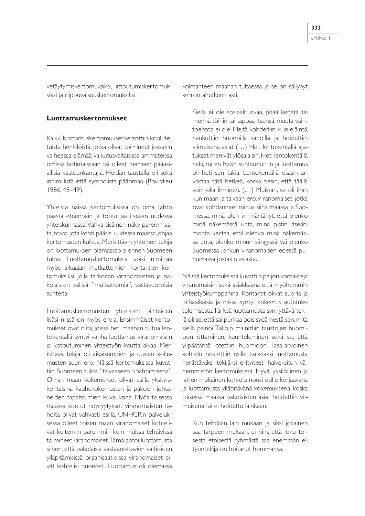vetäytymiskertomuksiksi, liittoutumiskertomuksiksi ja riippuvaisuuskertomuksiksi.

#### **Luottamuskertomukset**

Kaikki luottamuskertomukset kerrottiin koulutetuista henkilöistä, jotka olivat toimineet jossakin vaiheessa elämää vaikutusvaltaisissa ammateissa omissa kotimaissaan tai olleet perheen pääasiallisia vastuunkantajia. Heidän taustalla oli sekä inhimillistä että symbolista pääomaa (Bourdieu 1986, 48–49).

Yhteistä näissä kertomuksissa on oma tahto päästä eteenpäin ja toteuttaa itseään uudessa yhteiskunnassa. Vahva sisäinen näky paremmasta, toivo, jota kohti pääsisi uudessa maassa, ohjaa kertomusten kulkua. Merkittävin yhteinen tekijä on luottamuksen olemassaolo ennen Suomeen tuloa. Luottamuskertomuksia voisi nimittää myös alkuajan mutkattomien kontaktien kertomuksiksi, jolla tarkoitan viranomaisten ja pakolaisten välisiä "mutkattomia", vastavuoroisia suhteita.

Luottamuskertomusten yhteisten piirteiden lisäsi niissä on myös eroja. Ensimmäiset kertomukset ovat niitä, joissa heti maahan tultua lentokentällä syntyi vanha luottamus viranomaisiin ja kotoutuminen yhteistyön kautta alkaa. Merkittävä tekijä oli aikaisempien ja uusien kokemusten suuri ero. Näissä kertomuksissa kuvattiin Suomeen tuloa "taivaaseen tipahtamisena". Oman maan kokemukset olivat esillä yksityiskohtaisina kauhukokemusten ja pakoon johtaneiden tapahtumien kuvauksina. Myös toisessa maassa koetut nöyryytykset viranomaisten taholta olivat vahvasti esillä. UNHCR:n palveluksessa olleet toisen maan viranomaiset kohtelivat kuitenkin paremmin kuin muissa tehtävissä toimineet viranomaiset. Tämä antoi luottamusta siihen, että pakolaisia vastaanottavien valtioiden ylläpitämisissä organisaatioissa viranomaiset eivät kohtelisi huonosti. Luottamus oli olemassa kolmanteen maahan tultaessa ja se on säilynyt kerrontahetkeen asti.

Siellä ei ole sosiaaliturvaa, pitää kerjätä tai mennä töihin tai tappaa itsensä, muuta vaihtoehtoa ei ole. Meitä kohdeltiin kuin eläintä, haukuttiin huonoilla sanoilla ja hoidettiin viimeisenä asiat (…) Heti lentokentällä ajatukset menivät ylösalaisin. Heti lentokentällä näki, miten hyvin suhtauduttiin ja luottamus oli heti sen takia. Lentokentällä osasin arvostaa tätä hetkeä, koska tiesin, että täällä voin olla ihminen. (…) Muistan, se oli ihan kun maan ja taivaan ero. Viranomaiset, jotka ovat kohdanneet minua siinä maassa ja Suomessa, minä olen ymmärtänyt, että olenko minä näkemässä unta, minä pistin itseäni monta kertaa, että olenko minä näkemässä unta, olenko minun sängyssä vai olenko Suomessa jonkun viranomaisen edessä puhumassa jostakin asiasta.

Näissä kertomuksissa kuvattiin paljon kontakteja viranomaisiin sekä asiakkaana että myöhemmin yhteistyökumppanina. Kontaktit olivat suoria ja pitkäaikaisia ja niissä syntyi kokemus autetuksi tulemisesta. Tärkeä luottamusta synnyttävä tekijä oli se, että sai purkaa pois sydämestä sen, mitä siellä painoi. Tällöin mainittiin taustojen huomioon ottaminen, kuunteleminen sekä se, että ylipäätänsä otettiin huomioon. Tasa-arvoinen kohtelu nostettiin esille tärkeäksi luottamusta herättäväksi tekijäksi erityisesti halveksitun vähemmistön kertomuksissa. Hyvä, yksilöllinen ja lakien mukainen kohtelu nousi esille korjaavana ja luottamusta ylläpitävänä kokemuksena, koska toisessa maassa pakolaisten asiat hoidettiin viimeisenä tai ei hoidettu lainkaan.

Kun tehdään lain mukaan ja siksi jokainen saa tarpeen mukaan, ei niin, että joku toisesta etnisestä ryhmästä saa enemmän eli työntekijä on hoitanut hommansa.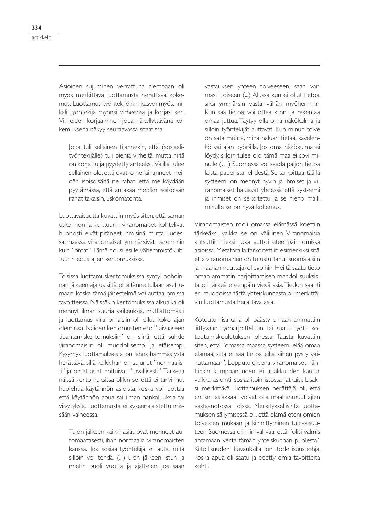Asioiden sujuminen verrattuna aiempaan oli myös merkittävä luottamusta herättävä kokemus. Luottamus työntekijöihin kasvoi myös, mikäli työntekijä myönsi virheensä ja korjasi sen. Virheiden korjaaminen jopa häkellyttävänä kokemuksena näkyy seuraavassa sitaatissa:

Jopa tuli sellainen tilannekin, että (sosiaalityöntekijälle) tuli pieniä virheitä, mutta niitä on korjattu ja pyydetty anteeksi. Välillä tulee sellainen olo, että ovatko he lainanneet meidän isoisoisältä ne rahat, että me käydään pyytämässä, että antakaa meidän isoisoisän rahat takaisin, uskomatonta.

Luottavaisuutta kuvattiin myös siten, että saman uskonnon ja kulttuurin viranomaiset kohtelivat huonosti, eivät pitäneet ihmisinä, mutta uudessa maassa viranomaiset ymmärsivät paremmin kuin "omat". Tämä nousi esille vähemmistökulttuurin edustajien kertomuksissa.

Toisissa luottamuskertomuksissa syntyi pohdinnan jälkeen ajatus siitä, että tänne tullaan asettumaan, koska tämä järjestelmä voi auttaa omissa tavoitteissa. Näissäkin kertomuksissa alkuaika oli mennyt ilman suuria vaikeuksia, mutkattomasti ja luottamus viranomaisiin oli ollut koko ajan olemassa. Näiden kertomusten ero "taivaaseen tipahtamiskertomuksiin" on siinä, että suhde viranomaisiin oli muodollisempi ja etäisempi. Kysymys luottamuksesta on lähes hämmästystä herättävä, sillä kaikkihan on sujunut "normaalisti" ja omat asiat hoituivat "tavallisesti". Tärkeää näissä kertomuksissa olikin se, että ei tarvinnut huolehtia käytännön asioista, koska voi luottaa että käytännön apua sai ilman hankaluuksia tai viivytyksiä. Luottamusta ei kyseenalaistettu missään vaiheessa.

Tulon jälkeen kaikki asiat ovat menneet automaattisesti, ihan normaalia viranomaisten kanssa. Jos sosiaalityöntekijä ei auta, mitä silloin voi tehdä. (...)Tulon jälkeen istun ja mietin puoli vuotta ja ajattelen, jos saan

vastauksen yhteen toiveeseen, saan varmasti toiseen (...) Alussa kun ei ollut tietoa, siksi ymmärsin vasta vähän myöhemmin. Kun saa tietoa, voi ottaa kiinni ja rakentaa omaa juttua. Täytyy olla oma näkökulma ja silloin työntekijät auttavat. Kun minun toive on sata metriä, minä haluan tietää, kävelenkö vai ajan pyörällä. Jos oma näkökulma ei löydy, silloin tulee olo, tämä maa ei sovi minulle (…) Suomessa voi saada paljon tietoa laista, paperista, lehdestä. Se tarkoittaa, täällä systeemi on mennyt hyvin ja ihmiset ja viranomaiset haluavat yhdessä että systeemi ja ihmiset on sekoitettu ja se hieno malli, minulle se on hyvä kokemus.

Viranomaisten rooli omassa elämässä koettiin tärkeäksi, vaikka se on välillinen. Viranomaisia kutsuttiin tieksi, joka auttoi eteenpäin omissa asioissa. Metaforalla tarkoitettiin esimerkiksi sitä, että viranomainen on tutustuttanut suomalaisiin ja maahanmuuttajakollegoihin. Heiltä saatu tieto oman ammatin harjoittamisen mahdollisuuksista oli tärkeä eteenpäin vievä asia. Tiedon saanti eri muodoissa tästä yhteiskunnasta oli merkittävin luottamusta herättävä asia.

Kotoutumisaikana oli päästy omaan ammattiin liittyvään työharjoitteluun tai saatu työtä kotoutumiskoulutuksen ohessa. Tausta kuvattiin siten, että "omassa maassa systeemi elää omaa elämää, siitä ei saa tietoa eikä siihen pysty vaikuttamaan". Lopputuloksena viranomaiset nähtiinkin kumppanuuden, ei asiakkuuden kautta, vaikka asiointi sosiaalitoimistossa jatkuisi. Lisäksi merkittävä luottamuksen herättäjä oli, että entiset asiakkaat voivat olla maahanmuuttajien vastaanotossa töissä. Merkityksellisintä luottamuksen säilymisessä oli, että elämä eteni omien toiveiden mukaan ja kiinnittyminen tulevaisuuteen Suomessa oli niin vahvaa, että "olisi valmis antamaan verta tämän yhteiskunnan puolesta." Kiitollisuuden kuvauksilla on todellisuuspohja, koska apua oli saatu ja edetty omia tavoitteita kohti.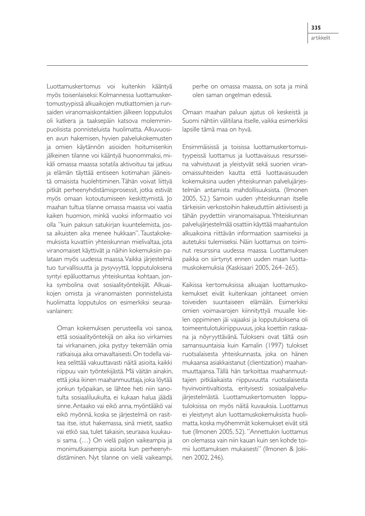Luottamuskertomus voi kuitenkin kääntyä myös toisenlaiseksi: Kolmannessa luottamuskertomustyypissä alkuaikojen mutkattomien ja runsaiden viranomaiskontaktien jälkeen lopputulos oli katkera ja taaksepäin katsova molemminpuolisista ponnisteluista huolimatta. Alkuvuosien avun hakemisen, hyvien palvelukokemusten ja omien käytännön asioiden hoitumisenkin jälkeinen tilanne voi kääntyä huonommaksi, mikäli omassa maassa sotatila aktivoituu tai jatkuu ja elämän täyttää entiseen kotimahan jääneistä omaisista huolehtiminen. Tähän voivat liittyä pitkät perheenyhdistämisprosessit, jotka estivät myös omaan kotoutumiseen keskittymistä. Jo maahan tultua tilanne omassa maassa voi vaatia kaiken huomion, minkä vuoksi informaatio voi olla "kuin paksun satukirjan kuuntelemista, jossa aikuisten aika menee hukkaan". Taustakokemuksista kuvattiin yhteiskunnan mielivaltaa, jota viranomaiset käyttivät ja näihin kokemuksiin palataan myös uudessa maassa. Vaikka järjestelmä tuo turvallisuutta ja pysyvyyttä, lopputuloksena syntyi epäluottamus yhteiskuntaa kohtaan, jonka symbolina ovat sosiaalityöntekijät. Alkuaikojen omista ja viranomaisten ponnisteluista huolimatta lopputulos on esimerkiksi seuraavanlainen:

Oman kokemuksen perusteella voi sanoa, että sosiaalityöntekijä on aika iso virkamies tai virkanainen, joka pystyy tekemään omia ratkaisuja aika omavaltaisesti. On todella vaikea selittää vakuuttavasti näitä asioita, kaikki riippuu vain työntekijästä. Mä väitän ainakin, että joka ikinen maahanmuuttaja, joka löytää jonkun työpaikan, se lähtee heti niin sanotulta sosiaaliluukulta, ei kukaan halua jäädä sinne. Antaako vai eikö anna, myöntääkö vai eikö myönnä, koska se järjestelmä on rasittaa itse, istut hakemassa, sinä mietit, saatko vai etkö saa, tulet takaisin, seuraava kuukausi sama. (…) On vielä paljon vaikeampia ja monimutkaisempia asioita kun perheenyhdistäminen. Nyt tilanne on vielä vaikeampi, perhe on omassa maassa, on sota ja minä olen saman ongelman edessä.

Omaan maahan paluun ajatus oli keskeistä ja Suomi nähtiin välitilana itselle, vaikka esimerkiksi lapsille tämä maa on hyvä.

Ensimmäisissä ja toisissa luottamuskertomustyypeissä luottamus ja luottavaisuus resursseina vahvistuvat ja yleistyvät sekä suorien viranomaissuhteiden kautta että luottavaisuuden kokemuksina uuden yhteiskunnan palvelujärjestelmän antamista mahdollisuuksista. (Ilmonen 2005, 52.) Samoin uuden yhteiskunnan itselle tärkeisiin verkostoihin hakeuduttiin aktiivisesti ja tähän pyydettiin viranomaisapua. Yhteiskunnan palvelujärjestelmää osattiin käyttää maahantulon alkuaikoina riittävän informaation saamiseksi ja autetuksi tulemiseksi. Näin luottamus on toiminut resurssina uudessa maassa. Luottamuksen paikka on siirtynyt ennen uuden maan luottamuskokemuksia (Kaskisaari 2005, 264–265).

Kaikissa kertomuksissa alkuajan luottamuskokemukset eivät kuitenkaan johtaneet omien toiveiden suuntaiseen elämään. Esimerkiksi omien voimavarojen kiinnityttyä muualle kielen oppiminen jäi vajaaksi ja lopputuloksena oli toimeentulotukiriippuvuus, joka koettiin raskaana ja nöyryyttävänä. Tulokseni ovat tältä osin samansuuntaisia kuin Kamalin (1997) tulokset ruotsalaisesta yhteiskunnasta, joka on hänen mukaansa asiakkaistanut (clientization) maahanmuuttajansa. Tällä hän tarkoittaa maahanmuuttajien pitkäaikaista riippuvuutta ruotsalaisesta hyvinvointivaltiosta, erityisesti sosiaalipalvelujärjestelmästä. Luottamuskertomusten lopputuloksissa on myös näitä kuvauksia. Luottamus ei yleistynyt alun luottamuskokemuksista huolimatta, koska myöhemmät kokemukset eivät sitä tue (Ilmonen 2005, 52). "Annettukin luottamus on olemassa vain niin kauan kuin sen kohde toimii luottamuksen mukaisesti" (Ilmonen & Jokinen 2002, 246).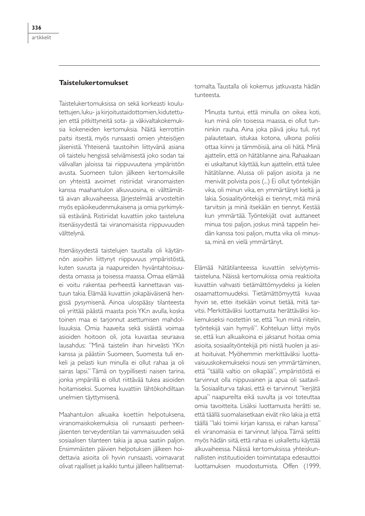#### **Taistelukertomukset**

Taistelukertomuksissa on sekä korkeasti koulutettujen, luku- ja kirjoitustaidottomien, kidutettujen että pitkittyneitä sota- ja väkivaltakokemuksia kokeneiden kertomuksia. Näitä kerrottiin paitsi itsestä, myös runsaasti omien yhteisöjen jäsenistä. Yhteisenä taustoihin liittyvänä asiana oli taistelu hengissä selviämisestä joko sodan tai välivallan jaloissa tai riippuvuutena ympäristön avusta. Suomeen tulon jälkeen kertomuksille on yhteistä avoimet ristiriidat viranomaisten kanssa maahantulon alkuvuosina, ei välttämättä aivan alkuvaiheessa. Järjestelmää arvosteltiin myös epäoikeudenmukaisena ja omia pyrkimyksiä estävänä. Ristiriidat kuvattiin joko taisteluna itsenäisyydestä tai viranomaisista riippuvuuden välttelynä.

Itsenäisyydestä taistelujen taustalla oli käytännön asioihin liittynyt riippuvuus ympäristöstä, kuten suvusta ja naapureiden hyväntahtoisuudesta omassa ja toisessa maassa. Omaa elämää ei voitu rakentaa perheestä kannettavan vastuun takia. Elämää kuvattiin jokapäiväisenä hengissä pysymisenä. Ainoa ulospääsy tilanteesta oli yrittää päästä maasta pois YK:n avulla, koska toinen maa ei tarjonnut asettumisen mahdollisuuksia. Omia haaveita sekä sisäistä voimaa asioiden hoitoon oli, jota kuvastaa seuraava lausahdus: "Minä taistelin ihan hirveästi YK:n kanssa ja päästiin Suomeen, Suomesta tuli enkeli ja pelasti kun minulla ei ollut rahaa ja oli sairas lapsi." Tämä on tyypillisesti naisen tarina, jonka ympärillä ei ollut riittävää tukea asioiden hoitamiseksi. Suomea kuvattiin lähtökohdiltaan unelmien täyttymisenä.

Maahantulon alkuaika koettiin helpotuksena, viranomaiskokemuksia oli runsaasti perheenjäsenten terveydentilan tai vammaisuuden sekä sosiaalisen tilanteen takia ja apua saatiin paljon. Ensimmäisten päivien helpotuksen jälkeen hoidettavia asioita oli hyvin runsaasti, voimavarat olivat rajalliset ja kaikki tuntui jälleen hallitsemattomalta. Taustalla oli kokemus jatkuvasta hädän tunteesta.

Minusta tuntui, että minulla on oikea koti, kun minä olin toisessa maassa, ei ollut tunninkin rauha. Aina joka päivä joku tuli, nyt palautetaan, istukaa kotona, ulkona poliisi ottaa kiinni ja tämmöisiä, aina oli hätä. Minä ajattelin, että on hätätilanne aina. Rahaakaan ei uskaltanut käyttää, kun ajattelin, että tulee hätätilanne. Alussa oli paljon asioita ja ne menivät polvista pois (...) Ei ollut työntekijän vika, oli minun vika, en ymmärtänyt kieltä ja lakia. Sosiaalityöntekijä ei tiennyt, mitä minä tarvitsin ja minä itsekään en tiennyt. Kestää kun ymmärtää. Työntekijät ovat auttaneet minua tosi paljon, joskus minä tappelin heidän kanssa tosi paljon, mutta vika oli minussa, minä en vielä ymmärtänyt.

Elämää hätätilanteessa kuvattiin selviytymistaisteluna. Näissä kertomukissa omia reaktioita kuvattiin vahvasti tietämättömyydeksi ja kielen osaamattomuudeksi. Tietämättömyyttä kuvaa hyvin se, ettei itsekään voinut tietää, mitä tarvitsi. Merkittäväksi luottamusta herättäväksi kokemukseksi nostettiin se, että "kun minä riitelin, työntekijä vain hymyili". Kohteluun liittyi myös se, että kun alkuaikoina ei jaksanut hoitaa omia asioita, sosiaalityöntekijä piti niistä huolen ja asiat hoituivat. Myöhemmin merkittäväksi luottavaisuuskokemukseksi nousi sen ymmärtäminen, että "täällä valtio on olkapää", ympäristöstä ei tarvinnut olla riippuvainen ja apua oli saatavilla. Sosiaaliturva takasi, että ei tarvinnut "kerjätä apua" naapureilta eikä suvulta ja voi toteuttaa omia tavoitteita. Lisäksi luottamusta herätti se, että täällä suomalaisetkaan eivät riko lakia ja että täällä "laki toimii kirjan kanssa, ei rahan kanssa" eli viranomaisia ei tarvinnut lahjoa. Tämä selitti myös hädän siitä, että rahaa ei uskallettu käyttää alkuvaiheessa. Näissä kertomuksissa yhteiskunnallisten instituutioiden toimintatapa edesauttoi luottamuksen muodostumista. Offen (1999,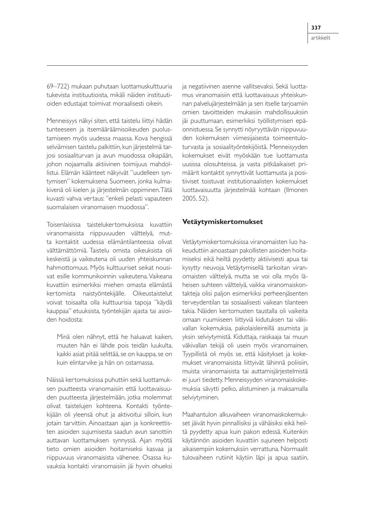69–722) mukaan puhutaan luottamuskulttuuria tukevista instituutioista, mikäli näiden instituutioiden edustajat toimivat moraalisesti oikein.

Menneisyys näkyi siten, että taistelu liittyi hädän tunteeseen ja itsemääräämisoikeuden puolustamiseen myös uudessa maassa. Kova hengissä selviämisen taistelu palkittiin, kun järjestelmä tarjosi sosiaaliturvan ja avun muodossa olkapään, johon nojaamalla aktiivinen toimijuus mahdollistui. Elämän käänteet näkyivät "uudelleen syntymisen" kokemuksena Suomeen, jonka kulmakivenä oli kielen ja järjestelmän oppiminen. Tätä kuvasti vahva vertaus: "enkeli pelasti vapauteen suomalaisen viranomaisen muodossa".

Toisenlaisissa taistelukertomuksissa kuvattiin viranomaisista riippuvuuden välttelyä, mutta kontaktit uudessa elämäntilanteessa olivat välttämättömiä. Taistelu omista oikeuksista oli keskeistä ja vaikeutena oli uuden yhteiskunnan hahmottomuus. Myös kulttuuriset seikat nousivat esille kommunikoinnin vaikeutena. Vaikeana kuvattiin esimerkiksi miehen omasta elämästä kertomista naistyöntekijälle. Oikeustaistelut voivat toisaalta olla kulttuurisia tapoja "käydä kauppaa" etuuksista, työntekijän ajasta tai asioiden hoidosta:

Minä olen nähnyt, että he haluavat kaiken, muuten hän ei lähde pois teidän luukulta, kaikki asiat pitää selittää, se on kauppa, se on kuin elintarvike ja hän on ostamassa.

Näissä kertomuksissa puhuttiin sekä luottamuksen puutteesta viranomaisiin että luottavaisuuden puutteesta järjestelmään, jotka molemmat olivat taistelujen kohteena. Kontakti työntekijään oli yleensä ohut ja aktivoitui silloin, kun jotain tarvittiin. Ainoastaan ajan ja konkreettisten asioiden sujumisesta saadun avun sanottiin auttavan luottamuksen synnyssä. Ajan myötä tieto omien asioiden hoitamiseksi kasvaa ja riippuvuus viranomaisista vähenee. Osassa kuvauksia kontakti viranomaisiin jäi hyvin ohueksi ja negatiivinen asenne vallitsevaksi. Sekä luottamus viranomaisiin että luottavaisuus yhteiskunnan palvelujärjestelmään ja sen itselle tarjoamiin omien tavoitteiden mukaisiin mahdollisuuksiin jäi puuttumaan, esimerkiksi työllistymisen epäonnistuessa. Se synnytti nöyryyttävän riippuvuuden kokemuksen viimesijaisesta toimeentuloturvasta ja sosiaalityöntekijöistä. Menneisyyden kokemukset eivät myöskään tue luottamusta uusissa olosuhteissa, ja vasta pitkäaikaiset primäärit kontaktit synnyttivät luottamusta ja positiiviset toistuvat institutionaalisten kokemukset luottavaisuutta järjestelmää kohtaan (Ilmonen 2005, 52).

#### **Vetäytymiskertomukset**

Vetäytymiskertomuksissa viranomaisten luo hakeuduttiin ainoastaan pakollisten asioiden hoitamiseksi eikä heiltä pyydetty aktiivisesti apua tai kysytty neuvoja. Vetäytymisellä tarkoitan viranomaisten välttelyä, mutta se voi olla myös läheisen suhteen välttelyä, vaikka viranomaiskontakteja olisi paljon esimerkiksi perheenjäsenten terveydentilan tai sosiaalisesti vaikean tilanteen takia. Näiden kertomusten taustalla oli vaikeita omaan ruumiiseen liittyviä kidutuksen tai väkivallan kokemuksia, pakolaisleireillä asumista ja yksin selviytymistä. Kiduttaja, raiskaaja tai muun väkivallan tekijä oli usein myös viranomainen. Tyypillistä oli myös se, että käsitykset ja kokemukset viranomaisista liittyivät lähinnä poliisiin, muista viranomaisista tai auttamisjärjestelmistä ei juuri tiedetty. Menneisyyden viranomaiskokemuksia sävytti pelko, alistuminen ja maksamalla selviytyminen.

Maahantulon alkuvaiheen viranomaiskokemukset jäivät hyvin pinnallisiksi ja vähäisiksi eikä heiltä pyydetty apua kuin pakon edessä. Kuitenkin käytännön asioiden kuvattiin sujuneen helposti aikaisempiin kokemuksiin verrattuna. Normaalit tulovaiheen rutiinit käytiin läpi ja apua saatiin,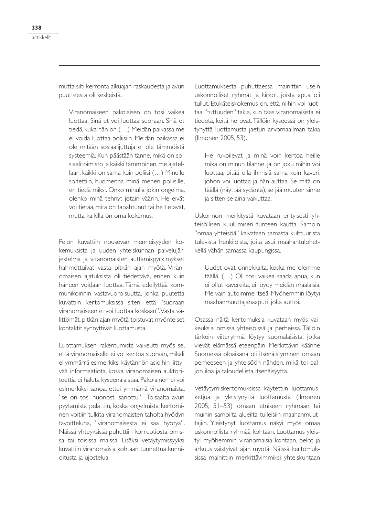mutta silti kerronta alkuajan raskaudesta ja avun puutteesta oli keskeistä.

Viranomaiseen pakolaisen on tosi vaikea luottaa. Sinä et voi luottaa suoraan. Sinä et tiedä, kuka hän on (…) Meidän paikassa me ei voida luottaa poliisiin. Meidän paikassa ei ole mitään sosiaalijuttuja ei ole tämmöistä systeemiä. Kun päästään tänne, mikä on sosiaalitoimisto ja kaikki tämmöinen, me ajatellaan, kaikki on sama kuin poliisi (…) Minulle soitettiin, huomenna minä menen poliisille, en tiedä miksi. Onko minulla jokin ongelma, olenko minä tehnyt jotain väärin. He eivät voi tietää, mitä on tapahtunut tai he tietävät, mutta kaikilla on oma kokemus.

Pelon kuvattiin nousevan menneisyyden kokemuksista ja uuden yhteiskunnan palvelujärjestelmä ja viranomaisten auttamispyrkimykset hahmottuivat vasta pitkän ajan myötä. Viranomaisen ajatuksista oli tiedettävä, ennen kuin häneen voidaan luottaa. Tämä edellyttää kommunikoinnin vastavuoroisuutta, jonka puutetta kuvattiin kertomuksissa siten, että "suoraan viranomaiseen ei voi luottaa koskaan". Vasta välittömät, pitkän ajan myötä toistuvat myönteiset kontaktit synnyttivät luottamusta.

Luottamuksen rakentumista vaikeutti myös se, että viranomaiselle ei voi kertoa suoraan, mikäli ei ymmärrä esimerkiksi käytännön asioihin liittyvää informaatiota, koska viranomaisen auktoriteettia ei haluta kyseenalaistaa. Pakolainen ei voi esimerkiksi sanoa, ettei ymmärrä viranomaista, "se on tosi huonosti sanottu". Toisaalta avun pyytämistä pelättiin, koska ongelmista kertominen voitiin tulkita viranomaisten taholta hyödyn tavoitteluna, "viranomaisesta ei saa hyötyä". Näissä yhteyksissä puhuttiin korruptiosta omissa tai toisissa maissa. Lisäksi vetäytymissyyksi kuvattiin viranomaisia kohtaan tunnettua kunnioitusta ja ujostelua.

Luottamuksesta puhuttaessa mainittiin usein uskonnolliset ryhmät ja kirkot, joista apua oli tullut. Etukäteiskokemus on, että niihin voi luottaa "tuttuuden" takia, kun taas viranomaisista ei tiedetä, keitä he ovat. Tällöin kyseessä on yleistynyttä luottamusta jaetun arvomaailman takia (Ilmonen 2005, 53).

He rukoilevat ja minä voin kertoa heille mikä on minun tilanne, ja on joku mihin voi luottaa, pitää olla ihmisiä sama kuin kaveri, johon voi luottaa ja hän auttaa. Se mitä on täällä (näyttää sydäntä), se jää muuten sinne ja sitten se aina vaikuttaa.

Uskonnon merkitystä kuvataan erityisesti yhteisöllisen kuulumisen tunteen kautta. Samoin "omaa yhteisöä" kaivataan samasta kulttuurista tulevista henkilöistä, joita asui maahantulohetkellä vähän samassa kaupungissa.

Uudet ovat onnekkaita, koska me olemme täällä. (…) Oli tosi vaikea saada apua, kun ei ollut kavereita, ei löydy meidän maalaisia. Me vain autoimme itseä. Myöhemmin löytyi maahanmuuttajanaapuri, joka auttoi.

Osassa näitä kertomuksia kuvataan myös vaikeuksia omissa yhteisöissä ja perheissä. Tällöin tärkein viiteryhmä löytyy suomalaisista, jotka vievät elämässä eteenpäin. Merkittävin käänne Suomessa oloaikana oli itsenäistyminen omaan perheeseen ja yhteisöön nähden, mikä toi paljon iloa ja taloudellista itsenäisyyttä.

Vetäytymiskertomuksissa käytettiin luottamusketjua ja yleistynyttä luottamusta (Ilmonen 2005, 51–53) omaan etniseen ryhmään tai muihin samoilta alueilta tulleisiin maahanmuuttajiin. Yleistynyt luottamus näkyi myös omaa uskonnollista ryhmää kohtaan. Luottamus yleistyi myöhemmin viranomaisia kohtaan, pelot ja arkuus väistyivät ajan myötä. Näissä kertomuksissa mainittiin merkittävimmiksi yhteiskuntaan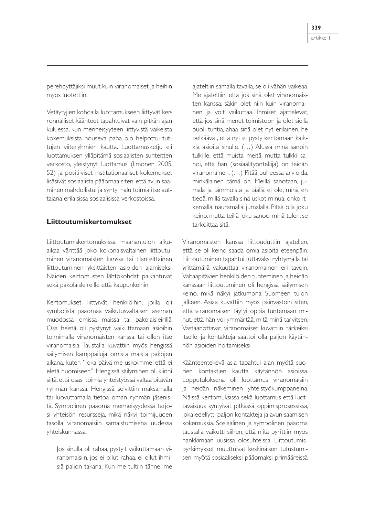perehdyttäjiksi muut kuin viranomaiset ja heihin myös luotettiin.

Vetäytyjien kohdalla luottamukseen liittyvät kerronnalliset käänteet tapahtuivat vain pitkän ajan kuluessa, kun menneisyyteen liittyvistä vaikeista kokemuksista nouseva paha olo helpottui tuttujen viiteryhmien kautta. Luottamusketju eli luottamuksen ylläpitämä sosiaalisten suhteitten verkosto, yleistynyt luottamus (Ilmonen 2005, 52) ja positiiviset institutionaaliset kokemukset lisäsivät sosiaalista pääomaa siten, että avun saaminen mahdollistui ja syntyi halu toimia itse auttajana erilaisissa sosiaalisissa verkostoissa.

#### **Liittoutumiskertomukset**

Liittoutumiskertomuksissa maahantulon alkuaikaa värittää joko kokonaisvaltainen liittoutuminen viranomaisten kanssa tai tilanteittainen liittoutuminen yksittäisten asioiden ajamiseksi. Näiden kertomusten lähtökohdat paikantuvat sekä pakolaisleireille että kaupunkeihin.

Kertomukset liittyivät henkilöihin, joilla oli symbolista pääomaa vaikutusvaltaisen aseman muodossa omissa maissa tai pakolaisleirillä. Osa heistä oli pystynyt vaikuttamaan asioihin toimimalla viranomaisten kanssa tai ollen itse viranomaisia. Taustalla kuvattiin myös hengissä säilymisen kamppailuja omista maista pakojen aikana, kuten "joka päivä me uskoimme, että ei eletä huomiseen". Hengissä säilyminen oli kiinni siitä, että osasi toimia yhteistyössä valtaa pitävän ryhmän kanssa. Hengissä selvittiin maksamalla tai luovuttamalla tietoa oman ryhmän jäsenistä. Symbolinen pääoma menneisyydessä tarjosi yhteisön resursseja, mikä näkyi toimijuuden tasolla viranomaisiin samaistumisena uudessa yhteiskunnassa.

Jos sinulla oli rahaa, pystyit vaikuttamaan viranomaisiin, jos ei ollut rahaa, ei ollut ihmisiä paljon takana. Kun me tultiin tänne, me ajateltiin samalla tavalla, se oli vähän vaikeaa. Me ajateltiin, että jos sinä olet viranomaisten kanssa, säkin olet niin kuin viranomainen ja voit vaikuttaa. Ihmiset ajattelevat, että jos sinä menet toimistoon ja olet siellä puoli tuntia, ahaa sinä olet nyt erilainen, he pelkäävät, että nyt ei pysty kertomaan kaikkia asioita sinulle. (…) Alussa minä sanoin tulkille, että muista meitä, mutta tulkki sanoi, että hän (sosiaalityöntekijä) on teidän viranomainen. (…) Pitää puheessa arvioida, minkälainen tämä on. Meillä sanotaan, jumala ja tämmöistä ja täällä ei ole, minä en tiedä, millä tavalla sinä uskot minua, onko itkemällä, nauramalla, jumalalla. Pitää olla joku keino, mutta teillä joku sanoo, minä tulen, se tarkoittaa sitä.

Viranomaisten kanssa liittouduttiin ajatellen, että se oli keino saada omia asioita eteenpäin. Liittoutuminen tapahtui tuttavaksi ryhtymällä tai yrittämällä vakuuttaa viranomainen eri tavoin. Valtaapitävien henkilöiden tunteminen ja heidän kanssaan liittoutuminen oli hengissä säilymisen keino, mikä näkyi jatkumona Suomeen tulon jälkeen. Asiaa kuvattiin myös päinvastoin siten, että viranomaisen täytyi oppia tuntemaan minut, että hän voi ymmärtää, mitä minä tarvitsen. Vastaanottavat viranomaiset kuvattiin tärkeiksi itselle, ja kontakteja saattoi olla paljon käytännön asioiden hoitamiseksi.

Käänteentekevä asia tapahtui ajan myötä suorien kontaktien kautta käytännön asioissa. Lopputuloksena oli luottamus viranomaisiin ja heidän näkeminen yhteistyökumppaneina. Näissä kertomuksissa sekä luottamus että luottavaisuus syntyivät pitkässä oppimisprosessissa, joka edellytti paljon kontakteja ja avun saamisen kokemuksia. Sosiaalinen ja symbolinen pääoma taustalla vaikutti siihen, että niitä pyrittiin myös hankkimaan uusissa olosuhteissa. Liittoutumispyrkimykset muuttuivat keskinäisen tutustumisen myötä sosiaaliseksi pääomaksi primääreissä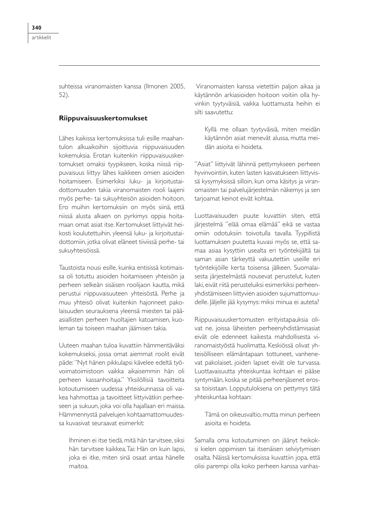suhteissa viranomaisten kanssa (Ilmonen 2005, 52).

#### **Riippuvaisuuskertomukset**

Lähes kaikissa kertomuksissa tuli esille maahantulon alkuaikoihin sijoittuvia riippuvaisuuden kokemuksia. Erotan kuitenkin riippuvaisuuskertomukset omaksi tyypikseen, koska niissä riippuvaisuus liittyy lähes kaikkeen omien asioiden hoitamiseen. Esimerkiksi luku- ja kirjoitustaidottomuuden takia viranomaisten rooli laajeni myös perhe- tai sukuyhteisön asioiden hoitoon. Ero muihin kertomuksiin on myös siinä, että niissä alusta alkaen on pyrkimys oppia hoitamaan omat asiat itse. Kertomukset liittyivät heikosti koulutettuihin, yleensä luku- ja kirjoitustaidottomiin, jotka olivat eläneet tiiviissä perhe- tai sukuyhteisöissä.

Taustoista nousi esille, kuinka entisissä kotimaissa oli totuttu asioiden hoitamiseen yhteisön ja perheen selkeän sisäisen roolijaon kautta, mikä perustui riippuvaisuuteen yhteisöstä. Perhe ja muu yhteisö olivat kuitenkin hajonneet pakolaisuuden seurauksena yleensä miesten tai pääasiallisten perheen huoltajien katoamisen, kuoleman tai toiseen maahan jäämisen takia.

Uuteen maahan tuloa kuvattiin hämmentäväksi kokemukseksi, jossa omat aiemmat roolit eivät päde: "Nyt hänen pikkulapsi kävelee edeltä työvoimatoimistoon vaikka aikaisemmin hän oli perheen kassanhoitaja." Yksilöllisiä tavoitteita kotoutumiseen uudessa yhteiskunnassa oli vaikea hahmottaa ja tavoitteet liittyivätkin perheeseen ja sukuun, joka voi olla hajallaan eri maissa. Hämmennystä palvelujen kohtaamattomuudessa kuvasivat seuraavat esimerkit:

Ihminen ei itse tiedä, mitä hän tarvitsee, siksi hän tarvitsee kaikkea. Tai: Hän on kuin lapsi, joka ei itke, miten sinä osaat antaa hänelle maitoa.

 Viranomaisten kanssa vietettiin paljon aikaa ja käytännön arkiasioiden hoitoon voitiin olla hyvinkin tyytyväisiä, vaikka luottamusta heihin ei silti saavutettu:

Kyllä me ollaan tyytyväisiä, miten meidän käytännön asiat menevät alussa, mutta meidän asioita ei hoideta.

"Asiat" liittyivät lähinnä pettymykseen perheen hyvinvointiin, kuten lasten kasvatukseen liittyvissä kysymyksissä silloin, kun oma käsitys ja viranomaisten tai palvelujärjestelmän näkemys ja sen tarjoamat keinot eivät kohtaa.

Luottavaisuuden puute kuvattiin siten, että järjestelmä "elää omaa elämää" eikä se vastaa omiin odotuksiin toivotulla tavalla. Tyypillistä luottamuksen puutetta kuvasi myös se, että samaa asiaa kysyttiin usealta eri työntekijältä tai saman asian tärkeyttä vakuutettiin useille eri työntekijöille kerta toisensa jälkeen. Suomalaisesta järjestelmästä nousevat perustelut, kuten laki, eivät riitä perusteluiksi esimerkiksi perheenyhdistämiseen liittyvien asioiden sujumattomuudelle. Jäljelle jää kysymys: miksi minua ei auteta?

Riippuvaisuuskertomusten erityistapauksia olivat ne, joissa läheisten perheenyhdistämisasiat eivät ole edenneet kaikesta mahdollisesta viranomaistyöstä huolimatta. Keskiössä olivat yhteisölliseen elämäntapaan tottuneet, vanhenevat pakolaiset, joiden lapset eivät ole turvassa. Luottavaisuutta yhteiskuntaa kohtaan ei pääse syntymään, koska se pitää perheenjäsenet erossa toisistaan. Lopputuloksena on pettymys tätä yhteiskuntaa kohtaan:

Tämä on oikeusvaltio, mutta minun perheen asioita ei hoideta.

Samalla oma kotoutuminen on jäänyt heikoksi kielen oppimisen tai itsenäisen selviytymisen osalta. Näissä kertomuksissa kuvattiin jopa, että olisi parempi olla koko perheen kanssa vanhas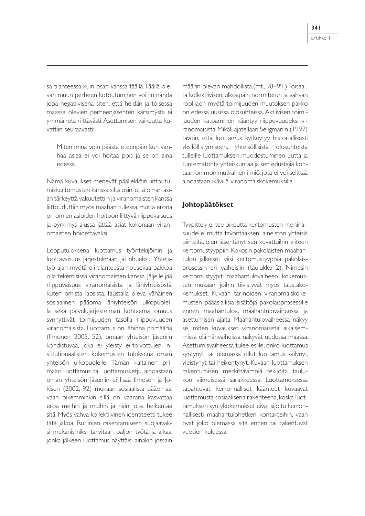sa tilanteessa kuin osan kanssa täällä. Täällä olevan muun perheen kotoutuminen voitiin nähdä jopa negatiivisena siten, että heidän ja toisessa maassa olevien perheenjäsenten kärsimystä ei ymmärretä riittävästi. Asettumisen vaikeutta kuvattiin seuraavasti:

Miten minä voin päästä eteenpäin kun vanhaa asiaa ei voi hoitaa pois ja se on aina edessä.

Nämä kuvaukset menevät päällekkäin liittoutumiskertomusten kanssa siltä osin, että oman asian tärkeyttä vakuutettiin ja viranomaisten kanssa liittouduttiin myös maahan tullessa, mutta erona on omien asioiden hoitoon liittyvä riippuvaisuus ja pyrkimys alussa jättää asiat kokonaan viranomaisten hoidettavaksi.

Lopputuloksena luottamus työntekijöihin ja luottavaisuus järjestelmään jäi ohueksi. Yhteistyö ajan myötä oli tilanteesta nousevaa pakkoa olla tekemisissä viranomaisten kanssa. Jäljelle jää riippuvaisuus viranomaisista ja lähiyhteisöstä, kuten omista lapsista. Taustalla oleva vähäinen sosiaalinen pääoma lähiyhteisön ulkopuolella sekä palvelujärjestelmän kohtaamattomuus synnyttivät toimijuuden tasolla riippuvuuden viranomaisista. Luottamus on lähinnä primääriä (Ilmonen 2005, 52), omaan yhteisön jäseniin kohdistuvaa, joka ei yleisty ei-toivottujen institutionaalisten kokemusten tuloksena oman yhteisön ulkopuolelle. Tämän kaltainen primääri luottamus tai luottamusketju ainoastaan oman yhteisön jäseniin ei lisää Ilmosen ja Jokisen (2002, 92) mukaan sosiaalista pääomaa, vaan pikemminkin sillä on vaarana kasvattaa eroa meihin ja muihin ja näin jopa heikentää sitä. Myös vahva kollektiivinen identiteetti tukee tätä jakoa. Rutiinien rakentamiseen suojaavaksi mekanismiksi tarvitaan paljon työtä ja aikaa, jonka jälkeen luottamus näyttäisi ainakin jossain määrin olevan mahdollista.(mt., 98–99.) Toisaalta kollektiivisen, ulkoapäin normitetun ja vahvan roolijaon myötä toimijuuden muutoksen pakko on edessä uusissa olosuhteissa. Aktiivisen toimijuuden katoaminen kääntyy riippuvuudeksi viranomaisista. Mikäli ajatellaan Seligmanin (1997) tavoin, että luottamus kytkeytyy historiallisesti yksilöllistymiseen, yhteisöllisistä olosuhteista tulleille luottamuksen muodostuminen uutta ja tuntematonta yhteiskuntaa ja sen edustajia kohtaan on monimutkainen ilmiö, jota ei voi selittää ainoastaan ikävillä viranomaiskokemuksilla.

#### **Johtopäätökset**

Tyypittely ei tee oikeutta kertomusten moninaisuudelle, mutta tavoittaakseni aineiston yhteisiä piirteitä, olen jäsentänyt sen kuvattuihin viiteen kertomustyyppiin. Kokosin pakolaisten maahantulon jälkeiset viisi kertomustyyppiä pakolaisprosessin eri vaiheisiin (taulukko 2). Nimesin kertomustyypit maahantulovaiheen kokemusten mukaan, joihin tiivistyvät myös taustakokemukset. Kuvaan tarinoiden viranomaiskokemusten pääasiallisia sisältöjä pakolaisprosessille ennen maahantuloa, maahantulovaiheessa ja asettumisen ajalta. Maahantulovaiheessa näkyy se, miten kuvaukset viranomaisista aikaisemmissa elämänvaiheissa näkyvät uudessa maassa. Asettumisvaiheessa tulee esille, onko luottamus syntynyt tai olemassa ollut luottamus säilynyt, yleistynyt tai heikentynyt. Kuvaan luottamuksen rakentumisen merkittävimpiä tekijöitä taulukon viimeisessä sarakkeessa. Luottamuksessa tapahtuvat kerronnalliset käänteet kuvaavat luottamusta sosiaalisena rakenteena, koska luottamuksen syntykokemukset eivät sijoitu kerronnallisesti maahantulohetken kontakteihin, vaan ovat joko olemassa sitä ennen tai rakentuvat vuosien kuluessa.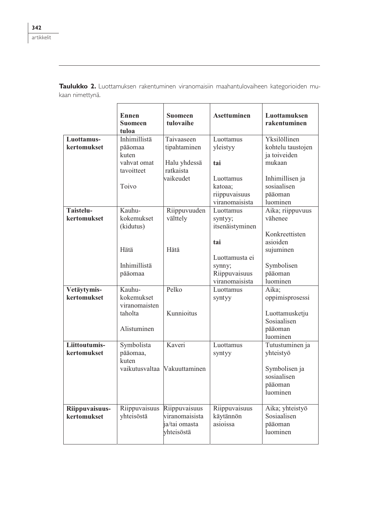|                               | <b>Ennen</b><br><b>Suomeen</b><br>tuloa                         | <b>Suomeen</b><br>tulovaihe                                          | <b>Asettuminen</b>                                                 | Luottamuksen<br>rakentuminen                                                        |
|-------------------------------|-----------------------------------------------------------------|----------------------------------------------------------------------|--------------------------------------------------------------------|-------------------------------------------------------------------------------------|
| Luottamus-<br>kertomukset     | Inhimillistä<br>pääomaa<br>kuten<br>vahvat omat<br>tavoitteet   | Taivaaseen<br>tipahtaminen<br>Halu yhdessä<br>ratkaista<br>vaikeudet | Luottamus<br>yleistyy<br>tai<br>Luottamus                          | Yksilöllinen<br>kohtelu taustojen<br>ja toiveiden<br>mukaan<br>Inhimillisen ja      |
|                               | Toivo                                                           |                                                                      | katoaa;<br>riippuvaisuus<br>viranomaisista                         | sosiaalisen<br>pääoman<br>luominen                                                  |
| Taistelu-<br>kertomukset      | Kauhu-<br>kokemukset<br>(kidutus)                               | Riippuvuuden<br>välttely                                             | Luottamus<br>syntyy;<br>itsenäistyminen                            | Aika; riippuvuus<br>vähenee<br>Konkreettisten                                       |
|                               | Hätä<br>Inhimillistä<br>pääomaa                                 | Hätä                                                                 | tai<br>Luottamusta ei<br>synny;<br>Riippuvaisuus<br>viranomaisista | asioiden<br>sujuminen<br>Symbolisen<br>pääoman<br>luominen                          |
| Vetäytymis-<br>kertomukset    | Kauhu-<br>kokemukset<br>viranomaisten<br>taholta<br>Alistuminen | Pelko<br>Kunnioitus                                                  | Luottamus<br>syntyy                                                | Aika;<br>oppimisprosessi<br>Luottamusketju<br>Sosiaalisen<br>pääoman<br>luominen    |
| Liittoutumis-<br>kertomukset  | Symbolista<br>pääomaa,<br>kuten<br>vaikutusvaltaa               | Kaveri<br>Vakuuttaminen                                              | Luottamus<br>syntyy                                                | Tutustuminen ja<br>yhteistyö<br>Symbolisen ja<br>sosiaalisen<br>pääoman<br>luominen |
| Riippuvaisuus-<br>kertomukset | Riippuvaisuus<br>yhteisöstä                                     | Riippuvaisuus<br>viranomaisista<br>ja/tai omasta<br>yhteisöstä       | Riippuvaisuus<br>käytännön<br>asioissa                             | Aika; yhteistyö<br>Sosiaalisen<br>pääoman<br>luominen                               |

**Taulukko 2.** Luottamuksen rakentuminen viranomaisiin maahantulovaiheen kategorioiden mukaan nimettynä.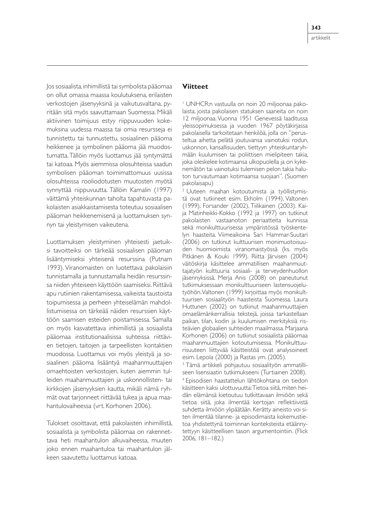Jos sosiaalista, inhimillistä tai symbolista pääomaa on ollut omassa maassa koulutuksena, erilaisten verkostojen jäsenyyksinä ja vaikutusvaltana, pyritään sitä myös saavuttamaan Suomessa. Mikäli aktiivinen toimijuus estyy riippuvuuden kokemuksina uudessa maassa tai omia resursseja ei tunnistettu tai tunnustettu, sosiaalinen pääoma heikkenee ja symbolinen pääoma jää muodostumatta. Tällöin myös luottamus jää syntymättä tai katoaa. Myös aiemmissa olosuhteissa saadun symbolisen pääoman toimimattomuus uusissa olosuhteissa rooliodotusten muutosten myötä synnyttää riippuvuutta. Tällöin Kamalin (1997) väittämä yhteiskunnan taholta tapahtuvasta pakolaisten asiakkaistamisesta toteutuu sosiaalisen pääoman heikkenemisenä ja luottamuksen synnyn tai yleistymisen vaikeutena.

Luottamuksen yleistyminen yhteisesti jaetuiksi tavoitteiksi on tärkeää sosiaalisen pääoman lisääntymiseksi yhteisenä resurssina (Putnam 1993). Viranomaisten on luotettava pakolaisiin tunnistamalla ja tunnustamalla heidän resurssinsa niiden yhteiseen käyttöön saamiseksi. Riittävä apu rutiinien rakentamisessa, vaikeista taustoista toipumisessa ja perheen yhteiselämän mahdollistumisessa on tärkeää näiden resurssien käyttöön saamisen esteiden poistamisessa. Samalla on myös kasvatettava inhimillistä ja sosiaalista pääomaa institutionaalisissa suhteissa riittävien tietojen, taitojen ja tarpeellisten kontaktien muodossa. Luottamus voi myös yleistyä ja sosiaalinen pääoma lisääntyä maahanmuuttajien omaehtoisten verkostojen, kuten aiemmin tulleiden maahanmuuttajien ja uskonnollisten- tai kirkkojen jäsenyyksien kautta, mikäli nämä ryhmät ovat tarjonneet riittävää tukea ja apua maahantulovaiheessa (vrt. Korhonen 2006).

Tulokset osoittavat, että pakolaisten inhimillistä, sosiaalista ja symbolista pääomaa on rakennettava heti maahantulon alkuvaiheessa, muuten joko ennen maahantuloa tai maahantulon jälkeen saavutettu luottamus katoaa.

#### **Viitteet**

1 UNHCR:n vastuulla on noin 20 miljoonaa pakolaista, joista pakolaisen statuksen saaneita on noin 12 miljoonaa. Vuonna 1951 Genevessä laaditussa yleissopimuksessa ja vuoden 1967 pöytäkirjassa pakolaisella tarkoitetaan henkilöä, jolla on "perusteltua aihetta pelätä joutuvansa vainotuksi rodun, uskonnon, kansallisuuden, tiettyyn yhteiskuntaryhmään kuulumisen tai poliittisen mielipiteen takia, joka oleskelee kotimaansa ulkopuolella ja on kykenemätön tai vainotuksi tulemisen pelon takia haluton turvautumaan kotimaansa suojaan". (Suomen pakolaisapu)

2 Uuteen maahan kotoutumista ja työllistymistä ovat tutkineet esim. Ekholm (1994), Valtonen (1999), Forsander (2002), Tiilikainen (2003). Kaija Matinheikki-Kokko (1992 ja 1997) on tutkinut pakolaisten vastaanoton periaatteita kunnissa sekä monikulttuurisessa ympäristössä työskentelyn haasteita. Viimeaikoina Sari Hammar-Suutari (2006) on tutkinut kulttuurisen monimuotoisuuden huomioimista viranomaistyössä (ks. myös Pitkänen & Kouki 1999). Riitta Järvisen (2004) väitöskirja käsittelee ammatillisen maahanmuuttajatyön kulttuuria sosiaali- ja terveydenhuollon jäsennyksissä. Merja Anis (2008) on paneutunut tutkimuksessaan monikulttuuriseen lastensuojelutyöhön. Valtonen (1999) kirjoittaa myös monikulttuurisen sosiaalityön haasteista Suomessa. Laura Huttunen (2002) on tutkinut maahanmuuttajien omaelämänkerrallisia tekstejä, joissa tarkastellaan paikan, tilan, kodin ja kuulumisen merkityksiä risteävien globaalien suhteiden maailmassa. Marjaana Korhonen (2006) on tutkinut sosiaalista pääomaa maahanmuuttajien kotoutumisessa. Monikulttuurisuuteen liittyvää käsitteistöä ovat analysoineet esim. Lepola (2000) ja Rastas ym. (2005).

3 Tämä artikkeli pohjautuu sosiaalityön ammatilliseen lisensiaatin tutkimukseeni (Turtiainen 2008). 4 Episodisen haastattelun lähtökohtana on tiedon käsitteen kaksi ulottuvuutta: Tietoa siitä, miten heidän elämänsä kietoutuu tutkittavaan ilmiöön sekä tietoa siitä, joka ilmentää kertojan reflektiivistä suhdetta ilmiöön ylipäätään. Kerätty aineisto voi siten ilmentää tilanne- ja episodimaista kokemustietoa yhdistettynä toiminnan konteksteista etäännytettyyn käsitteellisen tason argumentointiin. (Flick 2006, 181–182.)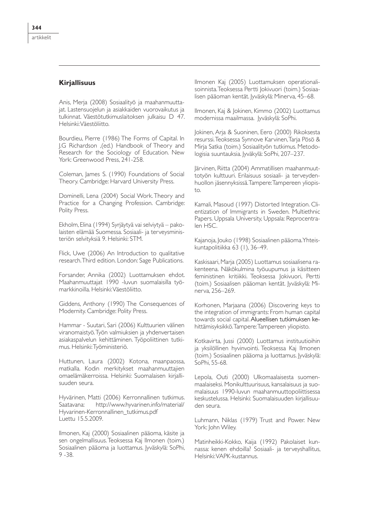#### **Kirjallisuus**

Anis, Merja (2008) Sosiaalityö ja maahanmuuttajat. Lastensuojelun ja asiakkaiden vuorovaikutus ja tulkinnat. Väestötutkimuslaitoksen julkaisu D 47. Helsinki: Väestöliitto.

Bourdieu, Pierre (1986) The Forms of Capital. In J.G Richardson ,(ed.) Handbook of Theory and Research for the Sociology of Education. New York: Greenwood Press, 241-258.

Coleman, James S. (1990) Foundations of Social Theory. Cambridge: Harvard University Press.

Dominelli, Lena (2004) Social Work. Theory and Practice for a Changing Profession. Cambridge: Polity Press.

Ekholm, Elina (1994) Syrjäytyä vai selviytyä – pakolaisten elämää Suomessa. Sosiaali- ja terveysministeriön selvityksiä 9. Helsinki: STM.

Flick, Uwe (2006) An Introduction to qualitative research. Third edition. London: Sage Publications.

Forsander, Annika (2002) Luottamuksen ehdot. Maahanmuuttajat 1990 -luvun suomalaisilla työmarkkinoilla. Helsinki: Väestöliitto.

Giddens, Anthony (1990) The Consequences of Modernity. Cambridge: Polity Press.

Hammar - Suutari, Sari (2006) Kulttuurien välinen viranomaistyö. Työn valmiuksien ja yhdenvertaisen asiakaspalvelun kehittäminen. Työpoliittinen tutkimus. Helsinki: Työministeriö.

Huttunen, Laura (2002) Kotona, maanpaossa, matkalla. Kodin merkitykset maahanmuuttajien omaelämäkerroissa. Helsinki: Suomalaisen kirjallisuuden seura.

Hyvärinen, Matti (2006) Kerronnallinen tutkimus. Saatavana: http://www.hyvarinen.info/material/ Hyvarinen-Kerronnallinen\_tutkimus.pdf Luettu 15.5.2009.

Ilmonen, Kaj (2000) Sosiaalinen pääoma, käsite ja sen ongelmallisuus. Teoksessa Kaj Ilmonen (toim.) Sosiaalinen pääoma ja luottamus. Jyväskylä: SoPhi, 9 -38.

Ilmonen Kaj (2005) Luottamuksen operationalisoinnista. Teoksessa Pertti Jokivuori (toim.) Sosiaalisen pääoman kentät. Jyväskylä: Minerva, 45–68.

Ilmonen, Kaj & Jokinen, Kimmo (2002) Luottamus modernissa maailmassa. Jyväskylä: SoPhi.

Jokinen, Arja & Suoninen, Eero (2000) Rikoksesta resurssi. Teoksessa Synnove Karvinen, Tarja Pösö & Mirja Satka (toim.) Sosiaalityön tutkimus. Metodologisia suuntauksia. Jyväkylä: SoPhi, 207–237.

Järvinen, Riitta (2004) Ammatillisen maahanmuuttotyön kulttuuri. Erilaisuus sosiaali- ja terveydenhuollon jäsennyksissä. Tampere: Tampereen yliopisto.

Kamali, Masoud (1997) Distorted Integration. Clientization of Immigrants in Sweden. Multiethnic Papers. Uppsala University, Uppsala: Reprocentralen HSC.

Kajanoja, Jouko (1998) Sosiaalinen pääoma. Yhteiskuntapolitiikka 63 (1), 36–49.

Kaskisaari, Marja (2005) Luottamus sosiaalisena rakenteena. Näkökulmina työuupumus ja käsitteen feministinen kritiikki. Teoksessa Jokivuori, Pertti (toim.) Sosiaalisen pääoman kentät. Jyväskylä: Minerva, 256–269.

Korhonen, Marjaana (2006) Discovering keys to the integration of immigrants: From human capital towards social capital. Alueellisen tutkimuksen kehittämisyksikkö. Tampere: Tampereen yliopisto.

Kotkavirta, Jussi (2000) Luottamus instituutioihin ja yksilöllinen hyvinvointi. Teoksessa Kaj Ilmonen (toim.) Sosiaalinen pääoma ja luottamus. Jyväskylä: SoPhi, 55-68.

Lepola, Outi (2000) Ulkomaalaisesta suomenmaalaiseksi. Monikulttuurisuus, kansalaisuus ja suomalaisuus 1990-luvun maahanmuuttopoliittisessa keskustelussa. Helsinki: Suomalaisuuden kirjallisuuden seura.

Luhmann, Niklas (1979) Trust and Power. New York: John Wiley.

Matinheikki-Kokko, Kaija (1992) Pakolaiset kunnassa: kenen ehdoilla? Sosiaali- ja terveyshallitus, Helsinki: VAPK-kustannus.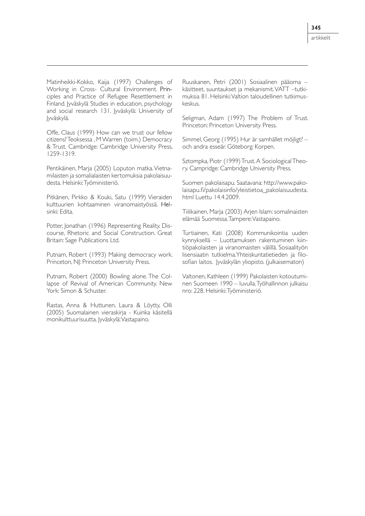Matinheikki-Kokko, Kaija (1997) Challenges of Working in Cross- Cultural Environment. Principles and Practice of Refugee Resettlement in Finland. Jyväskylä Studies in education, psychology and social research 131. Jyväskylä: University of Jyväskylä.

Offe, Claus (1999) How can we trust our fellow citizens? Teoksessa , M Warren (toim.) Democracy & Trust. Cambridge: Cambridge University Press, 1259-1319.

Pentikäinen, Marja (2005) Loputon matka. Vietnamilaisten ja somalialaisten kertomuksia pakolaisuudesta. Helsinki: Työministeriö.

Pitkänen, Pirkko & Kouki, Satu (1999) Vieraiden kulttuurien kohtaaminen viranomaistyössä. Helsinki: Edita.

Potter, Jonathan (1996) Representing Reality. Discourse, Rhetoric and Social Construction. Great Britain: Sage Publications Ltd.

Putnam, Robert (1993) Making democracy work. Princeton, NJ: Princeton University Press.

Putnam, Robert (2000) Bowling alone. The Collapse of Revival of American Community. New York: Simon & Schuster.

Rastas, Anna & Huttunen, Laura & Löytty, Olli (2005) Suomalainen vieraskirja - Kuinka käsitellä monikulttuurisuutta. Jyväskylä: Vastapaino.

Ruuskanen, Petri (2001) Sosiaalinen pääoma – käsitteet, suuntaukset ja mekanismit. VATT –tutkimuksia 81. Helsinki: Valtion taloudellinen tutkimuskeskus.

Seligman, Adam (1997) The Problem of Trust. Princeton: Princeton University Press.

Simmel, Georg (1995) Hur är samhället möjligt? – och andra esseär. Göteborg: Korpen.

Sztompka, Piotr (1999) Trust. A Sociological Theory. Campridge: Cambridge University Press.

Suomen pakolaisapu. Saatavana: http://www.pakolaisapu.fi/pakolaisinfo/yleistietoa\_pakolaisuudesta. html Luettu 14.4.2009.

Tiilikainen, Marja (2003) Arjen Islam: somalinaisten elämää Suomessa. Tampere: Vastapaino.

Turtiainen, Kati (2008) Kommunikointia uuden kynnyksellä – Luottamuksen rakentuminen kiintiöpakolaisten ja viranomaisten välillä. Sosiaalityön lisensiaatin tutkielma.Yhteiskuntatietieden ja filosofian laitos. Jyväskylän yliopisto. (julkaisematon)

Valtonen, Kathleen (1999) Pakolaisten kotoutuminen Suomeen 1990 – luvulla. Työhallinnon julkaisu nro: 228. Helsinki: Työministeriö.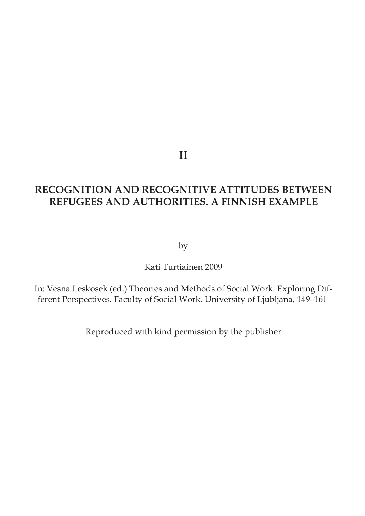# **II**

# **RECOGNITION AND RECOGNITIVE ATTITUDES BETWEEN REFUGEES AND AUTHORITIES. A FINNISH EXAMPLE**

by

Kati Turtiainen 2009

In: Vesna Leskosek (ed.) Theories and Methods of Social Work. Exploring Different Perspectives. Faculty of Social Work. University of Ljubljana, 149–161

Reproduced with kind permission by the publisher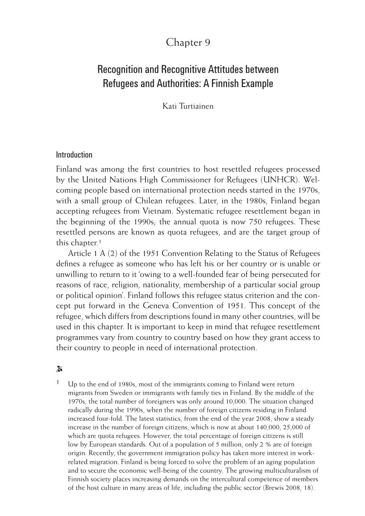# Chapter 9

# Recognition and Recognitive Attitudes between Refugees and Authorities: A Finnish Example

Kati Turtiainen

### Introduction

Finland was among the first countries to host resettled refugees processed by the United Nations High Commissioner for Refugees (UNHCR). Welcoming people based on international protection needs started in the 1970s, with a small group of Chilean refugees. Later, in the 1980s, Finland began accepting refugees from Vietnam. Systematic refugee resettlement began in the beginning of the 1990s; the annual quota is now 750 refugees. These resettled persons are known as quota refugees, and are the target group of this chapter.1

Article 1 A (2) of the 1951 Convention Relating to the Status of Refugees defines a refugee as someone who has left his or her country or is unable or unwilling to return to it 'owing to a well-founded fear of being persecuted for reasons of race, religion, nationality, membership of a particular social group or political opinion'. Finland follows this refugee status criterion and the concept put forward in the Geneva Convention of 1951. This concept of the refugee, which differs from descriptions found in many other countries, will be used in this chapter. It is important to keep in mind that refugee resettlement programmes vary from country to country based on how they grant access to their country to people in need of international protection.

### $\ddot{\bullet}$

<sup>1</sup> Up to the end of 1980s, most of the immigrants coming to Finland were return migrants from Sweden or immigrants with family ties in Finland. By the middle of the 1970s, the total number of foreigners was only around 10,000. The situation changed radically during the 1990s, when the number of foreign citizens residing in Finland increased four-fold. The latest statistics, from the end of the year 2008, show a steady increase in the number of foreign citizens, which is now at about 140,000, 25,000 of which are quota refugees. However, the total percentage of foreign citizens is still low by European standards. Out of a population of 5 million, only 2 % are of foreign origin. Recently, the government immigration policy has taken more interest in workrelated migration. Finland is being forced to solve the problem of an aging population and to secure the economic well-being of the country. The growing multiculturalism of Finnish society places increasing demands on the intercultural competence of members of the host culture in many areas of life, including the public sector (Brewis 2008, 18).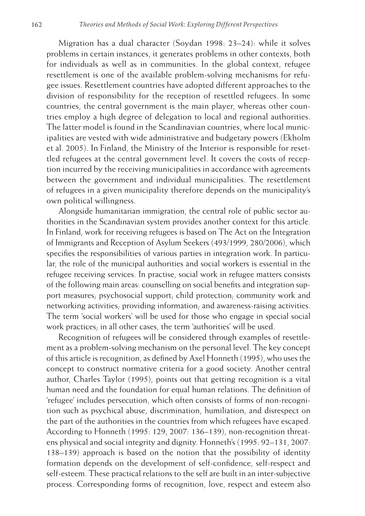Migration has a dual character (Soydan 1998: 23–24): while it solves problems in certain instances, it generates problems in other contexts, both for individuals as well as in communities. In the global context, refugee resettlement is one of the available problem-solving mechanisms for refugee issues. Resettlement countries have adopted different approaches to the division of responsibility for the reception of resettled refugees. In some countries, the central government is the main player, whereas other countries employ a high degree of delegation to local and regional authorities. The latter model is found in the Scandinavian countries, where local municipalities are vested with wide administrative and budgetary powers (Ekholm et al. 2005). In Finland, the Ministry of the Interior is responsible for resettled refugees at the central government level. It covers the costs of reception incurred by the receiving municipalities in accordance with agreements between the government and individual municipalities. The resettlement of refugees in a given municipality therefore depends on the municipality's own political willingness.

Alongside humanitarian immigration, the central role of public sector authorities in the Scandinavian system provides another context for this article. In Finland, work for receiving refugees is based on The Act on the Integration of Immigrants and Reception of Asylum Seekers (493/1999, 280/2006), which specifies the responsibilities of various parties in integration work. In particular, the role of the municipal authorities and social workers is essential in the refugee receiving services. In practise, social work in refugee matters consists of the following main areas: counselling on social benefits and integration support measures; psychosocial support; child protection; community work and networking activities; providing information; and awareness-raising activities. The term 'social workers' will be used for those who engage in special social work practices; in all other cases, the term 'authorities' will be used.

Recognition of refugees will be considered through examples of resettlement as a problem-solving mechanism on the personal level. The key concept of this article is recognition, as defined by Axel Honneth (1995), who uses the concept to construct normative criteria for a good society. Another central author, Charles Taylor (1995), points out that getting recognition is a vital human need and the foundation for equal human relations. The definition of 'refugee' includes persecution, which often consists of forms of non-recognition such as psychical abuse, discrimination, humiliation, and disrespect on the part of the authorities in the countries from which refugees have escaped. According to Honneth (1995: 129, 2007: 136–139), non-recognition threatens physical and social integrity and dignity. Honneth's (1995: 92–131, 2007: 138–139) approach is based on the notion that the possibility of identity formation depends on the development of self-confidence, self-respect and self-esteem. These practical relations to the self are built in an inter-subjective process. Corresponding forms of recognition, love, respect and esteem also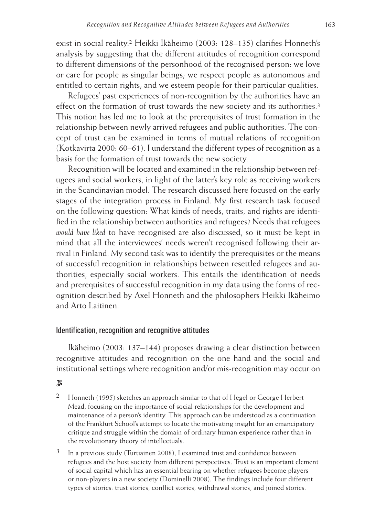exist in social reality.2 Heikki Ikäheimo (2003: 128–135) clarifies Honneth's analysis by suggesting that the different attitudes of recognition correspond to different dimensions of the personhood of the recognised person: we love or care for people as singular beings; we respect people as autonomous and entitled to certain rights; and we esteem people for their particular qualities.

Refugees' past experiences of non-recognition by the authorities have an effect on the formation of trust towards the new society and its authorities.<sup>3</sup> This notion has led me to look at the prerequisites of trust formation in the relationship between newly arrived refugees and public authorities. The concept of trust can be examined in terms of mutual relations of recognition (Kotkavirta 2000: 60–61). I understand the different types of recognition as a basis for the formation of trust towards the new society.

Recognition will be located and examined in the relationship between refugees and social workers, in light of the latter's key role as receiving workers in the Scandinavian model. The research discussed here focused on the early stages of the integration process in Finland. My first research task focused on the following question: What kinds of needs, traits, and rights are identified in the relationship between authorities and refugees? Needs that refugees *would have liked* to have recognised are also discussed, so it must be kept in mind that all the interviewees' needs weren't recognised following their arrival in Finland. My second task was to identify the prerequisites or the means of successful recognition in relationships between resettled refugees and authorities, especially social workers. This entails the identification of needs and prerequisites of successful recognition in my data using the forms of recognition described by Axel Honneth and the philosophers Heikki Ikäheimo and Arto Laitinen.

### Identification, recognition and recognitive attitudes

Ikäheimo (2003: 137–144) proposes drawing a clear distinction between recognitive attitudes and recognition on the one hand and the social and institutional settings where recognition and/or mis-recognition may occur on

# $\ddot{\mathbf{x}}$

- <sup>2</sup> Honneth (1995) sketches an approach similar to that of Hegel or George Herbert Mead, focusing on the importance of social relationships for the development and maintenance of a person's identity. This approach can be understood as a continuation of the Frankfurt School's attempt to locate the motivating insight for an emancipatory critique and struggle within the domain of ordinary human experience rather than in the revolutionary theory of intellectuals.
- 3 In a previous study (Turtiainen 2008), I examined trust and confidence between refugees and the host society from different perspectives. Trust is an important element of social capital which has an essential bearing on whether refugees become players or non-players in a new society (Dominelli 2008). The findings include four different types of stories: trust stories, conflict stories, withdrawal stories, and joined stories.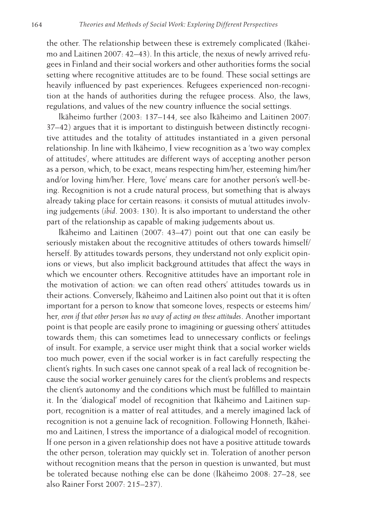the other. The relationship between these is extremely complicated (Ikäheimo and Laitinen 2007: 42–43). In this article, the nexus of newly arrived refugees in Finland and their social workers and other authorities forms the social setting where recognitive attitudes are to be found. These social settings are heavily influenced by past experiences. Refugees experienced non-recognition at the hands of authorities during the refugee process. Also, the laws, regulations, and values of the new country influence the social settings.

Ikäheimo further (2003: 137–144, see also Ikäheimo and Laitinen 2007: 37–42) argues that it is important to distinguish between distinctly recognitive attitudes and the totality of attitudes instantiated in a given personal relationship. In line with Ikäheimo, I view recognition as a 'two way complex of attitudes', where attitudes are different ways of accepting another person as a person, which, to be exact, means respecting him/her, esteeming him/her and/or loving him/her. Here, 'love' means care for another person's well-being. Recognition is not a crude natural process, but something that is always already taking place for certain reasons: it consists of mutual attitudes involving judgements (*ibid*. 2003: 130). It is also important to understand the other part of the relationship as capable of making judgements about us.

Ikäheimo and Laitinen (2007: 43–47) point out that one can easily be seriously mistaken about the recognitive attitudes of others towards himself/ herself. By attitudes towards persons, they understand not only explicit opinions or views, but also implicit background attitudes that affect the ways in which we encounter others. Recognitive attitudes have an important role in the motivation of action: we can often read others' attitudes towards us in their actions. Conversely, Ikäheimo and Laitinen also point out that it is often important for a person to know that someone loves, respects or esteems him/ her, *even if that other person has no way of acting on these attitudes*. Another important point is that people are easily prone to imagining or guessing others' attitudes towards them; this can sometimes lead to unnecessary conflicts or feelings of insult. For example, a service user might think that a social worker wields too much power, even if the social worker is in fact carefully respecting the client's rights. In such cases one cannot speak of a real lack of recognition because the social worker genuinely cares for the client's problems and respects the client's autonomy and the conditions which must be fulfilled to maintain it. In the 'dialogical' model of recognition that Ikäheimo and Laitinen support, recognition is a matter of real attitudes, and a merely imagined lack of recognition is not a genuine lack of recognition. Following Honneth, Ikäheimo and Laitinen, I stress the importance of a dialogical model of recognition. If one person in a given relationship does not have a positive attitude towards the other person, toleration may quickly set in. Toleration of another person without recognition means that the person in question is unwanted, but must be tolerated because nothing else can be done (Ikäheimo 2008: 27–28, see also Rainer Forst 2007: 215–237).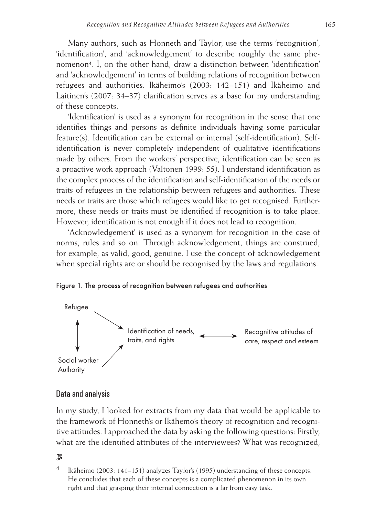Many authors, such as Honneth and Taylor, use the terms 'recognition', 'identification', and 'acknowledgement' to describe roughly the same phenomenon4. I, on the other hand, draw a distinction between 'identification' and 'acknowledgement' in terms of building relations of recognition between refugees and authorities. Ikäheimo's (2003: 142–151) and Ikäheimo and Laitinen's (2007: 34–37) clarification serves as a base for my understanding of these concepts.

'Identification' is used as a synonym for recognition in the sense that one identifies things and persons as definite individuals having some particular feature(s). Identification can be external or internal (self-identification). Selfidentification is never completely independent of qualitative identifications made by others. From the workers' perspective, identification can be seen as a proactive work approach (Valtonen 1999: 55). I understand identification as the complex process of the identification and self-identification of the needs or traits of refugees in the relationship between refugees and authorities. These needs or traits are those which refugees would like to get recognised. Furthermore, these needs or traits must be identified if recognition is to take place. However, identification is not enough if it does not lead to recognition.

'Acknowledgement' is used as a synonym for recognition in the case of norms, rules and so on. Through acknowledgement, things are construed, for example, as valid, good, genuine. I use the concept of acknowledgement when special rights are or should be recognised by the laws and regulations.

### Figure 1. The process of recognition between refugees and authorities



# Data and analysis

In my study, I looked for extracts from my data that would be applicable to the framework of Honneth's or Ikähemo's theory of recognition and recognitive attitudes. I approached the data by asking the following questions: Firstly, what are the identified attributes of the interviewees? What was recognized,

### $\ddot{\bullet}$

4 Ikäheimo (2003: 141–151) analyzes Taylor's (1995) understanding of these concepts. He concludes that each of these concepts is a complicated phenomenon in its own right and that grasping their internal connection is a far from easy task.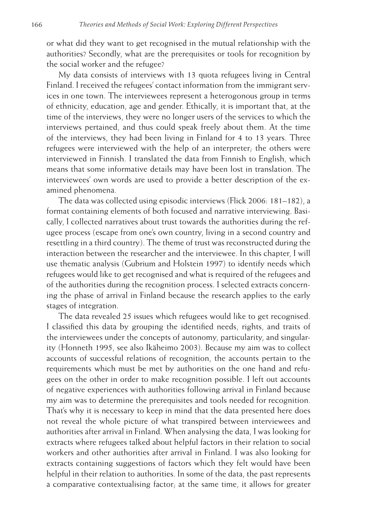or what did they want to get recognised in the mutual relationship with the authorities? Secondly, what are the prerequisites or tools for recognition by the social worker and the refugee?

My data consists of interviews with 13 quota refugees living in Central Finland. I received the refugees' contact information from the immigrant services in one town. The interviewees represent a heterogonous group in terms of ethnicity, education, age and gender. Ethically, it is important that, at the time of the interviews, they were no longer users of the services to which the interviews pertained, and thus could speak freely about them. At the time of the interviews, they had been living in Finland for 4 to 13 years. Three refugees were interviewed with the help of an interpreter; the others were interviewed in Finnish. I translated the data from Finnish to English, which means that some informative details may have been lost in translation. The interviewees' own words are used to provide a better description of the examined phenomena.

The data was collected using episodic interviews (Flick 2006: 181–182), a format containing elements of both focused and narrative interviewing. Basically, I collected narratives about trust towards the authorities during the refugee process (escape from one's own country, living in a second country and resettling in a third country). The theme of trust was reconstructed during the interaction between the researcher and the interviewee. In this chapter, I will use thematic analysis (Gubrium and Holstein 1997) to identify needs which refugees would like to get recognised and what is required of the refugees and of the authorities during the recognition process. I selected extracts concerning the phase of arrival in Finland because the research applies to the early stages of integration.

The data revealed 25 issues which refugees would like to get recognised. I classified this data by grouping the identified needs, rights, and traits of the interviewees under the concepts of autonomy, particularity, and singularity (Honneth 1995, see also Ikäheimo 2003). Because my aim was to collect accounts of successful relations of recognition, the accounts pertain to the requirements which must be met by authorities on the one hand and refugees on the other in order to make recognition possible. I left out accounts of negative experiences with authorities following arrival in Finland because my aim was to determine the prerequisites and tools needed for recognition. That's why it is necessary to keep in mind that the data presented here does not reveal the whole picture of what transpired between interviewees and authorities after arrival in Finland. When analysing the data, I was looking for extracts where refugees talked about helpful factors in their relation to social workers and other authorities after arrival in Finland. I was also looking for extracts containing suggestions of factors which they felt would have been helpful in their relation to authorities. In some of the data, the past represents a comparative contextualising factor; at the same time, it allows for greater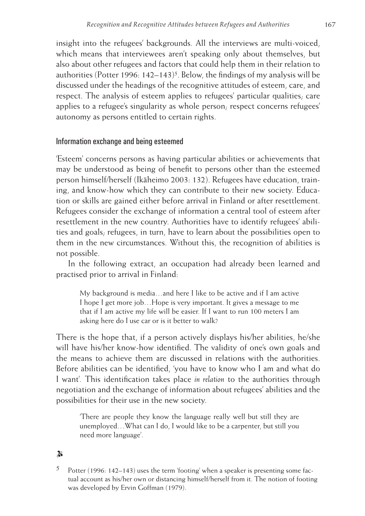insight into the refugees' backgrounds. All the interviews are multi-voiced, which means that interviewees aren't speaking only about themselves, but also about other refugees and factors that could help them in their relation to authorities (Potter 1996:  $142-143$ )<sup>5</sup>. Below, the findings of my analysis will be discussed under the headings of the recognitive attitudes of esteem, care, and respect. The analysis of esteem applies to refugees' particular qualities; care applies to a refugee's singularity as whole person; respect concerns refugees' autonomy as persons entitled to certain rights.

# Information exchange and being esteemed

'Esteem' concerns persons as having particular abilities or achievements that may be understood as being of benefit to persons other than the esteemed person himself/herself (Ikäheimo 2003: 132). Refugees have education, training, and know-how which they can contribute to their new society. Education or skills are gained either before arrival in Finland or after resettlement. Refugees consider the exchange of information a central tool of esteem after resettlement in the new country. Authorities have to identify refugees' abilities and goals; refugees, in turn, have to learn about the possibilities open to them in the new circumstances. Without this, the recognition of abilities is not possible.

In the following extract, an occupation had already been learned and practised prior to arrival in Finland:

My background is media…and here I like to be active and if I am active I hope I get more job…Hope is very important. It gives a message to me that if I am active my life will be easier. If I want to run 100 meters I am asking here do I use car or is it better to walk?

There is the hope that, if a person actively displays his/her abilities, he/she will have his/her know-how identified. The validity of one's own goals and the means to achieve them are discussed in relations with the authorities. Before abilities can be identified, 'you have to know who I am and what do I want'*.* This identification takes place *in relation* to the authorities through negotiation and the exchange of information about refugees' abilities and the possibilities for their use in the new society.

'There are people they know the language really well but still they are unemployed…What can I do, I would like to be a carpenter, but still you need more language'.

 $\ddot{\textbf{a}}$ 

 $5$  Potter (1996: 142–143) uses the term 'footing' when a speaker is presenting some factual account as his/her own or distancing himself/herself from it. The notion of footing was developed by Ervin Goffman (1979).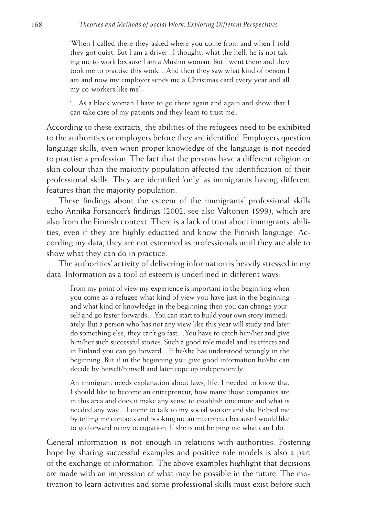'When I called there they asked where you come from and when I told they got quiet. But I am a driver...I thought, what the hell, he is not taking me to work because I am a Muslim woman. But I went there and they took me to practise this work…And then they saw what kind of person I am and now my employer sends me a Christmas card every year and all my co-workers like me'.

'…As a black woman I have to go there again and again and show that I can take care of my patients and they learn to trust me'.

According to these extracts, the abilities of the refugees need to be exhibited to the authorities or employers before they are identified. Employers question language skills, even when proper knowledge of the language is not needed to practise a profession. The fact that the persons have a different religion or skin colour than the majority population affected the identification of their professional skills. They are identified 'only' as immigrants having different features than the majority population.

These findings about the esteem of the immigrants' professional skills echo Annika Forsander's findings (2002, see also Valtonen 1999), which are also from the Finnish context. There is a lack of trust about immigrants' abilities, even if they are highly educated and know the Finnish language. According my data, they are not esteemed as professionals until they are able to show what they can do in practice.

The authorities' activity of delivering information is heavily stressed in my data. Information as a tool of esteem is underlined in different ways:

From my point of view my experience is important in the beginning when you come as a refugee what kind of view you have just in the beginning and what kind of knowledge in the beginning then you can change yourself and go faster forwards…You can start to build your own story immediately. But a person who has not any view like this year will study and later do something else, they can't go fast…You have to catch him/her and give him/her such successful stories. Such a good role model and its effects and in Finland you can go forward…If he/she has understood wrongly in the beginning. But if in the beginning you give good information he/she can decide by herself/himself and later cope up independently.

An immigrant needs explanation about laws, life. I needed to know that I should like to become an entrepreneur, how many those companies are in this area and does it make any sense to establish one more and what is needed any way…I come to talk to my social worker and she helped me by telling me contacts and booking me an interpreter because I would like to go forward in my occupation. If she is not helping me what can I do.

General information is not enough in relations with authorities. Fostering hope by sharing successful examples and positive role models is also a part of the exchange of information. The above examples highlight that decisions are made with an impression of what may be possible in the future. The motivation to learn activities and some professional skills must exist before such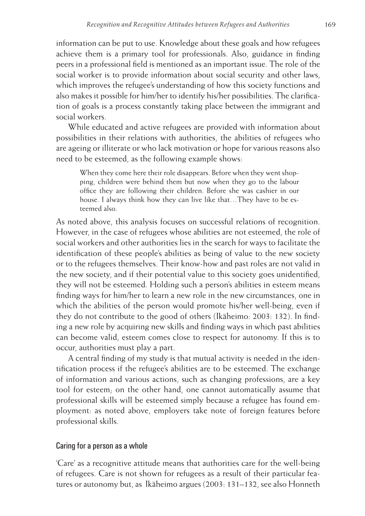information can be put to use. Knowledge about these goals and how refugees achieve them is a primary tool for professionals. Also, guidance in finding peers in a professional field is mentioned as an important issue. The role of the social worker is to provide information about social security and other laws, which improves the refugee's understanding of how this society functions and also makes it possible for him/her to identify his/her possibilities. The clarification of goals is a process constantly taking place between the immigrant and social workers.

While educated and active refugees are provided with information about possibilities in their relations with authorities, the abilities of refugees who are ageing or illiterate or who lack motivation or hope for various reasons also need to be esteemed, as the following example shows:

When they come here their role disappears. Before when they went shopping, children were behind them but now when they go to the labour office they are following their children. Before she was cashier in our house. I always think how they can live like that…They have to be esteemed also.

As noted above, this analysis focuses on successful relations of recognition. However, in the case of refugees whose abilities are not esteemed, the role of social workers and other authorities lies in the search for ways to facilitate the identification of these people's abilities as being of value to the new society or to the refugees themselves. Their know-how and past roles are not valid in the new society, and if their potential value to this society goes unidentified, they will not be esteemed. Holding such a person's abilities in esteem means finding ways for him/her to learn a new role in the new circumstances, one in which the abilities of the person would promote his/her well-being, even if they do not contribute to the good of others (Ikäheimo: 2003: 132). In finding a new role by acquiring new skills and finding ways in which past abilities can become valid, esteem comes close to respect for autonomy. If this is to occur, authorities must play a part.

A central finding of my study is that mutual activity is needed in the identification process if the refugee's abilities are to be esteemed. The exchange of information and various actions, such as changing professions, are a key tool for esteem; on the other hand, one cannot automatically assume that professional skills will be esteemed simply because a refugee has found employment: as noted above, employers take note of foreign features before professional skills.

# Caring for a person as a whole

'Care' as a recognitive attitude means that authorities care for the well-being of refugees. Care is not shown for refugees as a result of their particular features or autonomy but, as Ikäheimo argues (2003: 131–132, see also Honneth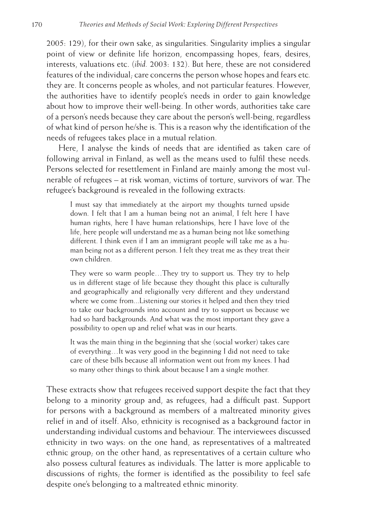2005: 129), for their own sake, as singularities. Singularity implies a singular point of view or definite life horizon, encompassing hopes, fears, desires, interests, valuations etc. (*ibid.* 2003: 132). But here, these are not considered features of the individual; care concerns the person whose hopes and fears etc*.* they are. It concerns people as wholes, and not particular features. However, the authorities have to identify people's needs in order to gain knowledge about how to improve their well-being. In other words, authorities take care of a person's needs because they care about the person's well-being, regardless of what kind of person he/she is. This is a reason why the identification of the needs of refugees takes place in a mutual relation.

Here, I analyse the kinds of needs that are identified as taken care of following arrival in Finland, as well as the means used to fulfil these needs. Persons selected for resettlement in Finland are mainly among the most vulnerable of refugees – at risk woman, victims of torture, survivors of war. The refugee's background is revealed in the following extracts:

I must say that immediately at the airport my thoughts turned upside down. I felt that I am a human being not an animal, I felt here I have human rights, here I have human relationships, here I have love of the life, here people will understand me as a human being not like something different. I think even if I am an immigrant people will take me as a human being not as a different person. I felt they treat me as they treat their own children.

They were so warm people…They try to support us. They try to help us in different stage of life because they thought this place is culturally and geographically and religionally very different and they understand where we come from...Listening our stories it helped and then they tried to take our backgrounds into account and try to support us because we had so hard backgrounds. And what was the most important they gave a possibility to open up and relief what was in our hearts.

It was the main thing in the beginning that she (social worker) takes care of everything…It was very good in the beginning I did not need to take care of these bills because all information went out from my knees. I had so many other things to think about because I am a single mother.

These extracts show that refugees received support despite the fact that they belong to a minority group and, as refugees, had a difficult past. Support for persons with a background as members of a maltreated minority gives relief in and of itself. Also, ethnicity is recognised as a background factor in understanding individual customs and behaviour. The interviewees discussed ethnicity in two ways: on the one hand, as representatives of a maltreated ethnic group; on the other hand, as representatives of a certain culture who also possess cultural features as individuals. The latter is more applicable to discussions of rights; the former is identified as the possibility to feel safe despite one's belonging to a maltreated ethnic minority.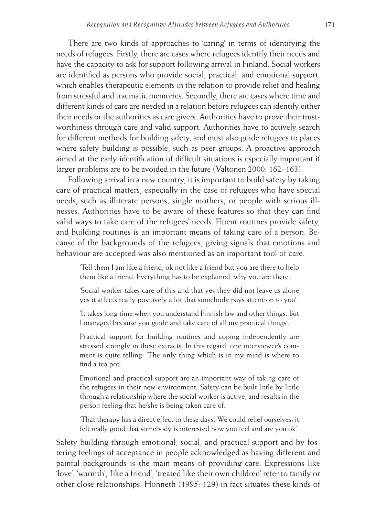There are two kinds of approaches to 'caring' in terms of identifying the needs of refugees. Firstly, there are cases where refugees identify their needs and have the capacity to ask for support following arrival in Finland. Social workers are identified as persons who provide social, practical, and emotional support, which enables therapeutic elements in the relation to provide relief and healing from stressful and traumatic memories. Secondly, there are cases where time and different kinds of care are needed in a relation before refugees can identify either their needs or the authorities as care givers. Authorities have to prove their trustworthiness through care and valid support. Authorities have to actively search for different methods for building safety, and must also guide refugees to places where safety building is possible, such as peer groups. A proactive approach aimed at the early identification of difficult situations is especially important if larger problems are to be avoided in the future (Valtonen 2000: 162–163).

Following arrival in a new country, it is important to build safety by taking care of practical matters, especially in the case of refugees who have special needs, such as illiterate persons, single mothers, or people with serious illnesses. Authorities have to be aware of these features so that they can find valid ways to take care of the refugees' needs. Fluent routines provide safety, and building routines is an important means of taking care of a person. Because of the backgrounds of the refugees, giving signals that emotions and behaviour are accepted was also mentioned as an important tool of care.

'Tell them I am like a friend, ok not like a friend but you are there to help them like a friend. Everything has to be explained, why you are there'.

'Social worker takes care of this and that yes they did not leave us alone yes it affects really positively a lot that somebody pays attention to you'.

'It takes long time when you understand Finnish law and other things. But I managed because you guide and take care of all my practical things'.

Practical support for building routines and coping independently are stressed strongly in these extracts. In this regard, one interviewee's comment is quite telling: 'The only thing which is in my mind is where to find a tea pot'.

Emotional and practical support are an important way of taking care of the refugees in their new environment. Safety can be built little by little through a relationship where the social worker is active, and results in the person feeling that he/she is being taken care of.

'That therapy has a direct effect to these days. We could relief ourselves; it felt really good that somebody is interested how you feel and are you ok'.

Safety building through emotional, social, and practical support and by fostering feelings of acceptance in people acknowledged as having different and painful backgrounds is the main means of providing care. Expressions like 'love', 'warmth', 'like a friend', 'treated like their own children' refer to family or other close relationships. Honneth (1995: 129) in fact situates these kinds of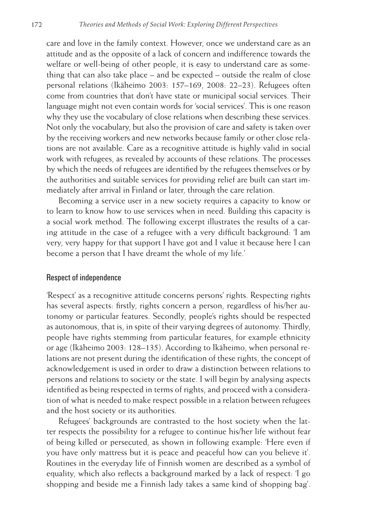care and love in the family context. However, once we understand care as an attitude and as the opposite of a lack of concern and indifference towards the welfare or well-being of other people, it is easy to understand care as something that can also take place – and be expected – outside the realm of close personal relations (Ikäheimo 2003: 157–169, 2008: 22–23). Refugees often come from countries that don't have state or municipal social services. Their language might not even contain words for 'social services'. This is one reason why they use the vocabulary of close relations when describing these services. Not only the vocabulary, but also the provision of care and safety is taken over by the receiving workers and new networks because family or other close relations are not available. Care as a recognitive attitude is highly valid in social work with refugees, as revealed by accounts of these relations. The processes by which the needs of refugees are identified by the refugees themselves or by the authorities and suitable services for providing relief are built can start immediately after arrival in Finland or later, through the care relation.

Becoming a service user in a new society requires a capacity to know or to learn to know how to use services when in need. Building this capacity is a social work method. The following excerpt illustrates the results of a caring attitude in the case of a refugee with a very difficult background: 'I am very, very happy for that support I have got and I value it because here I can become a person that I have dreamt the whole of my life.'

# Respect of independence

'Respect' as a recognitive attitude concerns persons' rights. Respecting rights has several aspects: firstly, rights concern a person, regardless of his/her autonomy or particular features. Secondly, people's rights should be respected as autonomous, that is, in spite of their varying degrees of autonomy. Thirdly, people have rights stemming from particular features, for example ethnicity or age (Ikäheimo 2003: 128–135). According to Ikäheimo, when personal relations are not present during the identification of these rights, the concept of acknowledgement is used in order to draw a distinction between relations to persons and relations to society or the state. I will begin by analysing aspects identified as being respected in terms of rights, and proceed with a consideration of what is needed to make respect possible in a relation between refugees and the host society or its authorities.

Refugees' backgrounds are contrasted to the host society when the latter respects the possibility for a refugee to continue his/her life without fear of being killed or persecuted, as shown in following example: 'Here even if you have only mattress but it is peace and peaceful how can you believe it'. Routines in the everyday life of Finnish women are described as a symbol of equality, which also reflects a background marked by a lack of respect: 'I go shopping and beside me a Finnish lady takes a same kind of shopping bag'.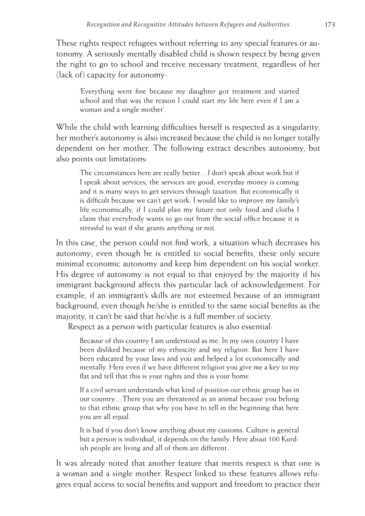These rights respect refugees without referring to any special features or autonomy. A seriously mentally disabled child is shown respect by being given the right to go to school and receive necessary treatment, regardless of her (lack of) capacity for autonomy:

'Everything went fine because my daughter got treatment and started school and that was the reason I could start my life here even if I am a woman and a single mother'.

While the child with learning difficulties herself is respected as a singularity, her mother's autonomy is also increased because the child is no longer totally dependent on her mother. The following extract describes autonomy, but also points out limitations:

The circumstances here are really better…I don't speak about work but if I speak about services, the services are good, everyday money is coming and it is many ways to get services through taxation. But economically it is difficult because we can't get work. I would like to improve my family's life economically, if I could plan my future not only food and cloths I claim that everybody wants to go out from the social office because it is stressful to wait if she grants anything or not.

In this case, the person could not find work, a situation which decreases his autonomy; even though he is entitled to social benefits, these only secure minimal economic autonomy and keep him dependent on his social worker. His degree of autonomy is not equal to that enjoyed by the majority if his immigrant background affects this particular lack of acknowledgement. For example, if an immigrant's skills are not esteemed because of an immigrant background, even though he/she is entitled to the same social benefits as the majority, it can't be said that he/she is a full member of society.

Respect as a person with particular features is also essential:

Because of this country I am understood as me. In my own country I have been disliked because of my ethnicity and my religion. But here I have been educated by your laws and you and helped a lot economically and mentally. Here even if we have different religion you give me a key to my flat and tell that this is your rights and this is your home.

If a civil servant understands what kind of position our ethnic group has in our country…There you are threatened as an animal because you belong to that ethnic group that why you have to tell in the beginning that here you are all equal.

It is bad if you don't know anything about my customs. Culture is general but a person is individual, it depends on the family. Here about 100 Kurdish people are living and all of them are different.

It was already noted that another feature that merits respect is that one is a woman and a single mother. Respect linked to these features allows refugees equal access to social benefits and support and freedom to practice their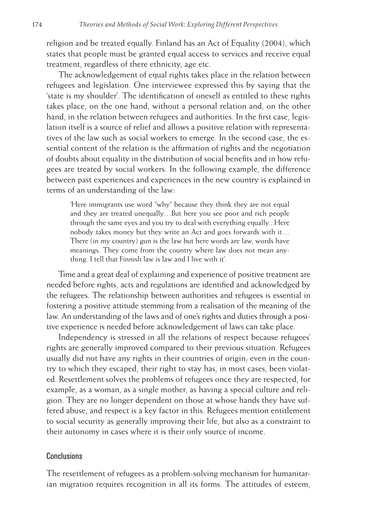religion and be treated equally. Finland has an Act of Equality (2004), which states that people must be granted equal access to services and receive equal treatment, regardless of there ethnicity, age etc.

The acknowledgement of equal rights takes place in the relation between refugees and legislation. One interviewee expressed this by saying that the 'state is my shoulder'. The identification of oneself as entitled to these rights takes place, on the one hand, without a personal relation and, on the other hand, in the relation between refugees and authorities. In the first case, legislation itself is a source of relief and allows a positive relation with representatives of the law such as social workers to emerge. In the second case, the essential content of the relation is the affirmation of rights and the negotiation of doubts about equality in the distribution of social benefits and in how refugees are treated by social workers. In the following example, the difference between past experiences and experiences in the new country is explained in terms of an understanding of the law:

'Here immigrants use word "why" because they think they are not equal and they are treated unequally…But here you see poor and rich people through the same eyes and you try to deal with everything equally...Here nobody takes money but they write an Act and goes forwards with it… There (in my country) gun is the law but here words are law, words have meanings. They come from the country where law does not mean anything. I tell that Finnish law is law and I live with it'*.*

Time and a great deal of explaining and experience of positive treatment are needed before rights, acts and regulations are identified and acknowledged by the refugees. The relationship between authorities and refugees is essential in fostering a positive attitude stemming from a realisation of the meaning of the law. An understanding of the laws and of one's rights and duties through a positive experience is needed before acknowledgement of laws can take place.

Independency is stressed in all the relations of respect because refugees' rights are generally improved compared to their previous situation. Refugees usually did not have any rights in their countries of origin; even in the country to which they escaped, their right to stay has, in most cases, been violated. Resettlement solves the problems of refugees once they are respected, for example, as a woman, as a single mother, as having a special culture and religion. They are no longer dependent on those at whose hands they have suffered abuse, and respect is a key factor in this. Refugees mention entitlement to social security as generally improving their life, but also as a constraint to their autonomy in cases where it is their only source of income.

# Conclusions

The resettlement of refugees as a problem-solving mechanism for humanitarian migration requires recognition in all its forms. The attitudes of esteem,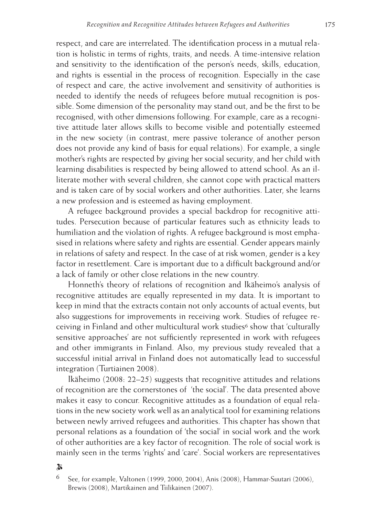respect, and care are interrelated. The identification process in a mutual relation is holistic in terms of rights, traits, and needs. A time-intensive relation and sensitivity to the identification of the person's needs, skills, education, and rights is essential in the process of recognition. Especially in the case of respect and care, the active involvement and sensitivity of authorities is needed to identify the needs of refugees before mutual recognition is possible. Some dimension of the personality may stand out, and be the first to be recognised, with other dimensions following. For example, care as a recognitive attitude later allows skills to become visible and potentially esteemed in the new society (in contrast, mere passive tolerance of another person does not provide any kind of basis for equal relations). For example, a single mother's rights are respected by giving her social security, and her child with learning disabilities is respected by being allowed to attend school. As an illiterate mother with several children, she cannot cope with practical matters and is taken care of by social workers and other authorities. Later, she learns a new profession and is esteemed as having employment.

A refugee background provides a special backdrop for recognitive attitudes. Persecution because of particular features such as ethnicity leads to humiliation and the violation of rights. A refugee background is most emphasised in relations where safety and rights are essential. Gender appears mainly in relations of safety and respect. In the case of at risk women, gender is a key factor in resettlement. Care is important due to a difficult background and/or a lack of family or other close relations in the new country.

Honneth's theory of relations of recognition and Ikäheimo's analysis of recognitive attitudes are equally represented in my data. It is important to keep in mind that the extracts contain not only accounts of actual events, but also suggestions for improvements in receiving work. Studies of refugee receiving in Finland and other multicultural work studies<sup>6</sup> show that 'culturally sensitive approaches' are not sufficiently represented in work with refugees and other immigrants in Finland. Also, my previous study revealed that a successful initial arrival in Finland does not automatically lead to successful integration (Turtiainen 2008).

Ikäheimo (2008: 22–25) suggests that recognitive attitudes and relations of recognition are the cornerstones of 'the social'. The data presented above makes it easy to concur. Recognitive attitudes as a foundation of equal relations in the new society work well as an analytical tool for examining relations between newly arrived refugees and authorities. This chapter has shown that personal relations as a foundation of 'the social' in social work and the work of other authorities are a key factor of recognition. The role of social work is mainly seen in the terms 'rights' and 'care'. Social workers are representatives

 $\ddot{\textbf{a}}$ 

<sup>6</sup> See, for example, Valtonen (1999, 2000, 2004), Anis (2008), Hammar-Suutari (2006), Brewis (2008), Martikainen and Tiilikainen (2007).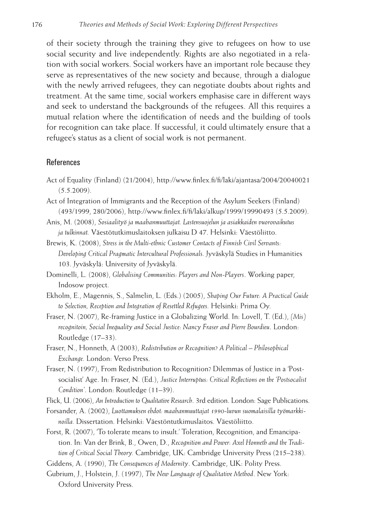of their society through the training they give to refugees on how to use social security and live independently. Rights are also negotiated in a relation with social workers. Social workers have an important role because they serve as representatives of the new society and because, through a dialogue with the newly arrived refugees, they can negotiate doubts about rights and treatment. At the same time, social workers emphasise care in different ways and seek to understand the backgrounds of the refugees. All this requires a mutual relation where the identification of needs and the building of tools for recognition can take place. If successful, it could ultimately ensure that a refugee's status as a client of social work is not permanent.

# References

- Act of Equality (Finland) (21/2004), http://www.finlex.fi/fi/laki/ajantasa/2004/20040021  $(5.5.2009)$ .
- Act of Integration of Immigrants and the Reception of the Asylum Seekers (Finland) (493/1999, 280/2006), http://www.finlex.fi/fi/laki/alkup/1999/19990493 (5.5.2009).
- Anis, M. (2008), *Sosiaalityö ja maahanmuuttajat. Lastensuojelun ja asiakkaiden vuorovaikutus ja tulkinnat.* Väestötutkimuslaitoksen julkaisu D 47. Helsinki: Väestöliitto.
- Brewis, K. (2008), *Stress in the Multi-ethnic Customer Contacts of Finnish Civil Servants: Developing Critical Pragmatic Intercultural Professionals.* Jyväskylä Studies in Humanities 103. Jyväskylä: University of Jyväskylä.
- Dominelli, L. (2008), *Globalising Communities: Players and Non-Players*. Working paper, Indosow project.
- Ekholm, E., Magennis, S., Salmelin, L. (Eds.) (2005), *Shaping Our Future: A Practical Guide to Selection, Reception and Integration of Resettled Refugees.* Helsinki: Prima Oy.
- Fraser, N. (2007), Re-framing Justice in a Globalizing World. In: Lovell, T. (Ed.), *(Mis) recognitoin, Social Inequality and Social Justice: Nancy Fraser and Pierre Bourdieu*. London: Routledge (17–33).
- Fraser, N., Honneth, A (2003), *Redistribution or Recognition? A Political Philosophical Exchange.* London: Verso Press.
- Fraser, N. (1997), From Redistribution to Recognition? Dilemmas of Justice in a 'Postsocialist' Age. In: Fraser, N. (Ed.), *Justice Interruptus: Critical Reflections on the 'Postsocalist Condition'*. London: Routledge (11–39).
- Flick, U. (2006), *An Introduction to Qualitative Research*. 3rd edition. London: Sage Publications.
- Forsander, A. (2002), *Luottamuksen ehdot: maahanmuuttajat 1990-luvun suomalaisilla työmarkkinoilla.* Dissertation. Helsinki: Väestöntutkimuslaitos. Väestöliitto.
- Forst, R. (2007), 'To tolerate means to insult.' Toleration, Recognition, and Emancipation. In: Van der Brink, B., Owen, D., *Recognition and Power: Axel Honneth and the Tradition of Critical Social Theory.* Cambridge, UK: Cambridge University Press (215–238).
- Giddens, A. (1990), *The Consequences of Modernity*. Cambridge, UK: Polity Press.
- Gubrium, J., Holstein, J. (1997), *The New Language of Qualitative Method*. New York: Oxford University Press.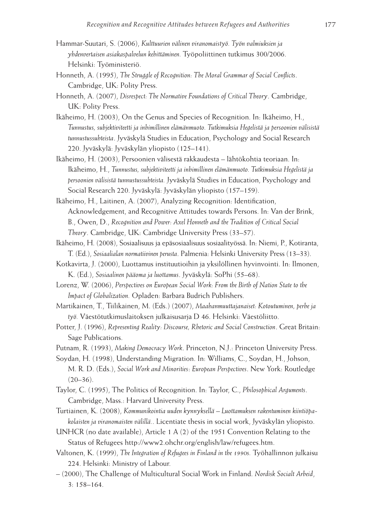- Hammar-Suutari, S. (2006), *Kulttuurien välinen viranomaistyö. Työn valmiuksien ja yhdenvertaisen asiakaspalvelun kehittäminen.* Työpoliittinen tutkimus 300/2006. Helsinki: Työministeriö.
- Honneth, A. (1995), *The Struggle of Recognition: The Moral Grammar of Social Conflicts*. Cambridge, UK: Polity Press.
- Honneth, A. (2007), *Disrespect: The Normative Foundations of Critical Theory*. Cambridge, UK: Polity Press.
- Ikäheimo, H. (2003), On the Genus and Species of Recognition. In: Ikäheimo, H., *Tunnustus, subjektiviteetti ja inhimillinen elämänmuoto. Tutkimuksia Hegelistä ja persoonien välisistä tunnustussuhteista*. Jyväskylä Studies in Education, Psychology and Social Research 220. Jyväskylä: Jyväskylän yliopisto (125–141).
- Ikäheimo, H. (2003), Persoonien välisestä rakkaudesta lähtökohtia teoriaan. In: Ikäheimo, H., *Tunnustus, subjektiviteetti ja inhimillinen elämänmuoto. Tutkimuksia Hegelistä ja persoonien välisistä tunnustussuhteista.* Jyväskylä Studies in Education, Psychology and Social Research 220. Jyväskylä: Jyväskylän yliopisto (157–159).
- Ikäheimo, H., Laitinen, A. (2007), Analyzing Recognition: Identification, Acknowledgement, and Recognitive Attitudes towards Persons. In: Van der Brink, B., Owen, D., *Recognition and Power: Axel Honneth and the Tradition of Critical Social Theory*. Cambridge, UK: Cambridge University Press (33–57).
- Ikäheimo, H. (2008), Sosiaalisuus ja epäsosiaalisuus sosiaalityössä. In: Niemi, P., Kotiranta, T. (Ed.), *Sosiaalialan normatiivinen perusta*. Palmenia: Helsinki University Press (13–33).
- Kotkavirta, J. (2000), Luottamus instituutioihin ja yksilöllinen hyvinvointi. In: Ilmonen, K. (Ed.), *Sosiaalinen pääoma ja luottamus*. Jyväskylä: SoPhi (55–68).
- Lorenz, W. (2006), *Perspectives on European Social Work: From the Birth of Nation State to the Impact of Globalization.* Opladen: Barbara Budrich Publishers.
- Martikainen, T., Tiilikainen, M. (Eds.) (2007), *Maahanmuuttajanaiset: Kotoutuminen, perhe ja työ.* Väestötutkimuslaitoksen julkaisusarja D 46. Helsinki: Väestöliitto.
- Potter, J. (1996), *Representing Reality: Discourse, Rhetoric and Social Construction*. Great Britain: Sage Publications.
- Putnam, R. (1993), *Making Democracy Work*. Princeton, N.J.: Princeton University Press.
- Soydan, H. (1998), Understanding Migration. In: Williams, C., Soydan, H., Johson, M. R. D. (Eds.), *Social Work and Minorities*: *European Perspectives*. New York: Routledge  $(20-36)$ .
- Taylor, C. (1995), The Politics of Recognition. In: Taylor, C., *Philosophical Arguments*. Cambridge, Mass.: Harvard University Press.
- Turtiainen, K. (2008), *Kommunikointia uuden kynnyksellä Luottamuksen rakentuminen kiintiöpakolaisten ja viranomaisten välillä.*. Licentiate thesis in social work, Jyväskylän yliopisto.
- UNHCR (no date available), Article 1 A (2) of the 1951 Convention Relating to the Status of Refugees http://www2.ohchr.org/english/law/refugees.htm.
- Valtonen, K. (1999), *The Integration of Refugees in Finland in the 1990s.* Työhallinnon julkaisu 224. Helsinki: Ministry of Labour.
- (2000), The Challenge of Multicultural Social Work in Finland. *Nordisk Socialt Arbeid*, 3: 158–164.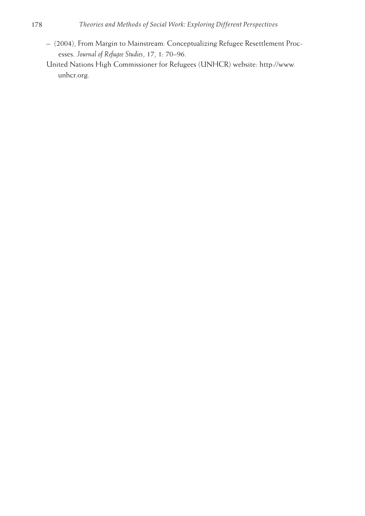- (2004), From Margin to Mainstream: Conceptualizing Refugee Resettlement Processes. *Journal of Refugee Studies*, 17, 1: 70–96.
- United Nations High Commissioner for Refugees (UNHCR) website: http://www. unhcr.org.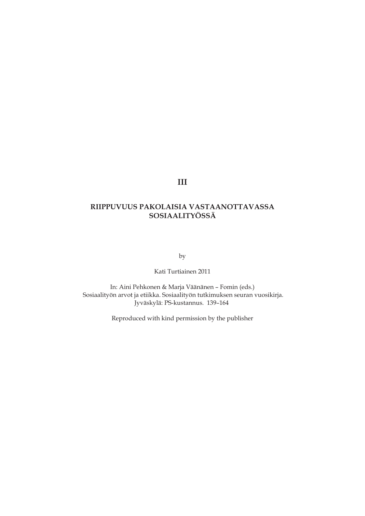**III** 

# **RIIPPUVUUS PAKOLAISIA VASTAANOTTAVASSA SOSIAALITYÖSSÄ**

by

Kati Turtiainen 2011

In: Aini Pehkonen & Marja Väänänen – Fomin (eds.) Sosiaalityön arvot ja etiikka. Sosiaalityön tutkimuksen seuran vuosikirja. Jyväskylä: PS-kustannus. 139–164

Reproduced with kind permission by the publisher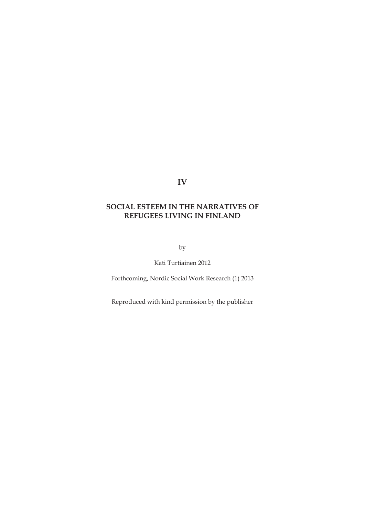# **IV**

# **SOCIAL ESTEEM IN THE NARRATIVES OF REFUGEES LIVING IN FINLAND**

by

Kati Turtiainen 2012

Forthcoming, Nordic Social Work Research (1) 2013

Reproduced with kind permission by the publisher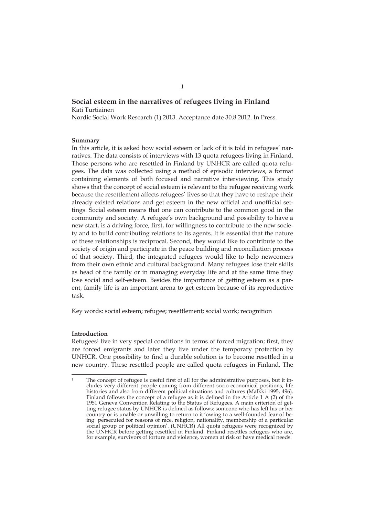# **Social esteem in the narratives of refugees living in Finland**  Kati Turtiainen

Nordic Social Work Research (1) 2013. Acceptance date 30.8.2012. In Press.

### **Summary**

In this article, it is asked how social esteem or lack of it is told in refugees' narratives. The data consists of interviews with 13 quota refugees living in Finland. Those persons who are resettled in Finland by UNHCR are called quota refugees. The data was collected using a method of episodic interviews, a format containing elements of both focused and narrative interviewing. This study shows that the concept of social esteem is relevant to the refugee receiving work because the resettlement affects refugees' lives so that they have to reshape their already existed relations and get esteem in the new official and unofficial settings. Social esteem means that one can contribute to the common good in the community and society. A refugee's own background and possibility to have a new start, is a driving force, first, for willingness to contribute to the new society and to build contributing relations to its agents. It is essential that the nature of these relationships is reciprocal. Second, they would like to contribute to the society of origin and participate in the peace building and reconciliation process of that society. Third, the integrated refugees would like to help newcomers from their own ethnic and cultural background. Many refugees lose their skills as head of the family or in managing everyday life and at the same time they lose social and self-esteem. Besides the importance of getting esteem as a parent, family life is an important arena to get esteem because of its reproductive task.

Key words: social esteem; refugee; resettlement; social work; recognition

## **Introduction**

Refugees1 live in very special conditions in terms of forced migration; first, they are forced emigrants and later they live under the temporary protection by UNHCR. One possibility to find a durable solution is to become resettled in a new country. These resettled people are called quota refugees in Finland. The

<sup>&</sup>lt;u>.</u> The concept of refugee is useful first of all for the administrative purposes, but it includes very different people coming from different socio-economical positions, life histories and also from different political situations and cultures (Malkki 1995, 496). Finland follows the concept of a refugee as it is defined in the Article 1 A (2) of the 1951 Geneva Convention Relating to the Status of Refugees. A main criterion of getting refugee status by UNHCR is defined as follows: someone who has left his or her country or is unable or unwilling to return to it 'owing to a well-founded fear of being persecuted for reasons of race, religion, nationality, membership of a particular social group or political opinion'. (UNHCR) All quota refugees were recognized by the UNHCR before getting resettled in Finland. Finland resettles refugees who are, for example, survivors of torture and violence, women at risk or have medical needs.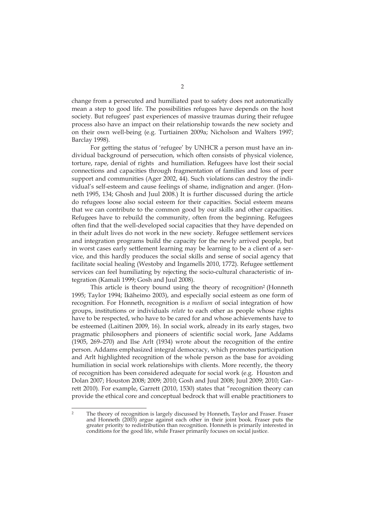change from a persecuted and humiliated past to safety does not automatically mean a step to good life. The possibilities refugees have depends on the host society. But refugees' past experiences of massive traumas during their refugee process also have an impact on their relationship towards the new society and on their own well-being (e.g. Turtiainen 2009a; Nicholson and Walters 1997; Barclay 1998).

For getting the status of 'refugee' by UNHCR a person must have an individual background of persecution, which often consists of physical violence, torture, rape, denial of rights and humiliation. Refugees have lost their social connections and capacities through fragmentation of families and loss of peer support and communities (Ager 2002, 44). Such violations can destroy the individual's self-esteem and cause feelings of shame, indignation and anger. (Honneth 1995, 134; Ghosh and Juul 2008.) It is further discussed during the article do refugees loose also social esteem for their capacities. Social esteem means that we can contribute to the common good by our skills and other capacities. Refugees have to rebuild the community, often from the beginning. Refugees often find that the well-developed social capacities that they have depended on in their adult lives do not work in the new society. Refugee settlement services and integration programs build the capacity for the newly arrived people, but in worst cases early settlement learning may be learning to be a client of a service, and this hardly produces the social skills and sense of social agency that facilitate social healing (Westoby and Ingamells 2010, 1772). Refugee settlement services can feel humiliating by rejecting the socio-cultural characteristic of integration (Kamali 1999; Gosh and Juul 2008).

This article is theory bound using the theory of recognition<sup>2</sup> (Honneth 1995; Taylor 1994; Ikäheimo 2003), and especially social esteem as one form of recognition. For Honneth, recognition is *a medium* of social integration of how groups, institutions or individuals *relate* to each other as people whose rights have to be respected, who have to be cared for and whose achievements have to be esteemed (Laitinen 2009, 16). In social work, already in its early stages, two pragmatic philosophers and pioneers of scientific social work, Jane Addams (1905, 269–270) and Ilse Arlt (1934) wrote about the recognition of the entire person. Addams emphasized integral democracy, which promotes participation and Arlt highlighted recognition of the whole person as the base for avoiding humiliation in social work relationships with clients. More recently, the theory of recognition has been considered adequate for social work (e.g. Houston and Dolan 2007; Houston 2008; 2009; 2010; Gosh and Juul 2008; Juul 2009; 2010; Garrett 2010). For example, Garrett (2010, 1530) states that "recognition theory can provide the ethical core and conceptual bedrock that will enable practitioners to

<sup>&</sup>lt;u>.</u> The theory of recognition is largely discussed by Honneth, Taylor and Fraser. Fraser and Honneth (2003) argue against each other in their joint book. Fraser puts the greater priority to redistribution than recognition. Honneth is primarily interested in conditions for the good life, while Fraser primarily focuses on social justice.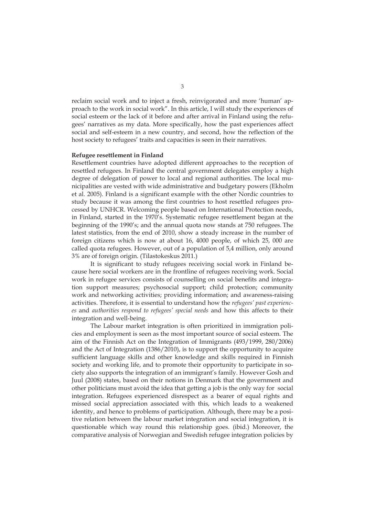reclaim social work and to inject a fresh, reinvigorated and more 'human' approach to the work in social work". In this article, I will study the experiences of social esteem or the lack of it before and after arrival in Finland using the refugees' narratives as my data. More specifically, how the past experiences affect social and self-esteem in a new country, and second, how the reflection of the host society to refugees' traits and capacities is seen in their narratives.

#### **Refugee resettlement in Finland**

Resettlement countries have adopted different approaches to the reception of resettled refugees. In Finland the central government delegates employ a high degree of delegation of power to local and regional authorities. The local municipalities are vested with wide administrative and budgetary powers (Ekholm et al. 2005). Finland is a significant example with the other Nordic countries to study because it was among the first countries to host resettled refugees processed by UNHCR. Welcoming people based on International Protection needs, in Finland, started in the 1970's. Systematic refugee resettlement began at the beginning of the 1990's; and the annual quota now stands at 750 refugees. The latest statistics, from the end of 2010, show a steady increase in the number of foreign citizens which is now at about 16, 4000 people, of which 25, 000 are called quota refugees. However, out of a population of 5,4 million, only around 3% are of foreign origin. (Tilastokeskus 2011.)

It is significant to study refugees receiving social work in Finland because here social workers are in the frontline of refugees receiving work. Social work in refugee services consists of counselling on social benefits and integration support measures; psychosocial support; child protection; community work and networking activities; providing information; and awareness-raising activities. Therefore, it is essential to understand how the *refugees' past experiences* and *authorities respond to refugees' special needs* and how this affects to their integration and well-being.

The Labour market integration is often prioritized in immigration policies and employment is seen as the most important source of social esteem. The aim of the Finnish Act on the Integration of Immigrants (493/1999, 280/2006) and the Act of Integration (1386/2010), is to support the opportunity to acquire sufficient language skills and other knowledge and skills required in Finnish society and working life, and to promote their opportunity to participate in society also supports the integration of an immigrant's family. However Gosh and Juul (2008) states, based on their notions in Denmark that the government and other politicians must avoid the idea that getting a job is the only way for social integration. Refugees experienced disrespect as a bearer of equal rights and missed social appreciation associated with this, which leads to a weakened identity, and hence to problems of participation. Although, there may be a positive relation between the labour market integration and social integration, it is questionable which way round this relationship goes. (ibid.) Moreover, the comparative analysis of Norwegian and Swedish refugee integration policies by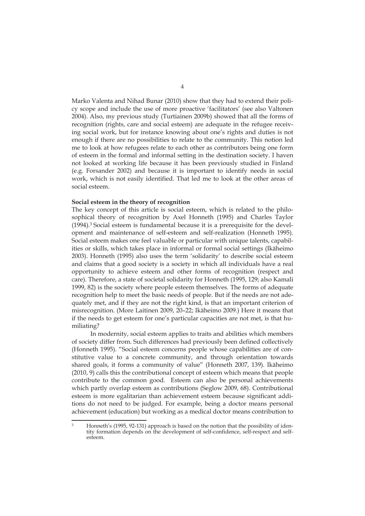Marko Valenta and Nihad Bunar (2010) show that they had to extend their policy scope and include the use of more proactive 'facilitators' (see also Valtonen 2004). Also, my previous study (Turtiainen 2009b) showed that all the forms of recognition (rights, care and social esteem) are adequate in the refugee receiving social work, but for instance knowing about one's rights and duties is not enough if there are no possibilities to relate to the community. This notion led me to look at how refugees relate to each other as contributors being one form of esteem in the formal and informal setting in the destination society. I haven not looked at working life because it has been previously studied in Finland (e.g. Forsander 2002) and because it is important to identify needs in social work, which is not easily identified. That led me to look at the other areas of social esteem.

#### **Social esteem in the theory of recognition**

<u>.</u>

The key concept of this article is social esteem, which is related to the philosophical theory of recognition by Axel Honneth (1995) and Charles Taylor (1994).3 Social esteem is fundamental because it is a prerequisite for the development and maintenance of self-esteem and self-realization (Honneth 1995). Social esteem makes one feel valuable or particular with unique talents, capabilities or skills, which takes place in informal or formal social settings (Ikäheimo 2003). Honneth (1995) also uses the term 'solidarity' to describe social esteem and claims that a good society is a society in which all individuals have a real opportunity to achieve esteem and other forms of recognition (respect and care). Therefore, a state of societal solidarity for Honneth (1995, 129; also Kamali 1999, 82) is the society where people esteem themselves. The forms of adequate recognition help to meet the basic needs of people. But if the needs are not adequately met, and if they are not the right kind, is that an important criterion of misrecognition. (More Laitinen 2009, 20–22; Ikäheimo 2009.) Here it means that if the needs to get esteem for one's particular capacities are not met, is that humiliating?

In modernity, social esteem applies to traits and abilities which members of society differ from. Such differences had previously been defined collectively (Honneth 1995). "Social esteem concerns people whose capabilities are of constitutive value to a concrete community, and through orientation towards shared goals, it forms a community of value" (Honneth 2007, 139). Ikäheimo (2010, 9) calls this the contributional concept of esteem which means that people contribute to the common good. Esteem can also be personal achievements which partly overlap esteem as contributions (Seglow 2009, 68). Contributional esteem is more egalitarian than achievement esteem because significant additions do not need to be judged. For example, being a doctor means personal achievement (education) but working as a medical doctor means contribution to

<sup>3</sup> Honneth's (1995, 92-131) approach is based on the notion that the possibility of identity formation depends on the development of self-confidence, self-respect and selfesteem.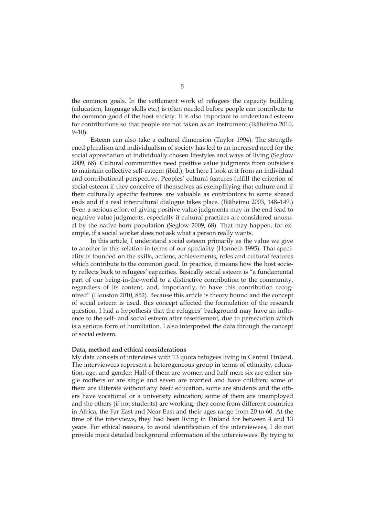the common goals. In the settlement work of refugees the capacity building (education, language skills etc.) is often needed before people can contribute to the common good of the host society. It is also important to understand esteem for contributions so that people are not taken as an instrument (Ikäheimo 2010,  $9 - 10$ ).

Esteem can also take a cultural dimension (Taylor 1994). The strengthened pluralism and individualism of society has led to an increased need for the social appreciation of individually chosen lifestyles and ways of living (Seglow 2009, 68). Cultural communities need positive value judgments from outsiders to maintain collective self-esteem (ibid.), but here I look at it from an individual and contributional perspective. Peoples' cultural features fulfill the criterion of social esteem if they conceive of themselves as exemplifying that culture and if their culturally specific features are valuable as contributors to some shared ends and if a real intercultural dialogue takes place. (Ikäheimo 2003, 148–149.) Even a serious effort of giving positive value judgments may in the end lead to negative value judgments, especially if cultural practices are considered unusual by the native-born population (Seglow 2009, 68). That may happen, for example, if a social worker does not ask what a person really wants.

In this article, I understand social esteem primarily as the value we give to another in this relation in terms of our speciality (Honneth 1995). That speciality is founded on the skills, actions, achievements, roles and cultural features which contribute to the common good. In practice, it means how the host society reflects back to refugees' capacities. Basically social esteem is "a fundamental part of our being-in-the-world to a distinctive contribution to the community, regardless of its content, and, importantly, to have this contribution recognized" (Houston 2010, 852). Because this article is theory bound and the concept of social esteem is used, this concept affected the formulation of the research question. I had a hypothesis that the refugees' background may have an influence to the self- and social esteem after resettlement, due to persecution which is a serious form of humiliation. I also interpreted the data through the concept of social esteem.

## **Data, method and ethical considerations**

My data consists of interviews with 13 quota refugees living in Central Finland. The interviewees represent a heterogeneous group in terms of ethnicity, education, age, and gender: Half of them are women and half men; six are either single mothers or are single and seven are married and have children; some of them are illiterate without any basic education, some are students and the others have vocational or a university education; some of them are unemployed and the others (if not students) are working; they come from different countries in Africa, the Far East and Near East and their ages range from 20 to 60. At the time of the interviews, they had been living in Finland for between 4 and 13 years. For ethical reasons, to avoid identification of the interviewees, I do not provide more detailed background information of the interviewees. By trying to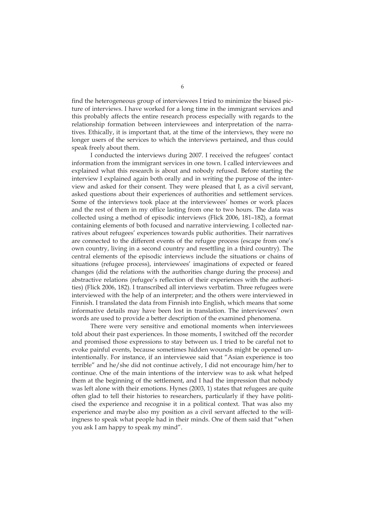find the heterogeneous group of interviewees I tried to minimize the biased picture of interviews. I have worked for a long time in the immigrant services and this probably affects the entire research process especially with regards to the relationship formation between interviewees and interpretation of the narratives. Ethically, it is important that, at the time of the interviews, they were no longer users of the services to which the interviews pertained, and thus could speak freely about them.

I conducted the interviews during 2007. I received the refugees' contact information from the immigrant services in one town. I called interviewees and explained what this research is about and nobody refused. Before starting the interview I explained again both orally and in writing the purpose of the interview and asked for their consent. They were pleased that I, as a civil servant, asked questions about their experiences of authorities and settlement services. Some of the interviews took place at the interviewees' homes or work places and the rest of them in my office lasting from one to two hours. The data was collected using a method of episodic interviews (Flick 2006, 181–182), a format containing elements of both focused and narrative interviewing. I collected narratives about refugees' experiences towards public authorities. Their narratives are connected to the different events of the refugee process (escape from one's own country, living in a second country and resettling in a third country). The central elements of the episodic interviews include the situations or chains of situations (refugee process), interviewees' imaginations of expected or feared changes (did the relations with the authorities change during the process) and abstractive relations (refugee's reflection of their experiences with the authorities) (Flick 2006, 182). I transcribed all interviews verbatim. Three refugees were interviewed with the help of an interpreter; and the others were interviewed in Finnish. I translated the data from Finnish into English, which means that some informative details may have been lost in translation. The interviewees' own words are used to provide a better description of the examined phenomena.

There were very sensitive and emotional moments when interviewees told about their past experiences. In those moments, I switched off the recorder and promised those expressions to stay between us. I tried to be careful not to evoke painful events, because sometimes hidden wounds might be opened unintentionally. For instance, if an interviewee said that "Asian experience is too terrible" and he/she did not continue actively, I did not encourage him/her to continue. One of the main intentions of the interview was to ask what helped them at the beginning of the settlement, and I had the impression that nobody was left alone with their emotions. Hynes (2003, 1) states that refugees are quite often glad to tell their histories to researchers, particularly if they have politicised the experience and recognise it in a political context. That was also my experience and maybe also my position as a civil servant affected to the willingness to speak what people had in their minds. One of them said that "when you ask I am happy to speak my mind".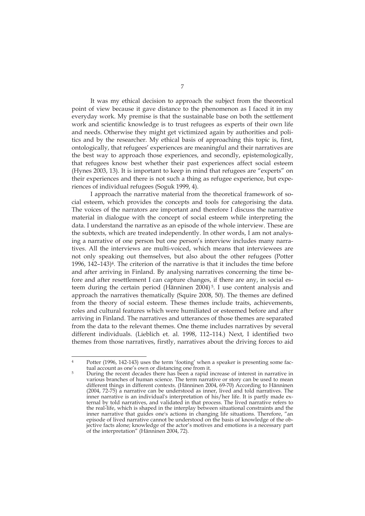It was my ethical decision to approach the subject from the theoretical point of view because it gave distance to the phenomenon as I faced it in my everyday work. My premise is that the sustainable base on both the settlement work and scientific knowledge is to trust refugees as experts of their own life and needs. Otherwise they might get victimized again by authorities and politics and by the researcher. My ethical basis of approaching this topic is, first, ontologically, that refugees' experiences are meaningful and their narratives are the best way to approach those experiences, and secondly, epistemologically, that refugees know best whether their past experiences affect social esteem (Hynes 2003, 13). It is important to keep in mind that refugees are "experts" on their experiences and there is not such a thing as refugee experience, but experiences of individual refugees (Soguk 1999, 4).

I approach the narrative material from the theoretical framework of social esteem, which provides the concepts and tools for categorising the data. The voices of the narrators are important and therefore I discuss the narrative material in dialogue with the concept of social esteem while interpreting the data. I understand the narrative as an episode of the whole interview. These are the subtexts, which are treated independently. In other words, I am not analysing a narrative of one person but one person's interview includes many narratives. All the interviews are multi-voiced, which means that interviewees are not only speaking out themselves, but also about the other refugees (Potter 1996, 142–143)4. The criterion of the narrative is that it includes the time before and after arriving in Finland. By analysing narratives concerning the time before and after resettlement I can capture changes, if there are any, in social esteem during the certain period (Hänninen 2004) 5. I use content analysis and approach the narratives thematically (Squire 2008, 50). The themes are defined from the theory of social esteem. These themes include traits, achievements, roles and cultural features which were humiliated or esteemed before and after arriving in Finland. The narratives and utterances of those themes are separated from the data to the relevant themes. One theme includes narratives by several different individuals. (Lieblich et. al. 1998, 112–114.) Next, I identified two themes from those narratives, firstly, narratives about the driving forces to aid

<sup>&</sup>lt;u>.</u> Potter (1996, 142-143) uses the term 'footing' when a speaker is presenting some fac-<br>tual account as one's own or distancing one from it.

During the recent decades there has been a rapid increase of interest in narrative in various branches of human science. The term narrative or story can be used to mean different things in different contexts. (Hänninen 2004, 69-70) According to Hänninen (2004, 72-75) a narrative can be understood as inner, lived and told narratives. The inner narrative is an individual's interpretation of his/her life. It is partly made external by told narratives, and validated in that process. The lived narrative refers to the real-life, which is shaped in the interplay between situational constraints and the inner narrative that guides one's actions in changing life situations. Therefore, "an episode of lived narrative cannot be understood on the basis of knowledge of the objective facts alone; knowledge of the actor's motives and emotions is a necessary part of the interpretation" (Hänninen 2004, 72).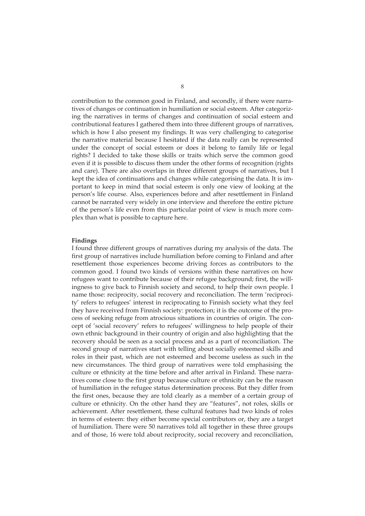contribution to the common good in Finland, and secondly, if there were narratives of changes or continuation in humiliation or social esteem. After categorizing the narratives in terms of changes and continuation of social esteem and contributional features I gathered them into three different groups of narratives, which is how I also present my findings. It was very challenging to categorise the narrative material because I hesitated if the data really can be represented under the concept of social esteem or does it belong to family life or legal rights? I decided to take those skills or traits which serve the common good even if it is possible to discuss them under the other forms of recognition (rights and care). There are also overlaps in three different groups of narratives, but I kept the idea of continuations and changes while categorising the data. It is important to keep in mind that social esteem is only one view of looking at the person's life course. Also, experiences before and after resettlement in Finland cannot be narrated very widely in one interview and therefore the entire picture of the person's life even from this particular point of view is much more complex than what is possible to capture here.

#### **Findings**

I found three different groups of narratives during my analysis of the data. The first group of narratives include humiliation before coming to Finland and after resettlement those experiences become driving forces as contributors to the common good. I found two kinds of versions within these narratives on how refugees want to contribute because of their refugee background; first, the willingness to give back to Finnish society and second, to help their own people. I name those: reciprocity, social recovery and reconciliation. The term 'reciprocity' refers to refugees' interest in reciprocating to Finnish society what they feel they have received from Finnish society: protection; it is the outcome of the process of seeking refuge from atrocious situations in countries of origin. The concept of 'social recovery' refers to refugees' willingness to help people of their own ethnic background in their country of origin and also highlighting that the recovery should be seen as a social process and as a part of reconciliation. The second group of narratives start with telling about socially esteemed skills and roles in their past, which are not esteemed and become useless as such in the new circumstances. The third group of narratives were told emphasising the culture or ethnicity at the time before and after arrival in Finland. These narratives come close to the first group because culture or ethnicity can be the reason of humiliation in the refugee status determination process. But they differ from the first ones, because they are told clearly as a member of a certain group of culture or ethnicity. On the other hand they are "features", not roles, skills or achievement. After resettlement, these cultural features had two kinds of roles in terms of esteem: they either become special contributors or, they are a target of humiliation. There were 50 narratives told all together in these three groups and of those, 16 were told about reciprocity, social recovery and reconciliation,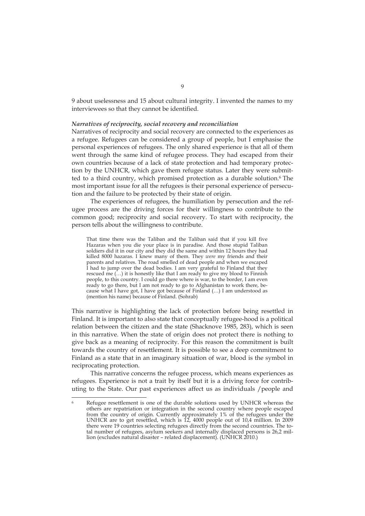9 about uselessness and 15 about cultural integrity. I invented the names to my interviewees so that they cannot be identified.

## *Narratives of reciprocity, social recovery and reconciliation*

Narratives of reciprocity and social recovery are connected to the experiences as a refugee. Refugees can be considered a group of people, but I emphasise the personal experiences of refugees. The only shared experience is that all of them went through the same kind of refugee process. They had escaped from their own countries because of a lack of state protection and had temporary protection by the UNHCR, which gave them refugee status. Later they were submitted to a third country, which promised protection as a durable solution.<sup>6</sup> The most important issue for all the refugees is their personal experience of persecution and the failure to be protected by their state of origin.

The experiences of refugees, the humiliation by persecution and the refugee process are the driving forces for their willingness to contribute to the common good; reciprocity and social recovery. To start with reciprocity, the person tells about the willingness to contribute.

That time there was the Taliban and the Taliban said that if you kill five Hazaras when you die your place is in paradise. And those stupid Taliban soldiers did it in our city and they did the same and within 12 hours they had killed 8000 hazaras. I knew many of them. They *were* my friends and their parents and relatives. The road smelled of dead people and when we escaped I had to jump over the dead bodies. I am very grateful to Finland that they rescued me (…) it is honestly like that I am ready to give my blood to Finnish people, to this country. I could go there where is war, to the border, I am even ready to go there, but I am not ready to go to Afghanistan to work there, because what I have got, I have got because of Finland (…) I am understood as (mention his name) because of Finland. (Sohrab)

This narrative is highlighting the lack of protection before being resettled in Finland. It is important to also state that conceptually refugee-hood is a political relation between the citizen and the state (Shacknove 1985, 283), which is seen in this narrative. When the state of origin does not protect there is nothing to give back as a meaning of reciprocity. For this reason the commitment is built towards the country of resettlement. It is possible to see a deep commitment to Finland as a state that in an imaginary situation of war, blood is the symbol in reciprocating protection.

This narrative concerns the refugee process, which means experiences as refugees. Experience is not a trait by itself but it is a driving force for contributing to the State. Our past experiences affect us as individuals /people and

<u>.</u>

Refugee resettlement is one of the durable solutions used by UNHCR whereas the others are repatriation or integration in the second country where people escaped from the country of origin. Currently approximately 1% of the refugees under the UNHCR are to get resettled, which is 12, 4000 people out of 10,4 million. In 2009 there were 19 countries selecting refugees directly from the second countries. The total number of refugees, asylum seekers and internally displaced persons is 26,2 million (excludes natural disaster – related displacement). (UNHCR 2010.)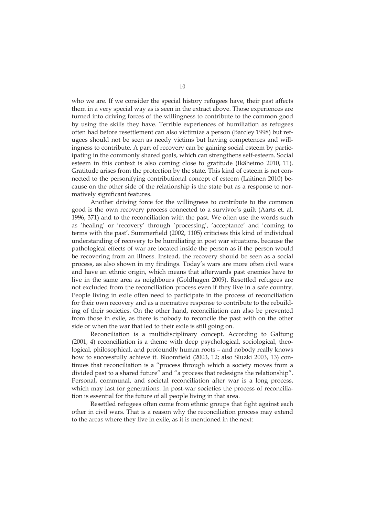who we are. If we consider the special history refugees have, their past affects them in a very special way as is seen in the extract above. Those experiences are turned into driving forces of the willingness to contribute to the common good by using the skills they have. Terrible experiences of humiliation as refugees often had before resettlement can also victimize a person (Barcley 1998) but refugees should not be seen as needy victims but having competences and willingness to contribute. A part of recovery can be gaining social esteem by participating in the commonly shared goals, which can strengthens self-esteem. Social esteem in this context is also coming close to gratitude (Ikäheimo 2010, 11). Gratitude arises from the protection by the state. This kind of esteem is not connected to the personifying contributional concept of esteem (Laitinen 2010) because on the other side of the relationship is the state but as a response to normatively significant features.

Another driving force for the willingness to contribute to the common good is the own recovery process connected to a survivor's guilt (Aarts et. al. 1996, 371) and to the reconciliation with the past. We often use the words such as 'healing' or 'recovery' through 'processing', 'acceptance' and 'coming to terms with the past'. Summerfield (2002, 1105) criticises this kind of individual understanding of recovery to be humiliating in post war situations, because the pathological effects of war are located inside the person as if the person would be recovering from an illness. Instead, the recovery should be seen as a social process, as also shown in my findings. Today's wars are more often civil wars and have an ethnic origin, which means that afterwards past enemies have to live in the same area as neighbours (Goldhagen 2009). Resettled refugees are not excluded from the reconciliation process even if they live in a safe country. People living in exile often need to participate in the process of reconciliation for their own recovery and as a normative response to contribute to the rebuilding of their societies. On the other hand, reconciliation can also be prevented from those in exile, as there is nobody to reconcile the past with on the other side or when the war that led to their exile is still going on.

Reconciliation is a multidisciplinary concept. According to Galtung (2001, 4) reconciliation is a theme with deep psychological, sociological, theological, philosophical, and profoundly human roots – and nobody really knows how to successfully achieve it. Bloomfield (2003, 12; also Sluzki 2003, 13) continues that reconciliation is a "process through which a society moves from a divided past to a shared future" and "a process that redesigns the relationship". Personal, communal, and societal reconciliation after war is a long process, which may last for generations. In post-war societies the process of reconciliation is essential for the future of all people living in that area.

Resettled refugees often come from ethnic groups that fight against each other in civil wars. That is a reason why the reconciliation process may extend to the areas where they live in exile, as it is mentioned in the next: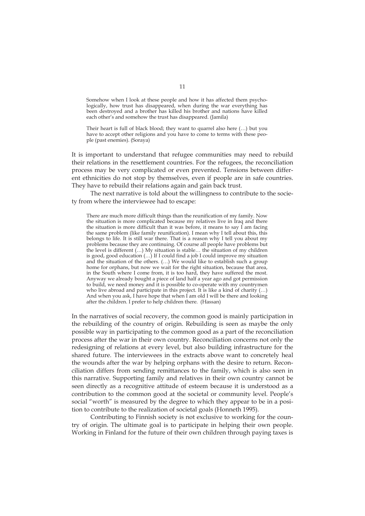Somehow when I look at these people and how it has affected them psychologically, how trust has disappeared, when during the war everything has been destroyed and a brother has killed his brother and nations have killed each other's and somehow the trust has disappeared. (Jamila)

Their heart is full of black blood; they want to quarrel also here (…) but you have to accept other religions and you have to come to terms with these people (past enemies). (Soraya)

It is important to understand that refugee communities may need to rebuild their relations in the resettlement countries. For the refugees, the reconciliation process may be very complicated or even prevented. Tensions between different ethnicities do not stop by themselves, even if people are in safe countries. They have to rebuild their relations again and gain back trust.

The next narrative is told about the willingness to contribute to the society from where the interviewee had to escape:

There are much more difficult things than the reunification of my family. Now the situation is more complicated because my relatives live in Iraq and there the situation is more difficult than it was before, it means to say  $\overline{I}$  am facing the same problem (like family reunification). I mean why I tell about this, this belongs to life. It is still war there. That is a reason why I tell you about my problems because they are continuing. Of course all people have problems but the level is different (…) My situation is stable… the situation of my children is good, good education (…) If I could find a job I could improve my situation and the situation of the others. (…) We would like to establish such a group home for orphans, but now we wait for the right situation, because that area, in the South where I come from, it is too hard, they have suffered the most. Anyway we already bought a piece of land half a year ago and got permission to build, we need money and it is possible to co-operate with my countrymen who live abroad and participate in this project. It is like a kind of charity (…) And when you ask, I have hope that when I am old I will be there and looking after the children. I prefer to help children there. (Hassan)

In the narratives of social recovery, the common good is mainly participation in the rebuilding of the country of origin. Rebuilding is seen as maybe the only possible way in participating to the common good as a part of the reconciliation process after the war in their own country. Reconciliation concerns not only the redesigning of relations at every level, but also building infrastructure for the shared future. The interviewees in the extracts above want to concretely heal the wounds after the war by helping orphans with the desire to return. Reconciliation differs from sending remittances to the family, which is also seen in this narrative. Supporting family and relatives in their own country cannot be seen directly as a recognitive attitude of esteem because it is understood as a contribution to the common good at the societal or community level. People's social "worth" is measured by the degree to which they appear to be in a position to contribute to the realization of societal goals (Honneth 1995).

Contributing to Finnish society is not exclusive to working for the country of origin. The ultimate goal is to participate in helping their own people. Working in Finland for the future of their own children through paying taxes is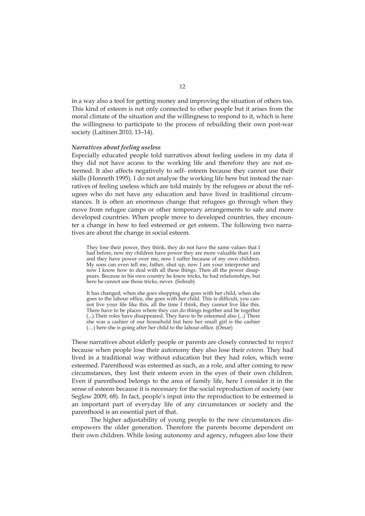in a way also a tool for getting money and improving the situation of others too. This kind of esteem is not only connected to other people but it arises from the moral climate of the situation and the willingness to respond to it, which is here the willingness to participate to the process of rebuilding their own post-war society (Laitinen 2010, 13–14).

#### *Narratives about feeling useless*

Especially educated people told narratives about feeling useless in my data if they did not have access to the working life and therefore they are not esteemed. It also affects negatively to self- esteem because they cannot use their skills (Honneth 1995). I do not analyse the working life here but instead the narratives of feeling useless which are told mainly by the refugees or about the refugees who do not have any education and have lived in traditional circumstances. It is often an enormous change that refugees go through when they move from refugee camps or other temporary arrangements to safe and more developed countries. When people move to developed countries, they encounter a change in how to feel esteemed or get esteem. The following two narratives are about the change in social esteem.

They lose their power, they think, they do not have the same values that I had before, now my children have power they are more valuable than I am and they have power over me, now I suffer because of my own children. My sons can even tell me, father, shut up, now I am your interpreter and now I know how to deal with all these things. Then all the power disappears. Because in his own country he knew tricks, he had relationships, but here he cannot use those tricks, never. (Sohrab)

It has changed; when she goes shopping she goes with her child, when she goes to the labour office, she goes with her child. This is difficult, you cannot live your life like this, all the time I think, they cannot live like this. There have to be places where they can do things together and be together (...).Their roles have disappeared. They have to be esteemed also (...) There she was a cashier of our household but here her small girl is the cashier (…) here she is going after her child to the labour office. (Omar)

These narratives about elderly people or parents are closely connected to *respect* because when people lose their autonomy they also lose their *esteem*. They had lived in a traditional way without education but they had roles, which were esteemed. Parenthood was esteemed as such, as a role, and after coming to new circumstances, they lost their esteem even in the eyes of their own children. Even if parenthood belongs to the area of family life, here I consider it in the sense of esteem because it is necessary for the social reproduction of society (see Seglow 2009, 68). In fact, people's input into the reproduction to be esteemed is an important part of everyday life of any circumstances or society and the parenthood is an essential part of that.

The higher adjustability of young people to the new circumstances disempowers the older generation. Therefore the parents become dependent on their own children. While losing autonomy and agency, refugees also lose their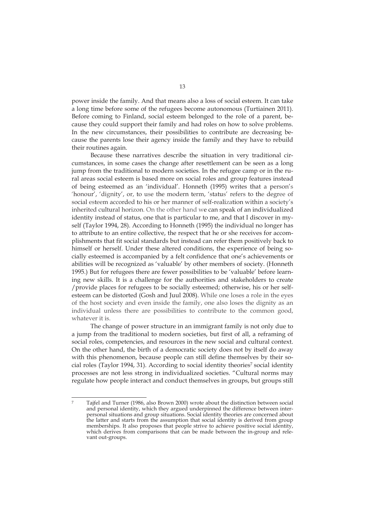power inside the family. And that means also a loss of social esteem. It can take a long time before some of the refugees become autonomous (Turtiainen 2011). Before coming to Finland, social esteem belonged to the role of a parent, because they could support their family and had roles on how to solve problems. In the new circumstances, their possibilities to contribute are decreasing because the parents lose their agency inside the family and they have to rebuild their routines again.

Because these narratives describe the situation in very traditional circumstances, in some cases the change after resettlement can be seen as a long jump from the traditional to modern societies. In the refugee camp or in the rural areas social esteem is based more on social roles and group features instead of being esteemed as an 'individual'. Honneth (1995) writes that a person's 'honour', 'dignity', or, to use the modern term, 'status' refers to the degree of social esteem accorded to his or her manner of self-realization within a society's inherited cultural horizon. On the other hand we can speak of an individualized identity instead of status, one that is particular to me, and that I discover in myself (Taylor 1994, 28). According to Honneth (1995) the individual no longer has to attribute to an entire collective, the respect that he or she receives for accomplishments that fit social standards but instead can refer them positively back to himself or herself. Under these altered conditions, the experience of being socially esteemed is accompanied by a felt confidence that one's achievements or abilities will be recognized as 'valuable' by other members of society. (Honneth 1995.) But for refugees there are fewer possibilities to be 'valuable' before learning new skills. It is a challenge for the authorities and stakeholders to create /provide places for refugees to be socially esteemed; otherwise, his or her selfesteem can be distorted (Gosh and Juul 2008). While one loses a role in the eyes of the host society and even inside the family, one also loses the dignity as an individual unless there are possibilities to contribute to the common good, whatever it is.

The change of power structure in an immigrant family is not only due to a jump from the traditional to modern societies, but first of all, a reframing of social roles, competencies, and resources in the new social and cultural context. On the other hand, the birth of a democratic society does not by itself do away with this phenomenon, because people can still define themselves by their social roles (Taylor 1994, 31). According to social identity theories<sup>7</sup> social identity processes are not less strong in individualized societies. "Cultural norms may regulate how people interact and conduct themselves in groups, but groups still

<sup>&</sup>lt;u>.</u> 7 Tajfel and Turner (1986, also Brown 2000) wrote about the distinction between social and personal identity, which they argued underpinned the difference between interpersonal situations and group situations. Social identity theories are concerned about the latter and starts from the assumption that social identity is derived from group memberships. It also proposes that people strive to achieve positive social identity, which derives from comparisons that can be made between the in-group and relevant out-groups.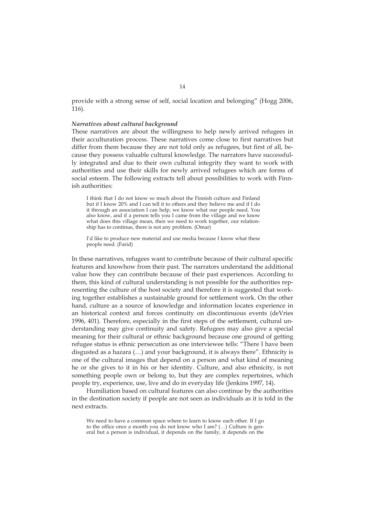provide with a strong sense of self, social location and belonging" (Hogg 2006, 116).

## *Narratives about cultural background*

These narratives are about the willingness to help newly arrived refugees in their acculturation process. These narratives come close to first narratives but differ from them because they are not told only as refugees, but first of all, because they possess valuable cultural knowledge. The narrators have successfully integrated and due to their own cultural integrity they want to work with authorities and use their skills for newly arrived refugees which are forms of social esteem. The following extracts tell about possibilities to work with Finnish authorities:

I think that I do not know so much about the Finnish culture and Finland but if I know 20% and I can tell it to others and they believe me and if I do it through an association I can help, we know what our people need. You also know, and if a person tells you I came from the village and we know what does this village mean, then we need to work together, our relationship has to continue, there is not any problem. (Omar)

I'd like to produce new material and use media because I know what these people need. (Farid)

In these narratives, refugees want to contribute because of their cultural specific features and knowhow from their past. The narrators understand the additional value how they can contribute because of their past experiences. According to them, this kind of cultural understanding is not possible for the authorities representing the culture of the host society and therefore it is suggested that working together establishes a sustainable ground for settlement work. On the other hand, culture as a source of knowledge and information locates experience in an historical context and forces continuity on discontinuous events (deVries 1996, 401). Therefore, especially in the first steps of the settlement, cultural understanding may give continuity and safety. Refugees may also give a special meaning for their cultural or ethnic background because one ground of getting refugee status is ethnic persecution as one interviewee tells: "There I have been disgusted as a hazara (…) and your background, it is always there". Ethnicity is one of the cultural images that depend on a person and what kind of meaning he or she gives to it in his or her identity. Culture, and also ethnicity, is not something people own or belong to, but they are complex repertoires, which people try, experience, use, live and do in everyday life (Jenkins 1997, 14).

 Humiliation based on cultural features can also continue by the authorities in the destination society if people are not seen as individuals as it is told in the next extracts.

We need to have a common space where to learn to know each other. If I go to the office once a month you do not know who I am? (…) Culture is general but a person is individual, it depends on the family, it depends on the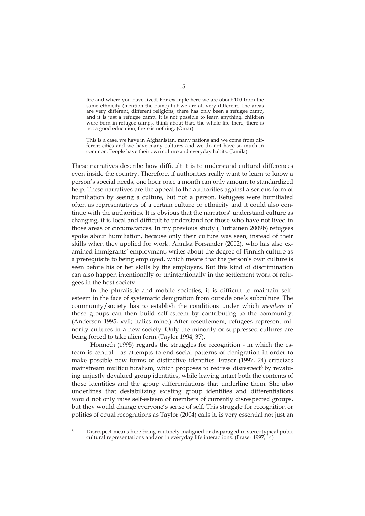life and where you have lived. For example here we are about 100 from the same ethnicity (mention the name) but we are all very different. The areas are very different, different religions, there has only been a refugee camp, and it is just a refugee camp, it is not possible to learn anything, children were born in refugee camps, think about that, the whole life there, there is not a good education, there is nothing. (Omar)

This is a case, we have in Afghanistan, many nations and we come from different cities and we have many cultures and we do not have so much in common. People have their own culture and everyday habits. (Jamila)

These narratives describe how difficult it is to understand cultural differences even inside the country. Therefore, if authorities really want to learn to know a person's special needs, one hour once a month can only amount to standardized help. These narratives are the appeal to the authorities against a serious form of humiliation by seeing a culture, but not a person. Refugees were humiliated often as representatives of a certain culture or ethnicity and it could also continue with the authorities. It is obvious that the narrators' understand culture as changing, it is local and difficult to understand for those who have not lived in those areas or circumstances. In my previous study (Turtiainen 2009b) refugees spoke about humiliation, because only their culture was seen, instead of their skills when they applied for work. Annika Forsander (2002), who has also examined immigrants' employment, writes about the degree of Finnish culture as a prerequisite to being employed, which means that the person's own culture is seen before his or her skills by the employers. But this kind of discrimination can also happen intentionally or unintentionally in the settlement work of refugees in the host society.

In the pluralistic and mobile societies, it is difficult to maintain selfesteem in the face of systematic denigration from outside one's subculture. The community/society has to establish the conditions under which *members* of those groups can then build self-esteem by contributing to the community. (Anderson 1995, xvii; italics mine.) After resettlement, refugees represent minority cultures in a new society. Only the minority or suppressed cultures are being forced to take alien form (Taylor 1994, 37).

Honneth (1995) regards the struggles for recognition - in which the esteem is central - as attempts to end social patterns of denigration in order to make possible new forms of distinctive identities. Fraser (1997, 24) criticizes mainstream multiculturalism, which proposes to redress disrespect<sup>8</sup> by revaluing unjustly devalued group identities, while leaving intact both the contents of those identities and the group differentiations that underline them. She also underlines that destabilizing existing group identities and differentiations would not only raise self-esteem of members of currently disrespected groups, but they would change everyone's sense of self. This struggle for recognition or politics of equal recognitions as Taylor (2004) calls it, is very essential not just an

<sup>&</sup>lt;u>.</u> 8 Disrespect means here being routinely maligned or disparaged in stereotypical pubic cultural representations and/or in everyday life interactions. (Fraser 1997, 14)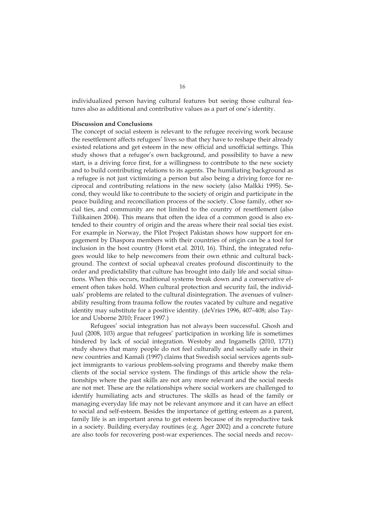individualized person having cultural features but seeing those cultural features also as additional and contributive values as a part of one's identity.

### **Discussion and Conclusions**

The concept of social esteem is relevant to the refugee receiving work because the resettlement affects refugees' lives so that they have to reshape their already existed relations and get esteem in the new official and unofficial settings. This study shows that a refugee's own background, and possibility to have a new start, is a driving force first, for a willingness to contribute to the new society and to build contributing relations to its agents. The humiliating background as a refugee is not just victimizing a person but also being a driving force for reciprocal and contributing relations in the new society (also Malkki 1995). Second, they would like to contribute to the society of origin and participate in the peace building and reconciliation process of the society. Close family, other social ties, and community are not limited to the country of resettlement (also Tiilikainen 2004). This means that often the idea of a common good is also extended to their country of origin and the areas where their real social ties exist. For example in Norway, the Pilot Project Pakistan shows how support for engagement by Diaspora members with their countries of origin can be a tool for inclusion in the host country (Horst et.al. 2010, 16). Third, the integrated refugees would like to help newcomers from their own ethnic and cultural background. The context of social upheaval creates profound discontinuity to the order and predictability that culture has brought into daily life and social situations. When this occurs, traditional systems break down and a conservative element often takes hold. When cultural protection and security fail, the individuals' problems are related to the cultural disintegration. The avenues of vulnerability resulting from trauma follow the routes vacated by culture and negative identity may substitute for a positive identity. (deVries 1996, 407–408; also Taylor and Usborne 2010; Fracer 1997.)

Refugees' social integration has not always been successful. Ghosh and Juul (2008, 103) argue that refugees' participation in working life is sometimes hindered by lack of social integration. Westoby and Ingamells (2010, 1771) study shows that many people do not feel culturally and socially safe in their new countries and Kamali (1997) claims that Swedish social services agents subject immigrants to various problem-solving programs and thereby make them clients of the social service system. The findings of this article show the relationships where the past skills are not any more relevant and the social needs are not met. These are the relationships where social workers are challenged to identify humiliating acts and structures. The skills as head of the family or managing everyday life may not be relevant anymore and it can have an effect to social and self-esteem. Besides the importance of getting esteem as a parent, family life is an important arena to get esteem because of its reproductive task in a society. Building everyday routines (e.g. Ager 2002) and a concrete future are also tools for recovering post-war experiences. The social needs and recov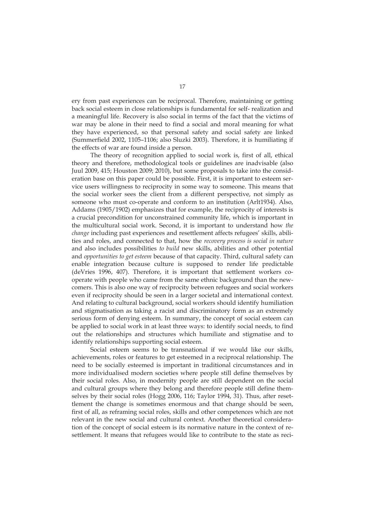ery from past experiences can be reciprocal. Therefore, maintaining or getting back social esteem in close relationships is fundamental for self- realization and a meaningful life. Recovery is also social in terms of the fact that the victims of war may be alone in their need to find a social and moral meaning for what they have experienced, so that personal safety and social safety are linked (Summerfield 2002, 1105–1106; also Sluzki 2003). Therefore, it is humiliating if the effects of war are found inside a person.

The theory of recognition applied to social work is, first of all, ethical theory and therefore, methodological tools or guidelines are inadvisable (also Juul 2009, 415; Houston 2009; 2010), but some proposals to take into the consideration base on this paper could be possible. First, it is important to esteem service users willingness to reciprocity in some way to someone. This means that the social worker sees the client from a different perspective, not simply as someone who must co-operate and conform to an institution (Arlt1934). Also, Addams (1905/1902) emphasizes that for example, the reciprocity of interests is a crucial precondition for unconstrained community life, which is important in the multicultural social work. Second, it is important to understand how *the change* including past experiences and resettlement affects refugees' skills, abilities and roles, and connected to that, how the *recovery process is social in nature* and also includes possibilities *to build* new skills, abilities and other potential and *opportunities to get esteem* because of that capacity. Third, cultural safety can enable integration because culture is supposed to render life predictable (deVries 1996, 407). Therefore, it is important that settlement workers cooperate with people who came from the same ethnic background than the newcomers. This is also one way of reciprocity between refugees and social workers even if reciprocity should be seen in a larger societal and international context. And relating to cultural background, social workers should identify humiliation and stigmatisation as taking a racist and discriminatory form as an extremely serious form of denying esteem. In summary, the concept of social esteem can be applied to social work in at least three ways: to identify social needs, to find out the relationships and structures which humiliate and stigmatise and to identify relationships supporting social esteem.

Social esteem seems to be transnational if we would like our skills, achievements, roles or features to get esteemed in a reciprocal relationship. The need to be socially esteemed is important in traditional circumstances and in more individualised modern societies where people still define themselves by their social roles. Also, in modernity people are still dependent on the social and cultural groups where they belong and therefore people still define themselves by their social roles (Hogg 2006, 116; Taylor 1994, 31). Thus, after resettlement the change is sometimes enormous and that change should be seen, first of all, as reframing social roles, skills and other competences which are not relevant in the new social and cultural context. Another theoretical consideration of the concept of social esteem is its normative nature in the context of resettlement. It means that refugees would like to contribute to the state as reci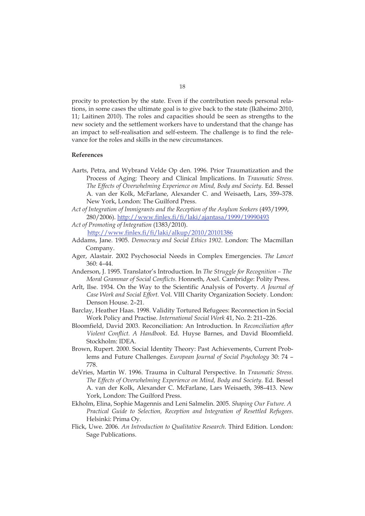procity to protection by the state. Even if the contribution needs personal relations, in some cases the ultimate goal is to give back to the state (Ikäheimo 2010, 11; Laitinen 2010). The roles and capacities should be seen as strengths to the new society and the settlement workers have to understand that the change has an impact to self-realisation and self-esteem. The challenge is to find the relevance for the roles and skills in the new circumstances.

## **References**

- Aarts, Petra, and Wybrand Velde Op den. 1996. Prior Traumatization and the Process of Aging: Theory and Clinical Implications. In *Traumatic Stress. The Effects of Overwhelming Experience on Mind, Body and Society*. Ed. Bessel A. van der Kolk, McFarlane, Alexander C. and Weisaeth, Lars, 359–378. New York, London: The Guilford Press.
- *Act of Integration of Immigrants and the Reception of the Asylum Seekers* (493/1999, 280/2006). http://www.finlex.fi/fi/laki/ajantasa/1999/19990493

*Act of Promoting of Integration* (1383/2010). http://www.finlex.fi/fi/laki/alkup/2010/20101386

- Addams, Jane. 1905. *Democracy and Social Ethics 1902*. London: The Macmillan Company.
- Ager, Alastair. 2002 Psychosocial Needs in Complex Emergencies. *The Lancet* 360: 4–44.
- Anderson, J. 1995. Translator's Introduction. In *The Struggle for Recognition The Moral Grammar of Social Conflicts.* Honneth, Axel. Cambridge: Polity Press.
- Arlt, Ilse. 1934. On the Way to the Scientific Analysis of Poverty. *A Journal of Case Work and Social Effort.* Vol. VIII Charity Organization Society. London: Denson House. 2–21.
- Barclay, Heather Haas. 1998. Validity Tortured Refugees: Reconnection in Social Work Policy and Practise. *International Social Work* 41, No. 2: 211–226.
- Bloomfield, David 2003. Reconciliation: An Introduction. In *Reconciliation after Violent Conflict. A Handbook.* Ed. Huyse Barnes, and David Bloomfield. Stockholm: IDEA.
- Brown, Rupert. 2000. Social Identity Theory: Past Achievements, Current Problems and Future Challenges. *European Journal of Social Psychology* 30: 74 – 778.
- deVries, Martin W. 1996. Trauma in Cultural Perspective. In *Traumatic Stress. The Effects of Overwhelming Experience on Mind, Body and Society*. Ed. Bessel A. van der Kolk, Alexander C. McFarlane, Lars Weisaeth, 398–413. New York, London: The Guilford Press.
- Ekholm, Elina, Sophie Magennis and Leni Salmelin. 2005. *Shaping Our Future. A Practical Guide to Selection, Reception and Integration of Resettled Refugees*. Helsinki: Prima Oy.
- Flick, Uwe. 2006. *An Introduction to Qualitative Research*. Third Edition. London: Sage Publications.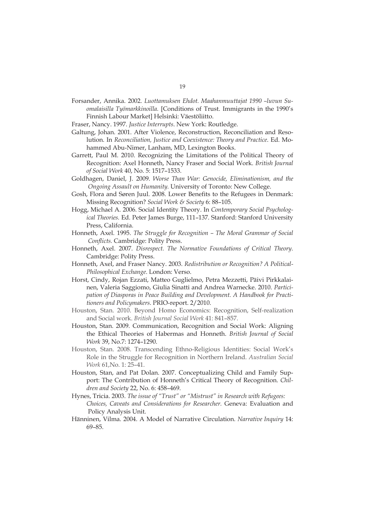- Forsander, Annika. 2002. *Luottamuksen Ehdot. Maahanmuuttajat 1990 –luvun Suomalaisilla Työmarkkinoilla.* [Conditions of Trust. Immigrants in the 1990's Finnish Labour Market] Helsinki: Väestöliitto.
- Fraser, Nancy. 1997. *Justice Interrupts*. New York: Routledge.
- Galtung, Johan. 2001. After Violence, Reconstruction, Reconciliation and Resolution. In *Reconciliation, Justice and Coexistence: Theory and Practice*. Ed. Mohammed Abu-Nimer, Lanham, MD, Lexington Books.
- Garrett, Paul M. 2010. Recognizing the Limitations of the Political Theory of Recognition: Axel Honneth, Nancy Fraser and Social Work. *British Journal of Social Work* 40, No. 5: 1517–1533.
- Goldhagen, Daniel, J. 2009. *Worse Than War: Genocide, Eliminationism, and the Ongoing Assault on Humanity.* University of Toronto: New College.
- Gosh, Flora and Søren Juul. 2008. Lower Benefits to the Refugees in Denmark: Missing Recognition? *Social Work & Society* 6: 88–105.
- Hogg, Michael A. 2006. Social Identity Theory. In *Contemporary Social Psychological Theories.* Ed. Peter James Burge, 111–137. Stanford: Stanford University Press, California.
- Honneth, Axel. 1995. *The Struggle for Recognition The Moral Grammar of Social Conflicts.* Cambridge: Polity Press.
- Honneth, Axel. 2007. *Disrespect. The Normative Foundations of Critical Theory.*  Cambridge: Polity Press.
- Honneth, Axel, and Fraser Nancy. 2003. *Redistribution or Recognition? A Political-Philosophical Exchange*. London: Verso.
- Horst, Cindy, Rojan Ezzati, Matteo Guglielmo, Petra Mezzetti, Päivi Pirkkalainen, Valeria Saggiomo, Giulia Sinatti and Andrea Warnecke. 2010. *Participation of Diasporas in Peace Building and Development. A Handbook for Practitioners and Policymakers*. PRIO-report. 2/2010.
- Houston, Stan. 2010. Beyond Homo Economics: Recognition, Self-realization and Social work. *British Journal Social Work* 41: 841–857.
- Houston, Stan. 2009. Communication, Recognition and Social Work: Aligning the Ethical Theories of Habermas and Honneth. *British Journal of Social Work* 39, No.7: 1274–1290.
- Houston, Stan. 2008. Transcending Ethno-Religious Identities: Social Work's Role in the Struggle for Recognition in Northern Ireland. *Australian Social Work* 61,No. 1: 25–41.
- Houston, Stan, and Pat Dolan. 2007. Conceptualizing Child and Family Support: The Contribution of Honneth's Critical Theory of Recognition. *Children and Society* 22, No. 6: 458–469.
- Hynes, Tricia. 2003. *The issue of "Trust" or "Mistrust" in Research with Refugees: Choices, Caveats and Considerations for Researcher.* Geneva: Evaluation and Policy Analysis Unit.
- Hänninen, Vilma. 2004. A Model of Narrative Circulation. *Narrative Inquiry* 14: 69–85.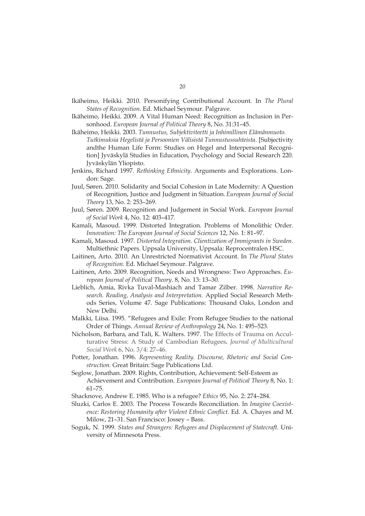- Ikäheimo, Heikki. 2010. Personifying Contributional Account. In *The Plural States of Recognition*. Ed. Michael Seymour. Palgrave.
- Ikäheimo, Heikki. 2009. A Vital Human Need: Recognition as Inclusion in Personhood. *European Journal of Political Theory* 8, No. 31:31–45.
- Ikäheimo, Heikki. 2003. *Tunnustus, Subjektiviteetti ja Inhimillinen Elämänmuoto. Tutkimuksia Hegelistä ja Persoonien Välisistä Tunnustussuhteista*. [Subjectivity andthe Human Life Form: Studies on Hegel and Interpersonal Recognition] Jyväskylä Studies in Education, Psychology and Social Research 220. Jyväskylän Yliopisto.
- Jenkins, Richard 1997. *Rethinking Ethnicity*. Arguments and Explorations. London: Sage.
- Juul, Søren. 2010. Solidarity and Social Cohesion in Late Modernity: A Question of Recognition, Justice and Judgment in Situation.*European Journal of Social Theory* 13, No. 2: 253–269.
- Juul, Søren. 2009. Recognition and Judgement in Social Work. *European Journal of Social Work* 4, No. 12: 403–417.
- Kamali, Masoud. 1999. Distorted Integration. Problems of Monolithic Order. *Innovation: The European Journal of Social Sciences* 12, No. 1: 81–97.
- Kamali, Masoud. 1997. *Distorted Integration. Clientization of Immigrants in Sweden*. Multiethnic Papers. Uppsala University, Uppsala: Reprocentralen HSC.
- Laitinen, Arto. 2010. An Unrestricted Normativist Account. In *The Plural States of Recognition*. Ed. Michael Seymour. Palgrave.
- Laitinen, Arto. 2009. Recognition, Needs and Wrongness: Two Approaches. *European Journal of Political Theory*. 8, No. 13: 13–30.
- Lieblich, Amia, Rivka Tuval-Mashiach and Tamar Zilber. 1998. *Narrative Research. Reading, Analysis and Interpretation.* Applied Social Research Methods Series, Volume 47. Sage Publications: Thousand Oaks, London and New Delhi.
- Malkki, Liisa. 1995. "Refugees and Exile: From Refugee Studies to the national Order of Things. *Annual Review of Anthropology* 24, No. 1: 495–523.
- Nicholson, Barbara, and Tali, K. Walters. 1997. The Effects of Trauma on Acculturative Stress: A Study of Cambodian Refugees**.** *Journal of Multicultural Social Work* 6, No. 3/4: 27–46.
- Potter, Jonathan. 1996. *Representing Reality. Discourse, Rhetoric and Social Construction.* Great Britain: Sage Publications Ltd.
- Seglow, Jonathan. 2009. Rights, Contribution, Achievement: Self-Esteem as Achievement and Contribution. *European Journal of Political Theory* 8, No. 1: 61–75.
- Shacknove, Andrew E. 1985. Who is a refugee? *Ethics* 95, No. 2: 274–284.
- Sluzki, Carlos E. 2003. The Process Towards Reconciliation. In *Imagine Coexistence: Restoring Humanity after Violent Ethnic Conflict*. Ed. A. Chayes and M. Milow, 21–31. San Francisco: Jossey – Bass.
- Soguk, N. 1999. *States and Strangers: Refugees and Displacement of Statecraft.* University of Minnesota Press.